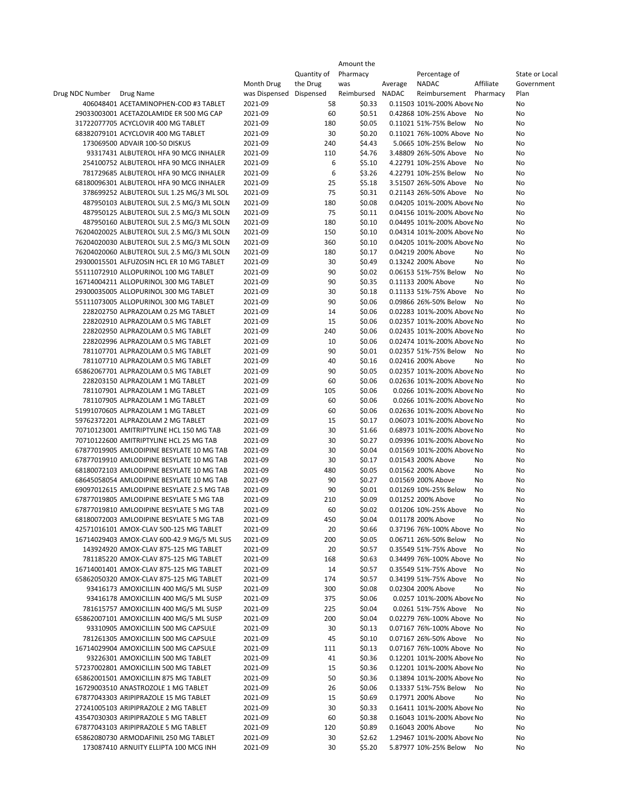|                                            |               |             | Amount the |         |                            |           |                |
|--------------------------------------------|---------------|-------------|------------|---------|----------------------------|-----------|----------------|
|                                            |               | Quantity of | Pharmacy   |         | Percentage of              |           | State or Local |
|                                            | Month Drug    | the Drug    | was        | Average | <b>NADAC</b>               | Affiliate | Government     |
| Drug NDC Number<br>Drug Name               | was Dispensed | Dispensed   | Reimbursed | NADAC   | Reimbursement              | Pharmacy  | Plan           |
| 406048401 ACETAMINOPHEN-COD #3 TABLET      | 2021-09       | 58          | \$0.33     |         | 0.11503 101%-200% Above No |           | No             |
| 29033003001 ACETAZOLAMIDE ER 500 MG CAP    | 2021-09       | 60          | \$0.51     |         | 0.42868 10%-25% Above      | No        | No             |
| 31722077705 ACYCLOVIR 400 MG TABLET        | 2021-09       | 180         | \$0.05     |         | 0.11021 51%-75% Below      | No        | No             |
| 68382079101 ACYCLOVIR 400 MG TABLET        | 2021-09       | 30          | \$0.20     |         | 0.11021 76%-100% Above No  |           | No             |
| 173069500 ADVAIR 100-50 DISKUS             | 2021-09       | 240         | \$4.43     |         | 5.0665 10%-25% Below       | No        | No             |
| 93317431 ALBUTEROL HFA 90 MCG INHALER      | 2021-09       | 110         | \$4.76     |         | 3.48809 26%-50% Above      | No        | No             |
| 254100752 ALBUTEROL HFA 90 MCG INHALER     | 2021-09       | 6           | \$5.10     |         | 4.22791 10%-25% Above      | No        | No             |
| 781729685 ALBUTEROL HFA 90 MCG INHALER     | 2021-09       | 6           | \$3.26     |         | 4.22791 10%-25% Below      | No        | No             |
| 68180096301 ALBUTEROL HFA 90 MCG INHALER   | 2021-09       | 25          | \$5.18     |         | 3.51507 26%-50% Above      | No        | No             |
| 378699252 ALBUTEROL SUL 1.25 MG/3 ML SOL   | 2021-09       | 75          | \$0.31     |         | 0.21143 26%-50% Above      | No        | No             |
| 487950103 ALBUTEROL SUL 2.5 MG/3 ML SOLN   | 2021-09       | 180         | \$0.08     |         | 0.04205 101%-200% Above No |           | No             |
| 487950125 ALBUTEROL SUL 2.5 MG/3 ML SOLN   | 2021-09       | 75          | \$0.11     |         | 0.04156 101%-200% Above No |           | No             |
| 487950160 ALBUTEROL SUL 2.5 MG/3 ML SOLN   | 2021-09       | 180         | \$0.10     |         | 0.04495 101%-200% Above No |           | No             |
| 76204020025 ALBUTEROL SUL 2.5 MG/3 ML SOLN | 2021-09       | 150         | \$0.10     |         | 0.04314 101%-200% Above No |           | No             |
| 76204020030 ALBUTEROL SUL 2.5 MG/3 ML SOLN | 2021-09       | 360         | \$0.10     |         | 0.04205 101%-200% Above No |           | No             |
| 76204020060 ALBUTEROL SUL 2.5 MG/3 ML SOLN | 2021-09       | 180         | \$0.17     |         | 0.04219 200% Above         | No        | No             |
| 29300015501 ALFUZOSIN HCL ER 10 MG TABLET  | 2021-09       | 30          | \$0.49     |         | 0.13242 200% Above         | No        | No             |
| 55111072910 ALLOPURINOL 100 MG TABLET      | 2021-09       | 90          | \$0.02     |         | 0.06153 51%-75% Below      | No        | No             |
| 16714004211 ALLOPURINOL 300 MG TABLET      | 2021-09       | 90          | \$0.35     |         | 0.11133 200% Above         | No        | No             |
| 29300035005 ALLOPURINOL 300 MG TABLET      | 2021-09       | 30          | \$0.18     |         | 0.11133 51%-75% Above      | No        | No             |
| 55111073005 ALLOPURINOL 300 MG TABLET      | 2021-09       | 90          | \$0.06     |         | 0.09866 26%-50% Below      | No        | No             |
| 228202750 ALPRAZOLAM 0.25 MG TABLET        | 2021-09       | 14          | \$0.06     |         | 0.02283 101%-200% Above No |           | No             |
| 228202910 ALPRAZOLAM 0.5 MG TABLET         | 2021-09       | 15          | \$0.06     |         | 0.02357 101%-200% Above No |           | No             |
| 228202950 ALPRAZOLAM 0.5 MG TABLET         | 2021-09       | 240         | \$0.06     |         | 0.02435 101%-200% Above No |           | No             |
| 228202996 ALPRAZOLAM 0.5 MG TABLET         | 2021-09       | 10          | \$0.06     |         | 0.02474 101%-200% Above No |           | No             |
| 781107701 ALPRAZOLAM 0.5 MG TABLET         | 2021-09       | 90          | \$0.01     |         | 0.02357 51%-75% Below      | No        | No             |
| 781107710 ALPRAZOLAM 0.5 MG TABLET         | 2021-09       | 40          | \$0.16     |         | 0.02416 200% Above         | No        | No             |
| 65862067701 ALPRAZOLAM 0.5 MG TABLET       | 2021-09       | 90          | \$0.05     |         | 0.02357 101%-200% Above No |           | No             |
| 228203150 ALPRAZOLAM 1 MG TABLET           | 2021-09       | 60          | \$0.06     |         | 0.02636 101%-200% Above No |           | No             |
| 781107901 ALPRAZOLAM 1 MG TABLET           | 2021-09       | 105         | \$0.06     |         | 0.0266 101%-200% Above No  |           | No             |
| 781107905 ALPRAZOLAM 1 MG TABLET           | 2021-09       | 60          | \$0.06     |         | 0.0266 101%-200% Above No  |           | No             |
| 51991070605 ALPRAZOLAM 1 MG TABLET         | 2021-09       | 60          | \$0.06     |         | 0.02636 101%-200% Above No |           | No             |
| 59762372201 ALPRAZOLAM 2 MG TABLET         | 2021-09       | 15          | \$0.17     |         | 0.06073 101%-200% Above No |           | No             |
| 70710123001 AMITRIPTYLINE HCL 150 MG TAB   | 2021-09       | 30          | \$1.66     |         | 0.68973 101%-200% Above No |           | No             |
| 70710122600 AMITRIPTYLINE HCL 25 MG TAB    | 2021-09       | 30          | \$0.27     |         | 0.09396 101%-200% Above No |           | No             |
| 67877019905 AMLODIPINE BESYLATE 10 MG TAB  | 2021-09       | 30          | \$0.04     |         | 0.01569 101%-200% Above No |           | No             |
| 67877019910 AMLODIPINE BESYLATE 10 MG TAB  | 2021-09       | 30          | \$0.17     |         | 0.01543 200% Above         | No        | No             |
| 68180072103 AMLODIPINE BESYLATE 10 MG TAB  | 2021-09       | 480         | \$0.05     |         | 0.01562 200% Above         | No        | No             |
| 68645058054 AMLODIPINE BESYLATE 10 MG TAB  | 2021-09       | 90          | \$0.27     |         | 0.01569 200% Above         | No        | No             |
| 69097012615 AMLODIPINE BESYLATE 2.5 MG TAB | 2021-09       | 90          | \$0.01     |         | 0.01269 10%-25% Below      | No        | No             |
| 67877019805 AMLODIPINE BESYLATE 5 MG TAB   | 2021-09       | 210         | \$0.09     |         | 0.01252 200% Above         | No        | No             |
| 67877019810 AMLODIPINE BESYLATE 5 MG TAB   | 2021-09       | 60          | \$0.02     |         | 0.01206 10%-25% Above      | No        | No             |
| 68180072003 AMLODIPINE BESYLATE 5 MG TAB   | 2021-09       | 450         | \$0.04     |         | 0.01178 200% Above         | No        | <b>NO</b>      |
| 42571016101 AMOX-CLAV 500-125 MG TABLET    | 2021-09       | 20          | \$0.66     |         | 0.37196 76%-100% Above No  |           | No             |
| 16714029403 AMOX-CLAV 600-42.9 MG/5 ML SUS | 2021-09       | 200         | \$0.05     |         | 0.06711 26%-50% Below      | No        | No             |
| 143924920 AMOX-CLAV 875-125 MG TABLET      | 2021-09       | 20          | \$0.57     |         | 0.35549 51%-75% Above      | No        | No             |
| 781185220 AMOX-CLAV 875-125 MG TABLET      | 2021-09       | 168         | \$0.63     |         | 0.34499 76%-100% Above No  |           | No             |
| 16714001401 AMOX-CLAV 875-125 MG TABLET    | 2021-09       | 14          | \$0.57     |         | 0.35549 51%-75% Above      | No        | No             |
| 65862050320 AMOX-CLAV 875-125 MG TABLET    | 2021-09       | 174         | \$0.57     |         | 0.34199 51%-75% Above      | No        | No             |
| 93416173 AMOXICILLIN 400 MG/5 ML SUSP      | 2021-09       | 300         | \$0.08     |         | 0.02304 200% Above         | No        | No             |
| 93416178 AMOXICILLIN 400 MG/5 ML SUSP      | 2021-09       | 375         | \$0.06     |         | 0.0257 101%-200% Above No  |           | No             |
| 781615757 AMOXICILLIN 400 MG/5 ML SUSP     | 2021-09       | 225         | \$0.04     |         | 0.0261 51%-75% Above No    |           | No             |
| 65862007101 AMOXICILLIN 400 MG/5 ML SUSP   | 2021-09       | 200         | \$0.04     |         | 0.02279 76%-100% Above No  |           | No             |
| 93310905 AMOXICILLIN 500 MG CAPSULE        | 2021-09       | 30          | \$0.13     |         | 0.07167 76%-100% Above No  |           | No             |
| 781261305 AMOXICILLIN 500 MG CAPSULE       | 2021-09       | 45          | \$0.10     |         | 0.07167 26%-50% Above No   |           | No             |
| 16714029904 AMOXICILLIN 500 MG CAPSULE     | 2021-09       | 111         | \$0.13     |         | 0.07167 76%-100% Above No  |           | No             |
| 93226301 AMOXICILLIN 500 MG TABLET         | 2021-09       | 41          | \$0.36     |         | 0.12201 101%-200% Above No |           | No             |
| 57237002801 AMOXICILLIN 500 MG TABLET      | 2021-09       | 15          | \$0.36     |         | 0.12201 101%-200% Above No |           | No             |
| 65862001501 AMOXICILLIN 875 MG TABLET      | 2021-09       | 50          | \$0.36     |         | 0.13894 101%-200% Above No |           | No             |
| 16729003510 ANASTROZOLE 1 MG TABLET        | 2021-09       | 26          | \$0.06     |         | 0.13337 51%-75% Below      | No        | No             |
| 67877043303 ARIPIPRAZOLE 15 MG TABLET      | 2021-09       | 15          | \$0.69     |         | 0.17971 200% Above         | No        | No             |
| 27241005103 ARIPIPRAZOLE 2 MG TABLET       | 2021-09       | 30          | \$0.33     |         | 0.16411 101%-200% Above No |           | No             |
| 43547030303 ARIPIPRAZOLE 5 MG TABLET       | 2021-09       | 60          | \$0.38     |         | 0.16043 101%-200% Above No |           | No             |
| 67877043103 ARIPIPRAZOLE 5 MG TABLET       | 2021-09       | 120         | \$0.89     |         | 0.16043 200% Above         | No        | No             |
| 65862080730 ARMODAFINIL 250 MG TABLET      | 2021-09       | 30          | \$2.62     |         | 1.29467 101%-200% Above No |           | No             |
| 173087410 ARNUITY ELLIPTA 100 MCG INH      | 2021-09       | 30          | \$5.20     |         | 5.87977 10%-25% Below No   |           | No             |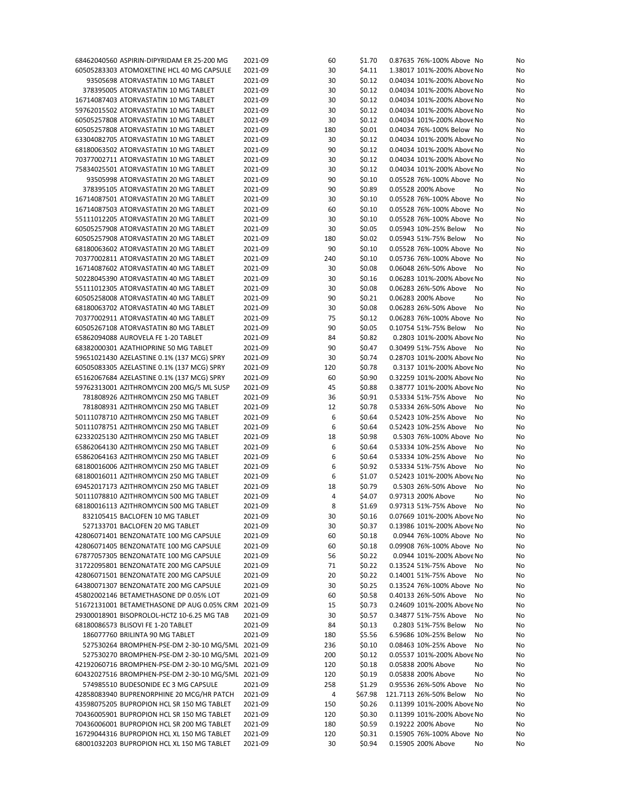| 68462040560 ASPIRIN-DIPYRIDAM ER 25-200 MG                                                           | 2021-09            | 60         | \$1.70           | 0.87635 76%-100% Above No                                 | No       |
|------------------------------------------------------------------------------------------------------|--------------------|------------|------------------|-----------------------------------------------------------|----------|
| 60505283303 ATOMOXETINE HCL 40 MG CAPSULE                                                            | 2021-09            | 30         | \$4.11           | 1.38017 101%-200% Above No                                | No       |
| 93505698 ATORVASTATIN 10 MG TABLET                                                                   | 2021-09            | 30         | \$0.12           | 0.04034 101%-200% Above No                                | No       |
| 378395005 ATORVASTATIN 10 MG TABLET                                                                  | 2021-09            | 30         | \$0.12           | 0.04034 101%-200% Above No                                | No       |
| 16714087403 ATORVASTATIN 10 MG TABLET                                                                | 2021-09            | 30         | \$0.12           | 0.04034 101%-200% Above No                                | No       |
| 59762015502 ATORVASTATIN 10 MG TABLET                                                                | 2021-09            | 30         | \$0.12           | 0.04034 101%-200% Above No                                | No       |
| 60505257808 ATORVASTATIN 10 MG TABLET                                                                | 2021-09            | 30         | \$0.12           | 0.04034 101%-200% Above No                                | No       |
| 60505257808 ATORVASTATIN 10 MG TABLET                                                                | 2021-09            | 180        | \$0.01           | 0.04034 76%-100% Below No                                 | No       |
| 63304082705 ATORVASTATIN 10 MG TABLET                                                                | 2021-09            | 30         | \$0.12           | 0.04034 101%-200% Above No                                | No       |
| 68180063502 ATORVASTATIN 10 MG TABLET                                                                | 2021-09            | 90         | \$0.12           | 0.04034 101%-200% Above No                                | No       |
| 70377002711 ATORVASTATIN 10 MG TABLET                                                                | 2021-09            | 30         | \$0.12           | 0.04034 101%-200% Above No                                | No       |
| 75834025501 ATORVASTATIN 10 MG TABLET                                                                | 2021-09            | 30         | \$0.12           | 0.04034 101%-200% Above No                                | No       |
| 93505998 ATORVASTATIN 20 MG TABLET                                                                   | 2021-09            | 90         | \$0.10           | 0.05528 76%-100% Above No                                 | No       |
| 378395105 ATORVASTATIN 20 MG TABLET<br>16714087501 ATORVASTATIN 20 MG TABLET                         | 2021-09<br>2021-09 | 90<br>30   | \$0.89<br>\$0.10 | 0.05528 200% Above<br>No<br>0.05528 76%-100% Above No     | No       |
| 16714087503 ATORVASTATIN 20 MG TABLET                                                                | 2021-09            | 60         | \$0.10           | 0.05528 76%-100% Above No                                 | No<br>No |
| 55111012205 ATORVASTATIN 20 MG TABLET                                                                | 2021-09            | 30         | \$0.10           | 0.05528 76%-100% Above No                                 | No       |
| 60505257908 ATORVASTATIN 20 MG TABLET                                                                | 2021-09            | 30         | \$0.05           | 0.05943 10%-25% Below<br>No                               | No       |
| 60505257908 ATORVASTATIN 20 MG TABLET                                                                | 2021-09            | 180        | \$0.02           | 0.05943 51%-75% Below<br>No                               | No       |
| 68180063602 ATORVASTATIN 20 MG TABLET                                                                | 2021-09            | 90         | \$0.10           | 0.05528 76%-100% Above No                                 | No       |
| 70377002811 ATORVASTATIN 20 MG TABLET                                                                | 2021-09            | 240        | \$0.10           | 0.05736 76%-100% Above No                                 | No       |
| 16714087602 ATORVASTATIN 40 MG TABLET                                                                | 2021-09            | 30         | \$0.08           | 0.06048 26%-50% Above<br>No                               | No       |
| 50228045390 ATORVASTATIN 40 MG TABLET                                                                | 2021-09            | 30         | \$0.16           | 0.06283 101%-200% Above No                                | No       |
| 55111012305 ATORVASTATIN 40 MG TABLET                                                                | 2021-09            | 30         | \$0.08           | 0.06283 26%-50% Above<br>No                               | No       |
| 60505258008 ATORVASTATIN 40 MG TABLET                                                                | 2021-09            | 90         | \$0.21           | 0.06283 200% Above<br>No                                  | No       |
| 68180063702 ATORVASTATIN 40 MG TABLET                                                                | 2021-09            | 30         | \$0.08           | 0.06283 26%-50% Above<br>No                               | No       |
| 70377002911 ATORVASTATIN 40 MG TABLET                                                                | 2021-09            | 75         | \$0.12           | 0.06283 76%-100% Above No                                 | No       |
| 60505267108 ATORVASTATIN 80 MG TABLET                                                                | 2021-09            | 90         | \$0.05           | 0.10754 51%-75% Below<br>No                               | No       |
| 65862094088 AUROVELA FE 1-20 TABLET                                                                  | 2021-09            | 84         | \$0.82           | 0.2803 101%-200% Above No                                 | No       |
| 68382000301 AZATHIOPRINE 50 MG TABLET                                                                | 2021-09            | 90         | \$0.47           | 0.30499 51%-75% Above<br>No                               | No       |
| 59651021430 AZELASTINE 0.1% (137 MCG) SPRY                                                           | 2021-09            | 30         | \$0.74           | 0.28703 101%-200% Above No                                | No       |
| 60505083305 AZELASTINE 0.1% (137 MCG) SPRY                                                           | 2021-09            | 120        | \$0.78           | 0.3137 101%-200% Above No                                 | No       |
| 65162067684 AZELASTINE 0.1% (137 MCG) SPRY                                                           | 2021-09            | 60         | \$0.90           | 0.32259 101%-200% Above No                                | No       |
| 59762313001 AZITHROMYCIN 200 MG/5 ML SUSP                                                            | 2021-09            | 45         | \$0.88           | 0.38777 101%-200% Above No                                | No       |
| 781808926 AZITHROMYCIN 250 MG TABLET                                                                 | 2021-09            | 36         | \$0.91           | 0.53334 51%-75% Above<br>No                               | No       |
| 781808931 AZITHROMYCIN 250 MG TABLET                                                                 | 2021-09            | 12         | \$0.78           | 0.53334 26%-50% Above<br>No                               | No       |
| 50111078710 AZITHROMYCIN 250 MG TABLET                                                               | 2021-09            | 6          | \$0.64           | 0.52423 10%-25% Above<br>No                               | No       |
| 50111078751 AZITHROMYCIN 250 MG TABLET                                                               | 2021-09            | 6          | \$0.64           | 0.52423 10%-25% Above<br>No                               | No       |
| 62332025130 AZITHROMYCIN 250 MG TABLET                                                               | 2021-09            | 18         | \$0.98           | 0.5303 76%-100% Above No                                  | No       |
| 65862064130 AZITHROMYCIN 250 MG TABLET                                                               | 2021-09            | 6          | \$0.64           | 0.53334 10%-25% Above<br>No                               | No       |
| 65862064163 AZITHROMYCIN 250 MG TABLET                                                               | 2021-09            | 6          | \$0.64           | 0.53334 10%-25% Above<br>No                               | No       |
| 68180016006 AZITHROMYCIN 250 MG TABLET                                                               | 2021-09            | 6          | \$0.92           | 0.53334 51%-75% Above<br>No                               | No       |
| 68180016011 AZITHROMYCIN 250 MG TABLET                                                               | 2021-09            | 6          | \$1.07           | 0.52423 101%-200% Above No                                | No       |
| 69452017173 AZITHROMYCIN 250 MG TABLET                                                               | 2021-09            | 18         | \$0.79           | 0.5303 26%-50% Above<br>No                                | No       |
| 50111078810 AZITHROMYCIN 500 MG TABLET                                                               | 2021-09            | 4          | \$4.07           | 0.97313 200% Above<br>No                                  | No       |
| 68180016113 AZITHROMYCIN 500 MG TABLET                                                               | 2021-09            | 8          | \$1.69           | 0.97313 51%-75% Above<br>No                               | No       |
| 832105415 BACLOFEN 10 MG TABLET                                                                      | 2021-09            | 30         | \$0.16           | 0.07669 101%-200% Above No                                | No       |
| 527133701 BACLOFEN 20 MG TABLET                                                                      | 2021-09            | 30         | \$0.37           | 0.13986 101%-200% Above No                                | No       |
| 42806071401 BENZONATATE 100 MG CAPSULE                                                               | 2021-09            | 60         | \$0.18           | 0.0944 76%-100% Above No                                  | No       |
| 42806071405 BENZONATATE 100 MG CAPSULE                                                               | 2021-09            | 60         | \$0.18           | 0.09908 76%-100% Above No                                 | No       |
| 67877057305 BENZONATATE 100 MG CAPSULE                                                               | 2021-09            | 56         | \$0.22           | 0.0944 101%-200% Above No                                 | No       |
| 31722095801 BENZONATATE 200 MG CAPSULE                                                               | 2021-09            | 71         | \$0.22           | 0.13524 51%-75% Above<br>No                               | No       |
| 42806071501 BENZONATATE 200 MG CAPSULE                                                               | 2021-09            | 20         | \$0.22           | 0.14001 51%-75% Above<br>No                               | No       |
| 64380071307 BENZONATATE 200 MG CAPSULE                                                               | 2021-09            | 30         | \$0.25           | 0.13524 76%-100% Above No                                 | No       |
| 45802002146 BETAMETHASONE DP 0.05% LOT                                                               | 2021-09            | 60         | \$0.58           | 0.40133 26%-50% Above<br>No                               | No       |
| 51672131001 BETAMETHASONE DP AUG 0.05% CRM 2021-09                                                   |                    | 15         | \$0.73           | 0.24609 101%-200% Above No                                | No       |
| 29300018901 BISOPROLOL-HCTZ 10-6.25 MG TAB                                                           | 2021-09            | 30         | \$0.57           | 0.34877 51%-75% Above<br>No                               | No       |
| 68180086573 BLISOVI FE 1-20 TABLET                                                                   | 2021-09            | 84         | \$0.13           | 0.2803 51%-75% Below<br>No                                | No       |
| 186077760 BRILINTA 90 MG TABLET                                                                      | 2021-09            | 180        | \$5.56           | 6.59686 10%-25% Below<br>No                               | No       |
| 527530264 BROMPHEN-PSE-DM 2-30-10 MG/5ML 2021-09<br>527530270 BROMPHEN-PSE-DM 2-30-10 MG/5ML 2021-09 |                    | 236        | \$0.10           | 0.08463 10%-25% Above<br>No<br>0.05537 101%-200% Above No | No       |
| 42192060716 BROMPHEN-PSE-DM 2-30-10 MG/5ML 2021-09                                                   |                    | 200<br>120 | \$0.12<br>\$0.18 | 0.05838 200% Above<br>No                                  | No       |
| 60432027516 BROMPHEN-PSE-DM 2-30-10 MG/5ML 2021-09                                                   |                    |            |                  | 0.05838 200% Above<br>No                                  | No       |
| 574985510 BUDESONIDE EC 3 MG CAPSULE                                                                 | 2021-09            | 120<br>258 | \$0.19<br>\$1.29 | 0.95536 26%-50% Above<br>No                               | No<br>No |
| 42858083940 BUPRENORPHINE 20 MCG/HR PATCH                                                            | 2021-09            | 4          | \$67.98          | 121.7113 26%-50% Below<br>No                              | No       |
| 43598075205 BUPROPION HCL SR 150 MG TABLET                                                           | 2021-09            | 150        | \$0.26           | 0.11399 101%-200% Above No                                | No       |
| 70436005901 BUPROPION HCL SR 150 MG TABLET                                                           | 2021-09            | 120        | \$0.30           | 0.11399 101%-200% Above No                                | No       |
| 70436006001 BUPROPION HCL SR 200 MG TABLET                                                           | 2021-09            | 180        | \$0.59           | 0.19222 200% Above<br>No                                  | No       |
| 16729044316 BUPROPION HCL XL 150 MG TABLET                                                           | 2021-09            | 120        | \$0.31           | 0.15905 76%-100% Above No                                 | No       |
| 68001032203 BUPROPION HCL XL 150 MG TABLET                                                           | 2021-09            | 30         | \$0.94           | 0.15905 200% Above<br>No                                  | No       |
|                                                                                                      |                    |            |                  |                                                           |          |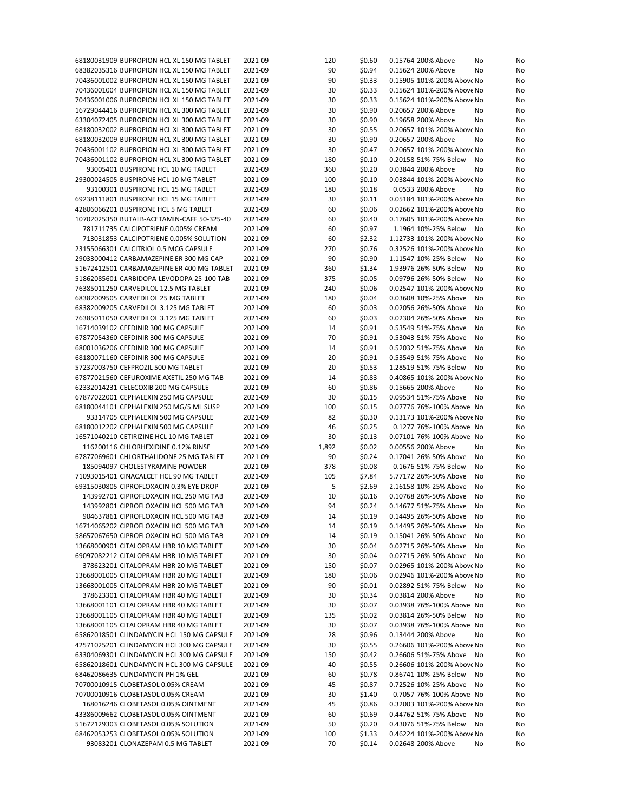| 68180031909 BUPROPION HCL XL 150 MG TABLET | 2021-09 | 120   | \$0.60 | 0.15764 200% Above         | No<br>No |
|--------------------------------------------|---------|-------|--------|----------------------------|----------|
| 68382035316 BUPROPION HCL XL 150 MG TABLET | 2021-09 | 90    | \$0.94 | 0.15624 200% Above         | No<br>No |
| 70436001002 BUPROPION HCL XL 150 MG TABLET | 2021-09 | 90    | \$0.33 | 0.15905 101%-200% Above No | No       |
| 70436001004 BUPROPION HCL XL 150 MG TABLET | 2021-09 | 30    | \$0.33 | 0.15624 101%-200% Above No | No       |
| 70436001006 BUPROPION HCL XL 150 MG TABLET | 2021-09 | 30    | \$0.33 | 0.15624 101%-200% Above No | No       |
|                                            |         |       |        |                            |          |
| 16729044416 BUPROPION HCL XL 300 MG TABLET | 2021-09 | 30    | \$0.90 | 0.20657 200% Above         | No<br>No |
| 63304072405 BUPROPION HCL XL 300 MG TABLET | 2021-09 | 30    | \$0.90 | 0.19658 200% Above         | No<br>No |
| 68180032002 BUPROPION HCL XL 300 MG TABLET | 2021-09 | 30    | \$0.55 | 0.20657 101%-200% Above No | No       |
| 68180032009 BUPROPION HCL XL 300 MG TABLET | 2021-09 | 30    | \$0.90 | 0.20657 200% Above         | No<br>No |
| 70436001102 BUPROPION HCL XL 300 MG TABLET | 2021-09 | 30    | \$0.47 | 0.20657 101%-200% Above No | No       |
| 70436001102 BUPROPION HCL XL 300 MG TABLET | 2021-09 | 180   | \$0.10 | 0.20158 51%-75% Below      | No<br>No |
| 93005401 BUSPIRONE HCL 10 MG TABLET        | 2021-09 | 360   | \$0.20 | 0.03844 200% Above         | No<br>No |
| 29300024505 BUSPIRONE HCL 10 MG TABLET     | 2021-09 | 100   | \$0.10 | 0.03844 101%-200% Above No | No       |
|                                            |         |       |        |                            |          |
| 93100301 BUSPIRONE HCL 15 MG TABLET        | 2021-09 | 180   | \$0.18 | 0.0533 200% Above          | No<br>No |
| 69238111801 BUSPIRONE HCL 15 MG TABLET     | 2021-09 | 30    | \$0.11 | 0.05184 101%-200% Above No | No       |
| 42806066201 BUSPIRONE HCL 5 MG TABLET      | 2021-09 | 60    | \$0.06 | 0.02662 101%-200% Above No | No       |
| 10702025350 BUTALB-ACETAMIN-CAFF 50-325-40 | 2021-09 | 60    | \$0.40 | 0.17605 101%-200% Above No | No       |
| 781711735 CALCIPOTRIENE 0.005% CREAM       | 2021-09 | 60    | \$0.97 | 1.1964 10%-25% Below       | No<br>No |
| 713031853 CALCIPOTRIENE 0.005% SOLUTION    | 2021-09 | 60    | \$2.32 | 1.12733 101%-200% Above No | No       |
| 23155066301 CALCITRIOL 0.5 MCG CAPSULE     | 2021-09 | 270   | \$0.76 | 0.32526 101%-200% Above No | No       |
| 29033000412 CARBAMAZEPINE ER 300 MG CAP    | 2021-09 | 90    | \$0.90 | 1.11547 10%-25% Below      | No<br>No |
| 51672412501 CARBAMAZEPINE ER 400 MG TABLET | 2021-09 | 360   | \$1.34 | 1.93976 26%-50% Below      | No<br>No |
|                                            |         |       |        |                            |          |
| 51862085601 CARBIDOPA-LEVODOPA 25-100 TAB  | 2021-09 | 375   | \$0.05 | 0.09796 26%-50% Below      | No<br>No |
| 76385011250 CARVEDILOL 12.5 MG TABLET      | 2021-09 | 240   | \$0.06 | 0.02547 101%-200% Above No | No       |
| 68382009505 CARVEDILOL 25 MG TABLET        | 2021-09 | 180   | \$0.04 | 0.03608 10%-25% Above      | No<br>No |
| 68382009205 CARVEDILOL 3.125 MG TABLET     | 2021-09 | 60    | \$0.03 | 0.02056 26%-50% Above      | No<br>No |
| 76385011050 CARVEDILOL 3.125 MG TABLET     | 2021-09 | 60    | \$0.03 | 0.02304 26%-50% Above      | No<br>No |
| 16714039102 CEFDINIR 300 MG CAPSULE        | 2021-09 | 14    | \$0.91 | 0.53549 51%-75% Above      | No<br>No |
| 67877054360 CEFDINIR 300 MG CAPSULE        | 2021-09 | 70    | \$0.91 | 0.53043 51%-75% Above      | No<br>No |
| 68001036206 CEFDINIR 300 MG CAPSULE        | 2021-09 | 14    | \$0.91 | 0.52032 51%-75% Above      | No<br>No |
|                                            |         |       |        |                            |          |
| 68180071160 CEFDINIR 300 MG CAPSULE        | 2021-09 | 20    | \$0.91 | 0.53549 51%-75% Above      | No<br>No |
| 57237003750 CEFPROZIL 500 MG TABLET        | 2021-09 | 20    | \$0.53 | 1.28519 51%-75% Below      | No<br>No |
| 67877021560 CEFUROXIME AXETIL 250 MG TAB   | 2021-09 | 14    | \$0.83 | 0.40865 101%-200% Above No | No       |
| 62332014231 CELECOXIB 200 MG CAPSULE       | 2021-09 | 60    | \$0.86 | 0.15665 200% Above         | No<br>No |
| 67877022001 CEPHALEXIN 250 MG CAPSULE      | 2021-09 | 30    | \$0.15 | 0.09534 51%-75% Above      | No<br>No |
| 68180044101 CEPHALEXIN 250 MG/5 ML SUSP    | 2021-09 | 100   | \$0.15 | 0.07776 76%-100% Above No  | No       |
| 93314705 CEPHALEXIN 500 MG CAPSULE         | 2021-09 | 82    | \$0.30 | 0.13173 101%-200% Above No | No       |
| 68180012202 CEPHALEXIN 500 MG CAPSULE      | 2021-09 | 46    | \$0.25 | 0.1277 76%-100% Above No   | No       |
| 16571040210 CETIRIZINE HCL 10 MG TABLET    | 2021-09 | 30    | \$0.13 | 0.07101 76%-100% Above No  | No       |
|                                            |         |       |        |                            |          |
| 116200116 CHLORHEXIDINE 0.12% RINSE        | 2021-09 | 1,892 | \$0.02 | 0.00556 200% Above         | No<br>No |
| 67877069601 CHLORTHALIDONE 25 MG TABLET    | 2021-09 | 90    | \$0.24 | 0.17041 26%-50% Above      | No<br>No |
| 185094097 CHOLESTYRAMINE POWDER            | 2021-09 | 378   | \$0.08 | 0.1676 51%-75% Below       | No<br>No |
| 71093015401 CINACALCET HCL 90 MG TABLET    | 2021-09 | 105   | \$7.84 | 5.77172 26%-50% Above      | No<br>No |
| 69315030805 CIPROFLOXACIN 0.3% EYE DROP    | 2021-09 | 5     | \$2.69 | 2.16158 10%-25% Above      | No<br>No |
| 143992701 CIPROFLOXACIN HCL 250 MG TAB     | 2021-09 | 10    | \$0.16 | 0.10768 26%-50% Above      | No<br>No |
| 143992801 CIPROFLOXACIN HCL 500 MG TAB     | 2021-09 | 94    | \$0.24 | 0.14677 51%-75% Above      | No<br>No |
| 904637861 CIPROFLOXACIN HCL 500 MG TAB     | 2021-09 | 14    | \$0.19 | 0.14495 26%-50% Above      | No<br>No |
|                                            |         |       |        |                            |          |
| 16714065202 CIPROFLOXACIN HCL 500 MG TAB   | 2021-09 | 14    | \$0.19 | 0.14495 26%-50% Above      | No<br>No |
| 58657067650 CIPROFLOXACIN HCL 500 MG TAB   | 2021-09 | 14    | \$0.19 | 0.15041 26%-50% Above      | No<br>No |
| 13668000901 CITALOPRAM HBR 10 MG TABLET    | 2021-09 | 30    | \$0.04 | 0.02715 26%-50% Above      | No<br>No |
| 69097082212 CITALOPRAM HBR 10 MG TABLET    | 2021-09 | 30    | \$0.04 | 0.02715 26%-50% Above      | No<br>No |
| 378623201 CITALOPRAM HBR 20 MG TABLET      | 2021-09 | 150   | \$0.07 | 0.02965 101%-200% Above No | No       |
| 13668001005 CITALOPRAM HBR 20 MG TABLET    | 2021-09 | 180   | \$0.06 | 0.02946 101%-200% Above No | No       |
| 13668001005 CITALOPRAM HBR 20 MG TABLET    | 2021-09 | 90    | \$0.01 | 0.02892 51%-75% Below      | No<br>No |
| 378623301 CITALOPRAM HBR 40 MG TABLET      | 2021-09 | 30    | \$0.34 | 0.03814 200% Above         | No<br>No |
|                                            |         |       |        |                            |          |
| 13668001101 CITALOPRAM HBR 40 MG TABLET    | 2021-09 | 30    | \$0.07 | 0.03938 76%-100% Above No  | No       |
| 13668001105 CITALOPRAM HBR 40 MG TABLET    | 2021-09 | 135   | \$0.02 | 0.03814 26%-50% Below      | No<br>No |
| 13668001105 CITALOPRAM HBR 40 MG TABLET    | 2021-09 | 30    | \$0.07 | 0.03938 76%-100% Above No  | No       |
| 65862018501 CLINDAMYCIN HCL 150 MG CAPSULE | 2021-09 | 28    | \$0.96 | 0.13444 200% Above         | No<br>No |
| 42571025201 CLINDAMYCIN HCL 300 MG CAPSULE | 2021-09 | 30    | \$0.55 | 0.26606 101%-200% Above No | No       |
| 63304069301 CLINDAMYCIN HCL 300 MG CAPSULE | 2021-09 | 150   | \$0.42 | 0.26606 51%-75% Above      | No<br>No |
| 65862018601 CLINDAMYCIN HCL 300 MG CAPSULE | 2021-09 | 40    | \$0.55 | 0.26606 101%-200% Above No | No       |
| 68462086635 CLINDAMYCIN PH 1% GEL          | 2021-09 | 60    | \$0.78 | 0.86741 10%-25% Below      | No<br>No |
|                                            |         |       |        |                            |          |
| 70700010915 CLOBETASOL 0.05% CREAM         | 2021-09 | 45    | \$0.87 | 0.72526 10%-25% Above      | No<br>No |
| 70700010916 CLOBETASOL 0.05% CREAM         | 2021-09 | 30    | \$1.40 | 0.7057 76%-100% Above No   | No       |
| 168016246 CLOBETASOL 0.05% OINTMENT        | 2021-09 | 45    | \$0.86 | 0.32003 101%-200% Above No | No       |
| 43386009662 CLOBETASOL 0.05% OINTMENT      | 2021-09 | 60    | \$0.69 | 0.44762 51%-75% Above      | No<br>No |
| 51672129303 CLOBETASOL 0.05% SOLUTION      | 2021-09 | 50    | \$0.20 | 0.43076 51%-75% Below      | No<br>No |
| 68462053253 CLOBETASOL 0.05% SOLUTION      | 2021-09 | 100   | \$1.33 | 0.46224 101%-200% Above No | No       |
| 93083201 CLONAZEPAM 0.5 MG TABLET          | 2021-09 | 70    | \$0.14 | 0.02648 200% Above         | No<br>No |
|                                            |         |       |        |                            |          |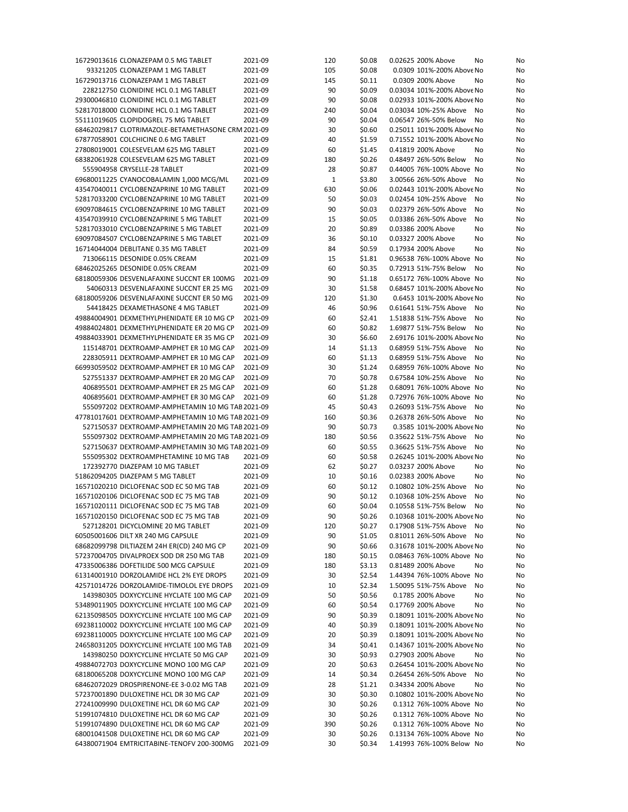| 16729013616 CLONAZEPAM 0.5 MG TABLET                                                  | 2021-09            | 120      | \$0.08           | 0.02625 200% Above<br>No                               | No       |
|---------------------------------------------------------------------------------------|--------------------|----------|------------------|--------------------------------------------------------|----------|
| 93321205 CLONAZEPAM 1 MG TABLET                                                       | 2021-09            | 105      | \$0.08           | 0.0309 101%-200% Above No                              | No       |
| 16729013716 CLONAZEPAM 1 MG TABLET                                                    | 2021-09            | 145      | \$0.11           | 0.0309 200% Above<br>No                                | No       |
| 228212750 CLONIDINE HCL 0.1 MG TABLET                                                 | 2021-09            | 90       | \$0.09           | 0.03034 101%-200% Above No                             | No       |
| 29300046810 CLONIDINE HCL 0.1 MG TABLET                                               | 2021-09            | 90       | \$0.08           | 0.02933 101%-200% Above No                             | No       |
| 52817018000 CLONIDINE HCL 0.1 MG TABLET                                               | 2021-09            | 240      | \$0.04           | 0.03034 10%-25% Above<br>No                            | No       |
| 55111019605 CLOPIDOGREL 75 MG TABLET                                                  | 2021-09            | 90       | \$0.04           | 0.06547 26%-50% Below<br>No                            | No       |
| 68462029817 CLOTRIMAZOLE-BETAMETHASONE CRM 2021-09                                    |                    | 30       | \$0.60           | 0.25011 101%-200% Above No                             | No       |
|                                                                                       |                    |          |                  |                                                        |          |
| 67877058901 COLCHICINE 0.6 MG TABLET                                                  | 2021-09            | 40       | \$1.59           | 0.71552 101%-200% Above No                             | No       |
| 27808019001 COLESEVELAM 625 MG TABLET                                                 | 2021-09            | 60       | \$1.45           | 0.41819 200% Above<br>No                               | No       |
| 68382061928 COLESEVELAM 625 MG TABLET                                                 | 2021-09            | 180      | \$0.26           | 0.48497 26%-50% Below<br>No                            | No       |
| 555904958 CRYSELLE-28 TABLET                                                          | 2021-09            | 28       | \$0.87           | 0.44005 76%-100% Above No                              | No       |
| 69680011225 CYANOCOBALAMIN 1,000 MCG/ML                                               | 2021-09            | 1        | \$3.80           | 3.00566 26%-50% Above<br>No                            | No       |
| 43547040011 CYCLOBENZAPRINE 10 MG TABLET                                              | 2021-09            | 630      | \$0.06           | 0.02443 101%-200% Above No                             | No       |
| 52817033200 CYCLOBENZAPRINE 10 MG TABLET                                              | 2021-09            | 50       | \$0.03           | 0.02454 10%-25% Above<br>No                            | No       |
| 69097084615 CYCLOBENZAPRINE 10 MG TABLET                                              | 2021-09            | 90       | \$0.03           | 0.02379 26%-50% Above<br>No                            | No       |
| 43547039910 CYCLOBENZAPRINE 5 MG TABLET                                               | 2021-09            | 15       | \$0.05           | 0.03386 26%-50% Above<br>No                            | No       |
|                                                                                       |                    |          |                  |                                                        |          |
| 52817033010 CYCLOBENZAPRINE 5 MG TABLET                                               | 2021-09            | 20       | \$0.89           | 0.03386 200% Above<br>No                               | No       |
| 69097084507 CYCLOBENZAPRINE 5 MG TABLET                                               | 2021-09            | 36       | \$0.10           | 0.03327 200% Above<br>No                               | No       |
| 16714044004 DEBLITANE 0.35 MG TABLET                                                  | 2021-09            | 84       | \$0.59           | 0.17934 200% Above<br>No                               | No       |
| 713066115 DESONIDE 0.05% CREAM                                                        | 2021-09            | 15       | \$1.81           | 0.96538 76%-100% Above No                              | No       |
| 68462025265 DESONIDE 0.05% CREAM                                                      | 2021-09            | 60       | \$0.35           | 0.72913 51%-75% Below<br>No                            | No       |
| 68180059306 DESVENLAFAXINE SUCCNT ER 100MG                                            | 2021-09            | 90       | \$1.18           | 0.65172 76%-100% Above No                              | No       |
| 54060313 DESVENLAFAXINE SUCCNT ER 25 MG                                               | 2021-09            | 30       | \$1.58           | 0.68457 101%-200% Above No                             | No       |
| 68180059206 DESVENLAFAXINE SUCCNT ER 50 MG                                            | 2021-09            | 120      | \$1.30           | 0.6453 101%-200% Above No                              | No       |
| 54418425 DEXAMETHASONE 4 MG TABLET                                                    | 2021-09            | 46       | \$0.96           | 0.61641 51%-75% Above<br>No                            | No       |
|                                                                                       |                    |          |                  |                                                        |          |
| 49884004901 DEXMETHYLPHENIDATE ER 10 MG CP                                            | 2021-09            | 60       | \$2.41           | 1.51838 51%-75% Above<br>No                            | No       |
| 49884024801 DEXMETHYLPHENIDATE ER 20 MG CP                                            | 2021-09            | 60       | \$0.82           | 1.69877 51%-75% Below<br>No                            | No       |
| 49884033901 DEXMETHYLPHENIDATE ER 35 MG CP                                            | 2021-09            | 30       | \$6.60           | 2.69176 101%-200% Above No                             | No       |
| 115148701 DEXTROAMP-AMPHET ER 10 MG CAP                                               | 2021-09            | 14       | \$1.13           | 0.68959 51%-75% Above<br>No                            | No       |
| 228305911 DEXTROAMP-AMPHET ER 10 MG CAP                                               | 2021-09            | 60       | \$1.13           | 0.68959 51%-75% Above<br>No                            | No       |
| 66993059502 DEXTROAMP-AMPHET ER 10 MG CAP                                             | 2021-09            | 30       | \$1.24           | 0.68959 76%-100% Above No                              | No       |
| 527551337 DEXTROAMP-AMPHET ER 20 MG CAP                                               | 2021-09            | 70       | \$0.78           | 0.67584 10%-25% Above<br>No                            | No       |
| 406895501 DEXTROAMP-AMPHET ER 25 MG CAP                                               | 2021-09            | 60       | \$1.28           | 0.68091 76%-100% Above No                              | No       |
|                                                                                       |                    |          |                  |                                                        |          |
| 406895601 DEXTROAMP-AMPHET ER 30 MG CAP                                               | 2021-09            | 60       | \$1.28           | 0.72976 76%-100% Above No                              | No       |
|                                                                                       |                    |          |                  |                                                        |          |
| 555097202 DEXTROAMP-AMPHETAMIN 10 MG TAB 2021-09                                      |                    | 45       | \$0.43           | 0.26093 51%-75% Above<br>No                            | No       |
| 47781017601 DEXTROAMP-AMPHETAMIN 10 MG TAB 2021-09                                    |                    | 160      | \$0.36           | 0.26378 26%-50% Above<br>No                            | No       |
| 527150537 DEXTROAMP-AMPHETAMIN 20 MG TAB 2021-09                                      |                    | 90       | \$0.73           | 0.3585 101%-200% Above No                              | No       |
| 555097302 DEXTROAMP-AMPHETAMIN 20 MG TAB 2021-09                                      |                    | 180      | \$0.56           | 0.35622 51%-75% Above<br>No                            | No       |
| 527150637 DEXTROAMP-AMPHETAMIN 30 MG TAB 2021-09                                      |                    | 60       | \$0.55           | 0.36625 51%-75% Above<br>No                            | No       |
|                                                                                       |                    |          |                  |                                                        |          |
| 555095302 DEXTROAMPHETAMINE 10 MG TAB                                                 | 2021-09            | 60       | \$0.58           | 0.26245 101%-200% Above No                             | No       |
| 172392770 DIAZEPAM 10 MG TABLET                                                       | 2021-09            | 62       | \$0.27           | 0.03237 200% Above<br>No                               | No       |
| 51862094205 DIAZEPAM 5 MG TABLET                                                      | 2021-09            | 10       | \$0.16           | 0.02383 200% Above<br>No                               | No       |
| 16571020210 DICLOFENAC SOD EC 50 MG TAB                                               | 2021-09            | 60       | \$0.12           | 0.10802 10%-25% Above<br>No                            | No       |
| 16571020106 DICLOFENAC SOD EC 75 MG TAB                                               | 2021-09            | 90       | \$0.12           | 0.10368 10%-25% Above<br>No                            | No       |
| 16571020111 DICLOFENAC SOD EC 75 MG TAB                                               | 2021-09            | 60       | \$0.04           | 0.10558 51%-75% Below<br>No                            | No       |
| 16571020150 DICLOFENAC SOD EC 75 MG TAB                                               | 2021-09            | 90       | \$0.26           | 0.10368 101%-200% Above No                             | No       |
| 527128201 DICYCLOMINE 20 MG TABLET                                                    | 2021-09            | 120      | \$0.27           | 0.17908 51%-75% Above No                               | No       |
| 60505001606 DILT XR 240 MG CAPSULE                                                    |                    |          |                  | No                                                     |          |
|                                                                                       | 2021-09            | 90       | \$1.05           | 0.81011 26%-50% Above                                  | No       |
| 68682099798 DILTIAZEM 24H ER(CD) 240 MG CP                                            | 2021-09            | 90       | \$0.66           | 0.31678 101%-200% Above No                             | No       |
| 57237004705 DIVALPROEX SOD DR 250 MG TAB                                              | 2021-09            | 180      | \$0.15           | 0.08463 76%-100% Above No                              | No       |
| 47335006386 DOFETILIDE 500 MCG CAPSULE                                                | 2021-09            | 180      | \$3.13           | 0.81489 200% Above<br>No                               | No       |
| 61314001910 DORZOLAMIDE HCL 2% EYE DROPS                                              | 2021-09            | 30       | \$2.54           | 1.44394 76%-100% Above No                              | No       |
| 42571014726 DORZOLAMIDE-TIMOLOL EYE DROPS                                             | 2021-09            | 10       | \$2.34           | 1.50095 51%-75% Above<br>No                            | No       |
| 143980305 DOXYCYCLINE HYCLATE 100 MG CAP                                              | 2021-09            | 50       | \$0.56           | 0.1785 200% Above<br>No                                | No       |
| 53489011905 DOXYCYCLINE HYCLATE 100 MG CAP                                            | 2021-09            | 60       | \$0.54           | 0.17769 200% Above<br>No                               | No       |
| 62135098505 DOXYCYCLINE HYCLATE 100 MG CAP                                            | 2021-09            | 90       | \$0.39           | 0.18091 101%-200% Above No                             | No       |
|                                                                                       |                    |          |                  |                                                        |          |
| 69238110002 DOXYCYCLINE HYCLATE 100 MG CAP                                            | 2021-09            | 40       | \$0.39           | 0.18091 101%-200% Above No                             | No       |
| 69238110005 DOXYCYCLINE HYCLATE 100 MG CAP                                            | 2021-09            | 20       | \$0.39           | 0.18091 101%-200% Above No                             | No       |
| 24658031205 DOXYCYCLINE HYCLATE 100 MG TAB                                            | 2021-09            | 34       | \$0.41           | 0.14367 101%-200% Above No                             | No       |
| 143980250 DOXYCYCLINE HYCLATE 50 MG CAP                                               | 2021-09            | 30       | \$0.93           | 0.27903 200% Above<br>No                               | No       |
| 49884072703 DOXYCYCLINE MONO 100 MG CAP                                               | 2021-09            | 20       | \$0.63           | 0.26454 101%-200% Above No                             | No       |
| 68180065208 DOXYCYCLINE MONO 100 MG CAP                                               | 2021-09            | 14       | \$0.34           | 0.26454 26%-50% Above<br>No                            | No       |
| 68462072029 DROSPIRENONE-EE 3-0.02 MG TAB                                             | 2021-09            | 28       | \$1.21           | 0.34334 200% Above<br>No                               | No       |
| 57237001890 DULOXETINE HCL DR 30 MG CAP                                               | 2021-09            | 30       | \$0.30           | 0.10802 101%-200% Above No                             | No       |
| 27241009990 DULOXETINE HCL DR 60 MG CAP                                               | 2021-09            | 30       | \$0.26           | 0.1312 76%-100% Above No                               |          |
|                                                                                       |                    |          |                  |                                                        | No       |
| 51991074810 DULOXETINE HCL DR 60 MG CAP                                               | 2021-09            | 30       | \$0.26           | 0.1312 76%-100% Above No                               | No       |
| 51991074890 DULOXETINE HCL DR 60 MG CAP                                               | 2021-09            | 390      | \$0.26           | 0.1312 76%-100% Above No                               | No       |
| 68001041508 DULOXETINE HCL DR 60 MG CAP<br>64380071904 EMTRICITABINE-TENOFV 200-300MG | 2021-09<br>2021-09 | 30<br>30 | \$0.26<br>\$0.34 | 0.13134 76%-100% Above No<br>1.41993 76%-100% Below No | No<br>No |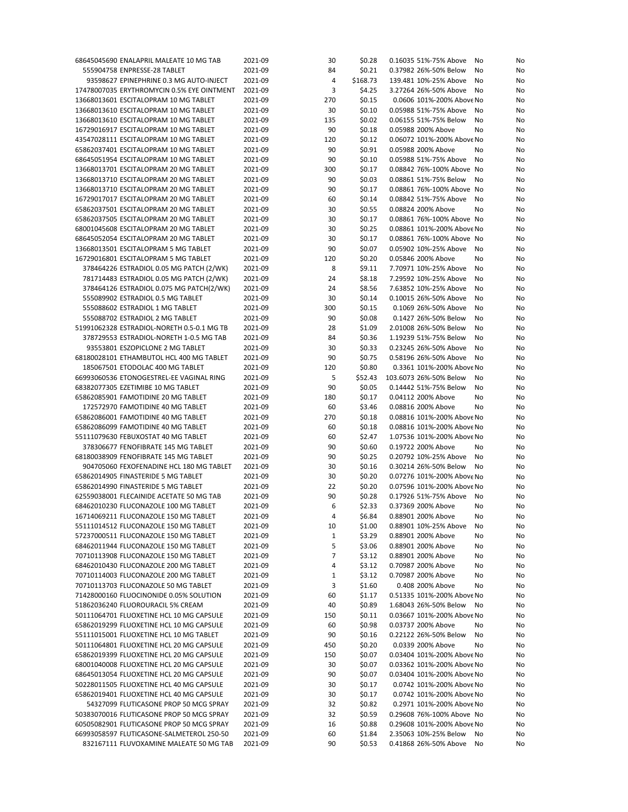| 68645045690 ENALAPRIL MALEATE 10 MG TAB                                              | 2021-09            | 30       | \$0.28           | 0.16035 51%-75% Above                          | No<br>No             |
|--------------------------------------------------------------------------------------|--------------------|----------|------------------|------------------------------------------------|----------------------|
| 555904758 ENPRESSE-28 TABLET                                                         | 2021-09            | 84       | \$0.21           | 0.37982 26%-50% Below                          | No<br>No             |
| 93598627 EPINEPHRINE 0.3 MG AUTO-INJECT                                              | 2021-09            | 4        | \$168.73         | 139.481 10%-25% Above                          | No<br>No             |
| 17478007035 ERYTHROMYCIN 0.5% EYE OINTMENT                                           | 2021-09            | 3        | \$4.25           | 3.27264 26%-50% Above                          | No<br>No             |
| 13668013601 ESCITALOPRAM 10 MG TABLET                                                | 2021-09            | 270      | \$0.15           | 0.0606 101%-200% Above No                      | No                   |
| 13668013610 ESCITALOPRAM 10 MG TABLET                                                | 2021-09            | 30       | \$0.10           | 0.05988 51%-75% Above                          | No<br>No             |
| 13668013610 ESCITALOPRAM 10 MG TABLET                                                | 2021-09            | 135      | \$0.02           | 0.06155 51%-75% Below                          | No<br>No             |
| 16729016917 ESCITALOPRAM 10 MG TABLET                                                | 2021-09            | 90       | \$0.18           | 0.05988 200% Above                             | No<br>No             |
| 43547028111 ESCITALOPRAM 10 MG TABLET                                                | 2021-09            | 120      | \$0.12           | 0.06072 101%-200% Above No                     | No                   |
| 65862037401 ESCITALOPRAM 10 MG TABLET                                                | 2021-09            | 90       | \$0.91           | 0.05988 200% Above                             | No<br>No             |
| 68645051954 ESCITALOPRAM 10 MG TABLET                                                | 2021-09            | 90       | \$0.10           | 0.05988 51%-75% Above                          | No<br>No             |
|                                                                                      |                    |          |                  |                                                |                      |
| 13668013701 ESCITALOPRAM 20 MG TABLET                                                | 2021-09            | 300      | \$0.17           | 0.08842 76%-100% Above No                      | No                   |
| 13668013710 ESCITALOPRAM 20 MG TABLET                                                | 2021-09            | 90       | \$0.03           | 0.08861 51%-75% Below                          | No<br>No             |
| 13668013710 ESCITALOPRAM 20 MG TABLET                                                | 2021-09            | 90       | \$0.17           | 0.08861 76%-100% Above No                      | No                   |
| 16729017017 ESCITALOPRAM 20 MG TABLET                                                | 2021-09            | 60       | \$0.14           | 0.08842 51%-75% Above                          | No<br>No             |
| 65862037501 ESCITALOPRAM 20 MG TABLET                                                | 2021-09            | 30       | \$0.55           | 0.08824 200% Above                             | No<br>No             |
| 65862037505 ESCITALOPRAM 20 MG TABLET                                                | 2021-09            | 30       | \$0.17           | 0.08861 76%-100% Above No                      | No                   |
| 68001045608 ESCITALOPRAM 20 MG TABLET                                                | 2021-09            | 30       | \$0.25           | 0.08861 101%-200% Above No                     | No                   |
| 68645052054 ESCITALOPRAM 20 MG TABLET                                                | 2021-09            | 30       | \$0.17           | 0.08861 76%-100% Above No                      | No                   |
| 13668013501 ESCITALOPRAM 5 MG TABLET                                                 | 2021-09            | 90       | \$0.07           | 0.05902 10%-25% Above                          | No<br>No             |
| 16729016801 ESCITALOPRAM 5 MG TABLET                                                 | 2021-09            | 120      | \$0.20           | 0.05846 200% Above                             | No<br>No             |
| 378464226 ESTRADIOL 0.05 MG PATCH (2/WK)                                             | 2021-09            | 8        | \$9.11           | 7.70971 10%-25% Above                          | No<br>No             |
| 781714483 ESTRADIOL 0.05 MG PATCH (2/WK)                                             | 2021-09            | 24       | \$8.18           | 7.29592 10%-25% Above                          | No<br>No             |
| 378464126 ESTRADIOL 0.075 MG PATCH(2/WK)                                             | 2021-09            | 24       | \$8.56           | 7.63852 10%-25% Above                          | No<br>No             |
|                                                                                      |                    |          |                  |                                                |                      |
| 555089902 ESTRADIOL 0.5 MG TABLET                                                    | 2021-09            | 30       | \$0.14           | 0.10015 26%-50% Above                          | No<br>No             |
| 555088602 ESTRADIOL 1 MG TABLET                                                      | 2021-09            | 300      | \$0.15           | 0.1069 26%-50% Above                           | No<br>No             |
| 555088702 ESTRADIOL 2 MG TABLET                                                      | 2021-09            | 90       | \$0.08           | 0.1427 26%-50% Below                           | No<br>No             |
| 51991062328 ESTRADIOL-NORETH 0.5-0.1 MG TB                                           | 2021-09            | 28       | \$1.09           | 2.01008 26%-50% Below                          | No<br>No             |
| 378729553 ESTRADIOL-NORETH 1-0.5 MG TAB                                              | 2021-09            | 84       | \$0.36           | 1.19239 51%-75% Below                          | No<br>No             |
| 93553801 ESZOPICLONE 2 MG TABLET                                                     | 2021-09            | 30       | \$0.33           | 0.23245 26%-50% Above                          | No<br>No             |
| 68180028101 ETHAMBUTOL HCL 400 MG TABLET                                             | 2021-09            | 90       | \$0.75           | 0.58196 26%-50% Above                          | No<br>No             |
| 185067501 ETODOLAC 400 MG TABLET                                                     | 2021-09            | 120      | \$0.80           | 0.3361 101%-200% Above No                      | No                   |
| 66993060536 ETONOGESTREL-EE VAGINAL RING                                             | 2021-09            | 5        | \$52.43          | 103.6073 26%-50% Below                         | No<br>No             |
| 68382077305 EZETIMIBE 10 MG TABLET                                                   | 2021-09            | 90       | \$0.05           | 0.14442 51%-75% Below                          | No<br>No             |
| 65862085901 FAMOTIDINE 20 MG TABLET                                                  | 2021-09            | 180      | \$0.17           | 0.04112 200% Above                             | No<br>No             |
| 172572970 FAMOTIDINE 40 MG TABLET                                                    | 2021-09            | 60       | \$3.46           | 0.08816 200% Above                             | No<br>No             |
|                                                                                      |                    |          |                  | 0.08816 101%-200% Above No                     |                      |
| 65862086001 FAMOTIDINE 40 MG TABLET                                                  | 2021-09            | 270      | \$0.18           |                                                | No                   |
| 65862086099 FAMOTIDINE 40 MG TABLET                                                  | 2021-09            | 60       | \$0.18           | 0.08816 101%-200% Above No                     | No                   |
| 55111079630 FEBUXOSTAT 40 MG TABLET                                                  | 2021-09            | 60       | \$2.47           | 1.07536 101%-200% Above No                     | No                   |
| 378306677 FENOFIBRATE 145 MG TABLET                                                  | 2021-09            | 90       | \$0.60           | 0.19722 200% Above                             | No<br>No             |
| 68180038909 FENOFIBRATE 145 MG TABLET                                                | 2021-09            | 90       | \$0.25           | 0.20792 10%-25% Above                          | No<br>No             |
| 904705060 FEXOFENADINE HCL 180 MG TABLET                                             | 2021-09            | 30       | \$0.16           | 0.30214 26%-50% Below                          | No<br>No             |
| 65862014905 FINASTERIDE 5 MG TABLET                                                  | 2021-09            | 30       | \$0.20           | 0.07276 101%-200% Above No                     | No                   |
| 65862014990 FINASTERIDE 5 MG TABLET                                                  | 2021-09            | 22       | \$0.20           | 0.07596 101%-200% Above No                     | No                   |
| 62559038001 FLECAINIDE ACETATE 50 MG TAB                                             | 2021-09            | 90       | \$0.28           | 0.17926 51%-75% Above                          | No<br>No             |
| 68462010230 FLUCONAZOLE 100 MG TABLET                                                | 2021-09            | 6        | \$2.33           | 0.37369 200% Above                             | No<br>No             |
| 16714069211 FLUCONAZOLE 150 MG TABLET                                                | 2021-09            | 4        | \$6.84           | 0.88901 200% Above                             | No<br>No             |
| 55111014512 FLUCONAZOLE 150 MG TABLET                                                | 2021-09            | 10       | \$1.00           | 0.88901 10%-25% Above                          | No<br>No             |
| 57237000511 FLUCONAZOLE 150 MG TABLET                                                | 2021-09            | 1        | \$3.29           | 0.88901 200% Above                             | No<br>No             |
| 68462011944 FLUCONAZOLE 150 MG TABLET                                                | 2021-09            | 5        | \$3.06           | 0.88901 200% Above                             | No<br>No             |
| 70710113908 FLUCONAZOLE 150 MG TABLET                                                | 2021-09            | 7        | \$3.12           | 0.88901 200% Above                             | No<br>No             |
| 68462010430 FLUCONAZOLE 200 MG TABLET                                                | 2021-09            | 4        | \$3.12           | 0.70987 200% Above                             | No<br>No             |
| 70710114003 FLUCONAZOLE 200 MG TABLET                                                |                    |          |                  |                                                |                      |
|                                                                                      | 2021-09            | 1        | \$3.12           | 0.70987 200% Above                             | No<br>No             |
| 70710113703 FLUCONAZOLE 50 MG TABLET                                                 | 2021-09            | 3        | \$1.60           | 0.408 200% Above                               | No<br>No             |
| 71428000160 FLUOCINONIDE 0.05% SOLUTION                                              | 2021-09            | 60       | \$1.17           | 0.51335 101%-200% Above No                     | No                   |
| 51862036240 FLUOROURACIL 5% CREAM                                                    | 2021-09            | 40       | \$0.89           | 1.68043 26%-50% Below                          | No<br>No             |
| 50111064701 FLUOXETINE HCL 10 MG CAPSULE                                             | 2021-09            | 150      | \$0.11           | 0.03667 101%-200% Above No                     | No                   |
| 65862019299 FLUOXETINE HCL 10 MG CAPSULE                                             | 2021-09            | 60       | \$0.98           | 0.03737 200% Above                             | No<br>No             |
| 55111015001 FLUOXETINE HCL 10 MG TABLET                                              | 2021-09            | 90       | \$0.16           | 0.22122 26%-50% Below                          | No<br>No             |
| 50111064801 FLUOXETINE HCL 20 MG CAPSULE                                             | 2021-09            | 450      | \$0.20           | 0.0339 200% Above                              | No<br>No             |
| 65862019399 FLUOXETINE HCL 20 MG CAPSULE                                             | 2021-09            | 150      | \$0.07           | 0.03404 101%-200% Above No                     | No                   |
| 68001040008 FLUOXETINE HCL 20 MG CAPSULE                                             | 2021-09            | 30       | \$0.07           | 0.03362 101%-200% Above No                     | No                   |
| 68645013054 FLUOXETINE HCL 20 MG CAPSULE                                             | 2021-09            | 90       | \$0.07           | 0.03404 101%-200% Above No                     | No                   |
| 50228011505 FLUOXETINE HCL 40 MG CAPSULE                                             | 2021-09            | 30       | \$0.17           | 0.0742 101%-200% Above No                      | No                   |
| 65862019401 FLUOXETINE HCL 40 MG CAPSULE                                             | 2021-09            | 30       | \$0.17           | 0.0742 101%-200% Above No                      | No                   |
|                                                                                      |                    |          |                  |                                                |                      |
| 54327099 FLUTICASONE PROP 50 MCG SPRAY                                               | 2021-09            | 32       | \$0.82           | 0.2971 101%-200% Above No                      | No                   |
| 50383070016 FLUTICASONE PROP 50 MCG SPRAY                                            | 2021-09            | 32       | \$0.59           | 0.29608 76%-100% Above No                      | No                   |
| 60505082901 FLUTICASONE PROP 50 MCG SPRAY                                            | 2021-09            | 16       | \$0.88           | 0.29608 101%-200% Above No                     | No                   |
|                                                                                      |                    |          |                  |                                                |                      |
| 66993058597 FLUTICASONE-SALMETEROL 250-50<br>832167111 FLUVOXAMINE MALEATE 50 MG TAB | 2021-09<br>2021-09 | 60<br>90 | \$1.84<br>\$0.53 | 2.35063 10%-25% Below<br>0.41868 26%-50% Above | No<br>No<br>No<br>No |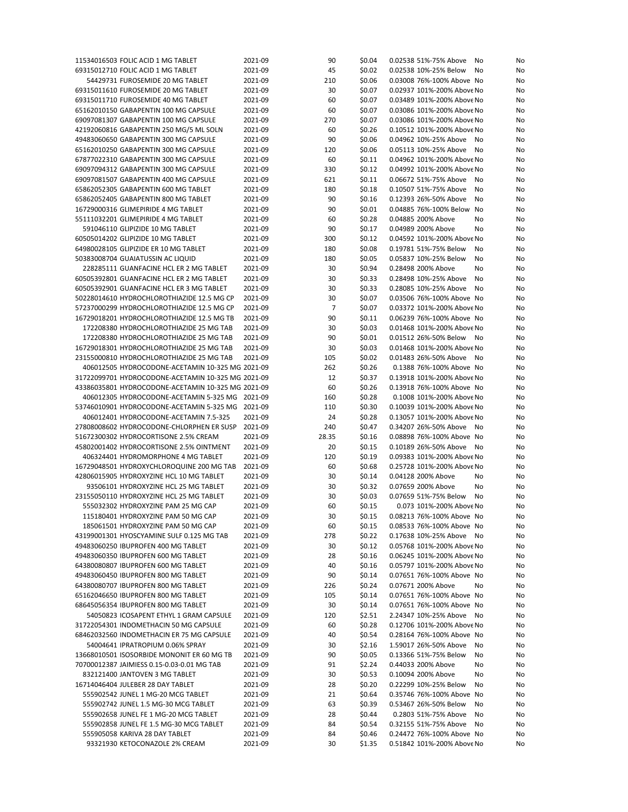| 11534016503 FOLIC ACID 1 MG TABLET                               | 2021-09            | 90             | \$0.04           | 0.02538 51%-75% Above<br>No                             | No |
|------------------------------------------------------------------|--------------------|----------------|------------------|---------------------------------------------------------|----|
| 69315012710 FOLIC ACID 1 MG TABLET                               | 2021-09            | 45             | \$0.02           | 0.02538 10%-25% Below<br>No                             | No |
| 54429731 FUROSEMIDE 20 MG TABLET                                 | 2021-09            | 210            | \$0.06           | 0.03008 76%-100% Above No                               | No |
| 69315011610 FUROSEMIDE 20 MG TABLET                              | 2021-09            | 30             | \$0.07           | 0.02937 101%-200% Above No                              | No |
| 69315011710 FUROSEMIDE 40 MG TABLET                              | 2021-09            | 60             | \$0.07           | 0.03489 101%-200% Above No                              | No |
| 65162010150 GABAPENTIN 100 MG CAPSULE                            | 2021-09            | 60             | \$0.07           | 0.03086 101%-200% Above No                              | No |
| 69097081307 GABAPENTIN 100 MG CAPSULE                            | 2021-09            | 270            | \$0.07           | 0.03086 101%-200% Above No                              | No |
| 42192060816 GABAPENTIN 250 MG/5 ML SOLN                          | 2021-09            | 60             | \$0.26           | 0.10512 101%-200% Above No                              | No |
| 49483060650 GABAPENTIN 300 MG CAPSULE                            | 2021-09            | 90             | \$0.06           | 0.04962 10%-25% Above<br>No                             | No |
| 65162010250 GABAPENTIN 300 MG CAPSULE                            | 2021-09            | 120            | \$0.06           | 0.05113 10%-25% Above<br>No                             | No |
| 67877022310 GABAPENTIN 300 MG CAPSULE                            | 2021-09            | 60             |                  | 0.04962 101%-200% Above No                              | No |
|                                                                  |                    |                | \$0.11           |                                                         |    |
| 69097094312 GABAPENTIN 300 MG CAPSULE                            | 2021-09            | 330            | \$0.12           | 0.04992 101%-200% Above No                              | No |
| 69097081507 GABAPENTIN 400 MG CAPSULE                            | 2021-09            | 621            | \$0.11           | 0.06672 51%-75% Above<br>No                             | No |
| 65862052305 GABAPENTIN 600 MG TABLET                             | 2021-09            | 180            | \$0.18           | 0.10507 51%-75% Above<br>No                             | No |
| 65862052405 GABAPENTIN 800 MG TABLET                             | 2021-09            | 90             | \$0.16           | 0.12393 26%-50% Above<br>No                             | No |
| 16729000316 GLIMEPIRIDE 4 MG TABLET                              | 2021-09            | 90             | \$0.01           | 0.04885 76%-100% Below No                               | No |
| 55111032201 GLIMEPIRIDE 4 MG TABLET                              | 2021-09            | 60             | \$0.28           | 0.04885 200% Above<br>No                                | No |
| 591046110 GLIPIZIDE 10 MG TABLET                                 | 2021-09            | 90             | \$0.17           | 0.04989 200% Above<br>No                                | No |
| 60505014202 GLIPIZIDE 10 MG TABLET                               | 2021-09            | 300            | \$0.12           | 0.04592 101%-200% Above No                              | No |
| 64980028105 GLIPIZIDE ER 10 MG TABLET                            | 2021-09            | 180            | \$0.08           | 0.19781 51%-75% Below<br>No                             | No |
| 50383008704 GUAIATUSSIN AC LIQUID                                | 2021-09            | 180            | \$0.05           | 0.05837 10%-25% Below<br>No                             | No |
| 228285111 GUANFACINE HCL ER 2 MG TABLET                          | 2021-09            | 30             | \$0.94           | 0.28498 200% Above<br>No                                | No |
| 60505392801 GUANFACINE HCL ER 2 MG TABLET                        | 2021-09            | 30             | \$0.33           | 0.28498 10%-25% Above<br>No                             | No |
| 60505392901 GUANFACINE HCL ER 3 MG TABLET                        | 2021-09            | 30             | \$0.33           | 0.28085 10%-25% Above<br>No                             | No |
|                                                                  | 2021-09            |                |                  | 0.03506 76%-100% Above No                               |    |
| 50228014610 HYDROCHLOROTHIAZIDE 12.5 MG CP                       |                    | 30             | \$0.07           |                                                         | No |
| 57237000299 HYDROCHLOROTHIAZIDE 12.5 MG CP                       | 2021-09            | $\overline{7}$ | \$0.07           | 0.03372 101%-200% Above No                              | No |
| 16729018201 HYDROCHLOROTHIAZIDE 12.5 MG TB                       | 2021-09            | 90             | \$0.11           | 0.06239 76%-100% Above No                               | No |
| 172208380 HYDROCHLOROTHIAZIDE 25 MG TAB                          | 2021-09            | 30             | \$0.03           | 0.01468 101%-200% Above No                              | No |
| 172208380 HYDROCHLOROTHIAZIDE 25 MG TAB                          | 2021-09            | 90             | \$0.01           | 0.01512 26%-50% Below<br>No                             | No |
| 16729018301 HYDROCHLOROTHIAZIDE 25 MG TAB                        | 2021-09            | 30             | \$0.03           | 0.01468 101%-200% Above No                              | No |
| 23155000810 HYDROCHLOROTHIAZIDE 25 MG TAB                        | 2021-09            | 105            | \$0.02           | 0.01483 26%-50% Above No                                | No |
| 406012505 HYDROCODONE-ACETAMIN 10-325 MG 2021-09                 |                    | 262            | \$0.26           | 0.1388 76%-100% Above No                                | No |
| 31722099701 HYDROCODONE-ACETAMIN 10-325 MG 2021-09               |                    | 12             | \$0.37           | 0.13918 101%-200% Above No                              | No |
| 43386035801 HYDROCODONE-ACETAMIN 10-325 MG 2021-09               |                    | 60             | \$0.26           | 0.13918 76%-100% Above No                               | No |
| 406012305 HYDROCODONE-ACETAMIN 5-325 MG 2021-09                  |                    | 160            | \$0.28           | 0.1008 101%-200% Above No                               | No |
| 53746010901 HYDROCODONE-ACETAMIN 5-325 MG 2021-09                |                    | 110            | \$0.30           | 0.10039 101%-200% Above No                              | No |
|                                                                  |                    |                |                  |                                                         |    |
| 406012401 HYDROCODONE-ACETAMIN 7.5-325                           | 2021-09            | 24             | \$0.28           | 0.13057 101%-200% Above No                              | No |
| 27808008602 HYDROCODONE-CHLORPHEN ER SUSP                        | 2021-09            | 240            | \$0.47           | 0.34207 26%-50% Above<br>No                             | No |
| 51672300302 HYDROCORTISONE 2.5% CREAM                            | 2021-09            | 28.35          | \$0.16           | 0.08898 76%-100% Above No                               | No |
| 45802001402 HYDROCORTISONE 2.5% OINTMENT                         | 2021-09            | 20             | \$0.15           | 0.10189 26%-50% Above No                                | No |
| 406324401 HYDROMORPHONE 4 MG TABLET                              | 2021-09            | 120            | \$0.19           | 0.09383 101%-200% Above No                              | No |
| 16729048501 HYDROXYCHLOROQUINE 200 MG TAB                        | 2021-09            | 60             | \$0.68           | 0.25728 101%-200% Above No                              | No |
| 42806015905 HYDROXYZINE HCL 10 MG TABLET                         | 2021-09            | 30             | \$0.14           | 0.04128 200% Above<br>No                                | No |
|                                                                  | 2021-09            |                |                  |                                                         |    |
| 93506101 HYDROXYZINE HCL 25 MG TABLET                            |                    | 30             | \$0.32           | 0.07659 200% Above<br>No                                | No |
| 23155050110 HYDROXYZINE HCL 25 MG TABLET                         | 2021-09            | 30             | \$0.03           | 0.07659 51%-75% Below<br>No                             | No |
| 555032302 HYDROXYZINE PAM 25 MG CAP                              | 2021-09            | 60             | \$0.15           | 0.073 101%-200% Above No                                | No |
|                                                                  |                    |                |                  |                                                         | No |
| 115180401 HYDROXYZINE PAM 50 MG CAP                              | 2021-09            | 30             | \$0.15           | 0.08213 76%-100% Above No                               |    |
| 185061501 HYDROXYZINE PAM 50 MG CAP                              | 2021-09            | 60             | \$0.15           | 0.08533 76%-100% Above No                               | No |
| 43199001301 HYOSCYAMINE SULF 0.125 MG TAB                        | 2021-09            | 278            | \$0.22           | 0.17638 10%-25% Above No                                | No |
| 49483060250 IBUPROFEN 400 MG TABLET                              | 2021-09            | 30             | \$0.12           | 0.05768 101%-200% Above No                              | No |
| 49483060350 IBUPROFEN 600 MG TABLET                              | 2021-09            | 28             | \$0.16           | 0.06245 101%-200% Above No                              | No |
| 64380080807 IBUPROFEN 600 MG TABLET                              | 2021-09            | 40             | \$0.16           | 0.05797 101%-200% Above No                              | No |
| 49483060450 IBUPROFEN 800 MG TABLET                              | 2021-09            | 90             | \$0.14           | 0.07651 76%-100% Above No                               | No |
| 64380080707 IBUPROFEN 800 MG TABLET                              | 2021-09            | 226            | \$0.24           | 0.07671 200% Above<br>No                                | No |
| 65162046650 IBUPROFEN 800 MG TABLET                              | 2021-09            | 105            | \$0.14           | 0.07651 76%-100% Above No                               | No |
| 68645056354 IBUPROFEN 800 MG TABLET                              | 2021-09            | 30             | \$0.14           | 0.07651 76%-100% Above No                               | No |
| 54050823 ICOSAPENT ETHYL 1 GRAM CAPSULE                          | 2021-09            | 120            | \$2.51           | 2.24347 10%-25% Above No                                | No |
| 31722054301 INDOMETHACIN 50 MG CAPSULE                           | 2021-09            | 60             | \$0.28           | 0.12706 101%-200% Above No                              | No |
| 68462032560 INDOMETHACIN ER 75 MG CAPSULE                        | 2021-09            | 40             | \$0.54           | 0.28164 76%-100% Above No                               | No |
| 54004641 IPRATROPIUM 0.06% SPRAY                                 | 2021-09            | 30             | \$2.16           | 1.59017 26%-50% Above<br>No                             | No |
| 13668010501 ISOSORBIDE MONONIT ER 60 MG TB                       | 2021-09            | 90             |                  | 0.13366 51%-75% Below<br>No                             | No |
|                                                                  |                    |                | \$0.05           |                                                         |    |
| 70700012387 JAIMIESS 0.15-0.03-0.01 MG TAB                       | 2021-09            | 91             | \$2.24           | 0.44033 200% Above<br>No                                | No |
| 832121400 JANTOVEN 3 MG TABLET                                   | 2021-09            | 30             | \$0.53           | 0.10094 200% Above<br>No                                | No |
| 16714046404 JULEBER 28 DAY TABLET                                | 2021-09            | 28             | \$0.20           | 0.22299 10%-25% Below<br>No                             | No |
| 555902542 JUNEL 1 MG-20 MCG TABLET                               | 2021-09            | 21             | \$0.64           | 0.35746 76%-100% Above No                               | No |
| 555902742 JUNEL 1.5 MG-30 MCG TABLET                             | 2021-09            | 63             | \$0.39           | 0.53467 26%-50% Below<br>No                             | No |
| 555902658 JUNEL FE 1 MG-20 MCG TABLET                            | 2021-09            | 28             | \$0.44           | 0.2803 51%-75% Above<br>No                              | No |
| 555902858 JUNEL FE 1.5 MG-30 MCG TABLET                          | 2021-09            | 84             | \$0.54           | 0.32155 51%-75% Above<br>No                             | No |
| 555905058 KARIVA 28 DAY TABLET<br>93321930 KETOCONAZOLE 2% CREAM | 2021-09<br>2021-09 | 84<br>30       | \$0.46<br>\$1.35 | 0.24472 76%-100% Above No<br>0.51842 101%-200% Above No | No |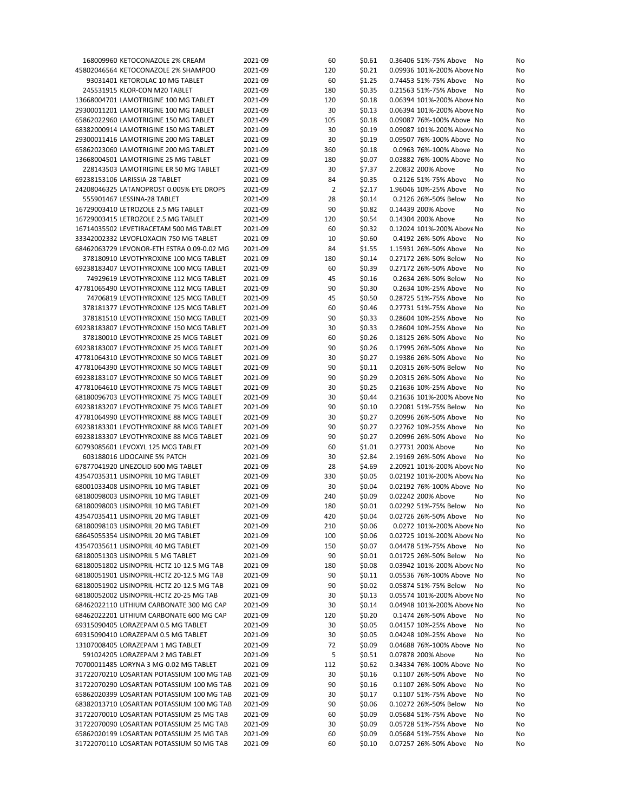| 168009960 KETOCONAZOLE 2% CREAM            | 2021-09 | 60             | \$0.61 | 0.36406 51%-75% Above<br>No | No |
|--------------------------------------------|---------|----------------|--------|-----------------------------|----|
| 45802046564 KETOCONAZOLE 2% SHAMPOO        | 2021-09 | 120            | \$0.21 | 0.09936 101%-200% Above No  | No |
| 93031401 KETOROLAC 10 MG TABLET            | 2021-09 | 60             | \$1.25 | 0.74453 51%-75% Above<br>No | No |
| 245531915 KLOR-CON M20 TABLET              | 2021-09 | 180            | \$0.35 | 0.21563 51%-75% Above<br>No | No |
| 13668004701 LAMOTRIGINE 100 MG TABLET      | 2021-09 | 120            | \$0.18 | 0.06394 101%-200% Above No  | No |
| 29300011201 LAMOTRIGINE 100 MG TABLET      | 2021-09 | 30             | \$0.13 | 0.06394 101%-200% Above No  | No |
| 65862022960 LAMOTRIGINE 150 MG TABLET      | 2021-09 | 105            | \$0.18 | 0.09087 76%-100% Above No   | No |
| 68382000914 LAMOTRIGINE 150 MG TABLET      | 2021-09 | 30             | \$0.19 | 0.09087 101%-200% Above No  | No |
| 29300011416 LAMOTRIGINE 200 MG TABLET      | 2021-09 | 30             | \$0.19 | 0.09507 76%-100% Above No   | No |
| 65862023060 LAMOTRIGINE 200 MG TABLET      | 2021-09 | 360            | \$0.18 | 0.0963 76%-100% Above No    | No |
| 13668004501 LAMOTRIGINE 25 MG TABLET       | 2021-09 | 180            | \$0.07 | 0.03882 76%-100% Above No   | No |
| 228143503 LAMOTRIGINE ER 50 MG TABLET      | 2021-09 | 30             | \$7.37 | 2.20832 200% Above<br>No    | No |
| 69238153106 LARISSIA-28 TABLET             | 2021-09 | 84             | \$0.35 | 0.2126 51%-75% Above<br>No  | No |
| 24208046325 LATANOPROST 0.005% EYE DROPS   | 2021-09 | $\overline{2}$ | \$2.17 | 1.96046 10%-25% Above<br>No | No |
| 555901467 LESSINA-28 TABLET                | 2021-09 | 28             | \$0.14 | 0.2126 26%-50% Below<br>No  | No |
| 16729003410 LETROZOLE 2.5 MG TABLET        | 2021-09 | 90             | \$0.82 | 0.14439 200% Above<br>No    | No |
| 16729003415 LETROZOLE 2.5 MG TABLET        | 2021-09 | 120            | \$0.54 | 0.14304 200% Above<br>No    | No |
| 16714035502 LEVETIRACETAM 500 MG TABLET    | 2021-09 | 60             | \$0.32 | 0.12024 101%-200% Above No  | No |
|                                            |         |                |        |                             |    |
| 33342002332 LEVOFLOXACIN 750 MG TABLET     | 2021-09 | 10             | \$0.60 | 0.4192 26%-50% Above<br>No  | No |
| 68462063729 LEVONOR-ETH ESTRA 0.09-0.02 MG | 2021-09 | 84             | \$1.55 | 1.15931 26%-50% Above<br>No | No |
| 378180910 LEVOTHYROXINE 100 MCG TABLET     | 2021-09 | 180            | \$0.14 | 0.27172 26%-50% Below<br>No | No |
| 69238183407 LEVOTHYROXINE 100 MCG TABLET   | 2021-09 | 60             | \$0.39 | 0.27172 26%-50% Above<br>No | No |
| 74929619 LEVOTHYROXINE 112 MCG TABLET      | 2021-09 | 45             | \$0.16 | 0.2634 26%-50% Below<br>No  | No |
| 47781065490 LEVOTHYROXINE 112 MCG TABLET   | 2021-09 | 90             | \$0.30 | 0.2634 10%-25% Above<br>No  | No |
| 74706819 LEVOTHYROXINE 125 MCG TABLET      | 2021-09 | 45             | \$0.50 | 0.28725 51%-75% Above<br>No | No |
| 378181377 LEVOTHYROXINE 125 MCG TABLET     | 2021-09 | 60             | \$0.46 | 0.27731 51%-75% Above<br>No | No |
| 378181510 LEVOTHYROXINE 150 MCG TABLET     | 2021-09 | 90             | \$0.33 | 0.28604 10%-25% Above<br>No | No |
| 69238183807 LEVOTHYROXINE 150 MCG TABLET   | 2021-09 | 30             | \$0.33 | 0.28604 10%-25% Above<br>No | No |
| 378180010 LEVOTHYROXINE 25 MCG TABLET      | 2021-09 | 60             | \$0.26 | 0.18125 26%-50% Above<br>No | No |
| 69238183007 LEVOTHYROXINE 25 MCG TABLET    | 2021-09 | 90             | \$0.26 | 0.17995 26%-50% Above<br>No | No |
| 47781064310 LEVOTHYROXINE 50 MCG TABLET    | 2021-09 | 30             | \$0.27 | 0.19386 26%-50% Above<br>No | No |
| 47781064390 LEVOTHYROXINE 50 MCG TABLET    | 2021-09 | 90             | \$0.11 | 0.20315 26%-50% Below<br>No | No |
| 69238183107 LEVOTHYROXINE 50 MCG TABLET    | 2021-09 | 90             | \$0.29 | 0.20315 26%-50% Above<br>No | No |
| 47781064610 LEVOTHYROXINE 75 MCG TABLET    | 2021-09 | 30             | \$0.25 | 0.21636 10%-25% Above<br>No | No |
| 68180096703 LEVOTHYROXINE 75 MCG TABLET    | 2021-09 | 30             | \$0.44 | 0.21636 101%-200% Above No  | No |
| 69238183207 LEVOTHYROXINE 75 MCG TABLET    | 2021-09 | 90             | \$0.10 | 0.22081 51%-75% Below<br>No | No |
| 47781064990 LEVOTHYROXINE 88 MCG TABLET    | 2021-09 | 30             | \$0.27 | 0.20996 26%-50% Above<br>No | No |
| 69238183301 LEVOTHYROXINE 88 MCG TABLET    | 2021-09 | 90             | \$0.27 | 0.22762 10%-25% Above<br>No | No |
| 69238183307 LEVOTHYROXINE 88 MCG TABLET    | 2021-09 | 90             | \$0.27 | 0.20996 26%-50% Above<br>No | No |
| 60793085601 LEVOXYL 125 MCG TABLET         | 2021-09 | 60             | \$1.01 | 0.27731 200% Above<br>No    | No |
| 603188016 LIDOCAINE 5% PATCH               | 2021-09 | 30             | \$2.84 | 2.19169 26%-50% Above<br>No | No |
| 67877041920 LINEZOLID 600 MG TABLET        | 2021-09 | 28             | \$4.69 | 2.20921 101%-200% Above No  | No |
| 43547035311 LISINOPRIL 10 MG TABLET        | 2021-09 | 330            | \$0.05 | 0.02192 101%-200% Above No  | No |
| 68001033408 LISINOPRIL 10 MG TABLET        | 2021-09 | 30             | \$0.04 | 0.02192 76%-100% Above No   | No |
| 68180098003 LISINOPRIL 10 MG TABLET        | 2021-09 | 240            | \$0.09 | 0.02242 200% Above<br>No    | No |
| 68180098003 LISINOPRIL 10 MG TABLET        | 2021-09 | 180            |        | 0.02292 51%-75% Below       |    |
|                                            |         |                | \$0.01 | No                          | No |
| 43547035411 LISINOPRIL 20 MG TABLET        | 2021-09 | 420            | \$0.04 | 0.02726 26%-50% Above No    | No |
| 68180098103 LISINOPRIL 20 MG TABLET        | 2021-09 | 210            | \$0.06 | 0.0272 101%-200% Above No   | No |
| 68645055354 LISINOPRIL 20 MG TABLET        | 2021-09 | 100            | \$0.06 | 0.02725 101%-200% Above No  | No |
| 43547035611 LISINOPRIL 40 MG TABLET        | 2021-09 | 150            | \$0.07 | 0.04478 51%-75% Above<br>No | No |
| 68180051303 LISINOPRIL 5 MG TABLET         | 2021-09 | 90             | \$0.01 | 0.01725 26%-50% Below<br>No | No |
| 68180051802 LISINOPRIL-HCTZ 10-12.5 MG TAB | 2021-09 | 180            | \$0.08 | 0.03942 101%-200% Above No  | No |
| 68180051901 LISINOPRIL-HCTZ 20-12.5 MG TAB | 2021-09 | 90             | \$0.11 | 0.05536 76%-100% Above No   | No |
| 68180051902 LISINOPRIL-HCTZ 20-12.5 MG TAB | 2021-09 | 90             | \$0.02 | 0.05874 51%-75% Below<br>No | No |
| 68180052002 LISINOPRIL-HCTZ 20-25 MG TAB   | 2021-09 | 30             | \$0.13 | 0.05574 101%-200% Above No  | No |
| 68462022110 LITHIUM CARBONATE 300 MG CAP   | 2021-09 | 30             | \$0.14 | 0.04948 101%-200% Above No  | No |
| 68462022201 LITHIUM CARBONATE 600 MG CAP   | 2021-09 | 120            | \$0.20 | 0.1474 26%-50% Above<br>No  | No |
| 69315090405 LORAZEPAM 0.5 MG TABLET        | 2021-09 | 30             | \$0.05 | 0.04157 10%-25% Above<br>No | No |
| 69315090410 LORAZEPAM 0.5 MG TABLET        | 2021-09 | 30             | \$0.05 | 0.04248 10%-25% Above<br>No | No |
| 13107008405 LORAZEPAM 1 MG TABLET          | 2021-09 | 72             | \$0.09 | 0.04688 76%-100% Above No   | No |
| 591024205 LORAZEPAM 2 MG TABLET            | 2021-09 | 5              | \$0.51 | 0.07878 200% Above<br>No    | No |
| 70700011485 LORYNA 3 MG-0.02 MG TABLET     | 2021-09 | 112            | \$0.62 | 0.34334 76%-100% Above No   | No |
| 31722070210 LOSARTAN POTASSIUM 100 MG TAB  | 2021-09 | 30             | \$0.16 | 0.1107 26%-50% Above<br>No  | No |
| 31722070290 LOSARTAN POTASSIUM 100 MG TAB  | 2021-09 | 90             | \$0.16 | 0.1107 26%-50% Above<br>No  | No |
| 65862020399 LOSARTAN POTASSIUM 100 MG TAB  | 2021-09 | 30             | \$0.17 | 0.1107 51%-75% Above<br>No  | No |
| 68382013710 LOSARTAN POTASSIUM 100 MG TAB  | 2021-09 | 90             | \$0.06 | 0.10272 26%-50% Below<br>No | No |
| 31722070010 LOSARTAN POTASSIUM 25 MG TAB   | 2021-09 | 60             | \$0.09 | 0.05684 51%-75% Above<br>No | No |
| 31722070090 LOSARTAN POTASSIUM 25 MG TAB   | 2021-09 | 30             | \$0.09 | 0.05728 51%-75% Above<br>No | No |
| 65862020199 LOSARTAN POTASSIUM 25 MG TAB   | 2021-09 | 60             | \$0.09 | 0.05684 51%-75% Above<br>No | No |
| 31722070110 LOSARTAN POTASSIUM 50 MG TAB   | 2021-09 | 60             | \$0.10 | 0.07257 26%-50% Above<br>No | No |
|                                            |         |                |        |                             |    |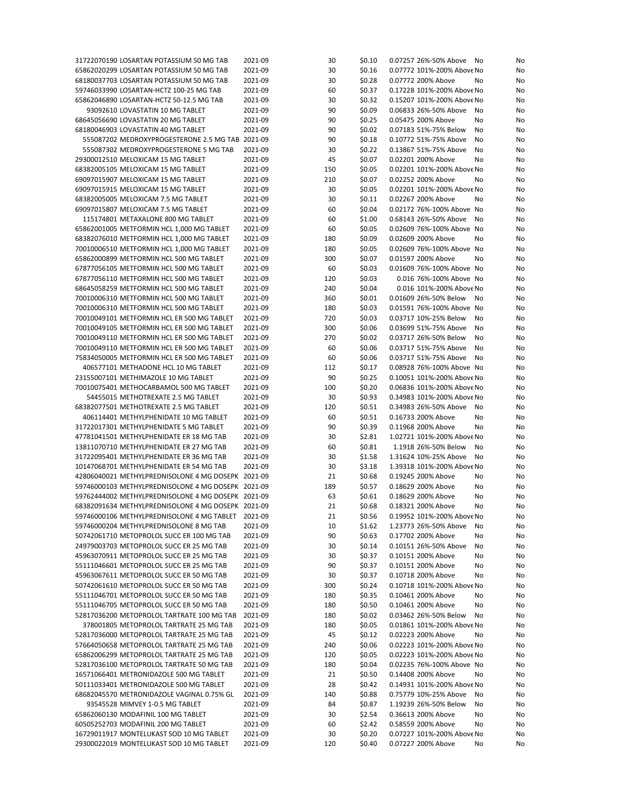| 31722070190 LOSARTAN POTASSIUM 50 MG TAB           | 2021-09 | 30  | \$0.10 | 0.07257 26%-50% Above<br>No | No |
|----------------------------------------------------|---------|-----|--------|-----------------------------|----|
| 65862020299 LOSARTAN POTASSIUM 50 MG TAB           | 2021-09 | 30  | \$0.16 | 0.07772 101%-200% Above No  | No |
| 68180037703 LOSARTAN POTASSIUM 50 MG TAB           | 2021-09 | 30  | \$0.28 | 0.07772 200% Above<br>No    | No |
| 59746033990 LOSARTAN-HCTZ 100-25 MG TAB            | 2021-09 | 60  | \$0.37 | 0.17228 101%-200% Above No  | No |
| 65862046890 LOSARTAN-HCTZ 50-12.5 MG TAB           | 2021-09 | 30  | \$0.32 | 0.15207 101%-200% Above No  | No |
|                                                    |         | 90  | \$0.09 | 0.06833 26%-50% Above       |    |
| 93092610 LOVASTATIN 10 MG TABLET                   | 2021-09 |     |        | No                          | No |
| 68645056690 LOVASTATIN 20 MG TABLET                | 2021-09 | 90  | \$0.25 | 0.05475 200% Above<br>No    | No |
| 68180046903 LOVASTATIN 40 MG TABLET                | 2021-09 | 90  | \$0.02 | 0.07183 51%-75% Below<br>No | No |
| 555087202 MEDROXYPROGESTERONE 2.5 MG TAB 2021-09   |         | 90  | \$0.18 | 0.10772 51%-75% Above<br>No | No |
| 555087302 MEDROXYPROGESTERONE 5 MG TAB             | 2021-09 | 30  | \$0.22 | 0.13867 51%-75% Above<br>No | No |
| 29300012510 MELOXICAM 15 MG TABLET                 | 2021-09 | 45  | \$0.07 | 0.02201 200% Above<br>No    | No |
| 68382005105 MELOXICAM 15 MG TABLET                 | 2021-09 | 150 | \$0.05 | 0.02201 101%-200% Above No  | No |
| 69097015907 MELOXICAM 15 MG TABLET                 | 2021-09 | 210 | \$0.07 | 0.02252 200% Above<br>No    | No |
| 69097015915 MELOXICAM 15 MG TABLET                 | 2021-09 | 30  | \$0.05 | 0.02201 101%-200% Above No  | No |
|                                                    |         |     |        |                             |    |
| 68382005005 MELOXICAM 7.5 MG TABLET                | 2021-09 | 30  | \$0.11 | 0.02267 200% Above<br>No    | No |
| 69097015807 MELOXICAM 7.5 MG TABLET                | 2021-09 | 60  | \$0.04 | 0.02172 76%-100% Above No   | No |
| 115174801 METAXALONE 800 MG TABLET                 | 2021-09 | 60  | \$1.00 | 0.68143 26%-50% Above<br>No | No |
| 65862001005 METFORMIN HCL 1,000 MG TABLET          | 2021-09 | 60  | \$0.05 | 0.02609 76%-100% Above No   | No |
| 68382076010 METFORMIN HCL 1,000 MG TABLET          | 2021-09 | 180 | \$0.09 | 0.02609 200% Above<br>No    | No |
| 70010006510 METFORMIN HCL 1,000 MG TABLET          | 2021-09 | 180 | \$0.05 | 0.02609 76%-100% Above No   | No |
| 65862000899 METFORMIN HCL 500 MG TABLET            | 2021-09 | 300 | \$0.07 | 0.01597 200% Above<br>No    | No |
| 67877056105 METFORMIN HCL 500 MG TABLET            | 2021-09 | 60  | \$0.03 | 0.01609 76%-100% Above No   | No |
| 67877056110 METFORMIN HCL 500 MG TABLET            | 2021-09 | 120 | \$0.03 | 0.016 76%-100% Above No     | No |
|                                                    |         |     |        |                             |    |
| 68645058259 METFORMIN HCL 500 MG TABLET            | 2021-09 | 240 | \$0.04 | 0.016 101%-200% Above No    | No |
| 70010006310 METFORMIN HCL 500 MG TABLET            | 2021-09 | 360 | \$0.01 | 0.01609 26%-50% Below<br>No | No |
| 70010006310 METFORMIN HCL 500 MG TABLET            | 2021-09 | 180 | \$0.03 | 0.01591 76%-100% Above No   | No |
| 70010049101 METFORMIN HCL ER 500 MG TABLET         | 2021-09 | 720 | \$0.03 | 0.03717 10%-25% Below<br>No | No |
| 70010049105 METFORMIN HCL ER 500 MG TABLET         | 2021-09 | 300 | \$0.06 | 0.03699 51%-75% Above<br>No | No |
| 70010049110 METFORMIN HCL ER 500 MG TABLET         | 2021-09 | 270 | \$0.02 | 0.03717 26%-50% Below<br>No | No |
| 70010049110 METFORMIN HCL ER 500 MG TABLET         | 2021-09 | 60  | \$0.06 | 0.03717 51%-75% Above<br>No | No |
| 75834050005 METFORMIN HCL ER 500 MG TABLET         | 2021-09 | 60  | \$0.06 | 0.03717 51%-75% Above<br>No | No |
|                                                    |         |     | \$0.17 | 0.08928 76%-100% Above No   |    |
| 406577101 METHADONE HCL 10 MG TABLET               | 2021-09 | 112 |        |                             | No |
| 23155007101 METHIMAZOLE 10 MG TABLET               | 2021-09 | 90  | \$0.25 | 0.10051 101%-200% Above No  | No |
| 70010075401 METHOCARBAMOL 500 MG TABLET            | 2021-09 | 100 | \$0.20 | 0.06836 101%-200% Above No  | No |
| 54455015 METHOTREXATE 2.5 MG TABLET                | 2021-09 | 30  | \$0.93 | 0.34983 101%-200% Above No  | No |
| 68382077501 METHOTREXATE 2.5 MG TABLET             | 2021-09 | 120 | \$0.51 | 0.34983 26%-50% Above<br>No | No |
| 406114401 METHYLPHENIDATE 10 MG TABLET             | 2021-09 | 60  | \$0.51 | 0.16733 200% Above<br>No    | No |
| 31722017301 METHYLPHENIDATE 5 MG TABLET            | 2021-09 | 90  | \$0.39 | 0.11968 200% Above<br>No    | No |
| 47781041501 METHYLPHENIDATE ER 18 MG TAB           | 2021-09 | 30  | \$2.81 | 1.02721 101%-200% Above No  | No |
| 13811070710 METHYLPHENIDATE ER 27 MG TAB           | 2021-09 | 60  | \$0.81 | 1.1918 26%-50% Below<br>No  | No |
| 31722095401 METHYLPHENIDATE ER 36 MG TAB           | 2021-09 | 30  | \$1.58 | 1.31624 10%-25% Above<br>No |    |
| 10147068701 METHYLPHENIDATE ER 54 MG TAB           |         |     |        |                             | No |
|                                                    | 2021-09 | 30  | \$3.18 | 1.39318 101%-200% Above No  | No |
| 42806040021 METHYLPREDNISOLONE 4 MG DOSEPK 2021-09 |         | 21  | \$0.68 | 0.19245 200% Above<br>No    | No |
| 59746000103 METHYLPREDNISOLONE 4 MG DOSEPK 2021-09 |         | 189 | \$0.57 | 0.18629 200% Above<br>No    | No |
| 59762444002 METHYLPREDNISOLONE 4 MG DOSEPK 2021-09 |         | 63  | \$0.61 | 0.18629 200% Above<br>No    | No |
| 68382091634 METHYLPREDNISOLONE 4 MG DOSEPK 2021-09 |         | 21  | \$0.68 | 0.18321 200% Above<br>No    | No |
| 59746000106 METHYLPREDNISOLONE 4 MG TABLET 2021-09 |         | 21  | \$0.56 | 0.19952 101%-200% Above No  | No |
| 59746000204 METHYLPREDNISOLONE 8 MG TAB            | 2021-09 | 10  | \$1.62 | 1.23773 26%-50% Above<br>No | No |
| 50742061710 METOPROLOL SUCC ER 100 MG TAB          | 2021-09 | 90  | \$0.63 | 0.17702 200% Above<br>No    | No |
| 24979003703 METOPROLOL SUCC ER 25 MG TAB           | 2021-09 | 30  | \$0.14 | 0.10151 26%-50% Above<br>No | No |
|                                                    |         |     |        |                             |    |
| 45963070911 METOPROLOL SUCC ER 25 MG TAB           | 2021-09 | 30  | \$0.37 | 0.10151 200% Above<br>No    | No |
| 55111046601 METOPROLOL SUCC ER 25 MG TAB           | 2021-09 | 90  | \$0.37 | 0.10151 200% Above<br>No    | No |
| 45963067611 METOPROLOL SUCC ER 50 MG TAB           | 2021-09 | 30  | \$0.37 | 0.10718 200% Above<br>No    | No |
| 50742061610 METOPROLOL SUCC ER 50 MG TAB           | 2021-09 | 300 | \$0.24 | 0.10718 101%-200% Above No  | No |
| 55111046701 METOPROLOL SUCC ER 50 MG TAB           | 2021-09 | 180 | \$0.35 | 0.10461 200% Above<br>No    | No |
| 55111046705 METOPROLOL SUCC ER 50 MG TAB           | 2021-09 | 180 | \$0.50 | 0.10461 200% Above<br>No    | No |
| 52817036200 METOPROLOL TARTRATE 100 MG TAB         | 2021-09 | 180 | \$0.02 | 0.03462 26%-50% Below<br>No | No |
| 378001805 METOPROLOL TARTRATE 25 MG TAB            | 2021-09 | 180 | \$0.05 | 0.01861 101%-200% Above No  | No |
| 52817036000 METOPROLOL TARTRATE 25 MG TAB          |         | 45  |        | 0.02223 200% Above<br>No    |    |
|                                                    | 2021-09 |     | \$0.12 |                             | No |
| 57664050658 METOPROLOL TARTRATE 25 MG TAB          | 2021-09 | 240 | \$0.06 | 0.02223 101%-200% Above No  | No |
| 65862006299 METOPROLOL TARTRATE 25 MG TAB          | 2021-09 | 120 | \$0.05 | 0.02223 101%-200% Above No  | No |
| 52817036100 METOPROLOL TARTRATE 50 MG TAB          | 2021-09 | 180 | \$0.04 | 0.02235 76%-100% Above No   | No |
| 16571066401 METRONIDAZOLE 500 MG TABLET            | 2021-09 | 21  | \$0.50 | 0.14408 200% Above<br>No    | No |
| 50111033401 METRONIDAZOLE 500 MG TABLET            | 2021-09 | 28  | \$0.42 | 0.14931 101%-200% Above No  | No |
| 68682045570 METRONIDAZOLE VAGINAL 0.75% GL         | 2021-09 | 140 | \$0.88 | 0.75779 10%-25% Above<br>No | No |
| 93545528 MIMVEY 1-0.5 MG TABLET                    | 2021-09 | 84  | \$0.87 | 1.19239 26%-50% Below<br>No | No |
| 65862060130 MODAFINIL 100 MG TABLET                | 2021-09 | 30  | \$2.54 | 0.36613 200% Above<br>No    | No |
| 60505252703 MODAFINIL 200 MG TABLET                | 2021-09 | 60  | \$2.42 | 0.58559 200% Above<br>No    | No |
|                                                    |         |     |        |                             |    |
| 16729011917 MONTELUKAST SOD 10 MG TABLET           | 2021-09 | 30  | \$0.20 | 0.07227 101%-200% Above No  | No |
| 29300022019 MONTELUKAST SOD 10 MG TABLET           | 2021-09 | 120 | \$0.40 | 0.07227 200% Above<br>No    | No |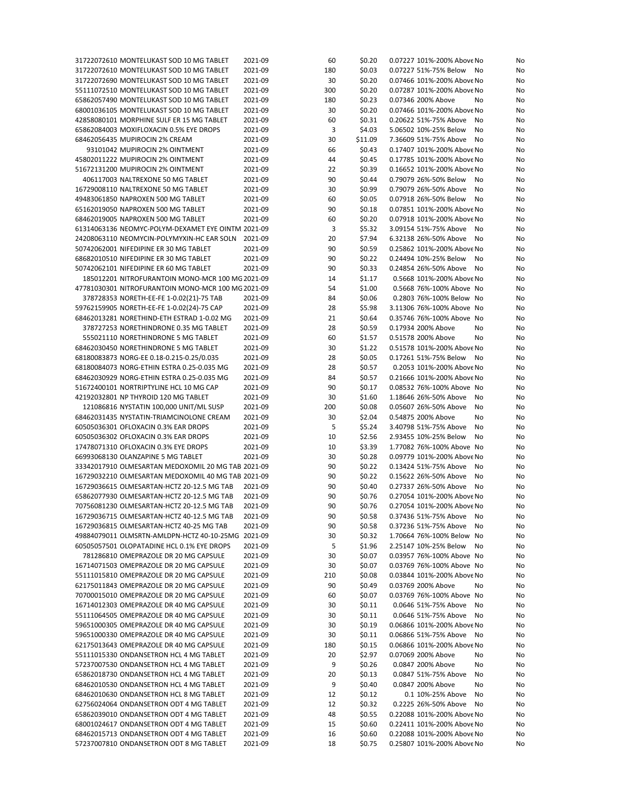| 31722072610 MONTELUKAST SOD 10 MG TABLET           | 2021-09 | 60  | \$0.20  | 0.07227 101%-200% Above No | No       |
|----------------------------------------------------|---------|-----|---------|----------------------------|----------|
| 31722072610 MONTELUKAST SOD 10 MG TABLET           | 2021-09 | 180 | \$0.03  | 0.07227 51%-75% Below      | No<br>No |
| 31722072690 MONTELUKAST SOD 10 MG TABLET           | 2021-09 | 30  | \$0.20  | 0.07466 101%-200% Above No | No       |
| 55111072510 MONTELUKAST SOD 10 MG TABLET           | 2021-09 | 300 | \$0.20  | 0.07287 101%-200% Above No | No       |
| 65862057490 MONTELUKAST SOD 10 MG TABLET           | 2021-09 | 180 | \$0.23  | 0.07346 200% Above         | No<br>No |
|                                                    |         |     |         |                            |          |
| 68001036105 MONTELUKAST SOD 10 MG TABLET           | 2021-09 | 30  | \$0.20  | 0.07466 101%-200% Above No | No       |
| 42858080101 MORPHINE SULF ER 15 MG TABLET          | 2021-09 | 60  | \$0.31  | 0.20622 51%-75% Above      | No<br>No |
| 65862084003 MOXIFLOXACIN 0.5% EYE DROPS            | 2021-09 | 3   | \$4.03  | 5.06502 10%-25% Below      | No<br>No |
| 68462056435 MUPIROCIN 2% CREAM                     | 2021-09 | 30  | \$11.09 | 7.36609 51%-75% Above      | No<br>No |
| 93101042 MUPIROCIN 2% OINTMENT                     | 2021-09 | 66  | \$0.43  | 0.17407 101%-200% Above No | No       |
| 45802011222 MUPIROCIN 2% OINTMENT                  | 2021-09 | 44  | \$0.45  | 0.17785 101%-200% Above No | No       |
| 51672131200 MUPIROCIN 2% OINTMENT                  | 2021-09 | 22  | \$0.39  | 0.16652 101%-200% Above No | No       |
| 406117003 NALTREXONE 50 MG TABLET                  | 2021-09 | 90  | \$0.44  | 0.79079 26%-50% Below      | No<br>No |
| 16729008110 NALTREXONE 50 MG TABLET                | 2021-09 | 30  | \$0.99  | 0.79079 26%-50% Above      | No<br>No |
|                                                    |         |     |         | 0.07918 26%-50% Below      |          |
| 49483061850 NAPROXEN 500 MG TABLET                 | 2021-09 | 60  | \$0.05  |                            | No<br>No |
| 65162019050 NAPROXEN 500 MG TABLET                 | 2021-09 | 90  | \$0.18  | 0.07851 101%-200% Above No | No       |
| 68462019005 NAPROXEN 500 MG TABLET                 | 2021-09 | 60  | \$0.20  | 0.07918 101%-200% Above No | No       |
| 61314063136 NEOMYC-POLYM-DEXAMET EYE OINTM 2021-09 |         | 3   | \$5.32  | 3.09154 51%-75% Above      | No<br>No |
| 24208063110 NEOMYCIN-POLYMYXIN-HC EAR SOLN 2021-09 |         | 20  | \$7.94  | 6.32138 26%-50% Above      | No<br>No |
| 50742062001 NIFEDIPINE ER 30 MG TABLET             | 2021-09 | 90  | \$0.59  | 0.25862 101%-200% Above No | No       |
| 68682010510 NIFEDIPINE ER 30 MG TABLET             | 2021-09 | 90  | \$0.22  | 0.24494 10%-25% Below      | No<br>No |
| 50742062101 NIFEDIPINE ER 60 MG TABLET             | 2021-09 | 90  | \$0.33  | 0.24854 26%-50% Above      | No<br>No |
| 185012201 NITROFURANTOIN MONO-MCR 100 MG 2021-09   |         | 14  | \$1.17  | 0.5668 101%-200% Above No  | No       |
|                                                    |         |     |         |                            |          |
| 47781030301 NITROFURANTOIN MONO-MCR 100 MG 2021-09 |         | 54  | \$1.00  | 0.5668 76%-100% Above No   | No       |
| 378728353 NORETH-EE-FE 1-0.02(21)-75 TAB           | 2021-09 | 84  | \$0.06  | 0.2803 76%-100% Below No   | No       |
| 59762159905 NORETH-EE-FE 1-0.02(24)-75 CAP         | 2021-09 | 28  | \$5.98  | 3.11306 76%-100% Above No  | No       |
| 68462013281 NORETHIND-ETH ESTRAD 1-0.02 MG         | 2021-09 | 21  | \$0.64  | 0.35746 76%-100% Above No  | No       |
| 378727253 NORETHINDRONE 0.35 MG TABLET             | 2021-09 | 28  | \$0.59  | 0.17934 200% Above         | No<br>No |
| 555021110 NORETHINDRONE 5 MG TABLET                | 2021-09 | 60  | \$1.57  | 0.51578 200% Above         | No<br>No |
| 68462030450 NORETHINDRONE 5 MG TABLET              | 2021-09 | 30  | \$1.22  | 0.51578 101%-200% Above No | No       |
| 68180083873 NORG-EE 0.18-0.215-0.25/0.035          | 2021-09 | 28  | \$0.05  | 0.17261 51%-75% Below      | No<br>No |
|                                                    |         |     |         |                            |          |
| 68180084073 NORG-ETHIN ESTRA 0.25-0.035 MG         | 2021-09 | 28  | \$0.57  | 0.2053 101%-200% Above No  | No       |
| 68462030929 NORG-ETHIN ESTRA 0.25-0.035 MG         | 2021-09 | 84  | \$0.57  | 0.21666 101%-200% Above No | No       |
| 51672400101 NORTRIPTYLINE HCL 10 MG CAP            | 2021-09 | 90  | \$0.17  | 0.08532 76%-100% Above No  | No       |
| 42192032801 NP THYROID 120 MG TABLET               | 2021-09 | 30  | \$1.60  | 1.18646 26%-50% Above      | No<br>No |
| 121086816 NYSTATIN 100,000 UNIT/ML SUSP            | 2021-09 | 200 | \$0.08  | 0.05607 26%-50% Above      | No<br>No |
| 68462031435 NYSTATIN-TRIAMCINOLONE CREAM           | 2021-09 | 30  | \$2.04  | 0.54875 200% Above         | No<br>No |
| 60505036301 OFLOXACIN 0.3% EAR DROPS               | 2021-09 | 5   | \$5.24  | 3.40798 51%-75% Above      | No<br>No |
| 60505036302 OFLOXACIN 0.3% EAR DROPS               | 2021-09 | 10  | \$2.56  | 2.93455 10%-25% Below      | No<br>No |
| 17478071310 OFLOXACIN 0.3% EYE DROPS               | 2021-09 | 10  | \$3.39  | 1.77082 76%-100% Above No  | No       |
|                                                    |         |     |         |                            |          |
| 66993068130 OLANZAPINE 5 MG TABLET                 | 2021-09 | 30  | \$0.28  | 0.09779 101%-200% Above No | No       |
| 33342017910 OLMESARTAN MEDOXOMIL 20 MG TAB 2021-09 |         | 90  | \$0.22  | 0.13424 51%-75% Above      | No<br>No |
| 16729032210 OLMESARTAN MEDOXOMIL 40 MG TAB 2021-09 |         | 90  | \$0.22  | 0.15622 26%-50% Above      | No<br>No |
| 16729036615 OLMESARTAN-HCTZ 20-12.5 MG TAB         | 2021-09 | 90  | \$0.40  | 0.27337 26%-50% Above      | No<br>No |
| 65862077930 OLMESARTAN-HCTZ 20-12.5 MG TAB         | 2021-09 | 90  | \$0.76  | 0.27054 101%-200% Above No | No       |
| 70756081230 OLMESARTAN-HCTZ 20-12.5 MG TAB         | 2021-09 | 90  | \$0.76  | 0.27054 101%-200% Above No | No       |
| 16729036715 OLMESARTAN-HCTZ 40-12.5 MG TAB         | 2021-09 | 90  | \$0.58  | 0.37436 51%-75% Above No   | No       |
| 16729036815 OLMESARTAN-HCTZ 40-25 MG TAB           | 2021-09 | 90  | \$0.58  | 0.37236 51%-75% Above      | No<br>No |
| 49884079011 OLMSRTN-AMLDPN-HCTZ 40-10-25MG 2021-09 |         | 30  | \$0.32  | 1.70664 76%-100% Below No  | No       |
|                                                    |         |     |         |                            |          |
| 60505057501 OLOPATADINE HCL 0.1% EYE DROPS         | 2021-09 | 5   | \$1.96  | 2.25147 10%-25% Below      | No<br>No |
| 781286810 OMEPRAZOLE DR 20 MG CAPSULE              | 2021-09 | 30  | \$0.07  | 0.03957 76%-100% Above No  | No       |
| 16714071503 OMEPRAZOLE DR 20 MG CAPSULE            | 2021-09 | 30  | \$0.07  | 0.03769 76%-100% Above No  | No       |
| 55111015810 OMEPRAZOLE DR 20 MG CAPSULE            | 2021-09 | 210 | \$0.08  | 0.03844 101%-200% Above No | No       |
| 62175011843 OMEPRAZOLE DR 20 MG CAPSULE            | 2021-09 | 90  | \$0.49  | 0.03769 200% Above         | No<br>No |
| 70700015010 OMEPRAZOLE DR 20 MG CAPSULE            | 2021-09 | 60  | \$0.07  | 0.03769 76%-100% Above No  | No       |
| 16714012303 OMEPRAZOLE DR 40 MG CAPSULE            | 2021-09 | 30  | \$0.11  | 0.0646 51%-75% Above       | No<br>No |
| 55111064505 OMEPRAZOLE DR 40 MG CAPSULE            | 2021-09 | 30  | \$0.11  | 0.0646 51%-75% Above       | No<br>No |
| 59651000305 OMEPRAZOLE DR 40 MG CAPSULE            |         |     |         |                            |          |
|                                                    | 2021-09 | 30  | \$0.19  | 0.06866 101%-200% Above No | No       |
| 59651000330 OMEPRAZOLE DR 40 MG CAPSULE            | 2021-09 | 30  | \$0.11  | 0.06866 51%-75% Above      | No<br>No |
| 62175013643 OMEPRAZOLE DR 40 MG CAPSULE            | 2021-09 | 180 | \$0.15  | 0.06866 101%-200% Above No | No       |
| 55111015330 ONDANSETRON HCL 4 MG TABLET            | 2021-09 | 20  | \$2.97  | 0.07069 200% Above         | No<br>No |
| 57237007530 ONDANSETRON HCL 4 MG TABLET            | 2021-09 | 9   | \$0.26  | 0.0847 200% Above          | No<br>No |
| 65862018730 ONDANSETRON HCL 4 MG TABLET            | 2021-09 | 20  | \$0.13  | 0.0847 51%-75% Above       | No<br>No |
| 68462010530 ONDANSETRON HCL 4 MG TABLET            | 2021-09 | 9   | \$0.40  | 0.0847 200% Above          | No<br>No |
| 68462010630 ONDANSETRON HCL 8 MG TABLET            | 2021-09 | 12  | \$0.12  | 0.1 10%-25% Above          | No<br>No |
|                                                    |         |     |         |                            |          |
| 62756024064 ONDANSETRON ODT 4 MG TABLET            | 2021-09 | 12  | \$0.32  | 0.2225 26%-50% Above       | No<br>No |
| 65862039010 ONDANSETRON ODT 4 MG TABLET            | 2021-09 | 48  | \$0.55  | 0.22088 101%-200% Above No | No       |
| 68001024617 ONDANSETRON ODT 4 MG TABLET            | 2021-09 | 15  | \$0.60  | 0.22411 101%-200% Above No | No       |
| 68462015713 ONDANSETRON ODT 4 MG TABLET            | 2021-09 | 16  | \$0.60  | 0.22088 101%-200% Above No | No       |
| 57237007810 ONDANSETRON ODT 8 MG TABLET            | 2021-09 | 18  | \$0.75  | 0.25807 101%-200% Above No | No       |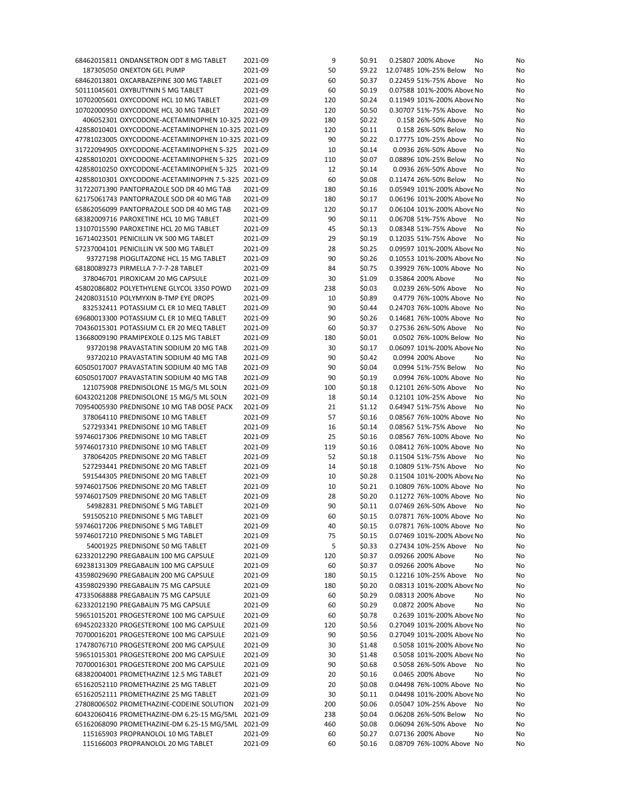| 68462015811 ONDANSETRON ODT 8 MG TABLET            | 2021-09 | 9   | \$0.91 | 0.25807 200% Above         | No | No |
|----------------------------------------------------|---------|-----|--------|----------------------------|----|----|
| 187305050 ONEXTON GEL PUMP                         | 2021-09 | 50  | \$9.22 | 12.07485 10%-25% Below     | No | No |
| 68462013801 OXCARBAZEPINE 300 MG TABLET            | 2021-09 | 60  | \$0.37 | 0.22459 51%-75% Above      | No | No |
| 50111045601 OXYBUTYNIN 5 MG TABLET                 | 2021-09 | 60  | \$0.19 | 0.07588 101%-200% Above No |    | No |
| 10702005601 OXYCODONE HCL 10 MG TABLET             | 2021-09 | 120 | \$0.24 | 0.11949 101%-200% Above No |    | No |
| 10702000950 OXYCODONE HCL 30 MG TABLET             |         |     | \$0.50 |                            |    |    |
|                                                    | 2021-09 | 120 |        | 0.30707 51%-75% Above      | No | No |
| 406052301 OXYCODONE-ACETAMINOPHEN 10-325 2021-09   |         | 180 | \$0.22 | 0.158 26%-50% Above        | No | No |
| 42858010401 OXYCODONE-ACETAMINOPHEN 10-325 2021-09 |         | 120 | \$0.11 | 0.158 26%-50% Below        | No | No |
| 47781023005 OXYCODONE-ACETAMINOPHEN 10-325 2021-09 |         | 90  | \$0.22 | 0.17775 10%-25% Above      | No | No |
| 31722094905 OXYCODONE-ACETAMINOPHEN 5-325 2021-09  |         | 10  | \$0.14 | 0.0936 26%-50% Above       | No | No |
| 42858010201 OXYCODONE-ACETAMINOPHEN 5-325 2021-09  |         | 110 | \$0.07 | 0.08896 10%-25% Below      | No | No |
| 42858010250 OXYCODONE-ACETAMINOPHEN 5-325 2021-09  |         | 12  | \$0.14 | 0.0936 26%-50% Above       | No | No |
| 42858010301 OXYCODONE-ACETAMINOPHN 7.5-325 2021-09 |         | 60  | \$0.08 | 0.11474 26%-50% Below      | No | No |
| 31722071390 PANTOPRAZOLE SOD DR 40 MG TAB          | 2021-09 | 180 | \$0.16 | 0.05949 101%-200% Above No |    | No |
| 62175061743 PANTOPRAZOLE SOD DR 40 MG TAB          | 2021-09 | 180 | \$0.17 | 0.06196 101%-200% Above No |    | No |
| 65862056099 PANTOPRAZOLE SOD DR 40 MG TAB          | 2021-09 | 120 | \$0.17 | 0.06104 101%-200% Above No |    | No |
| 68382009716 PAROXETINE HCL 10 MG TABLET            | 2021-09 | 90  | \$0.11 | 0.06708 51%-75% Above      | No | No |
|                                                    |         |     |        |                            |    |    |
| 13107015590 PAROXETINE HCL 20 MG TABLET            | 2021-09 | 45  | \$0.13 | 0.08348 51%-75% Above      | No | No |
| 16714023501 PENICILLIN VK 500 MG TABLET            | 2021-09 | 29  | \$0.19 | 0.12035 51%-75% Above      | No | No |
| 57237004101 PENICILLIN VK 500 MG TABLET            | 2021-09 | 28  | \$0.25 | 0.09597 101%-200% Above No |    | No |
| 93727198 PIOGLITAZONE HCL 15 MG TABLET             | 2021-09 | 90  | \$0.26 | 0.10553 101%-200% Above No |    | No |
| 68180089273 PIRMELLA 7-7-7-28 TABLET               | 2021-09 | 84  | \$0.75 | 0.39929 76%-100% Above No  |    | No |
| 378046701 PIROXICAM 20 MG CAPSULE                  | 2021-09 | 30  | \$1.09 | 0.35864 200% Above         | No | No |
| 45802086802 POLYETHYLENE GLYCOL 3350 POWD          | 2021-09 | 238 | \$0.03 | 0.0239 26%-50% Above       | No | No |
| 24208031510 POLYMYXIN B-TMP EYE DROPS              | 2021-09 | 10  | \$0.89 | 0.4779 76%-100% Above No   |    | No |
| 832532411 POTASSIUM CL ER 10 MEQ TABLET            | 2021-09 | 90  | \$0.44 | 0.24703 76%-100% Above No  |    | No |
| 69680013300 POTASSIUM CL ER 10 MEQ TABLET          | 2021-09 | 90  | \$0.26 | 0.14681 76%-100% Above No  |    | No |
| 70436015301 POTASSIUM CL ER 20 MEQ TABLET          | 2021-09 | 60  | \$0.37 | 0.27536 26%-50% Above      | No | No |
|                                                    | 2021-09 |     |        | 0.0502 76%-100% Below No   |    |    |
| 13668009190 PRAMIPEXOLE 0.125 MG TABLET            |         | 180 | \$0.01 |                            |    | No |
| 93720198 PRAVASTATIN SODIUM 20 MG TAB              | 2021-09 | 30  | \$0.17 | 0.06097 101%-200% Above No |    | No |
| 93720210 PRAVASTATIN SODIUM 40 MG TAB              | 2021-09 | 90  | \$0.42 | 0.0994 200% Above          | No | No |
| 60505017007 PRAVASTATIN SODIUM 40 MG TAB           | 2021-09 | 90  | \$0.04 | 0.0994 51%-75% Below       | No | No |
| 60505017007 PRAVASTATIN SODIUM 40 MG TAB           | 2021-09 | 90  | \$0.19 | 0.0994 76%-100% Above No   |    | No |
| 121075908 PREDNISOLONE 15 MG/5 ML SOLN             | 2021-09 | 100 | \$0.18 | 0.12101 26%-50% Above      | No | No |
| 60432021208 PREDNISOLONE 15 MG/5 ML SOLN           | 2021-09 | 18  | \$0.14 | 0.12101 10%-25% Above      | No | No |
| 70954005930 PREDNISONE 10 MG TAB DOSE PACK         | 2021-09 | 21  | \$1.12 | 0.64947 51%-75% Above      | No | No |
| 378064110 PREDNISONE 10 MG TABLET                  | 2021-09 | 57  | \$0.16 | 0.08567 76%-100% Above No  |    | No |
| 527293341 PREDNISONE 10 MG TABLET                  | 2021-09 | 16  | \$0.14 | 0.08567 51%-75% Above      | No | No |
| 59746017306 PREDNISONE 10 MG TABLET                | 2021-09 | 25  | \$0.16 | 0.08567 76%-100% Above No  |    | No |
| 59746017310 PREDNISONE 10 MG TABLET                | 2021-09 | 119 | \$0.16 | 0.08412 76%-100% Above No  |    | No |
| 378064205 PREDNISONE 20 MG TABLET                  | 2021-09 | 52  | \$0.18 | 0.11504 51%-75% Above      |    |    |
|                                                    |         |     |        |                            | No | No |
| 527293441 PREDNISONE 20 MG TABLET                  | 2021-09 | 14  | \$0.18 | 0.10809 51%-75% Above      | No | No |
| 591544305 PREDNISONE 20 MG TABLET                  | 2021-09 | 10  | \$0.28 | 0.11504 101%-200% Above No |    | No |
| 59746017506 PREDNISONE 20 MG TABLET                | 2021-09 | 10  | \$0.21 | 0.10809 76%-100% Above No  |    | No |
| 59746017509 PREDNISONE 20 MG TABLET                | 2021-09 | 28  | \$0.20 | 0.11272 76%-100% Above No  |    | No |
| 54982831 PREDNISONE 5 MG TABLET                    | 2021-09 | 90  | \$0.11 | 0.07469 26%-50% Above No   |    | No |
| 591505210 PREDNISONE 5 MG TABLET                   | 2021-09 | 60  | \$0.15 | 0.07871 76%-100% Above No  |    | No |
| 59746017206 PREDNISONE 5 MG TABLET                 | 2021-09 | 40  | \$0.15 | 0.07871 76%-100% Above No  |    | No |
| 59746017210 PREDNISONE 5 MG TABLET                 | 2021-09 | 75  | \$0.15 | 0.07469 101%-200% Above No |    | No |
| 54001925 PREDNISONE 50 MG TABLET                   | 2021-09 | 5   | \$0.33 | 0.27434 10%-25% Above      | No | No |
| 62332012290 PREGABALIN 100 MG CAPSULE              | 2021-09 | 120 | \$0.37 | 0.09266 200% Above         | No | No |
| 69238131309 PREGABALIN 100 MG CAPSULE              | 2021-09 | 60  | \$0.37 | 0.09266 200% Above         | No | No |
| 43598029690 PREGABALIN 200 MG CAPSULE              | 2021-09 | 180 | \$0.15 | 0.12216 10%-25% Above      | No | No |
| 43598029390 PREGABALIN 75 MG CAPSULE               | 2021-09 | 180 | \$0.20 | 0.08313 101%-200% Above No |    | No |
|                                                    |         |     |        |                            |    |    |
| 47335068888 PREGABALIN 75 MG CAPSULE               | 2021-09 | 60  | \$0.29 | 0.08313 200% Above         | No | No |
| 62332012190 PREGABALIN 75 MG CAPSULE               | 2021-09 | 60  | \$0.29 | 0.0872 200% Above          | No | No |
| 59651015201 PROGESTERONE 100 MG CAPSULE            | 2021-09 | 60  | \$0.78 | 0.2639 101%-200% Above No  |    | No |
| 69452023320 PROGESTERONE 100 MG CAPSULE            | 2021-09 | 120 | \$0.56 | 0.27049 101%-200% Above No |    | No |
| 70700016201 PROGESTERONE 100 MG CAPSULE            | 2021-09 | 90  | \$0.56 | 0.27049 101%-200% Above No |    | No |
| 17478076710 PROGESTERONE 200 MG CAPSULE            | 2021-09 | 30  | \$1.48 | 0.5058 101%-200% Above No  |    | No |
| 59651015301 PROGESTERONE 200 MG CAPSULE            | 2021-09 | 30  | \$1.48 | 0.5058 101%-200% Above No  |    | No |
| 70700016301 PROGESTERONE 200 MG CAPSULE            | 2021-09 | 90  | \$0.68 | 0.5058 26%-50% Above       | No | No |
| 68382004001 PROMETHAZINE 12.5 MG TABLET            | 2021-09 | 20  | \$0.16 | 0.0465 200% Above          | No | No |
| 65162052110 PROMETHAZINE 25 MG TABLET              | 2021-09 | 20  | \$0.08 | 0.04498 76%-100% Above No  |    | No |
| 65162052111 PROMETHAZINE 25 MG TABLET              | 2021-09 | 30  | \$0.11 | 0.04498 101%-200% Above No |    | No |
| 27808006502 PROMETHAZINE-CODEINE SOLUTION          | 2021-09 | 200 |        | 0.05047 10%-25% Above      |    |    |
|                                                    |         |     | \$0.06 |                            | No | No |
| 60432060416 PROMETHAZINE-DM 6.25-15 MG/5ML 2021-09 |         | 238 | \$0.04 | 0.06208 26%-50% Below      | No | No |
| 65162068090 PROMETHAZINE-DM 6.25-15 MG/5ML 2021-09 |         | 460 | \$0.08 | 0.06094 26%-50% Above      | No | No |
| 115165903 PROPRANOLOL 10 MG TABLET                 | 2021-09 | 60  | \$0.27 | 0.07136 200% Above         | No | No |
| 115166003 PROPRANOLOL 20 MG TABLET                 | 2021-09 | 60  | \$0.16 | 0.08709 76%-100% Above No  |    | No |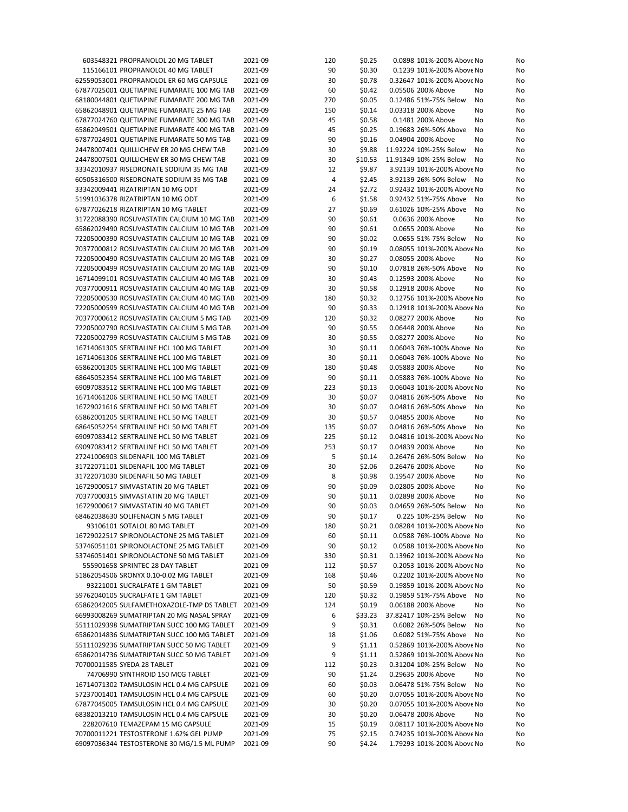| 603548321 PROPRANOLOL 20 MG TABLET         | 2021-09 | 120 | \$0.25  | 0.0898 101%-200% Above No  | No       |
|--------------------------------------------|---------|-----|---------|----------------------------|----------|
| 115166101 PROPRANOLOL 40 MG TABLET         | 2021-09 | 90  | \$0.30  | 0.1239 101%-200% Above No  | No       |
| 62559053001 PROPRANOLOL ER 60 MG CAPSULE   | 2021-09 | 30  | \$0.78  | 0.32647 101%-200% Above No | No       |
| 67877025001 QUETIAPINE FUMARATE 100 MG TAB | 2021-09 | 60  | \$0.42  | 0.05506 200% Above         | No<br>No |
| 68180044801 QUETIAPINE FUMARATE 200 MG TAB | 2021-09 | 270 | \$0.05  | 0.12486 51%-75% Below      | No<br>No |
| 65862048901 QUETIAPINE FUMARATE 25 MG TAB  | 2021-09 | 150 | \$0.14  | 0.03318 200% Above         | No<br>No |
| 67877024760 QUETIAPINE FUMARATE 300 MG TAB | 2021-09 | 45  | \$0.58  | 0.1481 200% Above          | No<br>No |
| 65862049501 QUETIAPINE FUMARATE 400 MG TAB | 2021-09 | 45  | \$0.25  | 0.19683 26%-50% Above      | No<br>No |
| 67877024901 QUETIAPINE FUMARATE 50 MG TAB  | 2021-09 | 90  | \$0.16  | 0.04904 200% Above         | No<br>No |
| 24478007401 QUILLICHEW ER 20 MG CHEW TAB   | 2021-09 | 30  | \$9.88  | 11.92224 10%-25% Below     | No<br>No |
|                                            |         |     |         |                            |          |
| 24478007501 QUILLICHEW ER 30 MG CHEW TAB   | 2021-09 | 30  | \$10.53 | 11.91349 10%-25% Below     | No<br>No |
| 33342010937 RISEDRONATE SODIUM 35 MG TAB   | 2021-09 | 12  | \$9.87  | 3.92139 101%-200% Above No | No       |
| 60505316500 RISEDRONATE SODIUM 35 MG TAB   | 2021-09 | 4   | \$2.45  | 3.92139 26%-50% Below      | No<br>No |
| 33342009441 RIZATRIPTAN 10 MG ODT          | 2021-09 | 24  | \$2.72  | 0.92432 101%-200% Above No | No       |
| 51991036378 RIZATRIPTAN 10 MG ODT          | 2021-09 | 6   | \$1.58  | 0.92432 51%-75% Above      | No<br>No |
| 67877026218 RIZATRIPTAN 10 MG TABLET       | 2021-09 | 27  | \$0.69  | 0.61026 10%-25% Above      | No<br>No |
| 31722088390 ROSUVASTATIN CALCIUM 10 MG TAB | 2021-09 | 90  | \$0.61  | 0.0636 200% Above          | No<br>No |
| 65862029490 ROSUVASTATIN CALCIUM 10 MG TAB | 2021-09 | 90  | \$0.61  | 0.0655 200% Above          | No<br>No |
| 72205000390 ROSUVASTATIN CALCIUM 10 MG TAB | 2021-09 | 90  | \$0.02  | 0.0655 51%-75% Below       | No<br>No |
| 70377000812 ROSUVASTATIN CALCIUM 20 MG TAB | 2021-09 | 90  | \$0.19  | 0.08055 101%-200% Above No | No       |
| 72205000490 ROSUVASTATIN CALCIUM 20 MG TAB | 2021-09 | 30  | \$0.27  | 0.08055 200% Above         | No<br>No |
| 72205000499 ROSUVASTATIN CALCIUM 20 MG TAB | 2021-09 | 90  | \$0.10  | 0.07818 26%-50% Above      | No<br>No |
| 16714099101 ROSUVASTATIN CALCIUM 40 MG TAB | 2021-09 | 30  | \$0.43  | 0.12593 200% Above         | No<br>No |
| 70377000911 ROSUVASTATIN CALCIUM 40 MG TAB | 2021-09 | 30  | \$0.58  | 0.12918 200% Above         | No<br>No |
| 72205000530 ROSUVASTATIN CALCIUM 40 MG TAB | 2021-09 | 180 | \$0.32  | 0.12756 101%-200% Above No | No       |
|                                            |         | 90  |         | 0.12918 101%-200% Above No |          |
| 72205000599 ROSUVASTATIN CALCIUM 40 MG TAB | 2021-09 |     | \$0.33  |                            | No       |
| 70377000612 ROSUVASTATIN CALCIUM 5 MG TAB  | 2021-09 | 120 | \$0.32  | 0.08277 200% Above         | No<br>No |
| 72205002790 ROSUVASTATIN CALCIUM 5 MG TAB  | 2021-09 | 90  | \$0.55  | 0.06448 200% Above         | No<br>No |
| 72205002799 ROSUVASTATIN CALCIUM 5 MG TAB  | 2021-09 | 30  | \$0.55  | 0.08277 200% Above         | No<br>No |
| 16714061305 SERTRALINE HCL 100 MG TABLET   | 2021-09 | 30  | \$0.11  | 0.06043 76%-100% Above No  | No       |
| 16714061306 SERTRALINE HCL 100 MG TABLET   | 2021-09 | 30  | \$0.11  | 0.06043 76%-100% Above No  | No       |
| 65862001305 SERTRALINE HCL 100 MG TABLET   | 2021-09 | 180 | \$0.48  | 0.05883 200% Above         | No<br>No |
| 68645052354 SERTRALINE HCL 100 MG TABLET   | 2021-09 | 90  | \$0.11  | 0.05883 76%-100% Above No  | No       |
| 69097083512 SERTRALINE HCL 100 MG TABLET   | 2021-09 | 223 | \$0.13  | 0.06043 101%-200% Above No | No       |
| 16714061206 SERTRALINE HCL 50 MG TABLET    | 2021-09 | 30  | \$0.07  | 0.04816 26%-50% Above      | No<br>No |
| 16729021616 SERTRALINE HCL 50 MG TABLET    | 2021-09 | 30  | \$0.07  | 0.04816 26%-50% Above      | No<br>No |
| 65862001205 SERTRALINE HCL 50 MG TABLET    | 2021-09 | 30  | \$0.57  | 0.04855 200% Above         | No<br>No |
| 68645052254 SERTRALINE HCL 50 MG TABLET    | 2021-09 | 135 | \$0.07  | 0.04816 26%-50% Above      | No<br>No |
| 69097083412 SERTRALINE HCL 50 MG TABLET    | 2021-09 | 225 | \$0.12  | 0.04816 101%-200% Above No | No       |
| 69097083412 SERTRALINE HCL 50 MG TABLET    | 2021-09 | 253 | \$0.17  | 0.04839 200% Above         | No<br>No |
|                                            | 2021-09 | 5   |         | 0.26476 26%-50% Below      | No       |
| 27241006903 SILDENAFIL 100 MG TABLET       |         |     | \$0.14  | 0.26476 200% Above         | No       |
| 31722071101 SILDENAFIL 100 MG TABLET       | 2021-09 | 30  | \$2.06  |                            | No<br>No |
| 31722071030 SILDENAFIL 50 MG TABLET        | 2021-09 | 8   | \$0.98  | 0.19547 200% Above         | No<br>No |
| 16729000517 SIMVASTATIN 20 MG TABLET       | 2021-09 | 90  | \$0.09  | 0.02805 200% Above         | No<br>No |
| 70377000315 SIMVASTATIN 20 MG TABLET       | 2021-09 | 90  | \$0.11  | 0.02898 200% Above         | No<br>No |
| 16729000617 SIMVASTATIN 40 MG TABLET       | 2021-09 | 90  | \$0.03  | 0.04659 26%-50% Below      | No<br>No |
| 68462038630 SOLIFENACIN 5 MG TABLET        | 2021-09 | 90  | \$0.17  | 0.225 10%-25% Below No     | No       |
| 93106101 SOTALOL 80 MG TABLET              | 2021-09 | 180 | \$0.21  | 0.08284 101%-200% Above No | No       |
| 16729022517 SPIRONOLACTONE 25 MG TABLET    | 2021-09 | 60  | \$0.11  | 0.0588 76%-100% Above No   | No       |
| 53746051101 SPIRONOLACTONE 25 MG TABLET    | 2021-09 | 90  | \$0.12  | 0.0588 101%-200% Above No  | No       |
| 53746051401 SPIRONOLACTONE 50 MG TABLET    | 2021-09 | 330 | \$0.31  | 0.13962 101%-200% Above No | No       |
| 555901658 SPRINTEC 28 DAY TABLET           | 2021-09 | 112 | \$0.57  | 0.2053 101%-200% Above No  | No       |
| 51862054506 SRONYX 0.10-0.02 MG TABLET     | 2021-09 | 168 | \$0.46  | 0.2202 101%-200% Above No  | No       |
| 93221001 SUCRALFATE 1 GM TABLET            | 2021-09 | 50  | \$0.59  | 0.19859 101%-200% Above No | No       |
| 59762040105 SUCRALFATE 1 GM TABLET         | 2021-09 | 120 | \$0.32  | 0.19859 51%-75% Above      | No<br>No |
| 65862042005 SULFAMETHOXAZOLE-TMP DS TABLET | 2021-09 | 124 | \$0.19  | 0.06188 200% Above         | No<br>No |
| 66993008269 SUMATRIPTAN 20 MG NASAL SPRAY  | 2021-09 | 6   | \$33.23 | 37.82417 10%-25% Below     | No<br>No |
| 55111029398 SUMATRIPTAN SUCC 100 MG TABLET | 2021-09 | 9   | \$0.31  | 0.6082 26%-50% Below       |          |
|                                            |         |     |         |                            | No<br>No |
| 65862014836 SUMATRIPTAN SUCC 100 MG TABLET | 2021-09 | 18  | \$1.06  | 0.6082 51%-75% Above       | No<br>No |
| 55111029236 SUMATRIPTAN SUCC 50 MG TABLET  | 2021-09 | 9   | \$1.11  | 0.52869 101%-200% Above No | No       |
| 65862014736 SUMATRIPTAN SUCC 50 MG TABLET  | 2021-09 | 9   | \$1.11  | 0.52869 101%-200% Above No | No       |
| 70700011585 SYEDA 28 TABLET                | 2021-09 | 112 | \$0.23  | 0.31204 10%-25% Below      | No<br>No |
| 74706990 SYNTHROID 150 MCG TABLET          | 2021-09 | 90  | \$1.24  | 0.29635 200% Above         | No<br>No |
| 16714071302 TAMSULOSIN HCL 0.4 MG CAPSULE  | 2021-09 | 60  | \$0.03  | 0.06478 51%-75% Below      | No<br>No |
| 57237001401 TAMSULOSIN HCL 0.4 MG CAPSULE  | 2021-09 | 60  | \$0.20  | 0.07055 101%-200% Above No | No       |
|                                            |         |     |         |                            | No       |
| 67877045005 TAMSULOSIN HCL 0.4 MG CAPSULE  | 2021-09 | 30  | \$0.20  | 0.07055 101%-200% Above No |          |
| 68382013210 TAMSULOSIN HCL 0.4 MG CAPSULE  | 2021-09 | 30  | \$0.20  | 0.06478 200% Above         | No<br>No |
| 228207610 TEMAZEPAM 15 MG CAPSULE          | 2021-09 | 15  | \$0.19  | 0.08117 101%-200% Above No | No       |
| 70700011221 TESTOSTERONE 1.62% GEL PUMP    | 2021-09 | 75  | \$2.15  | 0.74235 101%-200% Above No | No       |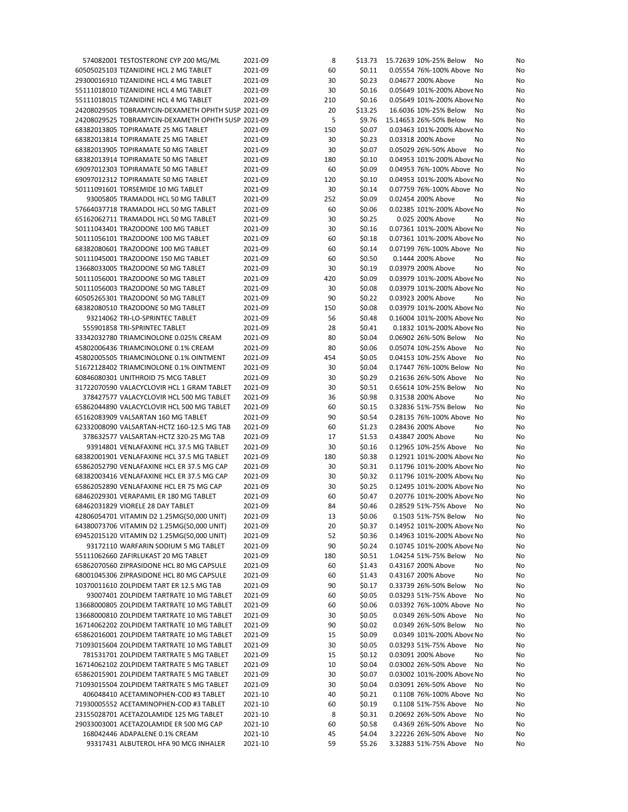| 574082001 TESTOSTERONE CYP 200 MG/ML                                                 | 2021-09            | 8         | \$13.73          | 15.72639 10%-25% Below<br>No<br>No                                    |
|--------------------------------------------------------------------------------------|--------------------|-----------|------------------|-----------------------------------------------------------------------|
| 60505025103 TIZANIDINE HCL 2 MG TABLET                                               | 2021-09            | 60        | \$0.11           | 0.05554 76%-100% Above No<br>No                                       |
| 29300016910 TIZANIDINE HCL 4 MG TABLET                                               | 2021-09            | 30        | \$0.23           | 0.04677 200% Above<br>No<br>No                                        |
| 55111018010 TIZANIDINE HCL 4 MG TABLET                                               | 2021-09            | 30        | \$0.16           | 0.05649 101%-200% Above No<br>No                                      |
| 55111018015 TIZANIDINE HCL 4 MG TABLET                                               | 2021-09            | 210       | \$0.16           | 0.05649 101%-200% Above No<br>No                                      |
| 24208029505 TOBRAMYCIN-DEXAMETH OPHTH SUSP 2021-09                                   |                    | 20        | \$13.25          | 16.6036 10%-25% Below<br>No<br>No                                     |
| 24208029525 TOBRAMYCIN-DEXAMETH OPHTH SUSP 2021-09                                   |                    | 5         | \$9.76           | 15.14653 26%-50% Below<br>No<br>No                                    |
| 68382013805 TOPIRAMATE 25 MG TABLET                                                  | 2021-09            | 150       | \$0.07           | 0.03463 101%-200% Above No<br>No                                      |
| 68382013814 TOPIRAMATE 25 MG TABLET<br>68382013905 TOPIRAMATE 50 MG TABLET           | 2021-09<br>2021-09 | 30<br>30  | \$0.23<br>\$0.07 | 0.03318 200% Above<br>No<br>No<br>0.05029 26%-50% Above<br>No<br>No   |
| 68382013914 TOPIRAMATE 50 MG TABLET                                                  | 2021-09            | 180       | \$0.10           | 0.04953 101%-200% Above No<br>No                                      |
| 69097012303 TOPIRAMATE 50 MG TABLET                                                  | 2021-09            | 60        | \$0.09           | 0.04953 76%-100% Above No<br>No                                       |
| 69097012312 TOPIRAMATE 50 MG TABLET                                                  | 2021-09            | 120       | \$0.10           | 0.04953 101%-200% Above No<br>No                                      |
| 50111091601 TORSEMIDE 10 MG TABLET                                                   | 2021-09            | 30        | \$0.14           | 0.07759 76%-100% Above No<br>No                                       |
| 93005805 TRAMADOL HCL 50 MG TABLET                                                   | 2021-09            | 252       | \$0.09           | 0.02454 200% Above<br>No<br>No                                        |
| 57664037718 TRAMADOL HCL 50 MG TABLET                                                | 2021-09            | 60        | \$0.06           | 0.02385 101%-200% Above No<br>No                                      |
| 65162062711 TRAMADOL HCL 50 MG TABLET                                                | 2021-09            | 30        | \$0.25           | 0.025 200% Above<br>No<br>No                                          |
| 50111043401 TRAZODONE 100 MG TABLET                                                  | 2021-09            | 30        | \$0.16           | 0.07361 101%-200% Above No<br>No                                      |
| 50111056101 TRAZODONE 100 MG TABLET                                                  | 2021-09            | 60        | \$0.18           | 0.07361 101%-200% Above No<br>No                                      |
| 68382080601 TRAZODONE 100 MG TABLET                                                  | 2021-09            | 60        | \$0.14           | 0.07199 76%-100% Above No<br>No                                       |
| 50111045001 TRAZODONE 150 MG TABLET                                                  | 2021-09            | 60        | \$0.50           | 0.1444 200% Above<br>No<br>No                                         |
| 13668033005 TRAZODONE 50 MG TABLET                                                   | 2021-09            | 30        | \$0.19           | 0.03979 200% Above<br>No<br>No                                        |
| 50111056001 TRAZODONE 50 MG TABLET<br>50111056003 TRAZODONE 50 MG TABLET             | 2021-09<br>2021-09 | 420<br>30 | \$0.09<br>\$0.08 | 0.03979 101%-200% Above No<br>No<br>0.03979 101%-200% Above No        |
| 60505265301 TRAZODONE 50 MG TABLET                                                   | 2021-09            | 90        | \$0.22           | No<br>0.03923 200% Above<br>No<br>No                                  |
| 68382080510 TRAZODONE 50 MG TABLET                                                   | 2021-09            | 150       | \$0.08           | 0.03979 101%-200% Above No<br>No                                      |
| 93214062 TRI-LO-SPRINTEC TABLET                                                      | 2021-09            | 56        | \$0.48           | 0.16004 101%-200% Above No<br>No                                      |
| 555901858 TRI-SPRINTEC TABLET                                                        | 2021-09            | 28        | \$0.41           | 0.1832 101%-200% Above No<br>No                                       |
| 33342032780 TRIAMCINOLONE 0.025% CREAM                                               | 2021-09            | 80        | \$0.04           | 0.06902 26%-50% Below<br>No<br>No                                     |
| 45802006436 TRIAMCINOLONE 0.1% CREAM                                                 | 2021-09            | 80        | \$0.06           | 0.05074 10%-25% Above<br>No<br>No                                     |
| 45802005505 TRIAMCINOLONE 0.1% OINTMENT                                              | 2021-09            | 454       | \$0.05           | 0.04153 10%-25% Above<br>No<br>No                                     |
| 51672128402 TRIAMCINOLONE 0.1% OINTMENT                                              | 2021-09            | 30        | \$0.04           | 0.17447 76%-100% Below No<br>No                                       |
| 60846080301 UNITHROID 75 MCG TABLET                                                  | 2021-09            | 30        | \$0.29           | 0.21636 26%-50% Above<br>No<br>No                                     |
| 31722070590 VALACYCLOVIR HCL 1 GRAM TABLET                                           | 2021-09            | 30        | \$0.51           | 0.65614 10%-25% Below<br>No<br>No                                     |
| 378427577 VALACYCLOVIR HCL 500 MG TABLET                                             | 2021-09            | 36        | \$0.98           | 0.31538 200% Above<br>No<br>No                                        |
| 65862044890 VALACYCLOVIR HCL 500 MG TABLET                                           | 2021-09            | 60        | \$0.15           | 0.32836 51%-75% Below<br>No<br>No                                     |
| 65162083909 VALSARTAN 160 MG TABLET                                                  | 2021-09            | 90        | \$0.54           | 0.28135 76%-100% Above No<br>No                                       |
| 62332008090 VALSARTAN-HCTZ 160-12.5 MG TAB<br>378632577 VALSARTAN-HCTZ 320-25 MG TAB | 2021-09<br>2021-09 | 60<br>17  | \$1.23<br>\$1.53 | 0.28436 200% Above<br>No<br>No<br>0.43847 200% Above<br>No<br>No      |
| 93914801 VENLAFAXINE HCL 37.5 MG TABLET                                              | 2021-09            | 30        | \$0.16           | 0.12965 10%-25% Above<br>No<br>No                                     |
| 68382001901 VENLAFAXINE HCL 37.5 MG TABLET                                           | 2021-09            | 180       | \$0.38           | 0.12921 101%-200% Above No<br>No                                      |
| 65862052790 VENLAFAXINE HCL ER 37.5 MG CAP                                           | 2021-09            | 30        | \$0.31           | 0.11796 101%-200% Above No<br>No                                      |
| 68382003416 VENLAFAXINE HCL ER 37.5 MG CAP                                           | 2021-09            | 30        | \$0.32           | 0.11796 101%-200% Above No<br>No                                      |
| 65862052890 VENLAFAXINE HCL ER 75 MG CAP                                             | 2021-09            | 30        | \$0.25           | 0.12495 101%-200% Above No<br>No                                      |
| 68462029301 VERAPAMIL ER 180 MG TABLET                                               | 2021-09            | 60        | \$0.47           | 0.20776 101%-200% Above No<br>No                                      |
| 68462031829 VIORELE 28 DAY TABLET                                                    | 2021-09            | 84        | \$0.46           | 0.28529 51%-75% Above No<br>No                                        |
| 42806054701 VITAMIN D2 1.25MG(50,000 UNIT)                                           | 2021-09            | 13        | \$0.06           | 0.1503 51%-75% Below<br>No<br>No                                      |
| 64380073706 VITAMIN D2 1.25MG(50,000 UNIT)                                           | 2021-09            | 20        | \$0.37           | 0.14952 101%-200% Above No<br>No                                      |
| 69452015120 VITAMIN D2 1.25MG(50,000 UNIT)                                           | 2021-09            | 52        | \$0.36           | 0.14963 101%-200% Above No<br>No                                      |
| 93172110 WARFARIN SODIUM 5 MG TABLET                                                 | 2021-09            | 90        | \$0.24           | 0.10745 101%-200% Above No<br>No                                      |
| 55111062660 ZAFIRLUKAST 20 MG TABLET<br>65862070560 ZIPRASIDONE HCL 80 MG CAPSULE    | 2021-09<br>2021-09 | 180<br>60 | \$0.51<br>\$1.43 | 1.04254 51%-75% Below<br>No<br>No<br>0.43167 200% Above<br>No         |
| 68001045306 ZIPRASIDONE HCL 80 MG CAPSULE                                            | 2021-09            | 60        | \$1.43           | No<br>0.43167 200% Above<br>No<br>No                                  |
| 10370011610 ZOLPIDEM TART ER 12.5 MG TAB                                             | 2021-09            | 90        | \$0.17           | 0.33739 26%-50% Below<br>No<br>No                                     |
| 93007401 ZOLPIDEM TARTRATE 10 MG TABLET                                              | 2021-09            | 60        | \$0.05           | 0.03293 51%-75% Above<br>No<br>No                                     |
| 13668000805 ZOLPIDEM TARTRATE 10 MG TABLET                                           | 2021-09            | 60        | \$0.06           | 0.03392 76%-100% Above No<br>No                                       |
| 13668000810 ZOLPIDEM TARTRATE 10 MG TABLET                                           | 2021-09            | 30        | \$0.05           | 0.0349 26%-50% Above<br>No<br>No                                      |
| 16714062202 ZOLPIDEM TARTRATE 10 MG TABLET                                           | 2021-09            | 90        | \$0.02           | 0.0349 26%-50% Below<br>No<br>No                                      |
| 65862016001 ZOLPIDEM TARTRATE 10 MG TABLET                                           | 2021-09            | 15        | \$0.09           | 0.0349 101%-200% Above No<br>No                                       |
| 71093015604 ZOLPIDEM TARTRATE 10 MG TABLET                                           | 2021-09            | 30        | \$0.05           | 0.03293 51%-75% Above<br>No<br>No                                     |
| 781531701 ZOLPIDEM TARTRATE 5 MG TABLET                                              | 2021-09            | 15        | \$0.12           | 0.03091 200% Above<br>No<br>No                                        |
| 16714062102 ZOLPIDEM TARTRATE 5 MG TABLET                                            | 2021-09            | 10        | \$0.04           | 0.03002 26%-50% Above<br>No<br>No                                     |
| 65862015901 ZOLPIDEM TARTRATE 5 MG TABLET                                            | 2021-09            | 30        | \$0.07           | 0.03002 101%-200% Above No<br>No                                      |
| 71093015504 ZOLPIDEM TARTRATE 5 MG TABLET                                            | 2021-09            | 30        | \$0.04           | 0.03091 26%-50% Above<br>No<br>No                                     |
| 406048410 ACETAMINOPHEN-COD #3 TABLET                                                | 2021-10            | 40        | \$0.21           | 0.1108 76%-100% Above No<br>No                                        |
| 71930005552 ACETAMINOPHEN-COD #3 TABLET<br>23155028701 ACETAZOLAMIDE 125 MG TABLET   | 2021-10<br>2021-10 | 60<br>8   | \$0.19<br>\$0.31 | 0.1108 51%-75% Above<br>No<br>No<br>0.20692 26%-50% Above<br>No<br>No |
| 29033003001 ACETAZOLAMIDE ER 500 MG CAP                                              | 2021-10            | 60        | \$0.58           | 0.4369 26%-50% Above<br>No<br>No                                      |
| 168042446 ADAPALENE 0.1% CREAM                                                       | 2021-10            | 45        | \$4.04           | 3.22226 26%-50% Above<br>No<br>No                                     |
| 93317431 ALBUTEROL HFA 90 MCG INHALER                                                | 2021-10            | 59        | \$5.26           | 3.32883 51%-75% Above<br>No<br>No                                     |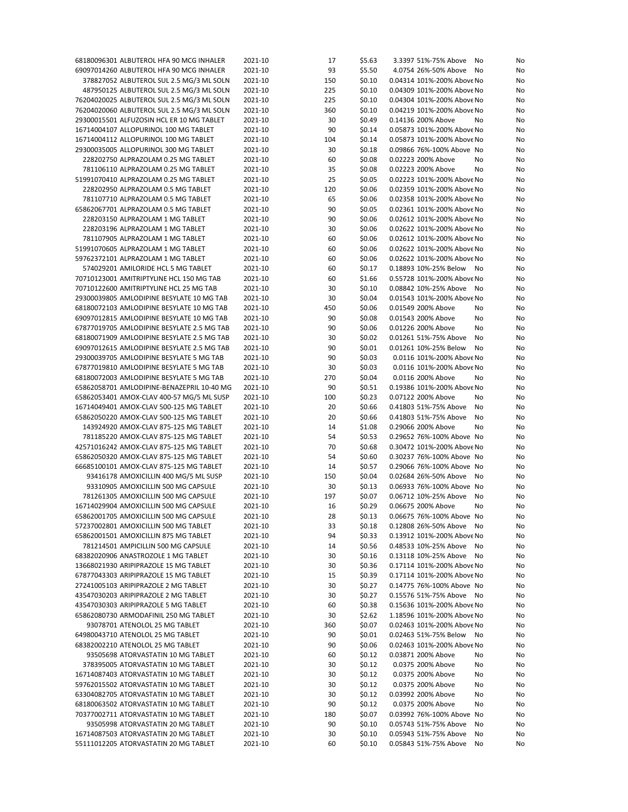| 68180096301 ALBUTEROL HFA 90 MCG INHALER   | 2021-10 | 17  | \$5.63 | 3.3397 51%-75% Above<br>No                               | No |
|--------------------------------------------|---------|-----|--------|----------------------------------------------------------|----|
| 69097014260 ALBUTEROL HFA 90 MCG INHALER   | 2021-10 | 93  | \$5.50 | 4.0754 26%-50% Above<br>No                               | No |
| 378827052 ALBUTEROL SUL 2.5 MG/3 ML SOLN   | 2021-10 | 150 | \$0.10 | 0.04314 101%-200% Above No                               | No |
| 487950125 ALBUTEROL SUL 2.5 MG/3 ML SOLN   | 2021-10 | 225 | \$0.10 | 0.04309 101%-200% Above No                               | No |
| 76204020025 ALBUTEROL SUL 2.5 MG/3 ML SOLN | 2021-10 | 225 | \$0.10 | 0.04304 101%-200% Above No                               | No |
| 76204020060 ALBUTEROL SUL 2.5 MG/3 ML SOLN | 2021-10 | 360 | \$0.10 | 0.04219 101%-200% Above No                               | No |
| 29300015501 ALFUZOSIN HCL ER 10 MG TABLET  | 2021-10 | 30  | \$0.49 | 0.14136 200% Above<br>No                                 | No |
| 16714004107 ALLOPURINOL 100 MG TABLET      | 2021-10 | 90  | \$0.14 | 0.05873 101%-200% Above No                               | No |
| 16714004112 ALLOPURINOL 100 MG TABLET      | 2021-10 | 104 | \$0.14 | 0.05873 101%-200% Above No                               | No |
| 29300035005 ALLOPURINOL 300 MG TABLET      | 2021-10 | 30  | \$0.18 | 0.09866 76%-100% Above No                                | No |
| 228202750 ALPRAZOLAM 0.25 MG TABLET        | 2021-10 | 60  | \$0.08 | 0.02223 200% Above<br>No                                 | No |
| 781106110 ALPRAZOLAM 0.25 MG TABLET        | 2021-10 | 35  | \$0.08 | 0.02223 200% Above<br>No                                 | No |
| 51991070410 ALPRAZOLAM 0.25 MG TABLET      | 2021-10 | 25  | \$0.05 | 0.02223 101%-200% Above No                               | No |
|                                            |         |     | \$0.06 |                                                          | No |
| 228202950 ALPRAZOLAM 0.5 MG TABLET         | 2021-10 | 120 |        | 0.02359 101%-200% Above No<br>0.02358 101%-200% Above No |    |
| 781107710 ALPRAZOLAM 0.5 MG TABLET         | 2021-10 | 65  | \$0.06 |                                                          | No |
| 65862067701 ALPRAZOLAM 0.5 MG TABLET       | 2021-10 | 90  | \$0.05 | 0.02361 101%-200% Above No                               | No |
| 228203150 ALPRAZOLAM 1 MG TABLET           | 2021-10 | 90  | \$0.06 | 0.02612 101%-200% Above No                               | No |
| 228203196 ALPRAZOLAM 1 MG TABLET           | 2021-10 | 30  | \$0.06 | 0.02622 101%-200% Above No                               | No |
| 781107905 ALPRAZOLAM 1 MG TABLET           | 2021-10 | 60  | \$0.06 | 0.02612 101%-200% Above No                               | No |
| 51991070605 ALPRAZOLAM 1 MG TABLET         | 2021-10 | 60  | \$0.06 | 0.02622 101%-200% Above No                               | No |
| 59762372101 ALPRAZOLAM 1 MG TABLET         | 2021-10 | 60  | \$0.06 | 0.02622 101%-200% Above No                               | No |
| 574029201 AMILORIDE HCL 5 MG TABLET        | 2021-10 | 60  | \$0.17 | 0.18893 10%-25% Below<br>No                              | No |
| 70710123001 AMITRIPTYLINE HCL 150 MG TAB   | 2021-10 | 60  | \$1.66 | 0.55728 101%-200% Above No                               | No |
| 70710122600 AMITRIPTYLINE HCL 25 MG TAB    | 2021-10 | 30  | \$0.10 | 0.08842 10%-25% Above<br>No                              | No |
| 29300039805 AMLODIPINE BESYLATE 10 MG TAB  | 2021-10 | 30  | \$0.04 | 0.01543 101%-200% Above No                               | No |
| 68180072103 AMLODIPINE BESYLATE 10 MG TAB  | 2021-10 | 450 | \$0.06 | 0.01549 200% Above<br>No                                 | No |
| 69097012815 AMLODIPINE BESYLATE 10 MG TAB  | 2021-10 | 90  | \$0.08 | 0.01543 200% Above<br>No                                 | No |
| 67877019705 AMLODIPINE BESYLATE 2.5 MG TAB | 2021-10 | 90  | \$0.06 | 0.01226 200% Above<br>No                                 | No |
|                                            | 2021-10 | 30  | \$0.02 | 0.01261 51%-75% Above                                    | No |
| 68180071909 AMLODIPINE BESYLATE 2.5 MG TAB |         |     |        | No                                                       |    |
| 69097012615 AMLODIPINE BESYLATE 2.5 MG TAB | 2021-10 | 90  | \$0.01 | 0.01261 10%-25% Below<br>No                              | No |
| 29300039705 AMLODIPINE BESYLATE 5 MG TAB   | 2021-10 | 90  | \$0.03 | 0.0116 101%-200% Above No                                | No |
| 67877019810 AMLODIPINE BESYLATE 5 MG TAB   | 2021-10 | 30  | \$0.03 | 0.0116 101%-200% Above No                                | No |
| 68180072003 AMLODIPINE BESYLATE 5 MG TAB   | 2021-10 | 270 | \$0.04 | 0.0116 200% Above<br>No                                  | No |
| 65862058701 AMLODIPINE-BENAZEPRIL 10-40 MG | 2021-10 | 90  | \$0.51 | 0.19386 101%-200% Above No                               | No |
| 65862053401 AMOX-CLAV 400-57 MG/5 ML SUSP  | 2021-10 | 100 | \$0.23 | 0.07122 200% Above<br>No                                 | No |
| 16714049401 AMOX-CLAV 500-125 MG TABLET    | 2021-10 | 20  | \$0.66 | 0.41803 51%-75% Above<br>No                              | No |
| 65862050220 AMOX-CLAV 500-125 MG TABLET    | 2021-10 | 20  | \$0.66 | 0.41803 51%-75% Above<br>No                              | No |
| 143924920 AMOX-CLAV 875-125 MG TABLET      | 2021-10 | 14  | \$1.08 | 0.29066 200% Above<br>No                                 | No |
| 781185220 AMOX-CLAV 875-125 MG TABLET      | 2021-10 | 54  | \$0.53 | 0.29652 76%-100% Above No                                | No |
| 42571016242 AMOX-CLAV 875-125 MG TABLET    | 2021-10 | 70  | \$0.68 | 0.30472 101%-200% Above No                               | No |
| 65862050320 AMOX-CLAV 875-125 MG TABLET    | 2021-10 | 54  | \$0.60 | 0.30237 76%-100% Above No                                | No |
| 66685100101 AMOX-CLAV 875-125 MG TABLET    | 2021-10 | 14  | \$0.57 | 0.29066 76%-100% Above No                                | No |
| 93416178 AMOXICILLIN 400 MG/5 ML SUSP      | 2021-10 | 150 | \$0.04 | 0.02684 26%-50% Above<br>No                              | No |
| 93310905 AMOXICILLIN 500 MG CAPSULE        | 2021-10 | 30  | \$0.13 | 0.06933 76%-100% Above No                                | No |
| 781261305 AMOXICILLIN 500 MG CAPSULE       | 2021-10 | 197 | \$0.07 | 0.06712 10%-25% Above                                    |    |
|                                            |         |     |        | No                                                       | No |
| 16714029904 AMOXICILLIN 500 MG CAPSULE     | 2021-10 | 16  | \$0.29 | 0.06675 200% Above<br>No                                 | No |
| 65862001705 AMOXICILLIN 500 MG CAPSULE     | 2021-10 | 28  | \$0.13 | 0.06675 76%-100% Above No                                | No |
| 57237002801 AMOXICILLIN 500 MG TABLET      | 2021-10 | 33  | \$0.18 | 0.12808 26%-50% Above No                                 | No |
| 65862001501 AMOXICILLIN 875 MG TABLET      | 2021-10 | 94  | \$0.33 | 0.13912 101%-200% Above No                               | No |
| 781214501 AMPICILLIN 500 MG CAPSULE        | 2021-10 | 14  | \$0.56 | 0.48533 10%-25% Above<br>No                              | No |
| 68382020906 ANASTROZOLE 1 MG TABLET        | 2021-10 | 30  | \$0.16 | 0.13118 10%-25% Above<br>No                              | No |
| 13668021930 ARIPIPRAZOLE 15 MG TABLET      | 2021-10 | 30  | \$0.36 | 0.17114 101%-200% Above No                               | No |
| 67877043303 ARIPIPRAZOLE 15 MG TABLET      | 2021-10 | 15  | \$0.39 | 0.17114 101%-200% Above No                               | No |
| 27241005103 ARIPIPRAZOLE 2 MG TABLET       | 2021-10 | 30  | \$0.27 | 0.14775 76%-100% Above No                                | No |
| 43547030203 ARIPIPRAZOLE 2 MG TABLET       | 2021-10 | 30  | \$0.27 | 0.15576 51%-75% Above<br>No                              | No |
| 43547030303 ARIPIPRAZOLE 5 MG TABLET       | 2021-10 | 60  | \$0.38 | 0.15636 101%-200% Above No                               | No |
| 65862080730 ARMODAFINIL 250 MG TABLET      | 2021-10 | 30  | \$2.62 | 1.18596 101%-200% Above No                               | No |
| 93078701 ATENOLOL 25 MG TABLET             | 2021-10 | 360 | \$0.07 | 0.02463 101%-200% Above No                               | No |
| 64980043710 ATENOLOL 25 MG TABLET          | 2021-10 | 90  | \$0.01 | 0.02463 51%-75% Below<br>No                              | No |
| 68382002210 ATENOLOL 25 MG TABLET          | 2021-10 | 90  | \$0.06 | 0.02463 101%-200% Above No                               | No |
| 93505698 ATORVASTATIN 10 MG TABLET         | 2021-10 | 60  | \$0.12 | 0.03871 200% Above<br>No                                 | No |
|                                            |         |     |        |                                                          |    |
| 378395005 ATORVASTATIN 10 MG TABLET        | 2021-10 | 30  | \$0.12 | 0.0375 200% Above<br>No                                  | No |
| 16714087403 ATORVASTATIN 10 MG TABLET      | 2021-10 | 30  | \$0.12 | 0.0375 200% Above<br>No                                  | No |
| 59762015502 ATORVASTATIN 10 MG TABLET      | 2021-10 | 30  | \$0.12 | 0.0375 200% Above<br>No                                  | No |
| 63304082705 ATORVASTATIN 10 MG TABLET      | 2021-10 | 30  | \$0.12 | 0.03992 200% Above<br>No                                 | No |
| 68180063502 ATORVASTATIN 10 MG TABLET      | 2021-10 | 90  | \$0.12 | 0.0375 200% Above<br>No                                  | No |
| 70377002711 ATORVASTATIN 10 MG TABLET      | 2021-10 | 180 | \$0.07 | 0.03992 76%-100% Above No                                | No |
|                                            |         |     |        |                                                          |    |
| 93505998 ATORVASTATIN 20 MG TABLET         | 2021-10 | 90  | \$0.10 | 0.05743 51%-75% Above<br>No                              | No |
| 16714087503 ATORVASTATIN 20 MG TABLET      | 2021-10 | 30  | \$0.10 | 0.05943 51%-75% Above<br>No                              | No |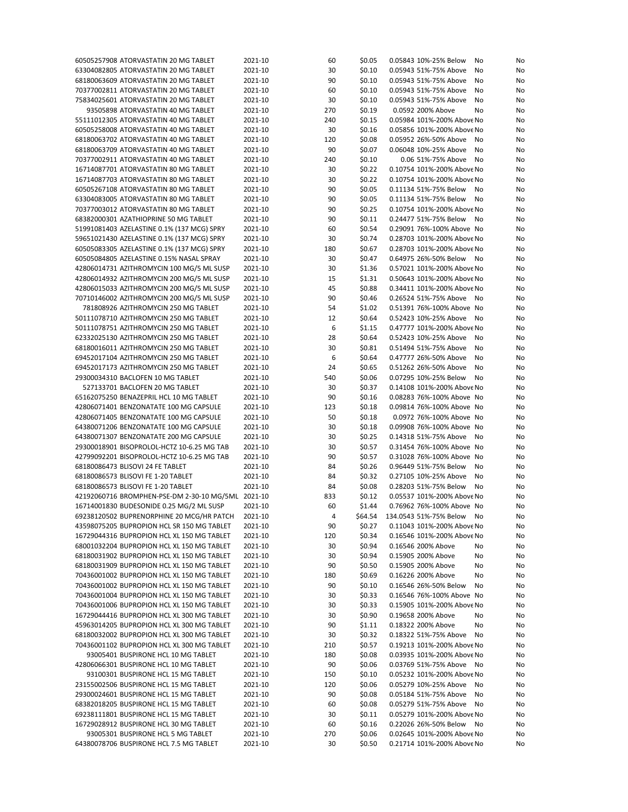| 60505257908 ATORVASTATIN 20 MG TABLET              | 2021-10 | 60  | \$0.05 | 0.05843 10%-25% Below<br>No       | No |
|----------------------------------------------------|---------|-----|--------|-----------------------------------|----|
| 63304082805 ATORVASTATIN 20 MG TABLET              | 2021-10 | 30  | \$0.10 | 0.05943 51%-75% Above<br>No       | No |
| 68180063609 ATORVASTATIN 20 MG TABLET              | 2021-10 | 90  | \$0.10 | 0.05943 51%-75% Above<br>No       | No |
| 70377002811 ATORVASTATIN 20 MG TABLET              | 2021-10 | 60  | \$0.10 | 0.05943 51%-75% Above<br>No       | No |
| 75834025601 ATORVASTATIN 20 MG TABLET              | 2021-10 | 30  | \$0.10 | 0.05943 51%-75% Above<br>No       | No |
|                                                    |         |     |        |                                   |    |
| 93505898 ATORVASTATIN 40 MG TABLET                 | 2021-10 | 270 | \$0.19 | 0.0592 200% Above<br>No           | No |
| 55111012305 ATORVASTATIN 40 MG TABLET              | 2021-10 | 240 | \$0.15 | 0.05984 101%-200% Above No        | No |
| 60505258008 ATORVASTATIN 40 MG TABLET              | 2021-10 | 30  | \$0.16 | 0.05856 101%-200% Above No        | No |
| 68180063702 ATORVASTATIN 40 MG TABLET              | 2021-10 | 120 | \$0.08 | 0.05952 26%-50% Above<br>No       | No |
| 68180063709 ATORVASTATIN 40 MG TABLET              | 2021-10 | 90  | \$0.07 | 0.06048 10%-25% Above<br>No       | No |
| 70377002911 ATORVASTATIN 40 MG TABLET              | 2021-10 | 240 | \$0.10 | 0.06 51%-75% Above<br>No          | No |
| 16714087701 ATORVASTATIN 80 MG TABLET              | 2021-10 | 30  | \$0.22 | 0.10754 101%-200% Above No        | No |
| 16714087703 ATORVASTATIN 80 MG TABLET              | 2021-10 | 30  | \$0.22 | 0.10754 101%-200% Above No        | No |
| 60505267108 ATORVASTATIN 80 MG TABLET              | 2021-10 | 90  | \$0.05 | 0.11134 51%-75% Below<br>No       | No |
| 63304083005 ATORVASTATIN 80 MG TABLET              | 2021-10 | 90  | \$0.05 | 0.11134 51%-75% Below<br>No       | No |
| 70377003012 ATORVASTATIN 80 MG TABLET              | 2021-10 | 90  | \$0.25 | 0.10754 101%-200% Above No        |    |
|                                                    |         |     |        |                                   | No |
| 68382000301 AZATHIOPRINE 50 MG TABLET              | 2021-10 | 90  | \$0.11 | 0.24477 51%-75% Below<br>No       | No |
| 51991081403 AZELASTINE 0.1% (137 MCG) SPRY         | 2021-10 | 60  | \$0.54 | 0.29091 76%-100% Above No         | No |
| 59651021430 AZELASTINE 0.1% (137 MCG) SPRY         | 2021-10 | 30  | \$0.74 | 0.28703 101%-200% Above No        | No |
| 60505083305 AZELASTINE 0.1% (137 MCG) SPRY         | 2021-10 | 180 | \$0.67 | 0.28703 101%-200% Above No        | No |
| 60505084805 AZELASTINE 0.15% NASAL SPRAY           | 2021-10 | 30  | \$0.47 | 0.64975 26%-50% Below<br>No       | No |
| 42806014731 AZITHROMYCIN 100 MG/5 ML SUSP          | 2021-10 | 30  | \$1.36 | 0.57021 101%-200% Above No        | No |
| 42806014932 AZITHROMYCIN 200 MG/5 ML SUSP          | 2021-10 | 15  | \$1.31 | 0.50643 101%-200% Above No        | No |
| 42806015033 AZITHROMYCIN 200 MG/5 ML SUSP          | 2021-10 | 45  | \$0.88 | 0.34411 101%-200% Above No        | No |
| 70710146002 AZITHROMYCIN 200 MG/5 ML SUSP          | 2021-10 | 90  | \$0.46 | 0.26524 51%-75% Above<br>No       | No |
| 781808926 AZITHROMYCIN 250 MG TABLET               | 2021-10 | 54  | \$1.02 | 0.51391 76%-100% Above No         | No |
| 50111078710 AZITHROMYCIN 250 MG TABLET             | 2021-10 | 12  | \$0.64 | 0.52423 10%-25% Above<br>No       | No |
|                                                    |         |     |        |                                   |    |
| 50111078751 AZITHROMYCIN 250 MG TABLET             | 2021-10 | 6   | \$1.15 | 0.47777 101%-200% Above No        | No |
| 62332025130 AZITHROMYCIN 250 MG TABLET             | 2021-10 | 28  | \$0.64 | 0.52423 10%-25% Above<br>No       | No |
| 68180016011 AZITHROMYCIN 250 MG TABLET             | 2021-10 | 30  | \$0.81 | 0.51494 51%-75% Above<br>No       | No |
| 69452017104 AZITHROMYCIN 250 MG TABLET             | 2021-10 | 6   | \$0.64 | 0.47777 26%-50% Above<br>No       | No |
| 69452017173 AZITHROMYCIN 250 MG TABLET             | 2021-10 | 24  | \$0.65 | 0.51262 26%-50% Above<br>No       | No |
| 29300034310 BACLOFEN 10 MG TABLET                  | 2021-10 | 540 | \$0.06 | 0.07295 10%-25% Below<br>No       | No |
| 527133701 BACLOFEN 20 MG TABLET                    | 2021-10 | 30  | \$0.37 | 0.14108 101%-200% Above No        | No |
| 65162075250 BENAZEPRIL HCL 10 MG TABLET            | 2021-10 | 90  | \$0.16 | 0.08283 76%-100% Above No         | No |
| 42806071401 BENZONATATE 100 MG CAPSULE             | 2021-10 | 123 | \$0.18 | 0.09814 76%-100% Above No         | No |
| 42806071405 BENZONATATE 100 MG CAPSULE             | 2021-10 | 50  | \$0.18 | 0.0972 76%-100% Above No          | No |
| 64380071206 BENZONATATE 100 MG CAPSULE             | 2021-10 | 30  | \$0.18 | 0.09908 76%-100% Above No         | No |
| 64380071307 BENZONATATE 200 MG CAPSULE             | 2021-10 | 30  | \$0.25 | 0.14318 51%-75% Above<br>No       | No |
|                                                    |         |     |        |                                   |    |
| 29300018901 BISOPROLOL-HCTZ 10-6.25 MG TAB         | 2021-10 | 30  | \$0.57 | 0.31454 76%-100% Above No         | No |
| 42799092201 BISOPROLOL-HCTZ 10-6.25 MG TAB         | 2021-10 | 90  | \$0.57 | 0.31028 76%-100% Above No         | No |
| 68180086473 BLISOVI 24 FE TABLET                   | 2021-10 | 84  | \$0.26 | 0.96449 51%-75% Below<br>No       | No |
| 68180086573 BLISOVI FE 1-20 TABLET                 | 2021-10 | 84  | \$0.32 | 0.27105 10%-25% Above<br>No       | No |
| 68180086573 BLISOVI FE 1-20 TABLET                 | 2021-10 | 84  | \$0.08 | 0.28203 51%-75% Below<br>No       | No |
| 42192060716 BROMPHEN-PSE-DM 2-30-10 MG/5ML 2021-10 |         | 833 | \$0.12 | 0.05537 101%-200% Above No        | No |
| 16714001830 BUDESONIDE 0.25 MG/2 ML SUSP           | 2021-10 | 60  | \$1.44 | 0.76962 76%-100% Above No         | No |
| 69238120502 BUPRENORPHINE 20 MCG/HR PATCH 2021-10  |         | 4   |        | \$64.54 134.0543 51%-75% Below No | No |
| 43598075205 BUPROPION HCL SR 150 MG TABLET         | 2021-10 | 90  | \$0.27 | 0.11043 101%-200% Above No        | No |
| 16729044316 BUPROPION HCL XL 150 MG TABLET         | 2021-10 | 120 | \$0.34 | 0.16546 101%-200% Above No        | No |
| 68001032204 BUPROPION HCL XL 150 MG TABLET         | 2021-10 | 30  | \$0.94 | 0.16546 200% Above<br>No          | No |
| 68180031902 BUPROPION HCL XL 150 MG TABLET         | 2021-10 | 30  | \$0.94 | 0.15905 200% Above<br>No          | No |
|                                                    |         |     |        |                                   |    |
| 68180031909 BUPROPION HCL XL 150 MG TABLET         | 2021-10 | 90  | \$0.50 | 0.15905 200% Above<br>No          | No |
| 70436001002 BUPROPION HCL XL 150 MG TABLET         | 2021-10 | 180 | \$0.69 | 0.16226 200% Above<br>No          | No |
| 70436001002 BUPROPION HCL XL 150 MG TABLET         | 2021-10 | 90  | \$0.10 | 0.16546 26%-50% Below<br>No       | No |
| 70436001004 BUPROPION HCL XL 150 MG TABLET         | 2021-10 | 30  | \$0.33 | 0.16546 76%-100% Above No         | No |
| 70436001006 BUPROPION HCL XL 150 MG TABLET         | 2021-10 | 30  | \$0.33 | 0.15905 101%-200% Above No        | No |
| 16729044416 BUPROPION HCL XL 300 MG TABLET         | 2021-10 | 30  | \$0.90 | 0.19658 200% Above<br>No          | No |
| 45963014205 BUPROPION HCL XL 300 MG TABLET         | 2021-10 | 90  | \$1.11 | 0.18322 200% Above<br>No          | No |
| 68180032002 BUPROPION HCL XL 300 MG TABLET         | 2021-10 | 30  | \$0.32 | 0.18322 51%-75% Above<br>No       | No |
| 70436001102 BUPROPION HCL XL 300 MG TABLET         | 2021-10 | 210 | \$0.57 | 0.19213 101%-200% Above No        | No |
| 93005401 BUSPIRONE HCL 10 MG TABLET                | 2021-10 | 180 | \$0.08 | 0.03935 101%-200% Above No        | No |
| 42806066301 BUSPIRONE HCL 10 MG TABLET             | 2021-10 | 90  | \$0.06 | 0.03769 51%-75% Above No          | No |
|                                                    |         |     |        |                                   |    |
| 93100301 BUSPIRONE HCL 15 MG TABLET                | 2021-10 | 150 | \$0.10 | 0.05232 101%-200% Above No        | No |
| 23155002506 BUSPIRONE HCL 15 MG TABLET             | 2021-10 | 120 | \$0.06 | 0.05279 10%-25% Above<br>No       | No |
| 29300024601 BUSPIRONE HCL 15 MG TABLET             | 2021-10 | 90  | \$0.08 | 0.05184 51%-75% Above<br>No       | No |
| 68382018205 BUSPIRONE HCL 15 MG TABLET             | 2021-10 | 60  | \$0.08 | 0.05279 51%-75% Above<br>No       | No |
| 69238111801 BUSPIRONE HCL 15 MG TABLET             | 2021-10 | 30  | \$0.11 | 0.05279 101%-200% Above No        | No |
| 16729028912 BUSPIRONE HCL 30 MG TABLET             | 2021-10 | 60  | \$0.16 | 0.22026 26%-50% Below<br>No       | No |
| 93005301 BUSPIRONE HCL 5 MG TABLET                 |         |     |        |                                   |    |
|                                                    | 2021-10 | 270 | \$0.06 | 0.02645 101%-200% Above No        | No |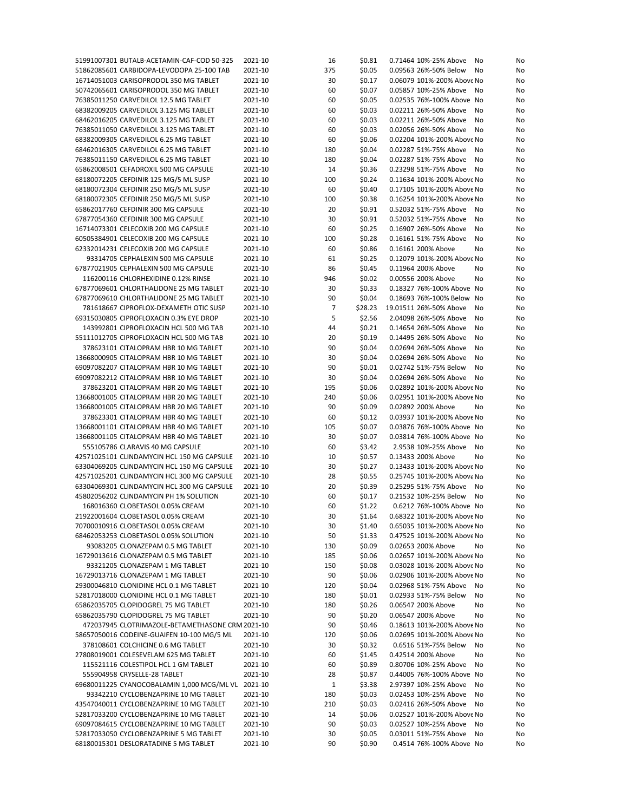| 51991007301 BUTALB-ACETAMIN-CAF-COD 50-325         | 2021-10 | 16             | \$0.81  | 0.71464 10%-25% Above<br>No  | No |
|----------------------------------------------------|---------|----------------|---------|------------------------------|----|
| 51862085601 CARBIDOPA-LEVODOPA 25-100 TAB          | 2021-10 | 375            | \$0.05  | 0.09563 26%-50% Below<br>No  | No |
| 16714051003 CARISOPRODOL 350 MG TABLET             | 2021-10 | 30             | \$0.17  | 0.06079 101%-200% Above No   | No |
| 50742065601 CARISOPRODOL 350 MG TABLET             | 2021-10 | 60             | \$0.07  | 0.05857 10%-25% Above<br>No  | No |
| 76385011250 CARVEDILOL 12.5 MG TABLET              | 2021-10 | 60             | \$0.05  | 0.02535 76%-100% Above No    | No |
|                                                    |         |                |         | 0.02211 26%-50% Above        |    |
| 68382009205 CARVEDILOL 3.125 MG TABLET             | 2021-10 | 60             | \$0.03  | No                           | No |
| 68462016205 CARVEDILOL 3.125 MG TABLET             | 2021-10 | 60             | \$0.03  | 0.02211 26%-50% Above<br>No  | No |
| 76385011050 CARVEDILOL 3.125 MG TABLET             | 2021-10 | 60             | \$0.03  | 0.02056 26%-50% Above<br>No  | No |
| 68382009305 CARVEDILOL 6.25 MG TABLET              | 2021-10 | 60             | \$0.06  | 0.02204 101%-200% Above No   | No |
| 68462016305 CARVEDILOL 6.25 MG TABLET              | 2021-10 | 180            | \$0.04  | 0.02287 51%-75% Above<br>No  | No |
| 76385011150 CARVEDILOL 6.25 MG TABLET              | 2021-10 | 180            | \$0.04  | 0.02287 51%-75% Above<br>No  | No |
| 65862008501 CEFADROXIL 500 MG CAPSULE              | 2021-10 | 14             | \$0.36  | 0.23298 51%-75% Above<br>No  | No |
| 68180072205 CEFDINIR 125 MG/5 ML SUSP              | 2021-10 | 100            | \$0.24  | 0.11634 101%-200% Above No   | No |
| 68180072304 CEFDINIR 250 MG/5 ML SUSP              | 2021-10 | 60             | \$0.40  | 0.17105 101%-200% Above No   | No |
| 68180072305 CEFDINIR 250 MG/5 ML SUSP              | 2021-10 | 100            | \$0.38  | 0.16254 101%-200% Above No   | No |
| 65862017760 CEFDINIR 300 MG CAPSULE                | 2021-10 | 20             | \$0.91  | 0.52032 51%-75% Above<br>No  |    |
|                                                    |         |                |         |                              | No |
| 67877054360 CEFDINIR 300 MG CAPSULE                | 2021-10 | 30             | \$0.91  | 0.52032 51%-75% Above<br>No  | No |
| 16714073301 CELECOXIB 200 MG CAPSULE               | 2021-10 | 60             | \$0.25  | 0.16907 26%-50% Above<br>No  | No |
| 60505384901 CELECOXIB 200 MG CAPSULE               | 2021-10 | 100            | \$0.28  | 0.16161 51%-75% Above<br>No  | No |
| 62332014231 CELECOXIB 200 MG CAPSULE               | 2021-10 | 60             | \$0.86  | 0.16161 200% Above<br>No     | No |
| 93314705 CEPHALEXIN 500 MG CAPSULE                 | 2021-10 | 61             | \$0.25  | 0.12079 101%-200% Above No   | No |
| 67877021905 CEPHALEXIN 500 MG CAPSULE              | 2021-10 | 86             | \$0.45  | 0.11964 200% Above<br>No     | No |
| 116200116 CHLORHEXIDINE 0.12% RINSE                | 2021-10 | 946            | \$0.02  | 0.00556 200% Above<br>No     | No |
| 67877069601 CHLORTHALIDONE 25 MG TABLET            | 2021-10 | 30             | \$0.33  | 0.18327 76%-100% Above No    | No |
| 67877069610 CHLORTHALIDONE 25 MG TABLET            | 2021-10 | 90             | \$0.04  | 0.18693 76%-100% Below No    | No |
| 781618667 CIPROFLOX-DEXAMETH OTIC SUSP             | 2021-10 | $\overline{7}$ | \$28.23 | 19.01511 26%-50% Above<br>No | No |
|                                                    | 2021-10 | 5              |         |                              |    |
| 69315030805 CIPROFLOXACIN 0.3% EYE DROP            |         |                | \$2.56  | 2.04098 26%-50% Above<br>No  | No |
| 143992801 CIPROFLOXACIN HCL 500 MG TAB             | 2021-10 | 44             | \$0.21  | 0.14654 26%-50% Above<br>No  | No |
| 55111012705 CIPROFLOXACIN HCL 500 MG TAB           | 2021-10 | 20             | \$0.19  | 0.14495 26%-50% Above<br>No  | No |
| 378623101 CITALOPRAM HBR 10 MG TABLET              | 2021-10 | 90             | \$0.04  | 0.02694 26%-50% Above<br>No  | No |
| 13668000905 CITALOPRAM HBR 10 MG TABLET            | 2021-10 | 30             | \$0.04  | 0.02694 26%-50% Above<br>No  | No |
| 69097082207 CITALOPRAM HBR 10 MG TABLET            | 2021-10 | 90             | \$0.01  | 0.02742 51%-75% Below<br>No  | No |
| 69097082212 CITALOPRAM HBR 10 MG TABLET            | 2021-10 | 30             | \$0.04  | 0.02694 26%-50% Above<br>No  | No |
| 378623201 CITALOPRAM HBR 20 MG TABLET              | 2021-10 | 195            | \$0.06  | 0.02892 101%-200% Above No   | No |
| 13668001005 CITALOPRAM HBR 20 MG TABLET            | 2021-10 | 240            | \$0.06  | 0.02951 101%-200% Above No   | No |
| 13668001005 CITALOPRAM HBR 20 MG TABLET            | 2021-10 | 90             | \$0.09  | 0.02892 200% Above<br>No     | No |
| 378623301 CITALOPRAM HBR 40 MG TABLET              | 2021-10 |                | \$0.12  | 0.03937 101%-200% Above No   |    |
|                                                    |         | 60             |         |                              | No |
| 13668001101 CITALOPRAM HBR 40 MG TABLET            | 2021-10 | 105            | \$0.07  | 0.03876 76%-100% Above No    | No |
| 13668001105 CITALOPRAM HBR 40 MG TABLET            | 2021-10 | 30             | \$0.07  | 0.03814 76%-100% Above No    | No |
| 555105786 CLARAVIS 40 MG CAPSULE                   | 2021-10 | 60             | \$3.42  | 2.9538 10%-25% Above<br>No   | No |
| 42571025101 CLINDAMYCIN HCL 150 MG CAPSULE         | 2021-10 | 10             | \$0.57  | 0.13433 200% Above<br>No     | No |
| 63304069205 CLINDAMYCIN HCL 150 MG CAPSULE         | 2021-10 | 30             | \$0.27  | 0.13433 101%-200% Above No   | No |
| 42571025201 CLINDAMYCIN HCL 300 MG CAPSULE         | 2021-10 | 28             | \$0.55  | 0.25745 101%-200% Above No   | No |
| 63304069301 CLINDAMYCIN HCL 300 MG CAPSULE         | 2021-10 | 20             | \$0.39  | 0.25295 51%-75% Above<br>No  | No |
| 45802056202 CLINDAMYCIN PH 1% SOLUTION             | 2021-10 | 60             | \$0.17  | 0.21532 10%-25% Below<br>No  | No |
| 168016360 CLOBETASOL 0.05% CREAM                   | 2021-10 | 60             | \$1.22  | 0.6212 76%-100% Above No     | No |
| 21922001604 CLOBETASOL 0.05% CREAM                 | 2021-10 | 30             | \$1.64  | 0.68322 101%-200% Above No   | No |
| 70700010916 CLOBETASOL 0.05% CREAM                 | 2021-10 | 30             | \$1.40  | 0.65035 101%-200% Above No   | No |
| 68462053253 CLOBETASOL 0.05% SOLUTION              | 2021-10 | 50             | \$1.33  | 0.47525 101%-200% Above No   | No |
|                                                    |         |                |         |                              |    |
| 93083205 CLONAZEPAM 0.5 MG TABLET                  | 2021-10 | 130            | \$0.09  | 0.02653 200% Above<br>No     | No |
| 16729013616 CLONAZEPAM 0.5 MG TABLET               | 2021-10 | 185            | \$0.06  | 0.02657 101%-200% Above No   | No |
| 93321205 CLONAZEPAM 1 MG TABLET                    | 2021-10 | 150            | \$0.08  | 0.03028 101%-200% Above No   | No |
| 16729013716 CLONAZEPAM 1 MG TABLET                 | 2021-10 | 90             | \$0.06  | 0.02906 101%-200% Above No   | No |
| 29300046810 CLONIDINE HCL 0.1 MG TABLET            | 2021-10 | 120            | \$0.04  | 0.02968 51%-75% Above<br>No  | No |
| 52817018000 CLONIDINE HCL 0.1 MG TABLET            | 2021-10 | 180            | \$0.01  | 0.02933 51%-75% Below<br>No  | No |
| 65862035705 CLOPIDOGREL 75 MG TABLET               | 2021-10 | 180            | \$0.26  | 0.06547 200% Above<br>No     | No |
| 65862035790 CLOPIDOGREL 75 MG TABLET               | 2021-10 | 90             | \$0.20  | 0.06547 200% Above<br>No     | No |
| 472037945 CLOTRIMAZOLE-BETAMETHASONE CRM 2021-10   |         | 90             | \$0.46  | 0.18613 101%-200% Above No   | No |
| 58657050016 CODEINE-GUAIFEN 10-100 MG/5 ML         | 2021-10 | 120            | \$0.06  | 0.02695 101%-200% Above No   | No |
| 378108601 COLCHICINE 0.6 MG TABLET                 | 2021-10 | 30             | \$0.32  | 0.6516 51%-75% Below<br>No   |    |
|                                                    |         |                |         |                              | No |
| 27808019001 COLESEVELAM 625 MG TABLET              | 2021-10 | 60             | \$1.45  | 0.42514 200% Above<br>No     | No |
| 115521116 COLESTIPOL HCL 1 GM TABLET               | 2021-10 | 60             | \$0.89  | 0.80706 10%-25% Above<br>No  | No |
| 555904958 CRYSELLE-28 TABLET                       | 2021-10 | 28             | \$0.87  | 0.44005 76%-100% Above No    | No |
| 69680011225 CYANOCOBALAMIN 1,000 MCG/ML VL 2021-10 |         | 1              | \$3.38  | 2.97397 10%-25% Above<br>No  | No |
| 93342210 CYCLOBENZAPRINE 10 MG TABLET              | 2021-10 | 180            | \$0.03  | 0.02453 10%-25% Above<br>No  | No |
| 43547040011 CYCLOBENZAPRINE 10 MG TABLET           | 2021-10 | 210            | \$0.03  | 0.02416 26%-50% Above<br>No  | No |
| 52817033200 CYCLOBENZAPRINE 10 MG TABLET           | 2021-10 | 14             | \$0.06  | 0.02527 101%-200% Above No   | No |
| 69097084615 CYCLOBENZAPRINE 10 MG TABLET           | 2021-10 | 90             | \$0.03  | 0.02527 10%-25% Above<br>No  | No |
| 52817033050 CYCLOBENZAPRINE 5 MG TABLET            | 2021-10 | 30             | \$0.05  | 0.03011 51%-75% Above<br>No  | No |
| 68180015301 DESLORATADINE 5 MG TABLET              | 2021-10 | 90             | \$0.90  | 0.4514 76%-100% Above No     | No |
|                                                    |         |                |         |                              |    |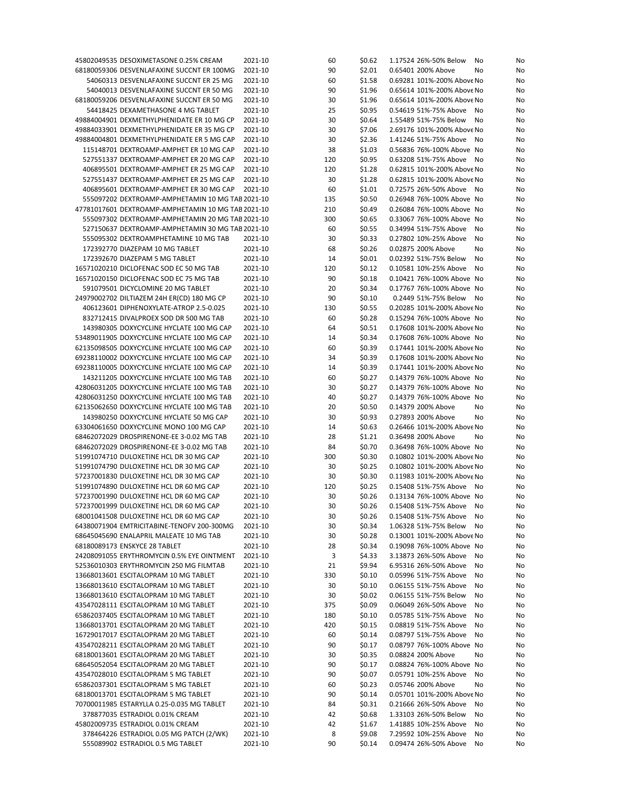| 45802049535 DESOXIMETASONE 0.25% CREAM             | 2021-10 | 60  | \$0.62 | 1.17524 26%-50% Below      | No<br>No |
|----------------------------------------------------|---------|-----|--------|----------------------------|----------|
| 68180059306 DESVENLAFAXINE SUCCNT ER 100MG         | 2021-10 | 90  | \$2.01 | 0.65401 200% Above         | No<br>No |
|                                                    |         |     |        |                            |          |
| 54060313 DESVENLAFAXINE SUCCNT ER 25 MG            | 2021-10 | 60  | \$1.58 | 0.69281 101%-200% Above No | No       |
| 54040013 DESVENLAFAXINE SUCCNT ER 50 MG            | 2021-10 | 90  | \$1.96 | 0.65614 101%-200% Above No | No       |
| 68180059206 DESVENLAFAXINE SUCCNT ER 50 MG         | 2021-10 | 30  | \$1.96 | 0.65614 101%-200% Above No | No       |
| 54418425 DEXAMETHASONE 4 MG TABLET                 | 2021-10 | 25  | \$0.95 | 0.54619 51%-75% Above      | No<br>No |
| 49884004901 DEXMETHYLPHENIDATE ER 10 MG CP         | 2021-10 | 30  | \$0.64 | 1.55489 51%-75% Below      | No<br>No |
| 49884033901 DEXMETHYLPHENIDATE ER 35 MG CP         | 2021-10 | 30  | \$7.06 | 2.69176 101%-200% Above No | No       |
|                                                    |         |     |        |                            |          |
| 49884004801 DEXMETHYLPHENIDATE ER 5 MG CAP         | 2021-10 | 30  | \$2.36 | 1.41246 51%-75% Above      | No<br>No |
| 115148701 DEXTROAMP-AMPHET ER 10 MG CAP            | 2021-10 | 38  | \$1.03 | 0.56836 76%-100% Above No  | No       |
| 527551337 DEXTROAMP-AMPHET ER 20 MG CAP            | 2021-10 | 120 | \$0.95 | 0.63208 51%-75% Above      | No<br>No |
| 406895501 DEXTROAMP-AMPHET ER 25 MG CAP            | 2021-10 | 120 | \$1.28 | 0.62815 101%-200% Above No | No       |
|                                                    |         |     |        |                            |          |
| 527551437 DEXTROAMP-AMPHET ER 25 MG CAP            | 2021-10 | 30  | \$1.28 | 0.62815 101%-200% Above No | No       |
| 406895601 DEXTROAMP-AMPHET ER 30 MG CAP            | 2021-10 | 60  | \$1.01 | 0.72575 26%-50% Above      | No<br>No |
| 555097202 DEXTROAMP-AMPHETAMIN 10 MG TAB 2021-10   |         | 135 | \$0.50 | 0.26948 76%-100% Above No  | No       |
| 47781017601 DEXTROAMP-AMPHETAMIN 10 MG TAB 2021-10 |         | 210 | \$0.49 | 0.26084 76%-100% Above No  | No       |
| 555097302 DEXTROAMP-AMPHETAMIN 20 MG TAB 2021-10   |         | 300 | \$0.65 | 0.33067 76%-100% Above No  | No       |
|                                                    |         |     |        |                            |          |
| 527150637 DEXTROAMP-AMPHETAMIN 30 MG TAB 2021-10   |         | 60  | \$0.55 | 0.34994 51%-75% Above      | No<br>No |
| 555095302 DEXTROAMPHETAMINE 10 MG TAB              | 2021-10 | 30  | \$0.33 | 0.27802 10%-25% Above      | No<br>No |
| 172392770 DIAZEPAM 10 MG TABLET                    | 2021-10 | 68  | \$0.26 | 0.02875 200% Above         | No<br>No |
| 172392670 DIAZEPAM 5 MG TABLET                     | 2021-10 | 14  | \$0.01 | 0.02392 51%-75% Below      | No<br>No |
| 16571020210 DICLOFENAC SOD EC 50 MG TAB            | 2021-10 | 120 | \$0.12 | 0.10581 10%-25% Above      | No<br>No |
|                                                    |         |     |        |                            |          |
| 16571020150 DICLOFENAC SOD EC 75 MG TAB            | 2021-10 | 90  | \$0.18 | 0.10421 76%-100% Above No  | No       |
| 591079501 DICYCLOMINE 20 MG TABLET                 | 2021-10 | 20  | \$0.34 | 0.17767 76%-100% Above No  | No       |
| 24979002702 DILTIAZEM 24H ER(CD) 180 MG CP         | 2021-10 | 90  | \$0.10 | 0.2449 51%-75% Below       | No<br>No |
| 406123601 DIPHENOXYLATE-ATROP 2.5-0.025            | 2021-10 | 130 | \$0.55 | 0.20285 101%-200% Above No | No       |
|                                                    |         |     |        |                            |          |
| 832712415 DIVALPROEX SOD DR 500 MG TAB             | 2021-10 | 60  | \$0.28 | 0.15294 76%-100% Above No  | No       |
| 143980305 DOXYCYCLINE HYCLATE 100 MG CAP           | 2021-10 | 64  | \$0.51 | 0.17608 101%-200% Above No | No       |
| 53489011905 DOXYCYCLINE HYCLATE 100 MG CAP         | 2021-10 | 14  | \$0.34 | 0.17608 76%-100% Above No  | No       |
| 62135098505 DOXYCYCLINE HYCLATE 100 MG CAP         | 2021-10 | 60  | \$0.39 | 0.17441 101%-200% Above No | No       |
| 69238110002 DOXYCYCLINE HYCLATE 100 MG CAP         | 2021-10 | 34  | \$0.39 | 0.17608 101%-200% Above No | No       |
|                                                    |         |     |        |                            |          |
| 69238110005 DOXYCYCLINE HYCLATE 100 MG CAP         | 2021-10 | 14  | \$0.39 | 0.17441 101%-200% Above No | No       |
| 143211205 DOXYCYCLINE HYCLATE 100 MG TAB           | 2021-10 | 60  | \$0.27 | 0.14379 76%-100% Above No  | No       |
| 42806031205 DOXYCYCLINE HYCLATE 100 MG TAB         | 2021-10 | 30  | \$0.27 | 0.14379 76%-100% Above No  | No       |
| 42806031250 DOXYCYCLINE HYCLATE 100 MG TAB         | 2021-10 | 40  | \$0.27 | 0.14379 76%-100% Above No  | No       |
| 62135062650 DOXYCYCLINE HYCLATE 100 MG TAB         |         |     |        | 0.14379 200% Above         |          |
|                                                    | 2021-10 | 20  | \$0.50 |                            | No<br>No |
| 143980250 DOXYCYCLINE HYCLATE 50 MG CAP            | 2021-10 | 30  | \$0.93 | 0.27893 200% Above         | No<br>No |
| 63304061650 DOXYCYCLINE MONO 100 MG CAP            | 2021-10 | 14  | \$0.63 | 0.26466 101%-200% Above No | No       |
| 68462072029 DROSPIRENONE-EE 3-0.02 MG TAB          | 2021-10 | 28  | \$1.21 | 0.36498 200% Above         | No<br>No |
| 68462072029 DROSPIRENONE-EE 3-0.02 MG TAB          | 2021-10 | 84  | \$0.70 | 0.36498 76%-100% Above No  | No       |
|                                                    |         |     |        |                            |          |
| 51991074710 DULOXETINE HCL DR 30 MG CAP            | 2021-10 | 300 | \$0.30 | 0.10802 101%-200% Above No | No       |
| 51991074790 DULOXETINE HCL DR 30 MG CAP            | 2021-10 | 30  | \$0.25 | 0.10802 101%-200% Above No | No       |
| 57237001830 DULOXETINE HCL DR 30 MG CAP            | 2021-10 | 30  | \$0.30 | 0.11983 101%-200% Above No | No       |
| 51991074890 DULOXETINE HCL DR 60 MG CAP            | 2021-10 | 120 | \$0.25 | 0.15408 51%-75% Above      | No<br>No |
| 57237001990 DULOXETINE HCL DR 60 MG CAP            | 2021-10 | 30  | \$0.26 | 0.13134 76%-100% Above No  | No       |
|                                                    |         |     |        |                            |          |
| 57237001999 DULOXETINE HCL DR 60 MG CAP            | 2021-10 | 30  | \$0.26 | 0.15408 51%-75% Above No   | No       |
| 68001041508 DULOXETINE HCL DR 60 MG CAP            | 2021-10 | 30  | \$0.26 | 0.15408 51%-75% Above No   | No       |
| 64380071904 EMTRICITABINE-TENOFV 200-300MG         | 2021-10 | 30  | \$0.34 | 1.06328 51%-75% Below      | No<br>No |
| 68645045690 ENALAPRIL MALEATE 10 MG TAB            | 2021-10 | 30  | \$0.28 | 0.13001 101%-200% Above No | No       |
| 68180089173 ENSKYCE 28 TABLET                      |         | 28  |        | 0.19098 76%-100% Above No  |          |
|                                                    | 2021-10 |     | \$0.34 |                            | No       |
| 24208091055 ERYTHROMYCIN 0.5% EYE OINTMENT         | 2021-10 | 3   | \$4.33 | 3.13873 26%-50% Above      | No<br>No |
| 52536010303 ERYTHROMYCIN 250 MG FILMTAB            | 2021-10 | 21  | \$9.94 | 6.95316 26%-50% Above      | No<br>No |
| 13668013601 ESCITALOPRAM 10 MG TABLET              | 2021-10 | 330 | \$0.10 | 0.05996 51%-75% Above      | No<br>No |
| 13668013610 ESCITALOPRAM 10 MG TABLET              | 2021-10 | 30  | \$0.10 | 0.06155 51%-75% Above      | No<br>No |
|                                                    |         |     |        |                            |          |
| 13668013610 ESCITALOPRAM 10 MG TABLET              | 2021-10 | 30  | \$0.02 | 0.06155 51%-75% Below      | No<br>No |
| 43547028111 ESCITALOPRAM 10 MG TABLET              | 2021-10 | 375 | \$0.09 | 0.06049 26%-50% Above      | No<br>No |
| 65862037405 ESCITALOPRAM 10 MG TABLET              | 2021-10 | 180 | \$0.10 | 0.05785 51%-75% Above      | No<br>No |
| 13668013701 ESCITALOPRAM 20 MG TABLET              | 2021-10 | 420 | \$0.15 | 0.08819 51%-75% Above      | No<br>No |
| 16729017017 ESCITALOPRAM 20 MG TABLET              |         | 60  |        | 0.08797 51%-75% Above      |          |
|                                                    | 2021-10 |     | \$0.14 |                            | No<br>No |
| 43547028211 ESCITALOPRAM 20 MG TABLET              | 2021-10 | 90  | \$0.17 | 0.08797 76%-100% Above No  | No       |
| 68180013601 ESCITALOPRAM 20 MG TABLET              | 2021-10 | 30  | \$0.35 | 0.08824 200% Above         | No<br>No |
| 68645052054 ESCITALOPRAM 20 MG TABLET              | 2021-10 | 90  | \$0.17 | 0.08824 76%-100% Above No  | No       |
| 43547028010 ESCITALOPRAM 5 MG TABLET               | 2021-10 | 90  | \$0.07 | 0.05791 10%-25% Above      | No<br>No |
|                                                    |         |     |        |                            |          |
| 65862037301 ESCITALOPRAM 5 MG TABLET               | 2021-10 | 60  | \$0.23 | 0.05746 200% Above         | No<br>No |
| 68180013701 ESCITALOPRAM 5 MG TABLET               | 2021-10 | 90  | \$0.14 | 0.05701 101%-200% Above No | No       |
| 70700011985 ESTARYLLA 0.25-0.035 MG TABLET         | 2021-10 | 84  | \$0.31 | 0.21666 26%-50% Above      | No<br>No |
| 378877035 ESTRADIOL 0.01% CREAM                    | 2021-10 | 42  | \$0.68 | 1.33103 26%-50% Below      | No<br>No |
| 45802009735 ESTRADIOL 0.01% CREAM                  | 2021-10 | 42  | \$1.67 | 1.41885 10%-25% Above      | No<br>No |
|                                                    |         |     |        |                            |          |
| 378464226 ESTRADIOL 0.05 MG PATCH (2/WK)           | 2021-10 | 8   | \$9.08 | 7.29592 10%-25% Above      | No<br>No |
| 555089902 ESTRADIOL 0.5 MG TABLET                  | 2021-10 | 90  | \$0.14 | 0.09474 26%-50% Above      | No<br>No |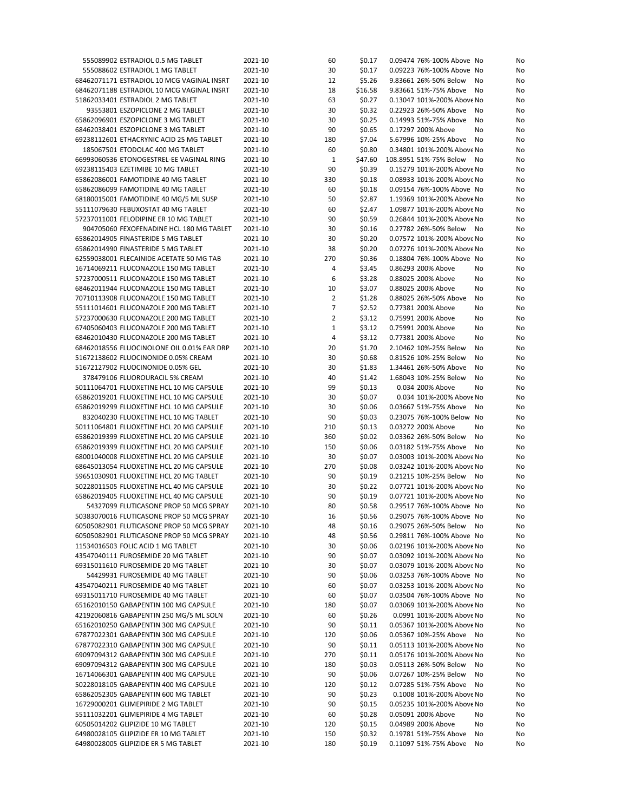| 555089902 ESTRADIOL 0.5 MG TABLET          | 2021-10 | 60             | \$0.17  | 0.09474 76%-100% Above No    | No |
|--------------------------------------------|---------|----------------|---------|------------------------------|----|
| 555088602 ESTRADIOL 1 MG TABLET            | 2021-10 | 30             | \$0.17  | 0.09223 76%-100% Above No    | No |
| 68462071171 ESTRADIOL 10 MCG VAGINAL INSRT | 2021-10 | 12             | \$5.26  | 9.83661 26%-50% Below<br>No  | No |
| 68462071188 ESTRADIOL 10 MCG VAGINAL INSRT | 2021-10 | 18             | \$16.58 | 9.83661 51%-75% Above<br>No  | No |
| 51862033401 ESTRADIOL 2 MG TABLET          | 2021-10 | 63             | \$0.27  | 0.13047 101%-200% Above No   | No |
| 93553801 ESZOPICLONE 2 MG TABLET           | 2021-10 | 30             | \$0.32  | 0.22923 26%-50% Above<br>No  | No |
| 65862096901 ESZOPICLONE 3 MG TABLET        | 2021-10 | 30             | \$0.25  | 0.14993 51%-75% Above<br>No  | No |
| 68462038401 ESZOPICLONE 3 MG TABLET        | 2021-10 | 90             | \$0.65  | 0.17297 200% Above<br>No     | No |
| 69238112601 ETHACRYNIC ACID 25 MG TABLET   | 2021-10 | 180            | \$7.04  | 5.67996 10%-25% Above<br>No  | No |
| 185067501 ETODOLAC 400 MG TABLET           | 2021-10 | 60             | \$0.80  | 0.34801 101%-200% Above No   | No |
| 66993060536 ETONOGESTREL-EE VAGINAL RING   | 2021-10 | $\mathbf 1$    | \$47.60 | 108.8951 51%-75% Below<br>No | No |
| 69238115403 EZETIMIBE 10 MG TABLET         | 2021-10 | 90             | \$0.39  | 0.15279 101%-200% Above No   | No |
| 65862086001 FAMOTIDINE 40 MG TABLET        | 2021-10 | 330            | \$0.18  | 0.08933 101%-200% Above No   | No |
| 65862086099 FAMOTIDINE 40 MG TABLET        | 2021-10 | 60             | \$0.18  | 0.09154 76%-100% Above No    |    |
|                                            | 2021-10 |                |         |                              | No |
| 68180015001 FAMOTIDINE 40 MG/5 ML SUSP     |         | 50             | \$2.87  | 1.19369 101%-200% Above No   | No |
| 55111079630 FEBUXOSTAT 40 MG TABLET        | 2021-10 | 60             | \$2.47  | 1.09877 101%-200% Above No   | No |
| 57237011001 FELODIPINE ER 10 MG TABLET     | 2021-10 | 90             | \$0.59  | 0.26844 101%-200% Above No   | No |
| 904705060 FEXOFENADINE HCL 180 MG TABLET   | 2021-10 | 30             | \$0.16  | 0.27782 26%-50% Below<br>No  | No |
| 65862014905 FINASTERIDE 5 MG TABLET        | 2021-10 | 30             | \$0.20  | 0.07572 101%-200% Above No   | No |
| 65862014990 FINASTERIDE 5 MG TABLET        | 2021-10 | 38             | \$0.20  | 0.07276 101%-200% Above No   | No |
| 62559038001 FLECAINIDE ACETATE 50 MG TAB   | 2021-10 | 270            | \$0.36  | 0.18804 76%-100% Above No    | No |
| 16714069211 FLUCONAZOLE 150 MG TABLET      | 2021-10 | 4              | \$3.45  | 0.86293 200% Above<br>No     | No |
| 57237000511 FLUCONAZOLE 150 MG TABLET      | 2021-10 | 6              | \$3.28  | 0.88025 200% Above<br>No     | No |
| 68462011944 FLUCONAZOLE 150 MG TABLET      | 2021-10 | 10             | \$3.07  | 0.88025 200% Above<br>No     | No |
| 70710113908 FLUCONAZOLE 150 MG TABLET      | 2021-10 | 2              | \$1.28  | 0.88025 26%-50% Above<br>No  | No |
| 55111014601 FLUCONAZOLE 200 MG TABLET      | 2021-10 | 7              | \$2.52  | 0.77381 200% Above<br>No     | No |
| 57237000630 FLUCONAZOLE 200 MG TABLET      | 2021-10 | $\overline{2}$ | \$3.12  | 0.75991 200% Above<br>No     | No |
| 67405060403 FLUCONAZOLE 200 MG TABLET      | 2021-10 | 1              | \$3.12  | 0.75991 200% Above<br>No     | No |
| 68462010430 FLUCONAZOLE 200 MG TABLET      | 2021-10 | 4              | \$3.12  | 0.77381 200% Above<br>No     | No |
| 68462018556 FLUOCINOLONE OIL 0.01% EAR DRP | 2021-10 | 20             | \$1.70  | 2.10462 10%-25% Below<br>No  | No |
| 51672138602 FLUOCINONIDE 0.05% CREAM       | 2021-10 | 30             | \$0.68  | 0.81526 10%-25% Below<br>No  | No |
| 51672127902 FLUOCINONIDE 0.05% GEL         | 2021-10 | 30             | \$1.83  | 1.34461 26%-50% Above<br>No  | No |
| 378479106 FLUOROURACIL 5% CREAM            | 2021-10 | 40             | \$1.42  | 1.68043 10%-25% Below<br>No  | No |
| 50111064701 FLUOXETINE HCL 10 MG CAPSULE   | 2021-10 | 99             | \$0.13  | 0.034 200% Above<br>No       | No |
| 65862019201 FLUOXETINE HCL 10 MG CAPSULE   | 2021-10 | 30             | \$0.07  | 0.034 101%-200% Above No     | No |
| 65862019299 FLUOXETINE HCL 10 MG CAPSULE   | 2021-10 | 30             | \$0.06  | 0.03667 51%-75% Above<br>No  | No |
|                                            |         |                |         |                              |    |
| 832040230 FLUOXETINE HCL 10 MG TABLET      | 2021-10 | 90             | \$0.03  | 0.23075 76%-100% Below No    | No |
| 50111064801 FLUOXETINE HCL 20 MG CAPSULE   | 2021-10 | 210            | \$0.13  | 0.03272 200% Above<br>No     | No |
| 65862019399 FLUOXETINE HCL 20 MG CAPSULE   | 2021-10 | 360            | \$0.02  | 0.03362 26%-50% Below<br>No  | No |
| 65862019399 FLUOXETINE HCL 20 MG CAPSULE   | 2021-10 | 150            | \$0.06  | 0.03182 51%-75% Above<br>No  | No |
| 68001040008 FLUOXETINE HCL 20 MG CAPSULE   | 2021-10 | 30             | \$0.07  | 0.03003 101%-200% Above No   | No |
| 68645013054 FLUOXETINE HCL 20 MG CAPSULE   | 2021-10 | 270            | \$0.08  | 0.03242 101%-200% Above No   | No |
| 59651030901 FLUOXETINE HCL 20 MG TABLET    | 2021-10 | 90             | \$0.19  | 0.21215 10%-25% Below<br>No  | No |
| 50228011505 FLUOXETINE HCL 40 MG CAPSULE   | 2021-10 | 30             | \$0.22  | 0.07721 101%-200% Above No   | No |
| 65862019405 FLUOXETINE HCL 40 MG CAPSULE   | 2021-10 | 90             | \$0.19  | 0.07721 101%-200% Above No   | No |
| 54327099 FLUTICASONE PROP 50 MCG SPRAY     | 2021-10 | 80             | \$0.58  | 0.29517 76%-100% Above No    | No |
| 50383070016 FLUTICASONE PROP 50 MCG SPRAY  | 2021-10 | 16             | \$0.56  | 0.29075 76%-100% Above No    | No |
| 60505082901 FLUTICASONE PROP 50 MCG SPRAY  | 2021-10 | 48             | \$0.16  | 0.29075 26%-50% Below No     | No |
| 60505082901 FLUTICASONE PROP 50 MCG SPRAY  | 2021-10 | 48             | \$0.56  | 0.29811 76%-100% Above No    | No |
| 11534016503 FOLIC ACID 1 MG TABLET         | 2021-10 | 30             | \$0.06  | 0.02196 101%-200% Above No   | No |
| 43547040111 FUROSEMIDE 20 MG TABLET        | 2021-10 | 90             | \$0.07  | 0.03092 101%-200% Above No   | No |
| 69315011610 FUROSEMIDE 20 MG TABLET        | 2021-10 | 30             | \$0.07  | 0.03079 101%-200% Above No   | No |
| 54429931 FUROSEMIDE 40 MG TABLET           | 2021-10 | 90             | \$0.06  | 0.03253 76%-100% Above No    | No |
| 43547040211 FUROSEMIDE 40 MG TABLET        | 2021-10 | 60             | \$0.07  | 0.03253 101%-200% Above No   | No |
| 69315011710 FUROSEMIDE 40 MG TABLET        | 2021-10 | 60             | \$0.07  | 0.03504 76%-100% Above No    | No |
| 65162010150 GABAPENTIN 100 MG CAPSULE      | 2021-10 | 180            | \$0.07  | 0.03069 101%-200% Above No   | No |
| 42192060816 GABAPENTIN 250 MG/5 ML SOLN    | 2021-10 | 60             | \$0.26  | 0.0991 101%-200% Above No    | No |
| 65162010250 GABAPENTIN 300 MG CAPSULE      | 2021-10 | 90             | \$0.11  | 0.05367 101%-200% Above No   | No |
| 67877022301 GABAPENTIN 300 MG CAPSULE      |         |                |         |                              |    |
|                                            | 2021-10 | 120            | \$0.06  | 0.05367 10%-25% Above<br>No  | No |
| 67877022310 GABAPENTIN 300 MG CAPSULE      | 2021-10 | 90             | \$0.11  | 0.05113 101%-200% Above No   | No |
| 69097094312 GABAPENTIN 300 MG CAPSULE      | 2021-10 | 270            | \$0.11  | 0.05176 101%-200% Above No   | No |
| 69097094312 GABAPENTIN 300 MG CAPSULE      | 2021-10 | 180            | \$0.03  | 0.05113 26%-50% Below<br>No  | No |
| 16714066301 GABAPENTIN 400 MG CAPSULE      | 2021-10 | 90             | \$0.06  | 0.07267 10%-25% Below<br>No  | No |
| 50228018105 GABAPENTIN 400 MG CAPSULE      | 2021-10 | 120            | \$0.12  | 0.07285 51%-75% Above<br>No  | No |
| 65862052305 GABAPENTIN 600 MG TABLET       | 2021-10 | 90             | \$0.23  | 0.1008 101%-200% Above No    | No |
| 16729000201 GLIMEPIRIDE 2 MG TABLET        | 2021-10 | 90             | \$0.15  | 0.05235 101%-200% Above No   | No |
| 55111032201 GLIMEPIRIDE 4 MG TABLET        | 2021-10 | 60             | \$0.28  | 0.05091 200% Above<br>No     | No |
| 60505014202 GLIPIZIDE 10 MG TABLET         | 2021-10 | 120            | \$0.15  | 0.04989 200% Above<br>No     | No |
| 64980028105 GLIPIZIDE ER 10 MG TABLET      | 2021-10 | 150            | \$0.32  | 0.19781 51%-75% Above<br>No  | No |
| 64980028005 GLIPIZIDE ER 5 MG TABLET       | 2021-10 | 180            | \$0.19  | 0.11097 51%-75% Above<br>No  | No |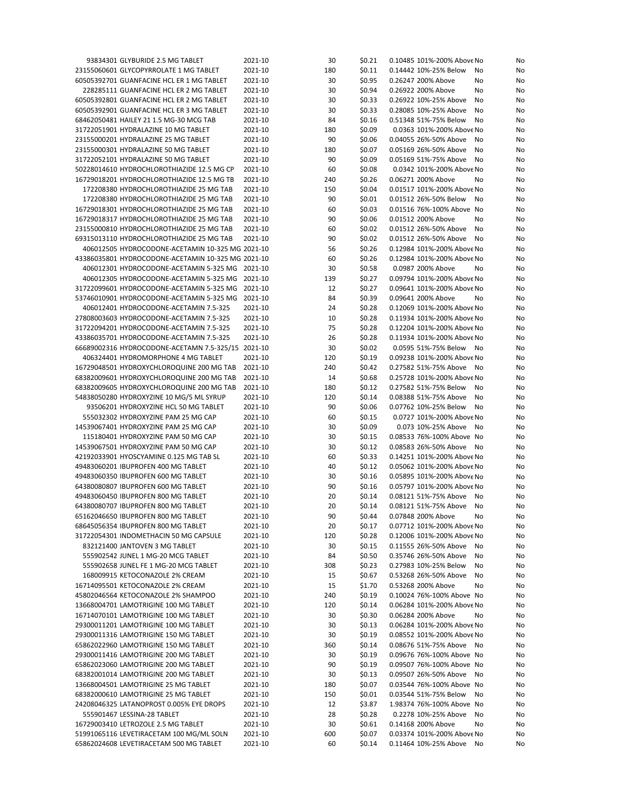| 93834301 GLYBURIDE 2.5 MG TABLET                                                                       | 2021-10            | 30       | \$0.21           | 0.10485 101%-200% Above No                               | No       |
|--------------------------------------------------------------------------------------------------------|--------------------|----------|------------------|----------------------------------------------------------|----------|
| 23155060601 GLYCOPYRROLATE 1 MG TABLET                                                                 | 2021-10            | 180      | \$0.11           | 0.14442 10%-25% Below<br>No                              | No       |
| 60505392701 GUANFACINE HCL ER 1 MG TABLET                                                              | 2021-10            | 30       | \$0.95           | 0.26247 200% Above<br>No                                 | No       |
| 228285111 GUANFACINE HCL ER 2 MG TABLET                                                                | 2021-10            | 30       | \$0.94           | 0.26922 200% Above<br>No                                 | No       |
| 60505392801 GUANFACINE HCL ER 2 MG TABLET                                                              | 2021-10            | 30       | \$0.33           | 0.26922 10%-25% Above<br>No                              | No       |
| 60505392901 GUANFACINE HCL ER 3 MG TABLET                                                              | 2021-10            | 30       | \$0.33           | 0.28085 10%-25% Above<br>No                              | No       |
| 68462050481 HAILEY 21 1.5 MG-30 MCG TAB                                                                | 2021-10            | 84       | \$0.16           | 0.51348 51%-75% Below<br>No                              | No       |
| 31722051901 HYDRALAZINE 10 MG TABLET                                                                   | 2021-10            | 180      | \$0.09           | 0.0363 101%-200% Above No                                | No       |
| 23155000201 HYDRALAZINE 25 MG TABLET                                                                   | 2021-10            | 90       | \$0.06           | 0.04055 26%-50% Above<br>No                              | No       |
| 23155000301 HYDRALAZINE 50 MG TABLET                                                                   | 2021-10            | 180      | \$0.07           | 0.05169 26%-50% Above<br>No                              | No       |
| 31722052101 HYDRALAZINE 50 MG TABLET                                                                   | 2021-10            | 90       | \$0.09           | 0.05169 51%-75% Above<br>No                              | No       |
| 50228014610 HYDROCHLOROTHIAZIDE 12.5 MG CP                                                             | 2021-10            | 60       | \$0.08           | 0.0342 101%-200% Above No                                | No       |
| 16729018201 HYDROCHLOROTHIAZIDE 12.5 MG TB                                                             | 2021-10            | 240      | \$0.26           | 0.06271 200% Above<br>No                                 | No       |
| 172208380 HYDROCHLOROTHIAZIDE 25 MG TAB                                                                | 2021-10            | 150      | \$0.04           | 0.01517 101%-200% Above No                               | No       |
| 172208380 HYDROCHLOROTHIAZIDE 25 MG TAB                                                                | 2021-10            | 90       | \$0.01           | 0.01512 26%-50% Below<br>No                              | No       |
| 16729018301 HYDROCHLOROTHIAZIDE 25 MG TAB                                                              | 2021-10            | 60       | \$0.03           | 0.01516 76%-100% Above No                                | No       |
| 16729018317 HYDROCHLOROTHIAZIDE 25 MG TAB                                                              | 2021-10            | 90       | \$0.06           | 0.01512 200% Above<br>No                                 | No       |
| 23155000810 HYDROCHLOROTHIAZIDE 25 MG TAB                                                              | 2021-10            | 60       | \$0.02           | 0.01512 26%-50% Above<br>No                              | No       |
| 69315013110 HYDROCHLOROTHIAZIDE 25 MG TAB                                                              | 2021-10            | 90       | \$0.02           | 0.01512 26%-50% Above<br>No                              | No       |
| 406012505 HYDROCODONE-ACETAMIN 10-325 MG 2021-10                                                       |                    | 56       | \$0.26           | 0.12984 101%-200% Above No                               | No       |
| 43386035801 HYDROCODONE-ACETAMIN 10-325 MG 2021-10                                                     |                    | 60       | \$0.26           | 0.12984 101%-200% Above No                               | No       |
| 406012301 HYDROCODONE-ACETAMIN 5-325 MG 2021-10                                                        |                    | 30       | \$0.58           | 0.0987 200% Above<br>No                                  | No       |
| 406012305 HYDROCODONE-ACETAMIN 5-325 MG 2021-10                                                        |                    | 139      | \$0.27           | 0.09794 101%-200% Above No                               | No       |
| 31722099601 HYDROCODONE-ACETAMIN 5-325 MG 2021-10<br>53746010901 HYDROCODONE-ACETAMIN 5-325 MG 2021-10 |                    | 12<br>84 | \$0.27           | 0.09641 101%-200% Above No<br>0.09641 200% Above         | No       |
| 406012401 HYDROCODONE-ACETAMIN 7.5-325                                                                 |                    |          | \$0.39           | No                                                       | No       |
|                                                                                                        | 2021-10<br>2021-10 | 24<br>10 | \$0.28           | 0.12069 101%-200% Above No<br>0.11934 101%-200% Above No | No       |
| 27808003603 HYDROCODONE-ACETAMIN 7.5-325<br>31722094201 HYDROCODONE-ACETAMIN 7.5-325                   | 2021-10            | 75       | \$0.28           | 0.12204 101%-200% Above No                               | No       |
|                                                                                                        | 2021-10            | 26       | \$0.28<br>\$0.28 | 0.11934 101%-200% Above No                               | No       |
| 43386035701 HYDROCODONE-ACETAMIN 7.5-325<br>66689002316 HYDROCODONE-ACETAMN 7.5-325/15 2021-10         |                    | 30       | \$0.02           | 0.0595 51%-75% Below<br>No                               | No       |
| 406324401 HYDROMORPHONE 4 MG TABLET                                                                    | 2021-10            | 120      | \$0.19           | 0.09238 101%-200% Above No                               | No       |
|                                                                                                        | 2021-10            | 240      | \$0.42           | 0.27582 51%-75% Above<br>No                              | No       |
| 16729048501 HYDROXYCHLOROQUINE 200 MG TAB<br>68382009601 HYDROXYCHLOROQUINE 200 MG TAB                 | 2021-10            | 14       | \$0.68           | 0.25728 101%-200% Above No                               | No<br>No |
| 68382009605 HYDROXYCHLOROQUINE 200 MG TAB                                                              | 2021-10            | 180      | \$0.12           | 0.27582 51%-75% Below<br>No                              | No       |
| 54838050280 HYDROXYZINE 10 MG/5 ML SYRUP                                                               | 2021-10            | 120      | \$0.14           | 0.08388 51%-75% Above<br>No                              | No       |
| 93506201 HYDROXYZINE HCL 50 MG TABLET                                                                  | 2021-10            | 90       | \$0.06           | 0.07762 10%-25% Below<br>No                              | No       |
| 555032302 HYDROXYZINE PAM 25 MG CAP                                                                    | 2021-10            | 60       | \$0.15           | 0.0727 101%-200% Above No                                | No       |
| 14539067401 HYDROXYZINE PAM 25 MG CAP                                                                  | 2021-10            | 30       | \$0.09           | 0.073 10%-25% Above<br>No                                | No       |
| 115180401 HYDROXYZINE PAM 50 MG CAP                                                                    | 2021-10            | 30       | \$0.15           | 0.08533 76%-100% Above No                                | No       |
| 14539067501 HYDROXYZINE PAM 50 MG CAP                                                                  | 2021-10            | 30       | \$0.12           | 0.08583 26%-50% Above<br>No                              | No       |
| 42192033901 HYOSCYAMINE 0.125 MG TAB SL                                                                | 2021-10            | 60       | \$0.33           | 0.14251 101%-200% Above No                               | No       |
| 49483060201 IBUPROFEN 400 MG TABLET                                                                    | 2021-10            | 40       | \$0.12           | 0.05062 101%-200% Above No                               | No       |
| 49483060350 IBUPROFEN 600 MG TABLET                                                                    | 2021-10            | 30       | \$0.16           | 0.05895 101%-200% Above No                               | No       |
| 64380080807 IBUPROFEN 600 MG TABLET                                                                    | 2021-10            | 90       | \$0.16           | 0.05797 101%-200% Above No                               | No       |
| 49483060450 IBUPROFEN 800 MG TABLET                                                                    | 2021-10            | 20       | \$0.14           | 0.08121 51%-75% Above<br>No                              | No       |
| 64380080707 IBUPROFEN 800 MG TABLET                                                                    | 2021-10            | 20       | \$0.14           | 0.08121 51%-75% Above<br>No                              | No       |
| 65162046650 IBUPROFEN 800 MG TABLET                                                                    | 2021-10            | 90       | \$0.44           | 0.07848 200% Above<br>No                                 | No       |
| 68645056354 IBUPROFEN 800 MG TABLET                                                                    | 2021-10            | 20       | \$0.17           | 0.07712 101%-200% Above No                               | No       |
| 31722054301 INDOMETHACIN 50 MG CAPSULE                                                                 | 2021-10            | 120      | \$0.28           | 0.12006 101%-200% Above No                               | No       |
| 832121400 JANTOVEN 3 MG TABLET                                                                         | 2021-10            | 30       | \$0.15           | 0.11555 26%-50% Above<br>No                              | No       |
| 555902542 JUNEL 1 MG-20 MCG TABLET                                                                     | 2021-10            | 84       | \$0.50           | 0.35746 26%-50% Above<br>No                              | No       |
| 555902658 JUNEL FE 1 MG-20 MCG TABLET                                                                  | 2021-10            | 308      | \$0.23           | 0.27983 10%-25% Below<br>No                              | No       |
| 168009915 KETOCONAZOLE 2% CREAM                                                                        | 2021-10            | 15       | \$0.67           | 0.53268 26%-50% Above<br>No                              | No       |
| 16714095501 KETOCONAZOLE 2% CREAM                                                                      | 2021-10            | 15       | \$1.70           | 0.53268 200% Above<br>No                                 | No       |
| 45802046564 KETOCONAZOLE 2% SHAMPOO                                                                    | 2021-10            | 240      | \$0.19           | 0.10024 76%-100% Above No                                | No       |
| 13668004701 LAMOTRIGINE 100 MG TABLET                                                                  | 2021-10            | 120      | \$0.14           | 0.06284 101%-200% Above No                               | No       |
| 16714070101 LAMOTRIGINE 100 MG TABLET                                                                  | 2021-10            | 30       | \$0.30           | 0.06284 200% Above<br>No                                 | No       |
| 29300011201 LAMOTRIGINE 100 MG TABLET                                                                  | 2021-10            | 30       | \$0.13           | 0.06284 101%-200% Above No                               | No       |
| 29300011316 LAMOTRIGINE 150 MG TABLET                                                                  | 2021-10            | 30       | \$0.19           | 0.08552 101%-200% Above No                               | No       |
| 65862022960 LAMOTRIGINE 150 MG TABLET                                                                  | 2021-10            | 360      | \$0.14           | 0.08676 51%-75% Above<br>No                              | No       |
| 29300011416 LAMOTRIGINE 200 MG TABLET                                                                  | 2021-10            | 30       | \$0.19           | 0.09676 76%-100% Above No                                | No       |
| 65862023060 LAMOTRIGINE 200 MG TABLET                                                                  | 2021-10            | 90       | \$0.19           | 0.09507 76%-100% Above No                                | No       |
| 68382001014 LAMOTRIGINE 200 MG TABLET                                                                  | 2021-10            | 30       | \$0.13           | 0.09507 26%-50% Above<br>No                              | No       |
| 13668004501 LAMOTRIGINE 25 MG TABLET                                                                   | 2021-10            | 180      | \$0.07           | 0.03544 76%-100% Above No                                | No       |
| 68382000610 LAMOTRIGINE 25 MG TABLET                                                                   | 2021-10            | 150      | \$0.01           | 0.03544 51%-75% Below<br>No                              | No       |
| 24208046325 LATANOPROST 0.005% EYE DROPS                                                               | 2021-10            | 12       | \$3.87           | 1.98374 76%-100% Above No                                | No       |
| 555901467 LESSINA-28 TABLET                                                                            | 2021-10            | 28       | \$0.28           | 0.2278 10%-25% Above<br>No                               | No       |
| 16729003410 LETROZOLE 2.5 MG TABLET                                                                    | 2021-10            | 30       | \$0.61           | 0.14168 200% Above<br>No                                 | No       |
| 51991065116 LEVETIRACETAM 100 MG/ML SOLN                                                               | 2021-10            | 600      | \$0.07           | 0.03374 101%-200% Above No                               | No       |
| 65862024608 LEVETIRACETAM 500 MG TABLET                                                                | 2021-10            | 60       | \$0.14           | 0.11464 10%-25% Above<br>No                              | No       |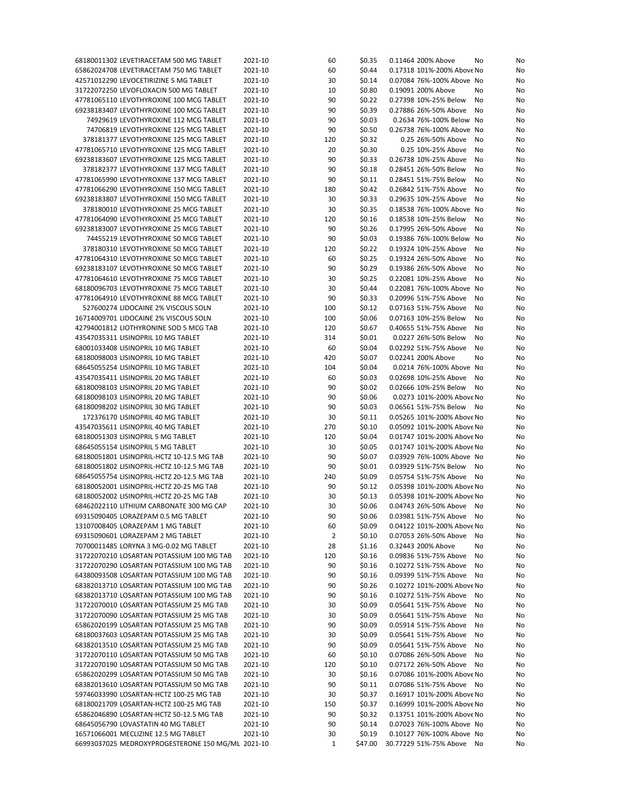| 68180011302 LEVETIRACETAM 500 MG TABLET           | 2021-10 | 60             | \$0.35  | 0.11464 200% Above         | No<br>No |
|---------------------------------------------------|---------|----------------|---------|----------------------------|----------|
| 65862024708 LEVETIRACETAM 750 MG TABLET           | 2021-10 | 60             | \$0.44  | 0.17318 101%-200% Above No | No       |
| 42571012290 LEVOCETIRIZINE 5 MG TABLET            | 2021-10 | 30             | \$0.14  | 0.07084 76%-100% Above No  | No       |
| 31722072250 LEVOFLOXACIN 500 MG TABLET            | 2021-10 | 10             | \$0.80  | 0.19091 200% Above         | No<br>No |
|                                                   |         | 90             | \$0.22  | 0.27398 10%-25% Below      |          |
| 47781065110 LEVOTHYROXINE 100 MCG TABLET          | 2021-10 |                |         |                            | No<br>No |
| 69238183407 LEVOTHYROXINE 100 MCG TABLET          | 2021-10 | 90             | \$0.39  | 0.27886 26%-50% Above      | No<br>No |
| 74929619 LEVOTHYROXINE 112 MCG TABLET             | 2021-10 | 90             | \$0.03  | 0.2634 76%-100% Below No   | No       |
| 74706819 LEVOTHYROXINE 125 MCG TABLET             | 2021-10 | 90             | \$0.50  | 0.26738 76%-100% Above No  | No       |
| 378181377 LEVOTHYROXINE 125 MCG TABLET            | 2021-10 | 120            | \$0.32  | 0.25 26%-50% Above         | No<br>No |
| 47781065710 LEVOTHYROXINE 125 MCG TABLET          | 2021-10 | 20             | \$0.30  | 0.25 10%-25% Above         | No<br>No |
| 69238183607 LEVOTHYROXINE 125 MCG TABLET          | 2021-10 | 90             | \$0.33  | 0.26738 10%-25% Above      | No<br>No |
| 378182377 LEVOTHYROXINE 137 MCG TABLET            | 2021-10 | 90             | \$0.18  | 0.28451 26%-50% Below      | No<br>No |
| 47781065990 LEVOTHYROXINE 137 MCG TABLET          | 2021-10 | 90             | \$0.11  | 0.28451 51%-75% Below      | No<br>No |
|                                                   |         |                |         |                            |          |
| 47781066290 LEVOTHYROXINE 150 MCG TABLET          | 2021-10 | 180            | \$0.42  | 0.26842 51%-75% Above      | No<br>No |
| 69238183807 LEVOTHYROXINE 150 MCG TABLET          | 2021-10 | 30             | \$0.33  | 0.29635 10%-25% Above      | No<br>No |
| 378180010 LEVOTHYROXINE 25 MCG TABLET             | 2021-10 | 30             | \$0.35  | 0.18538 76%-100% Above No  | No       |
| 47781064090 LEVOTHYROXINE 25 MCG TABLET           | 2021-10 | 120            | \$0.16  | 0.18538 10%-25% Below      | No<br>No |
| 69238183007 LEVOTHYROXINE 25 MCG TABLET           | 2021-10 | 90             | \$0.26  | 0.17995 26%-50% Above      | No<br>No |
| 74455219 LEVOTHYROXINE 50 MCG TABLET              | 2021-10 | 90             | \$0.03  | 0.19386 76%-100% Below No  | No       |
| 378180310 LEVOTHYROXINE 50 MCG TABLET             | 2021-10 | 120            | \$0.22  | 0.19324 10%-25% Above      | No<br>No |
| 47781064310 LEVOTHYROXINE 50 MCG TABLET           | 2021-10 | 60             | \$0.25  | 0.19324 26%-50% Above      | No<br>No |
|                                                   |         |                |         |                            |          |
| 69238183107 LEVOTHYROXINE 50 MCG TABLET           | 2021-10 | 90             | \$0.29  | 0.19386 26%-50% Above      | No<br>No |
| 47781064610 LEVOTHYROXINE 75 MCG TABLET           | 2021-10 | 30             | \$0.25  | 0.22081 10%-25% Above      | No<br>No |
| 68180096703 LEVOTHYROXINE 75 MCG TABLET           | 2021-10 | 30             | \$0.44  | 0.22081 76%-100% Above No  | No       |
| 47781064910 LEVOTHYROXINE 88 MCG TABLET           | 2021-10 | 90             | \$0.33  | 0.20996 51%-75% Above      | No<br>No |
| 527600274 LIDOCAINE 2% VISCOUS SOLN               | 2021-10 | 100            | \$0.12  | 0.07163 51%-75% Above      | No<br>No |
| 16714009701 LIDOCAINE 2% VISCOUS SOLN             | 2021-10 | 100            | \$0.06  | 0.07163 10%-25% Below      | No<br>No |
| 42794001812 LIOTHYRONINE SOD 5 MCG TAB            | 2021-10 | 120            | \$0.67  | 0.40655 51%-75% Above      | No<br>No |
| 43547035311 LISINOPRIL 10 MG TABLET               | 2021-10 | 314            | \$0.01  | 0.0227 26%-50% Below       | No<br>No |
|                                                   | 2021-10 |                |         |                            |          |
| 68001033408 LISINOPRIL 10 MG TABLET               |         | 60             | \$0.04  | 0.02292 51%-75% Above      | No<br>No |
| 68180098003 LISINOPRIL 10 MG TABLET               | 2021-10 | 420            | \$0.07  | 0.02241 200% Above         | No<br>No |
| 68645055254 LISINOPRIL 10 MG TABLET               | 2021-10 | 104            | \$0.04  | 0.0214 76%-100% Above No   | No       |
| 43547035411 LISINOPRIL 20 MG TABLET               | 2021-10 | 60             | \$0.03  | 0.02698 10%-25% Above      | No<br>No |
| 68180098103 LISINOPRIL 20 MG TABLET               | 2021-10 | 90             | \$0.02  | 0.02666 10%-25% Below      | No<br>No |
| 68180098103 LISINOPRIL 20 MG TABLET               | 2021-10 | 90             | \$0.06  | 0.0273 101%-200% Above No  | No       |
| 68180098202 LISINOPRIL 30 MG TABLET               | 2021-10 | 90             | \$0.03  | 0.06561 51%-75% Below      | No<br>No |
| 172376170 LISINOPRIL 40 MG TABLET                 | 2021-10 | 30             | \$0.11  | 0.05265 101%-200% Above No | No       |
|                                                   |         |                |         |                            |          |
| 43547035611 LISINOPRIL 40 MG TABLET               | 2021-10 | 270            | \$0.10  | 0.05092 101%-200% Above No | No       |
| 68180051303 LISINOPRIL 5 MG TABLET                | 2021-10 | 120            | \$0.04  | 0.01747 101%-200% Above No | No       |
| 68645055154 LISINOPRIL 5 MG TABLET                | 2021-10 | 30             | \$0.05  | 0.01747 101%-200% Above No | No       |
| 68180051801 LISINOPRIL-HCTZ 10-12.5 MG TAB        | 2021-10 | 90             | \$0.07  | 0.03929 76%-100% Above No  | No       |
| 68180051802 LISINOPRIL-HCTZ 10-12.5 MG TAB        | 2021-10 | 90             | \$0.01  | 0.03929 51%-75% Below      | No<br>No |
| 68645055754 LISINOPRIL-HCTZ 20-12.5 MG TAB        | 2021-10 | 240            | \$0.09  | 0.05754 51%-75% Above      | No<br>No |
| 68180052001 LISINOPRIL-HCTZ 20-25 MG TAB          | 2021-10 | 90             | \$0.12  | 0.05398 101%-200% Above No | No       |
| 68180052002 LISINOPRIL-HCTZ 20-25 MG TAB          | 2021-10 | 30             | \$0.13  | 0.05398 101%-200% Above No | No       |
| 68462022110 LITHIUM CARBONATE 300 MG CAP          | 2021-10 | 30             | \$0.06  | 0.04743 26%-50% Above      | No<br>No |
|                                                   |         |                |         |                            |          |
| 69315090405 LORAZEPAM 0.5 MG TABLET               | 2021-10 | 90             | \$0.06  | 0.03981 51%-75% Above No   | No       |
| 13107008405 LORAZEPAM 1 MG TABLET                 | 2021-10 | 60             | \$0.09  | 0.04122 101%-200% Above No | No       |
| 69315090601 LORAZEPAM 2 MG TABLET                 | 2021-10 | $\overline{2}$ | \$0.10  | 0.07053 26%-50% Above      | No<br>No |
| 70700011485 LORYNA 3 MG-0.02 MG TABLET            | 2021-10 | 28             | \$1.16  | 0.32443 200% Above         | No<br>No |
| 31722070210 LOSARTAN POTASSIUM 100 MG TAB         | 2021-10 | 120            | \$0.16  | 0.09836 51%-75% Above      | No<br>No |
| 31722070290 LOSARTAN POTASSIUM 100 MG TAB         | 2021-10 | 90             | \$0.16  | 0.10272 51%-75% Above      | No<br>No |
| 64380093508 LOSARTAN POTASSIUM 100 MG TAB         | 2021-10 | 90             | \$0.16  | 0.09399 51%-75% Above      | No<br>No |
| 68382013710 LOSARTAN POTASSIUM 100 MG TAB         | 2021-10 | 90             | \$0.26  | 0.10272 101%-200% Above No | No       |
|                                                   |         |                |         |                            |          |
| 68382013710 LOSARTAN POTASSIUM 100 MG TAB         | 2021-10 | 90             | \$0.16  | 0.10272 51%-75% Above      | No<br>No |
| 31722070010 LOSARTAN POTASSIUM 25 MG TAB          | 2021-10 | 30             | \$0.09  | 0.05641 51%-75% Above      | No<br>No |
| 31722070090 LOSARTAN POTASSIUM 25 MG TAB          | 2021-10 | 30             | \$0.09  | 0.05641 51%-75% Above      | No<br>No |
| 65862020199 LOSARTAN POTASSIUM 25 MG TAB          | 2021-10 | 90             | \$0.09  | 0.05914 51%-75% Above      | No<br>No |
| 68180037603 LOSARTAN POTASSIUM 25 MG TAB          | 2021-10 | 30             | \$0.09  | 0.05641 51%-75% Above      | No<br>No |
| 68382013510 LOSARTAN POTASSIUM 25 MG TAB          | 2021-10 | 90             | \$0.09  | 0.05641 51%-75% Above      | No<br>No |
| 31722070110 LOSARTAN POTASSIUM 50 MG TAB          | 2021-10 | 60             | \$0.10  | 0.07086 26%-50% Above      | No<br>No |
| 31722070190 LOSARTAN POTASSIUM 50 MG TAB          | 2021-10 | 120            | \$0.10  | 0.07172 26%-50% Above      | No<br>No |
|                                                   |         |                |         |                            |          |
| 65862020299 LOSARTAN POTASSIUM 50 MG TAB          | 2021-10 | 30             | \$0.16  | 0.07086 101%-200% Above No | No       |
| 68382013610 LOSARTAN POTASSIUM 50 MG TAB          | 2021-10 | 90             | \$0.11  | 0.07086 51%-75% Above      | No<br>No |
| 59746033990 LOSARTAN-HCTZ 100-25 MG TAB           | 2021-10 | 30             | \$0.37  | 0.16917 101%-200% Above No | No       |
| 68180021709 LOSARTAN-HCTZ 100-25 MG TAB           | 2021-10 | 150            | \$0.37  | 0.16999 101%-200% Above No | No       |
| 65862046890 LOSARTAN-HCTZ 50-12.5 MG TAB          | 2021-10 | 90             | \$0.32  | 0.13751 101%-200% Above No | No       |
| 68645056790 LOVASTATIN 40 MG TABLET               | 2021-10 | 90             | \$0.14  | 0.07023 76%-100% Above No  | No       |
| 16571066001 MECLIZINE 12.5 MG TABLET              | 2021-10 | 30             | \$0.19  | 0.10127 76%-100% Above No  | No       |
| 66993037025 MEDROXYPROGESTERONE 150 MG/ML 2021-10 |         | 1              | \$47.00 | 30.77229 51%-75% Above     | No<br>No |
|                                                   |         |                |         |                            |          |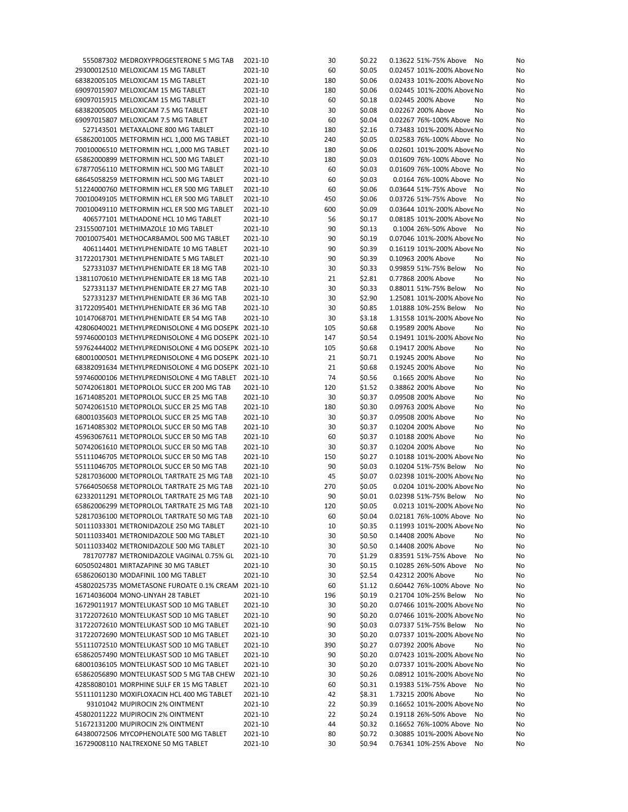| 555087302 MEDROXYPROGESTERONE 5 MG TAB                                               | 2021-10 | 30       | \$0.22           | 0.13622 51%-75% Above      | No | No |
|--------------------------------------------------------------------------------------|---------|----------|------------------|----------------------------|----|----|
| 29300012510 MELOXICAM 15 MG TABLET                                                   | 2021-10 | 60       | \$0.05           | 0.02457 101%-200% Above No |    | No |
| 68382005105 MELOXICAM 15 MG TABLET                                                   | 2021-10 | 180      | \$0.06           | 0.02433 101%-200% Above No |    | No |
| 69097015907 MELOXICAM 15 MG TABLET                                                   | 2021-10 | 180      | \$0.06           | 0.02445 101%-200% Above No |    | No |
| 69097015915 MELOXICAM 15 MG TABLET                                                   | 2021-10 | 60       | \$0.18           | 0.02445 200% Above         | No | No |
| 68382005005 MELOXICAM 7.5 MG TABLET                                                  | 2021-10 | 30       | \$0.08           | 0.02267 200% Above         | No | No |
| 69097015807 MELOXICAM 7.5 MG TABLET                                                  | 2021-10 | 60       | \$0.04           | 0.02267 76%-100% Above No  |    | No |
| 527143501 METAXALONE 800 MG TABLET                                                   | 2021-10 | 180      | \$2.16           | 0.73483 101%-200% Above No |    | No |
| 65862001005 METFORMIN HCL 1,000 MG TABLET                                            | 2021-10 | 240      | \$0.05           | 0.02583 76%-100% Above No  |    | No |
| 70010006510 METFORMIN HCL 1,000 MG TABLET                                            | 2021-10 | 180      | \$0.06           | 0.02601 101%-200% Above No |    | No |
| 65862000899 METFORMIN HCL 500 MG TABLET                                              | 2021-10 | 180      | \$0.03           | 0.01609 76%-100% Above No  |    | No |
| 67877056110 METFORMIN HCL 500 MG TABLET                                              | 2021-10 | 60       | \$0.03           | 0.01609 76%-100% Above No  |    | No |
| 68645058259 METFORMIN HCL 500 MG TABLET                                              | 2021-10 | 60       | \$0.03           | 0.0164 76%-100% Above No   |    | No |
| 51224000760 METFORMIN HCL ER 500 MG TABLET                                           | 2021-10 | 60       | \$0.06           | 0.03644 51%-75% Above      | No | No |
| 70010049105 METFORMIN HCL ER 500 MG TABLET                                           | 2021-10 | 450      | \$0.06           | 0.03726 51%-75% Above      | No | No |
| 70010049110 METFORMIN HCL ER 500 MG TABLET                                           | 2021-10 | 600      | \$0.09           | 0.03644 101%-200% Above No |    | No |
| 406577101 METHADONE HCL 10 MG TABLET                                                 | 2021-10 | 56       | \$0.17           | 0.08185 101%-200% Above No |    | No |
| 23155007101 METHIMAZOLE 10 MG TABLET                                                 | 2021-10 | 90       | \$0.13           | 0.1004 26%-50% Above No    |    | No |
| 70010075401 METHOCARBAMOL 500 MG TABLET                                              | 2021-10 | 90       | \$0.19           | 0.07046 101%-200% Above No |    | No |
| 406114401 METHYLPHENIDATE 10 MG TABLET                                               | 2021-10 | 90       | \$0.39           | 0.16119 101%-200% Above No |    | No |
| 31722017301 METHYLPHENIDATE 5 MG TABLET                                              | 2021-10 | 90       | \$0.39           | 0.10963 200% Above         | No | No |
| 527331037 METHYLPHENIDATE ER 18 MG TAB                                               | 2021-10 | 30       | \$0.33           | 0.99859 51%-75% Below      | No | No |
| 13811070610 METHYLPHENIDATE ER 18 MG TAB                                             | 2021-10 | 21       | \$2.81           | 0.77868 200% Above         | No | No |
| 527331137 METHYLPHENIDATE ER 27 MG TAB                                               | 2021-10 | 30       | \$0.33           | 0.88011 51%-75% Below      | No | No |
| 527331237 METHYLPHENIDATE ER 36 MG TAB                                               | 2021-10 | 30       | \$2.90           | 1.25081 101%-200% Above No |    | No |
| 31722095401 METHYLPHENIDATE ER 36 MG TAB                                             | 2021-10 | 30       | \$0.85           | 1.01888 10%-25% Below      | No | No |
| 10147068701 METHYLPHENIDATE ER 54 MG TAB                                             | 2021-10 | 30       | \$3.18           | 1.31558 101%-200% Above No |    | No |
| 42806040021 METHYLPREDNISOLONE 4 MG DOSEPK 2021-10                                   |         | 105      | \$0.68           | 0.19589 200% Above         | No | No |
| 59746000103 METHYLPREDNISOLONE 4 MG DOSEPK 2021-10                                   |         | 147      | \$0.54           | 0.19491 101%-200% Above No |    | No |
| 59762444002 METHYLPREDNISOLONE 4 MG DOSEPK 2021-10                                   |         | 105      | \$0.68           | 0.19417 200% Above         | No | No |
| 68001000501 METHYLPREDNISOLONE 4 MG DOSEPK 2021-10                                   |         | 21       | \$0.71           | 0.19245 200% Above         | No | No |
| 68382091634 METHYLPREDNISOLONE 4 MG DOSEPK 2021-10                                   |         | 21       | \$0.68           | 0.19245 200% Above         | No | No |
| 59746000106 METHYLPREDNISOLONE 4 MG TABLET 2021-10                                   |         | 74       | \$0.56           | 0.1665 200% Above          | No | No |
| 50742061801 METOPROLOL SUCC ER 200 MG TAB                                            | 2021-10 | 120      | \$1.52           | 0.38862 200% Above         | No | No |
| 16714085201 METOPROLOL SUCC ER 25 MG TAB                                             | 2021-10 | 30       | \$0.37           | 0.09508 200% Above         | No | No |
| 50742061510 METOPROLOL SUCC ER 25 MG TAB                                             | 2021-10 | 180      | \$0.30           | 0.09763 200% Above         | No | No |
| 68001035603 METOPROLOL SUCC ER 25 MG TAB                                             | 2021-10 | 30       | \$0.37           | 0.09508 200% Above         | No | No |
| 16714085302 METOPROLOL SUCC ER 50 MG TAB                                             | 2021-10 | 30       | \$0.37           | 0.10204 200% Above         | No | No |
| 45963067611 METOPROLOL SUCC ER 50 MG TAB                                             | 2021-10 | 60       | \$0.37           | 0.10188 200% Above         | No | No |
| 50742061610 METOPROLOL SUCC ER 50 MG TAB                                             | 2021-10 | 30       | \$0.37           | 0.10204 200% Above         | No | No |
| 55111046705 METOPROLOL SUCC ER 50 MG TAB                                             | 2021-10 | 150      | \$0.27           | 0.10188 101%-200% Above No |    | No |
| 55111046705 METOPROLOL SUCC ER 50 MG TAB                                             | 2021-10 | 90       | \$0.03           | 0.10204 51%-75% Below      | No | No |
| 52817036000 METOPROLOL TARTRATE 25 MG TAB                                            | 2021-10 | 45       | \$0.07           | 0.02398 101%-200% Above No |    | No |
| 57664050658 METOPROLOL TARTRATE 25 MG TAB                                            | 2021-10 | 270      | \$0.05           | 0.0204 101%-200% Above No  |    | No |
| 62332011291 METOPROLOL TARTRATE 25 MG TAB                                            | 2021-10 | 90       | \$0.01           | 0.02398 51%-75% Below      | No | No |
| 65862006299 METOPROLOL TARTRATE 25 MG TAB                                            | 2021-10 | 120      | \$0.05           | 0.0213 101%-200% Above No  |    | No |
| 52817036100 METOPROLOL TARTRATE 50 MG TAB                                            | 2021-10 | 60       | \$0.04           | 0.02181 76%-100% Above No  |    | No |
| 50111033301 METRONIDAZOLE 250 MG TABLET                                              | 2021-10 | 10       | \$0.35           | 0.11993 101%-200% Above No |    | No |
| 50111033401 METRONIDAZOLE 500 MG TABLET                                              | 2021-10 | 30       | \$0.50           | 0.14408 200% Above         | No | No |
| 50111033402 METRONIDAZOLE 500 MG TABLET                                              | 2021-10 | 30       | \$0.50           | 0.14408 200% Above         | No | No |
| 781707787 METRONIDAZOLE VAGINAL 0.75% GL                                             | 2021-10 | 70       | \$1.29           | 0.83591 51%-75% Above      | No | No |
| 60505024801 MIRTAZAPINE 30 MG TABLET                                                 | 2021-10 | 30       | \$0.15           | 0.10285 26%-50% Above      | No | No |
| 65862060130 MODAFINIL 100 MG TABLET                                                  | 2021-10 | 30       | \$2.54           | 0.42312 200% Above         | No | No |
| 45802025735 MOMETASONE FUROATE 0.1% CREAM 2021-10                                    |         | 60       | \$1.12           | 0.60442 76%-100% Above No  |    | No |
| 16714036004 MONO-LINYAH 28 TABLET                                                    | 2021-10 | 196      | \$0.19           | 0.21704 10%-25% Below      | No | No |
| 16729011917 MONTELUKAST SOD 10 MG TABLET                                             |         | 30       |                  | 0.07466 101%-200% Above No |    |    |
|                                                                                      | 2021-10 |          | \$0.20<br>\$0.20 | 0.07466 101%-200% Above No |    | No |
| 31722072610 MONTELUKAST SOD 10 MG TABLET<br>31722072610 MONTELUKAST SOD 10 MG TABLET | 2021-10 | 90<br>90 |                  | 0.07337 51%-75% Below      | No | No |
| 31722072690 MONTELUKAST SOD 10 MG TABLET                                             | 2021-10 |          | \$0.03           |                            |    | No |
|                                                                                      | 2021-10 | 30       | \$0.20           | 0.07337 101%-200% Above No |    | No |
| 55111072510 MONTELUKAST SOD 10 MG TABLET                                             | 2021-10 | 390      | \$0.27           | 0.07392 200% Above         | No | No |
| 65862057490 MONTELUKAST SOD 10 MG TABLET                                             | 2021-10 | 90       | \$0.20           | 0.07423 101%-200% Above No |    | No |
| 68001036105 MONTELUKAST SOD 10 MG TABLET                                             | 2021-10 | 30       | \$0.20           | 0.07337 101%-200% Above No |    | No |
| 65862056890 MONTELUKAST SOD 5 MG TAB CHEW                                            | 2021-10 | 30       | \$0.26           | 0.08912 101%-200% Above No |    | No |
| 42858080101 MORPHINE SULF ER 15 MG TABLET                                            | 2021-10 | 60       | \$0.31           | 0.19383 51%-75% Above      | No | No |
| 55111011230 MOXIFLOXACIN HCL 400 MG TABLET                                           | 2021-10 | 42       | \$8.31           | 1.73215 200% Above         | No | No |
| 93101042 MUPIROCIN 2% OINTMENT                                                       | 2021-10 | 22       | \$0.39           | 0.16652 101%-200% Above No |    | No |
| 45802011222 MUPIROCIN 2% OINTMENT                                                    | 2021-10 | 22       | \$0.24           | 0.19118 26%-50% Above      | No | No |
| 51672131200 MUPIROCIN 2% OINTMENT                                                    | 2021-10 | 44       | \$0.32           | 0.16652 76%-100% Above No  |    | No |
| 64380072506 MYCOPHENOLATE 500 MG TABLET                                              | 2021-10 | 80       | \$0.72           | 0.30885 101%-200% Above No |    | No |
| 16729008110 NALTREXONE 50 MG TABLET                                                  | 2021-10 | 30       | \$0.94           | 0.76341 10%-25% Above No   |    | No |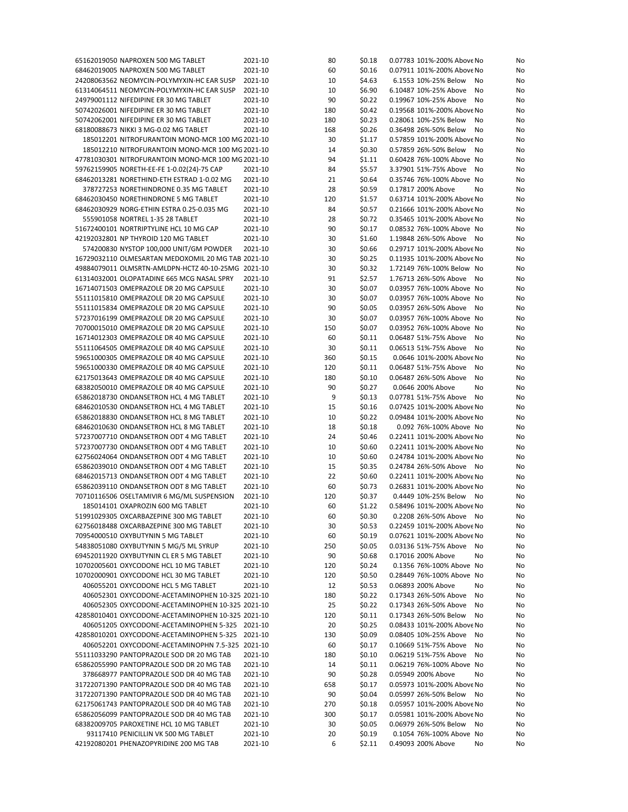| 65162019050 NAPROXEN 500 MG TABLET                                             | 2021-10            | 80      | \$0.18           | 0.07783 101%-200% Above No<br>No                                 |
|--------------------------------------------------------------------------------|--------------------|---------|------------------|------------------------------------------------------------------|
| 68462019005 NAPROXEN 500 MG TABLET                                             | 2021-10            | 60      | \$0.16           | 0.07911 101%-200% Above No<br>No                                 |
| 24208063562 NEOMYCIN-POLYMYXIN-HC EAR SUSP                                     | 2021-10            | 10      | \$4.63           | 6.1553 10%-25% Below<br>No<br>No                                 |
| 61314064511 NEOMYCIN-POLYMYXIN-HC EAR SUSP                                     | 2021-10            | 10      | \$6.90           | 6.10487 10%-25% Above<br>No<br>No                                |
| 24979001112 NIFEDIPINE ER 30 MG TABLET                                         | 2021-10            | 90      | \$0.22           | 0.19967 10%-25% Above<br>No<br>No                                |
| 50742026001 NIFEDIPINE ER 30 MG TABLET                                         | 2021-10            | 180     | \$0.42           | 0.19568 101%-200% Above No<br>No                                 |
|                                                                                |                    |         |                  |                                                                  |
| 50742062001 NIFEDIPINE ER 30 MG TABLET                                         | 2021-10            | 180     | \$0.23           | 0.28061 10%-25% Below<br>No<br>No                                |
| 68180088673 NIKKI 3 MG-0.02 MG TABLET                                          | 2021-10            | 168     | \$0.26           | 0.36498 26%-50% Below<br>No<br>No                                |
| 185012201 NITROFURANTOIN MONO-MCR 100 MG 2021-10                               |                    | 30      | \$1.17           | 0.57859 101%-200% Above No<br>No                                 |
| 185012210 NITROFURANTOIN MONO-MCR 100 MG 2021-10                               |                    | 14      | \$0.30           | 0.57859 26%-50% Below<br>No<br>No                                |
| 47781030301 NITROFURANTOIN MONO-MCR 100 MG 2021-10                             |                    | 94      | \$1.11           | 0.60428 76%-100% Above No<br>No                                  |
| 59762159905 NORETH-EE-FE 1-0.02(24)-75 CAP                                     | 2021-10            | 84      | \$5.57           | 3.37901 51%-75% Above<br>No<br>No                                |
| 68462013281 NORETHIND-ETH ESTRAD 1-0.02 MG                                     | 2021-10            | 21      | \$0.64           | 0.35746 76%-100% Above No<br>No                                  |
| 378727253 NORETHINDRONE 0.35 MG TABLET                                         | 2021-10            | 28      | \$0.59           | 0.17817 200% Above<br>No                                         |
|                                                                                |                    |         |                  | No                                                               |
| 68462030450 NORETHINDRONE 5 MG TABLET                                          | 2021-10            | 120     | \$1.57           | 0.63714 101%-200% Above No<br>No                                 |
| 68462030929 NORG-ETHIN ESTRA 0.25-0.035 MG                                     | 2021-10            | 84      | \$0.57           | 0.21666 101%-200% Above No<br>No                                 |
| 555901058 NORTREL 1-35 28 TABLET                                               | 2021-10            | 28      | \$0.72           | 0.35465 101%-200% Above No<br>No                                 |
| 51672400101 NORTRIPTYLINE HCL 10 MG CAP                                        | 2021-10            | 90      | \$0.17           | 0.08532 76%-100% Above No<br>No                                  |
| 42192032801 NP THYROID 120 MG TABLET                                           | 2021-10            | 30      | \$1.60           | 1.19848 26%-50% Above No<br>No                                   |
| 574200830 NYSTOP 100,000 UNIT/GM POWDER                                        | 2021-10            | 30      | \$0.66           | 0.29717 101%-200% Above No<br>No                                 |
| 16729032110 OLMESARTAN MEDOXOMIL 20 MG TAB 2021-10                             |                    | 30      | \$0.25           | 0.11935 101%-200% Above No<br>No                                 |
|                                                                                |                    |         |                  |                                                                  |
| 49884079011 OLMSRTN-AMLDPN-HCTZ 40-10-25MG 2021-10                             |                    | 30      | \$0.32           | 1.72149 76%-100% Below No<br>No                                  |
| 61314032001 OLOPATADINE 665 MCG NASAL SPRY                                     | 2021-10            | 91      | \$2.57           | 1.76713 26%-50% Above<br>No<br>No                                |
| 16714071503 OMEPRAZOLE DR 20 MG CAPSULE                                        | 2021-10            | 30      | \$0.07           | 0.03957 76%-100% Above No<br>No                                  |
| 55111015810 OMEPRAZOLE DR 20 MG CAPSULE                                        | 2021-10            | 30      | \$0.07           | 0.03957 76%-100% Above No<br>No                                  |
| 55111015834 OMEPRAZOLE DR 20 MG CAPSULE                                        | 2021-10            | 90      | \$0.05           | 0.03957 26%-50% Above<br>No<br>No                                |
| 57237016199 OMEPRAZOLE DR 20 MG CAPSULE                                        | 2021-10            | 30      | \$0.07           | 0.03957 76%-100% Above No<br>No                                  |
| 70700015010 OMEPRAZOLE DR 20 MG CAPSULE                                        | 2021-10            | 150     | \$0.07           | 0.03952 76%-100% Above No<br>No                                  |
| 16714012303 OMEPRAZOLE DR 40 MG CAPSULE                                        | 2021-10            | 60      | \$0.11           | 0.06487 51%-75% Above<br>No<br>No                                |
|                                                                                |                    |         |                  |                                                                  |
| 55111064505 OMEPRAZOLE DR 40 MG CAPSULE                                        | 2021-10            | 30      | \$0.11           | 0.06513 51%-75% Above<br>No<br>No                                |
| 59651000305 OMEPRAZOLE DR 40 MG CAPSULE                                        | 2021-10            | 360     | \$0.15           | 0.0646 101%-200% Above No<br>No                                  |
| 59651000330 OMEPRAZOLE DR 40 MG CAPSULE                                        | 2021-10            | 120     | \$0.11           | 0.06487 51%-75% Above<br>No<br>No                                |
| 62175013643 OMEPRAZOLE DR 40 MG CAPSULE                                        | 2021-10            | 180     | \$0.10           | 0.06487 26%-50% Above<br>No<br>No                                |
| 68382050010 OMEPRAZOLE DR 40 MG CAPSULE                                        | 2021-10            | 90      | \$0.27           | 0.0646 200% Above<br>No<br>No                                    |
| 65862018730 ONDANSETRON HCL 4 MG TABLET                                        | 2021-10            | 9       | \$0.13           | 0.07781 51%-75% Above<br>No<br>No                                |
| 68462010530 ONDANSETRON HCL 4 MG TABLET                                        | 2021-10            | 15      | \$0.16           | 0.07425 101%-200% Above No<br>No                                 |
| 65862018830 ONDANSETRON HCL 8 MG TABLET                                        | 2021-10            | 10      | \$0.22           | 0.09484 101%-200% Above No<br>No                                 |
|                                                                                |                    |         |                  |                                                                  |
| 68462010630 ONDANSETRON HCL 8 MG TABLET                                        | 2021-10            | 18      | \$0.18           | 0.092 76%-100% Above No<br>No                                    |
| 57237007710 ONDANSETRON ODT 4 MG TABLET                                        | 2021-10            | 24      | \$0.46           | 0.22411 101%-200% Above No<br>No                                 |
| 57237007730 ONDANSETRON ODT 4 MG TABLET                                        | 2021-10            | 10      | \$0.60           | 0.22411 101%-200% Above No<br>No                                 |
| 62756024064 ONDANSETRON ODT 4 MG TABLET                                        | 2021-10            | 10      | \$0.60           | 0.24784 101%-200% Above No<br>No                                 |
| 65862039010 ONDANSETRON ODT 4 MG TABLET                                        | 2021-10            | 15      | \$0.35           | 0.24784 26%-50% Above No<br>No                                   |
| 68462015713 ONDANSETRON ODT 4 MG TABLET                                        | 2021-10            | 22      | \$0.60           | 0.22411 101%-200% Above No<br>No                                 |
| 65862039110 ONDANSETRON ODT 8 MG TABLET                                        | 2021-10            | 60      | \$0.73           | 0.26831 101%-200% Above No<br>No                                 |
| 70710116506 OSELTAMIVIR 6 MG/ML SUSPENSION                                     | 2021-10            |         | \$0.37           | 0.4449 10%-25% Below<br>No<br>No                                 |
|                                                                                |                    | 120     |                  |                                                                  |
| 185014101 OXAPROZIN 600 MG TABLET                                              | 2021-10            | 60      | \$1.22           | 0.58496 101%-200% Above No<br>No                                 |
| 51991029305 OXCARBAZEPINE 300 MG TABLET                                        | 2021-10            | 60      | \$0.30           | 0.2208 26%-50% Above No<br>No                                    |
| 62756018488 OXCARBAZEPINE 300 MG TABLET                                        | 2021-10            | 30      | \$0.53           | 0.22459 101%-200% Above No<br>No                                 |
| 70954000510 OXYBUTYNIN 5 MG TABLET                                             | 2021-10            | 60      | \$0.19           | 0.07621 101%-200% Above No<br>No                                 |
| 54838051080 OXYBUTYNIN 5 MG/5 ML SYRUP                                         | 2021-10            | 250     | \$0.05           | 0.03136 51%-75% Above<br>No<br>No                                |
| 69452011920 OXYBUTYNIN CL ER 5 MG TABLET                                       | 2021-10            | 90      | \$0.68           | 0.17016 200% Above<br>No<br>No                                   |
| 10702005601 OXYCODONE HCL 10 MG TABLET                                         | 2021-10            | 120     | \$0.24           | 0.1356 76%-100% Above No<br>No                                   |
|                                                                                |                    |         |                  |                                                                  |
| 10702000901 OXYCODONE HCL 30 MG TABLET                                         | 2021-10            | 120     | \$0.50           | 0.28449 76%-100% Above No<br>No                                  |
| 406055201 OXYCODONE HCL 5 MG TABLET                                            | 2021-10            | 12      | \$0.53           | 0.06893 200% Above<br>No<br>No                                   |
| 406052301 OXYCODONE-ACETAMINOPHEN 10-325 2021-10                               |                    | 180     | \$0.22           | 0.17343 26%-50% Above<br>No<br>No                                |
| 406052305 OXYCODONE-ACETAMINOPHEN 10-325 2021-10                               |                    | 25      | \$0.22           | 0.17343 26%-50% Above<br>No<br>No                                |
| 42858010401 OXYCODONE-ACETAMINOPHEN 10-325 2021-10                             |                    | 120     | \$0.11           | 0.17343 26%-50% Below<br>No<br>No                                |
| 406051205 OXYCODONE-ACETAMINOPHEN 5-325 2021-10                                |                    | 20      | \$0.25           | 0.08433 101%-200% Above No<br>No                                 |
| 42858010201 OXYCODONE-ACETAMINOPHEN 5-325 2021-10                              |                    | 130     | \$0.09           | 0.08405 10%-25% Above<br>No<br>No                                |
| 406052201 OXYCODONE-ACETAMINOPHN 7.5-325 2021-10                               |                    |         |                  |                                                                  |
|                                                                                |                    | 60      | \$0.17           | 0.10669 51%-75% Above<br>No<br>No                                |
| 55111033290 PANTOPRAZOLE SOD DR 20 MG TAB                                      | 2021-10            | 180     | \$0.10           | 0.06219 51%-75% Above<br>No<br>No                                |
| 65862055990 PANTOPRAZOLE SOD DR 20 MG TAB                                      | 2021-10            | 14      | \$0.11           | 0.06219 76%-100% Above No<br>No                                  |
| 378668977 PANTOPRAZOLE SOD DR 40 MG TAB                                        | 2021-10            | 90      | \$0.28           | 0.05949 200% Above<br>No<br>No                                   |
| 31722071390 PANTOPRAZOLE SOD DR 40 MG TAB                                      | 2021-10            | 658     | \$0.17           | 0.05973 101%-200% Above No<br>No                                 |
| 31722071390 PANTOPRAZOLE SOD DR 40 MG TAB                                      | 2021-10            | 90      | \$0.04           | 0.05997 26%-50% Below<br>No<br>No                                |
| 62175061743 PANTOPRAZOLE SOD DR 40 MG TAB                                      | 2021-10            | 270     | \$0.18           | 0.05957 101%-200% Above No<br>No                                 |
| 65862056099 PANTOPRAZOLE SOD DR 40 MG TAB                                      | 2021-10            | 300     | \$0.17           | 0.05981 101%-200% Above No<br>No                                 |
|                                                                                |                    |         |                  |                                                                  |
| 68382009705 PAROXETINE HCL 10 MG TABLET                                        | 2021-10            | 30      | \$0.05           | 0.06979 26%-50% Below<br>No<br>No                                |
|                                                                                |                    |         |                  |                                                                  |
| 93117410 PENICILLIN VK 500 MG TABLET<br>42192080201 PHENAZOPYRIDINE 200 MG TAB | 2021-10<br>2021-10 | 20<br>6 | \$0.19<br>\$2.11 | 0.1054 76%-100% Above No<br>No<br>0.49093 200% Above<br>No<br>No |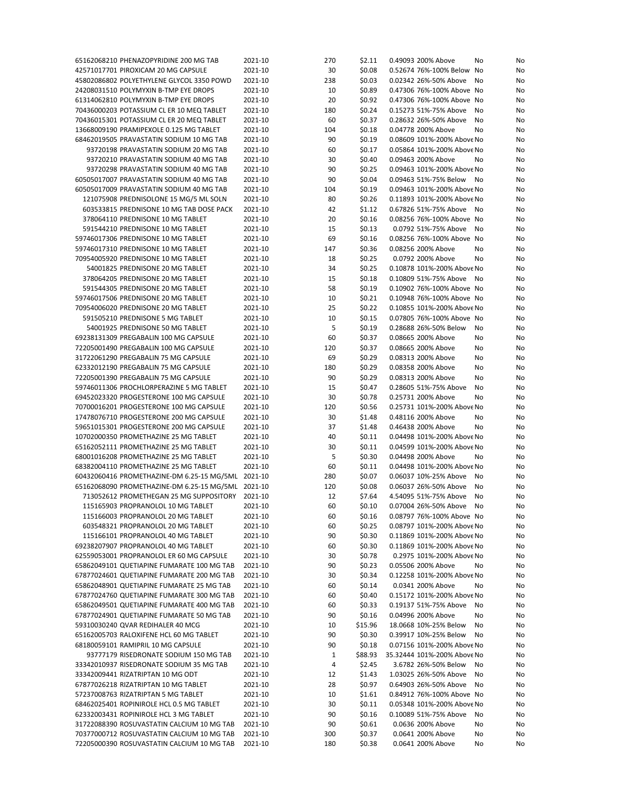| 65162068210 PHENAZOPYRIDINE 200 MG TAB   |                                                    | 2021-10 | 270 | \$2.11  | 0.49093 200% Above          | No | No |
|------------------------------------------|----------------------------------------------------|---------|-----|---------|-----------------------------|----|----|
| 42571017701 PIROXICAM 20 MG CAPSULE      |                                                    | 2021-10 | 30  | \$0.08  | 0.52674 76%-100% Below No   |    | No |
|                                          | 45802086802 POLYETHYLENE GLYCOL 3350 POWD          | 2021-10 | 238 | \$0.03  | 0.02342 26%-50% Above       | No | No |
|                                          |                                                    |         |     |         |                             |    |    |
| 24208031510 POLYMYXIN B-TMP EYE DROPS    |                                                    | 2021-10 | 10  | \$0.89  | 0.47306 76%-100% Above No   |    | No |
| 61314062810 POLYMYXIN B-TMP EYE DROPS    |                                                    | 2021-10 | 20  | \$0.92  | 0.47306 76%-100% Above No   |    | No |
|                                          | 70436000203 POTASSIUM CL ER 10 MEQ TABLET          | 2021-10 | 180 | \$0.24  | 0.15273 51%-75% Above       | No | No |
|                                          | 70436015301 POTASSIUM CL ER 20 MEQ TABLET          | 2021-10 | 60  | \$0.37  | 0.28632 26%-50% Above       | No | No |
|                                          |                                                    | 2021-10 | 104 | \$0.18  | 0.04778 200% Above          | No |    |
| 13668009190 PRAMIPEXOLE 0.125 MG TABLET  |                                                    |         |     |         |                             |    | No |
|                                          | 68462019505 PRAVASTATIN SODIUM 10 MG TAB           | 2021-10 | 90  | \$0.19  | 0.08609 101%-200% Above No  |    | No |
|                                          | 93720198 PRAVASTATIN SODIUM 20 MG TAB              | 2021-10 | 60  | \$0.17  | 0.05864 101%-200% Above No  |    | No |
|                                          | 93720210 PRAVASTATIN SODIUM 40 MG TAB              | 2021-10 | 30  | \$0.40  | 0.09463 200% Above          | No | No |
|                                          | 93720298 PRAVASTATIN SODIUM 40 MG TAB              | 2021-10 | 90  | \$0.25  | 0.09463 101%-200% Above No  |    |    |
|                                          |                                                    |         |     |         |                             |    | No |
|                                          | 60505017007 PRAVASTATIN SODIUM 40 MG TAB           | 2021-10 | 90  | \$0.04  | 0.09463 51%-75% Below       | No | No |
|                                          | 60505017009 PRAVASTATIN SODIUM 40 MG TAB           | 2021-10 | 104 | \$0.19  | 0.09463 101%-200% Above No  |    | No |
|                                          | 121075908 PREDNISOLONE 15 MG/5 ML SOLN             | 2021-10 | 80  | \$0.26  | 0.11893 101%-200% Above No  |    | No |
|                                          | 603533815 PREDNISONE 10 MG TAB DOSE PACK           | 2021-10 | 42  | \$1.12  | 0.67826 51%-75% Above       | No | No |
|                                          |                                                    |         |     |         |                             |    |    |
| 378064110 PREDNISONE 10 MG TABLET        |                                                    | 2021-10 | 20  | \$0.16  | 0.08256 76%-100% Above No   |    | No |
| 591544210 PREDNISONE 10 MG TABLET        |                                                    | 2021-10 | 15  | \$0.13  | 0.0792 51%-75% Above        | No | No |
| 59746017306 PREDNISONE 10 MG TABLET      |                                                    | 2021-10 | 69  | \$0.16  | 0.08256 76%-100% Above No   |    | No |
| 59746017310 PREDNISONE 10 MG TABLET      |                                                    | 2021-10 | 147 | \$0.36  | 0.08256 200% Above          | No | No |
| 70954005920 PREDNISONE 10 MG TABLET      |                                                    | 2021-10 | 18  | \$0.25  | 0.0792 200% Above           |    |    |
|                                          |                                                    |         |     |         |                             | No | No |
| 54001825 PREDNISONE 20 MG TABLET         |                                                    | 2021-10 | 34  | \$0.25  | 0.10878 101%-200% Above No  |    | No |
| 378064205 PREDNISONE 20 MG TABLET        |                                                    | 2021-10 | 15  | \$0.18  | 0.10809 51%-75% Above       | No | No |
| 591544305 PREDNISONE 20 MG TABLET        |                                                    | 2021-10 | 58  | \$0.19  | 0.10902 76%-100% Above No   |    | No |
| 59746017506 PREDNISONE 20 MG TABLET      |                                                    | 2021-10 | 10  | \$0.21  | 0.10948 76%-100% Above No   |    | No |
|                                          |                                                    |         |     |         |                             |    |    |
| 70954006020 PREDNISONE 20 MG TABLET      |                                                    | 2021-10 | 25  | \$0.22  | 0.10855 101%-200% Above No  |    | No |
| 591505210 PREDNISONE 5 MG TABLET         |                                                    | 2021-10 | 10  | \$0.15  | 0.07805 76%-100% Above No   |    | No |
| 54001925 PREDNISONE 50 MG TABLET         |                                                    | 2021-10 | 5   | \$0.19  | 0.28688 26%-50% Below       | No | No |
| 69238131309 PREGABALIN 100 MG CAPSULE    |                                                    | 2021-10 | 60  | \$0.37  | 0.08665 200% Above          | No | No |
|                                          |                                                    |         |     |         |                             |    |    |
| 72205001490 PREGABALIN 100 MG CAPSULE    |                                                    | 2021-10 | 120 | \$0.37  | 0.08665 200% Above          | No | No |
| 31722061290 PREGABALIN 75 MG CAPSULE     |                                                    | 2021-10 | 69  | \$0.29  | 0.08313 200% Above          | No | No |
| 62332012190 PREGABALIN 75 MG CAPSULE     |                                                    | 2021-10 | 180 | \$0.29  | 0.08358 200% Above          | No | No |
| 72205001390 PREGABALIN 75 MG CAPSULE     |                                                    | 2021-10 | 90  | \$0.29  | 0.08313 200% Above          | No | No |
|                                          |                                                    | 2021-10 | 15  |         | 0.28605 51%-75% Above       |    |    |
|                                          | 59746011306 PROCHLORPERAZINE 5 MG TABLET           |         |     | \$0.47  |                             | No | No |
|                                          | 69452023320 PROGESTERONE 100 MG CAPSULE            | 2021-10 | 30  | \$0.78  | 0.25731 200% Above          | No | No |
|                                          | 70700016201 PROGESTERONE 100 MG CAPSULE            | 2021-10 | 120 | \$0.56  | 0.25731 101%-200% Above No  |    | No |
|                                          | 17478076710 PROGESTERONE 200 MG CAPSULE            | 2021-10 | 30  | \$1.48  | 0.48116 200% Above          | No | No |
|                                          | 59651015301 PROGESTERONE 200 MG CAPSULE            | 2021-10 | 37  | \$1.48  | 0.46438 200% Above          | No | No |
|                                          |                                                    |         | 40  |         |                             |    |    |
| 10702000350 PROMETHAZINE 25 MG TABLET    |                                                    | 2021-10 |     | \$0.11  | 0.04498 101%-200% Above No  |    | No |
| 65162052111 PROMETHAZINE 25 MG TABLET    |                                                    | 2021-10 | 30  | \$0.11  | 0.04599 101%-200% Above No  |    | No |
| 68001016208 PROMETHAZINE 25 MG TABLET    |                                                    | 2021-10 | 5   | \$0.30  | 0.04498 200% Above          | No | No |
| 68382004110 PROMETHAZINE 25 MG TABLET    |                                                    | 2021-10 | 60  | \$0.11  | 0.04498 101%-200% Above No  |    | No |
|                                          | 60432060416 PROMETHAZINE-DM 6.25-15 MG/5ML 2021-10 |         | 280 | \$0.07  | 0.06037 10%-25% Above       | No | No |
|                                          |                                                    |         |     |         |                             |    |    |
|                                          | 65162068090 PROMETHAZINE-DM 6.25-15 MG/5ML 2021-10 |         | 120 | \$0.08  | 0.06037 26%-50% Above       | No | No |
|                                          | 713052612 PROMETHEGAN 25 MG SUPPOSITORY 2021-10    |         | 12  | \$7.64  | 4.54095 51%-75% Above       | No | No |
| 115165903 PROPRANOLOL 10 MG TABLET       |                                                    | 2021-10 | 60  | \$0.10  | 0.07004 26%-50% Above       | No | No |
| 115166003 PROPRANOLOL 20 MG TABLET       |                                                    | 2021-10 | 60  | \$0.16  | 0.08797 76%-100% Above No   |    | No |
| 603548321 PROPRANOLOL 20 MG TABLET       |                                                    |         |     |         |                             |    |    |
|                                          |                                                    | 2021-10 | 60  | \$0.25  | 0.08797 101%-200% Above No  |    | No |
| 115166101 PROPRANOLOL 40 MG TABLET       |                                                    | 2021-10 | 90  | \$0.30  | 0.11869 101%-200% Above No  |    | No |
| 69238207907 PROPRANOLOL 40 MG TABLET     |                                                    | 2021-10 | 60  | \$0.30  | 0.11869 101%-200% Above No  |    | No |
|                                          | 62559053001 PROPRANOLOL ER 60 MG CAPSULE           | 2021-10 | 30  | \$0.78  | 0.2975 101%-200% Above No   |    | No |
|                                          | 65862049101 QUETIAPINE FUMARATE 100 MG TAB         | 2021-10 | 90  | \$0.23  | 0.05506 200% Above          | No | No |
|                                          |                                                    |         |     |         |                             |    |    |
|                                          | 67877024601 QUETIAPINE FUMARATE 200 MG TAB         | 2021-10 | 30  | \$0.34  | 0.12258 101%-200% Above No  |    | No |
|                                          | 65862048901 QUETIAPINE FUMARATE 25 MG TAB          | 2021-10 | 60  | \$0.14  | 0.0341 200% Above           | No | No |
|                                          | 67877024760 QUETIAPINE FUMARATE 300 MG TAB         | 2021-10 | 60  | \$0.40  | 0.15172 101%-200% Above No  |    | No |
|                                          | 65862049501 QUETIAPINE FUMARATE 400 MG TAB         | 2021-10 | 60  | \$0.33  | 0.19137 51%-75% Above       | No | No |
|                                          | 67877024901 QUETIAPINE FUMARATE 50 MG TAB          | 2021-10 | 90  | \$0.16  | 0.04996 200% Above          | No | No |
|                                          |                                                    |         |     |         |                             |    |    |
| 59310030240 QVAR REDIHALER 40 MCG        |                                                    | 2021-10 | 10  | \$15.96 | 18.0668 10%-25% Below       | No | No |
| 65162005703 RALOXIFENE HCL 60 MG TABLET  |                                                    | 2021-10 | 90  | \$0.30  | 0.39917 10%-25% Below       | No | No |
| 68180059101 RAMIPRIL 10 MG CAPSULE       |                                                    | 2021-10 | 90  | \$0.18  | 0.07156 101%-200% Above No  |    | No |
|                                          | 93777179 RISEDRONATE SODIUM 150 MG TAB             | 2021-10 | 1   | \$88.93 | 35.32444 101%-200% Above No |    | No |
|                                          |                                                    |         |     |         |                             |    |    |
|                                          | 33342010937 RISEDRONATE SODIUM 35 MG TAB           | 2021-10 | 4   | \$2.45  | 3.6782 26%-50% Below        | No | No |
| 33342009441 RIZATRIPTAN 10 MG ODT        |                                                    | 2021-10 | 12  | \$1.43  | 1.03025 26%-50% Above       | No | No |
| 67877026218 RIZATRIPTAN 10 MG TABLET     |                                                    | 2021-10 | 28  | \$0.97  | 0.64903 26%-50% Above       | No | No |
| 57237008763 RIZATRIPTAN 5 MG TABLET      |                                                    | 2021-10 | 10  | \$1.61  | 0.84912 76%-100% Above No   |    | No |
| 68462025401 ROPINIROLE HCL 0.5 MG TABLET |                                                    | 2021-10 | 30  | \$0.11  | 0.05348 101%-200% Above No  |    | No |
|                                          |                                                    |         |     |         |                             |    |    |
| 62332003431 ROPINIROLE HCL 3 MG TABLET   |                                                    | 2021-10 | 90  | \$0.16  | 0.10089 51%-75% Above       | No | No |
|                                          | 31722088390 ROSUVASTATIN CALCIUM 10 MG TAB         | 2021-10 | 90  | \$0.61  | 0.0636 200% Above           | No | No |
|                                          | 70377000712 ROSUVASTATIN CALCIUM 10 MG TAB         | 2021-10 | 300 | \$0.37  | 0.0641 200% Above           | No | No |
|                                          | 72205000390 ROSUVASTATIN CALCIUM 10 MG TAB         | 2021-10 | 180 | \$0.38  | 0.0641 200% Above           | No | No |
|                                          |                                                    |         |     |         |                             |    |    |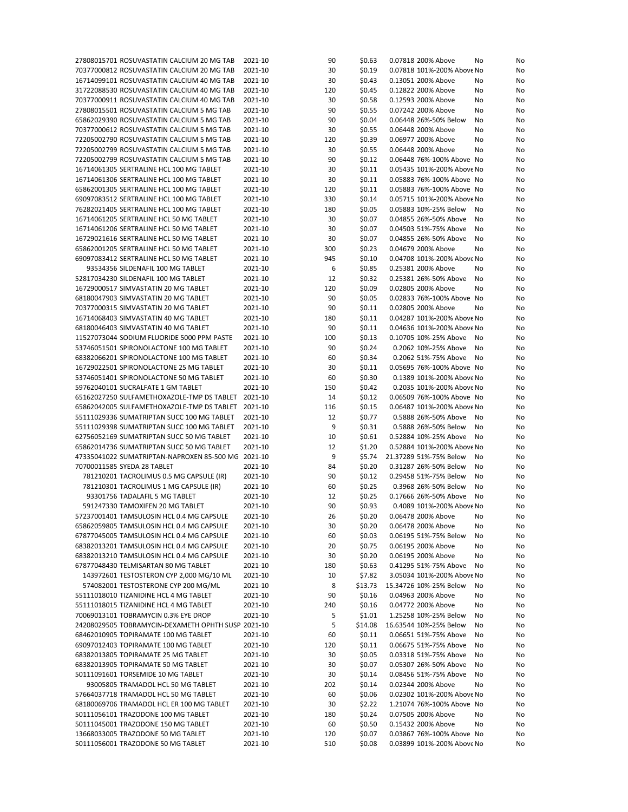| 27808015701 ROSUVASTATIN CALCIUM 20 MG TAB         | 2021-10 | 90  | \$0.63  | 0.07818 200% Above<br>No<br>No     |
|----------------------------------------------------|---------|-----|---------|------------------------------------|
| 70377000812 ROSUVASTATIN CALCIUM 20 MG TAB         | 2021-10 | 30  | \$0.19  | 0.07818 101%-200% Above No<br>No   |
| 16714099101 ROSUVASTATIN CALCIUM 40 MG TAB         | 2021-10 | 30  | \$0.43  | 0.13051 200% Above<br>No<br>No     |
| 31722088530 ROSUVASTATIN CALCIUM 40 MG TAB         | 2021-10 | 120 | \$0.45  | 0.12822 200% Above<br>No<br>No     |
| 70377000911 ROSUVASTATIN CALCIUM 40 MG TAB         | 2021-10 | 30  | \$0.58  | 0.12593 200% Above<br>No<br>No     |
| 27808015501 ROSUVASTATIN CALCIUM 5 MG TAB          | 2021-10 | 90  | \$0.55  | 0.07242 200% Above<br>No<br>No     |
| 65862029390 ROSUVASTATIN CALCIUM 5 MG TAB          | 2021-10 | 90  | \$0.04  | 0.06448 26%-50% Below<br>No<br>No  |
|                                                    |         | 30  | \$0.55  |                                    |
| 70377000612 ROSUVASTATIN CALCIUM 5 MG TAB          | 2021-10 |     |         | 0.06448 200% Above<br>No<br>No     |
| 72205002790 ROSUVASTATIN CALCIUM 5 MG TAB          | 2021-10 | 120 | \$0.39  | 0.06977 200% Above<br>No<br>No     |
| 72205002799 ROSUVASTATIN CALCIUM 5 MG TAB          | 2021-10 | 30  | \$0.55  | 0.06448 200% Above<br>No<br>No     |
| 72205002799 ROSUVASTATIN CALCIUM 5 MG TAB          | 2021-10 | 90  | \$0.12  | 0.06448 76%-100% Above No<br>No    |
| 16714061305 SERTRALINE HCL 100 MG TABLET           | 2021-10 | 30  | \$0.11  | 0.05435 101%-200% Above No<br>No   |
| 16714061306 SERTRALINE HCL 100 MG TABLET           | 2021-10 | 30  | \$0.11  | 0.05883 76%-100% Above No<br>No    |
| 65862001305 SERTRALINE HCL 100 MG TABLET           | 2021-10 | 120 | \$0.11  | 0.05883 76%-100% Above No<br>No    |
| 69097083512 SERTRALINE HCL 100 MG TABLET           | 2021-10 | 330 | \$0.14  | 0.05715 101%-200% Above No<br>No   |
| 76282021405 SERTRALINE HCL 100 MG TABLET           | 2021-10 | 180 | \$0.05  | 0.05883 10%-25% Below<br>No<br>No  |
| 16714061205 SERTRALINE HCL 50 MG TABLET            | 2021-10 | 30  | \$0.07  | 0.04855 26%-50% Above<br>No<br>No  |
| 16714061206 SERTRALINE HCL 50 MG TABLET            | 2021-10 | 30  | \$0.07  | 0.04503 51%-75% Above<br>No<br>No  |
| 16729021616 SERTRALINE HCL 50 MG TABLET            | 2021-10 | 30  | \$0.07  | 0.04855 26%-50% Above<br>No<br>No  |
|                                                    |         |     |         |                                    |
| 65862001205 SERTRALINE HCL 50 MG TABLET            | 2021-10 | 300 | \$0.23  | 0.04679 200% Above<br>No<br>No     |
| 69097083412 SERTRALINE HCL 50 MG TABLET            | 2021-10 | 945 | \$0.10  | 0.04708 101%-200% Above No<br>No   |
| 93534356 SILDENAFIL 100 MG TABLET                  | 2021-10 | 6   | \$0.85  | 0.25381 200% Above<br>No<br>No     |
| 52817034230 SILDENAFIL 100 MG TABLET               | 2021-10 | 12  | \$0.32  | 0.25381 26%-50% Above<br>No<br>No  |
| 16729000517 SIMVASTATIN 20 MG TABLET               | 2021-10 | 120 | \$0.09  | 0.02805 200% Above<br>No<br>No     |
| 68180047903 SIMVASTATIN 20 MG TABLET               | 2021-10 | 90  | \$0.05  | 0.02833 76%-100% Above No<br>No    |
| 70377000315 SIMVASTATIN 20 MG TABLET               | 2021-10 | 90  | \$0.11  | 0.02805 200% Above<br>No<br>No     |
| 16714068403 SIMVASTATIN 40 MG TABLET               | 2021-10 | 180 | \$0.11  | 0.04287 101%-200% Above No<br>No   |
| 68180046403 SIMVASTATIN 40 MG TABLET               | 2021-10 | 90  | \$0.11  | 0.04636 101%-200% Above No<br>No   |
| 11527073044 SODIUM FLUORIDE 5000 PPM PASTE         | 2021-10 | 100 | \$0.13  | 0.10705 10%-25% Above<br>No<br>No  |
| 53746051501 SPIRONOLACTONE 100 MG TABLET           | 2021-10 | 90  | \$0.24  | 0.2062 10%-25% Above<br>No<br>No   |
| 68382066201 SPIRONOLACTONE 100 MG TABLET           | 2021-10 | 60  | \$0.34  | 0.2062 51%-75% Above<br>No<br>No   |
|                                                    |         |     |         |                                    |
| 16729022501 SPIRONOLACTONE 25 MG TABLET            | 2021-10 | 30  | \$0.11  | 0.05695 76%-100% Above No<br>No    |
| 53746051401 SPIRONOLACTONE 50 MG TABLET            | 2021-10 | 60  | \$0.30  | 0.1389 101%-200% Above No<br>No    |
| 59762040101 SUCRALFATE 1 GM TABLET                 | 2021-10 | 150 | \$0.42  | 0.2035 101%-200% Above No<br>No    |
| 65162027250 SULFAMETHOXAZOLE-TMP DS TABLET 2021-10 |         | 14  | \$0.12  | 0.06509 76%-100% Above No<br>No    |
| 65862042005 SULFAMETHOXAZOLE-TMP DS TABLET         | 2021-10 | 116 | \$0.15  | 0.06487 101%-200% Above No<br>No   |
| 55111029336 SUMATRIPTAN SUCC 100 MG TABLET         | 2021-10 | 12  | \$0.77  | 0.5888 26%-50% Above<br>No<br>No   |
| 55111029398 SUMATRIPTAN SUCC 100 MG TABLET         | 2021-10 | 9   | \$0.31  | 0.5888 26%-50% Below<br>No<br>No   |
| 62756052169 SUMATRIPTAN SUCC 50 MG TABLET          | 2021-10 | 10  | \$0.61  | 0.52884 10%-25% Above<br>No<br>No  |
| 65862014736 SUMATRIPTAN SUCC 50 MG TABLET          | 2021-10 | 12  | \$1.20  | 0.52884 101%-200% Above No<br>No   |
| 47335041022 SUMATRIPTAN-NAPROXEN 85-500 MG 2021-10 |         | 9   | \$5.74  | 21.37289 51%-75% Below<br>No<br>No |
| 70700011585 SYEDA 28 TABLET                        | 2021-10 | 84  | \$0.20  | 0.31287 26%-50% Below<br>No<br>No  |
| 781210201 TACROLIMUS 0.5 MG CAPSULE (IR)           | 2021-10 | 90  | \$0.12  | 0.29458 51%-75% Below<br>No<br>No  |
| 781210301 TACROLIMUS 1 MG CAPSULE (IR)             | 2021-10 | 60  | \$0.25  | 0.3968 26%-50% Below<br>No<br>No   |
| 93301756 TADALAFIL 5 MG TABLET                     | 2021-10 | 12  | \$0.25  | 0.17666 26%-50% Above              |
| 591247330 TAMOXIFEN 20 MG TABLET                   |         |     |         | No<br>No                           |
|                                                    | 2021-10 | 90  | \$0.93  | 0.4089 101%-200% Above No<br>No    |
| 57237001401 TAMSULOSIN HCL 0.4 MG CAPSULE          | 2021-10 | 26  | \$0.20  | 0.06478 200% Above<br>No<br>No     |
| 65862059805 TAMSULOSIN HCL 0.4 MG CAPSULE          | 2021-10 | 30  | \$0.20  | 0.06478 200% Above<br>No<br>No     |
| 67877045005 TAMSULOSIN HCL 0.4 MG CAPSULE          | 2021-10 | 60  | \$0.03  | 0.06195 51%-75% Below<br>No<br>No  |
| 68382013201 TAMSULOSIN HCL 0.4 MG CAPSULE          | 2021-10 | 20  | \$0.75  | 0.06195 200% Above<br>No<br>No     |
| 68382013210 TAMSULOSIN HCL 0.4 MG CAPSULE          | 2021-10 | 30  | \$0.20  | 0.06195 200% Above<br>No<br>No     |
| 67877048430 TELMISARTAN 80 MG TABLET               | 2021-10 | 180 | \$0.63  | 0.41295 51%-75% Above<br>No<br>No  |
| 143972601 TESTOSTERON CYP 2,000 MG/10 ML           | 2021-10 | 10  | \$7.82  | 3.05034 101%-200% Above No<br>No   |
| 574082001 TESTOSTERONE CYP 200 MG/ML               | 2021-10 | 8   | \$13.73 | 15.34726 10%-25% Below<br>No<br>No |
| 55111018010 TIZANIDINE HCL 4 MG TABLET             | 2021-10 | 90  | \$0.16  | 0.04963 200% Above<br>No<br>No     |
| 55111018015 TIZANIDINE HCL 4 MG TABLET             | 2021-10 | 240 | \$0.16  | 0.04772 200% Above<br>No<br>No     |
| 70069013101 TOBRAMYCIN 0.3% EYE DROP               | 2021-10 | 5   | \$1.01  | 1.25258 10%-25% Below<br>No<br>No  |
| 24208029505 TOBRAMYCIN-DEXAMETH OPHTH SUSP 2021-10 |         | 5   | \$14.08 | 16.63544 10%-25% Below<br>No<br>No |
|                                                    |         |     |         |                                    |
| 68462010905 TOPIRAMATE 100 MG TABLET               | 2021-10 | 60  | \$0.11  | 0.06651 51%-75% Above<br>No<br>No  |
| 69097012403 TOPIRAMATE 100 MG TABLET               | 2021-10 | 120 | \$0.11  | 0.06675 51%-75% Above<br>No<br>No  |
| 68382013805 TOPIRAMATE 25 MG TABLET                | 2021-10 | 30  | \$0.05  | 0.03318 51%-75% Above<br>No<br>No  |
| 68382013905 TOPIRAMATE 50 MG TABLET                | 2021-10 | 30  | \$0.07  | 0.05307 26%-50% Above<br>No<br>No  |
| 50111091601 TORSEMIDE 10 MG TABLET                 | 2021-10 | 30  | \$0.14  | 0.08456 51%-75% Above<br>No<br>No  |
| 93005805 TRAMADOL HCL 50 MG TABLET                 | 2021-10 | 202 | \$0.14  | 0.02344 200% Above<br>No<br>No     |
| 57664037718 TRAMADOL HCL 50 MG TABLET              | 2021-10 | 60  | \$0.06  | 0.02302 101%-200% Above No<br>No   |
| 68180069706 TRAMADOL HCL ER 100 MG TABLET          | 2021-10 | 30  | \$2.22  | 1.21074 76%-100% Above No<br>No    |
| 50111056101 TRAZODONE 100 MG TABLET                | 2021-10 | 180 | \$0.24  | 0.07505 200% Above<br>No<br>No     |
| 50111045001 TRAZODONE 150 MG TABLET                | 2021-10 | 60  | \$0.50  | 0.15432 200% Above<br>No<br>No     |
| 13668033005 TRAZODONE 50 MG TABLET                 | 2021-10 | 120 | \$0.07  | 0.03867 76%-100% Above No<br>No    |
| 50111056001 TRAZODONE 50 MG TABLET                 | 2021-10 | 510 | \$0.08  | 0.03899 101%-200% Above No<br>No   |
|                                                    |         |     |         |                                    |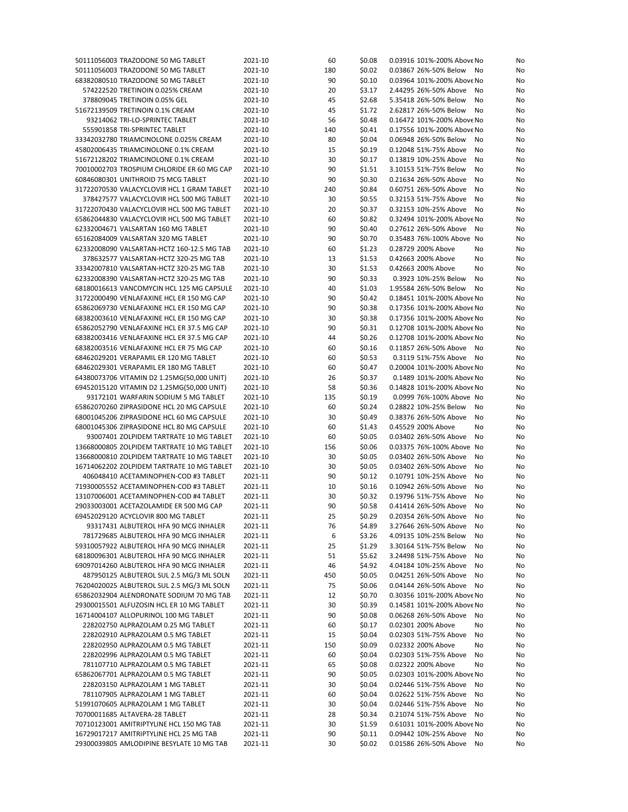| 50111056003 TRAZODONE 50 MG TABLET         | 2021-10 | 60  | \$0.08 | 0.03916 101%-200% Above No  | No |
|--------------------------------------------|---------|-----|--------|-----------------------------|----|
| 50111056003 TRAZODONE 50 MG TABLET         | 2021-10 | 180 | \$0.02 | 0.03867 26%-50% Below<br>No | No |
| 68382080510 TRAZODONE 50 MG TABLET         | 2021-10 | 90  | \$0.10 | 0.03964 101%-200% Above No  | No |
| 574222520 TRETINOIN 0.025% CREAM           | 2021-10 | 20  | \$3.17 | 2.44295 26%-50% Above<br>No | No |
| 378809045 TRETINOIN 0.05% GEL              | 2021-10 | 45  | \$2.68 | 5.35418 26%-50% Below<br>No | No |
| 51672139509 TRETINOIN 0.1% CREAM           | 2021-10 | 45  | \$1.72 | 2.62817 26%-50% Below<br>No |    |
|                                            |         |     |        |                             | No |
| 93214062 TRI-LO-SPRINTEC TABLET            | 2021-10 | 56  | \$0.48 | 0.16472 101%-200% Above No  | No |
| 555901858 TRI-SPRINTEC TABLET              | 2021-10 | 140 | \$0.41 | 0.17556 101%-200% Above No  | No |
| 33342032780 TRIAMCINOLONE 0.025% CREAM     | 2021-10 | 80  | \$0.04 | 0.06948 26%-50% Below<br>No | No |
| 45802006435 TRIAMCINOLONE 0.1% CREAM       | 2021-10 | 15  | \$0.19 | 0.12048 51%-75% Above<br>No | No |
| 51672128202 TRIAMCINOLONE 0.1% CREAM       | 2021-10 | 30  | \$0.17 | 0.13819 10%-25% Above<br>No | No |
| 70010002703 TROSPIUM CHLORIDE ER 60 MG CAP | 2021-10 | 90  | \$1.51 | 3.10153 51%-75% Below<br>No | No |
| 60846080301 UNITHROID 75 MCG TABLET        | 2021-10 | 90  | \$0.30 | 0.21634 26%-50% Above<br>No | No |
| 31722070530 VALACYCLOVIR HCL 1 GRAM TABLET | 2021-10 | 240 | \$0.84 | 0.60751 26%-50% Above<br>No | No |
|                                            |         |     |        |                             |    |
| 378427577 VALACYCLOVIR HCL 500 MG TABLET   | 2021-10 | 30  | \$0.55 | 0.32153 51%-75% Above<br>No | No |
| 31722070430 VALACYCLOVIR HCL 500 MG TABLET | 2021-10 | 20  | \$0.37 | 0.32153 10%-25% Above<br>No | No |
| 65862044830 VALACYCLOVIR HCL 500 MG TABLET | 2021-10 | 60  | \$0.82 | 0.32494 101%-200% Above No  | No |
| 62332004671 VALSARTAN 160 MG TABLET        | 2021-10 | 90  | \$0.40 | 0.27612 26%-50% Above<br>No | No |
| 65162084009 VALSARTAN 320 MG TABLET        | 2021-10 | 90  | \$0.70 | 0.35483 76%-100% Above No   | No |
| 62332008090 VALSARTAN-HCTZ 160-12.5 MG TAB | 2021-10 | 60  | \$1.23 | 0.28729 200% Above<br>No    | No |
| 378632577 VALSARTAN-HCTZ 320-25 MG TAB     | 2021-10 | 13  | \$1.53 | 0.42663 200% Above<br>No    | No |
| 33342007810 VALSARTAN-HCTZ 320-25 MG TAB   | 2021-10 | 30  | \$1.53 | 0.42663 200% Above<br>No    | No |
| 62332008390 VALSARTAN-HCTZ 320-25 MG TAB   | 2021-10 | 90  | \$0.33 | 0.3923 10%-25% Below<br>No  | No |
|                                            |         |     |        |                             |    |
| 68180016613 VANCOMYCIN HCL 125 MG CAPSULE  | 2021-10 | 40  | \$1.03 | 1.95584 26%-50% Below<br>No | No |
| 31722000490 VENLAFAXINE HCL ER 150 MG CAP  | 2021-10 | 90  | \$0.42 | 0.18451 101%-200% Above No  | No |
| 65862069730 VENLAFAXINE HCL ER 150 MG CAP  | 2021-10 | 90  | \$0.38 | 0.17356 101%-200% Above No  | No |
| 68382003610 VENLAFAXINE HCL ER 150 MG CAP  | 2021-10 | 30  | \$0.38 | 0.17356 101%-200% Above No  | No |
| 65862052790 VENLAFAXINE HCL ER 37.5 MG CAP | 2021-10 | 90  | \$0.31 | 0.12708 101%-200% Above No  | No |
| 68382003416 VENLAFAXINE HCL ER 37.5 MG CAP | 2021-10 | 44  | \$0.26 | 0.12708 101%-200% Above No  | No |
| 68382003516 VENLAFAXINE HCL ER 75 MG CAP   | 2021-10 | 60  | \$0.16 | 0.11857 26%-50% Above<br>No | No |
| 68462029201 VERAPAMIL ER 120 MG TABLET     | 2021-10 | 60  | \$0.53 | 0.3119 51%-75% Above<br>No  | No |
|                                            |         |     |        |                             |    |
| 68462029301 VERAPAMIL ER 180 MG TABLET     | 2021-10 | 60  | \$0.47 | 0.20004 101%-200% Above No  | No |
| 64380073706 VITAMIN D2 1.25MG(50,000 UNIT) | 2021-10 | 26  | \$0.37 | 0.1489 101%-200% Above No   | No |
| 69452015120 VITAMIN D2 1.25MG(50,000 UNIT) | 2021-10 | 58  | \$0.36 | 0.14828 101%-200% Above No  | No |
| 93172101 WARFARIN SODIUM 5 MG TABLET       | 2021-10 | 135 | \$0.19 | 0.0999 76%-100% Above No    | No |
| 65862070260 ZIPRASIDONE HCL 20 MG CAPSULE  | 2021-10 | 60  | \$0.24 | 0.28822 10%-25% Below<br>No | No |
| 68001045206 ZIPRASIDONE HCL 60 MG CAPSULE  | 2021-10 | 30  | \$0.49 | 0.38376 26%-50% Above<br>No | No |
| 68001045306 ZIPRASIDONE HCL 80 MG CAPSULE  | 2021-10 | 60  | \$1.43 | 0.45529 200% Above<br>No    | No |
| 93007401 ZOLPIDEM TARTRATE 10 MG TABLET    | 2021-10 | 60  | \$0.05 | 0.03402 26%-50% Above<br>No | No |
| 13668000805 ZOLPIDEM TARTRATE 10 MG TABLET | 2021-10 | 156 | \$0.06 | 0.03375 76%-100% Above No   |    |
|                                            |         |     |        |                             | No |
| 13668000810 ZOLPIDEM TARTRATE 10 MG TABLET | 2021-10 | 30  | \$0.05 | 0.03402 26%-50% Above<br>No | No |
| 16714062202 ZOLPIDEM TARTRATE 10 MG TABLET | 2021-10 | 30  | \$0.05 | 0.03402 26%-50% Above<br>No | No |
| 406048410 ACETAMINOPHEN-COD #3 TABLET      | 2021-11 | 90  | \$0.12 | 0.10791 10%-25% Above<br>No | No |
| 71930005552 ACETAMINOPHEN-COD #3 TABLET    | 2021-11 | 10  | \$0.16 | 0.10942 26%-50% Above<br>No | No |
| 13107006001 ACETAMINOPHEN-COD #4 TABLET    | 2021-11 | 30  | \$0.32 | 0.19796 51%-75% Above<br>No | No |
| 29033003001 ACETAZOLAMIDE ER 500 MG CAP    | 2021-11 | 90  | \$0.58 | 0.41414 26%-50% Above<br>No | No |
| 69452029120 ACYCLOVIR 800 MG TABLET        | 2021-11 | 25  | \$0.29 | 0.20354 26%-50% Above<br>No | No |
| 93317431 ALBUTEROL HFA 90 MCG INHALER      | 2021-11 | 76  | \$4.89 | 3.27646 26%-50% Above<br>No | No |
|                                            |         |     |        |                             |    |
| 781729685 ALBUTEROL HFA 90 MCG INHALER     | 2021-11 | 6   | \$3.26 | 4.09135 10%-25% Below<br>No | No |
| 59310057922 ALBUTEROL HFA 90 MCG INHALER   | 2021-11 | 25  | \$1.29 | 3.30164 51%-75% Below<br>No | No |
| 68180096301 ALBUTEROL HFA 90 MCG INHALER   | 2021-11 | 51  | \$5.62 | 3.24498 51%-75% Above<br>No | No |
| 69097014260 ALBUTEROL HFA 90 MCG INHALER   | 2021-11 | 46  | \$4.92 | 4.04184 10%-25% Above<br>No | No |
| 487950125 ALBUTEROL SUL 2.5 MG/3 ML SOLN   | 2021-11 | 450 | \$0.05 | 0.04251 26%-50% Above<br>No | No |
| 76204020025 ALBUTEROL SUL 2.5 MG/3 ML SOLN | 2021-11 | 75  | \$0.06 | 0.04144 26%-50% Above<br>No | No |
| 65862032904 ALENDRONATE SODIUM 70 MG TAB   | 2021-11 | 12  | \$0.70 | 0.30356 101%-200% Above No  | No |
| 29300015501 ALFUZOSIN HCL ER 10 MG TABLET  | 2021-11 | 30  | \$0.39 | 0.14581 101%-200% Above No  | No |
| 16714004107 ALLOPURINOL 100 MG TABLET      |         |     |        |                             |    |
|                                            | 2021-11 | 90  | \$0.08 | 0.06268 26%-50% Above<br>No | No |
| 228202750 ALPRAZOLAM 0.25 MG TABLET        | 2021-11 | 60  | \$0.17 | 0.02301 200% Above<br>No    | No |
| 228202910 ALPRAZOLAM 0.5 MG TABLET         | 2021-11 | 15  | \$0.04 | 0.02303 51%-75% Above<br>No | No |
| 228202950 ALPRAZOLAM 0.5 MG TABLET         | 2021-11 | 150 | \$0.09 | 0.02332 200% Above<br>No    | No |
| 228202996 ALPRAZOLAM 0.5 MG TABLET         | 2021-11 | 60  | \$0.04 | 0.02303 51%-75% Above<br>No | No |
| 781107710 ALPRAZOLAM 0.5 MG TABLET         | 2021-11 | 65  | \$0.08 | 0.02322 200% Above<br>No    | No |
| 65862067701 ALPRAZOLAM 0.5 MG TABLET       | 2021-11 | 90  | \$0.05 | 0.02303 101%-200% Above No  | No |
| 228203150 ALPRAZOLAM 1 MG TABLET           | 2021-11 | 30  | \$0.04 | 0.02446 51%-75% Above<br>No | No |
| 781107905 ALPRAZOLAM 1 MG TABLET           | 2021-11 | 60  | \$0.04 | 0.02622 51%-75% Above<br>No | No |
|                                            |         |     |        |                             |    |
| 51991070605 ALPRAZOLAM 1 MG TABLET         | 2021-11 | 30  | \$0.04 | 0.02446 51%-75% Above<br>No | No |
| 70700011685 ALTAVERA-28 TABLET             | 2021-11 | 28  | \$0.34 | 0.21074 51%-75% Above<br>No | No |
| 70710123001 AMITRIPTYLINE HCL 150 MG TAB   | 2021-11 | 30  | \$1.59 | 0.61031 101%-200% Above No  | No |
| 16729017217 AMITRIPTYLINE HCL 25 MG TAB    | 2021-11 | 90  | \$0.11 | 0.09442 10%-25% Above<br>No | No |
| 29300039805 AMLODIPINE BESYLATE 10 MG TAB  | 2021-11 | 30  | \$0.02 | 0.01586 26%-50% Above<br>No | No |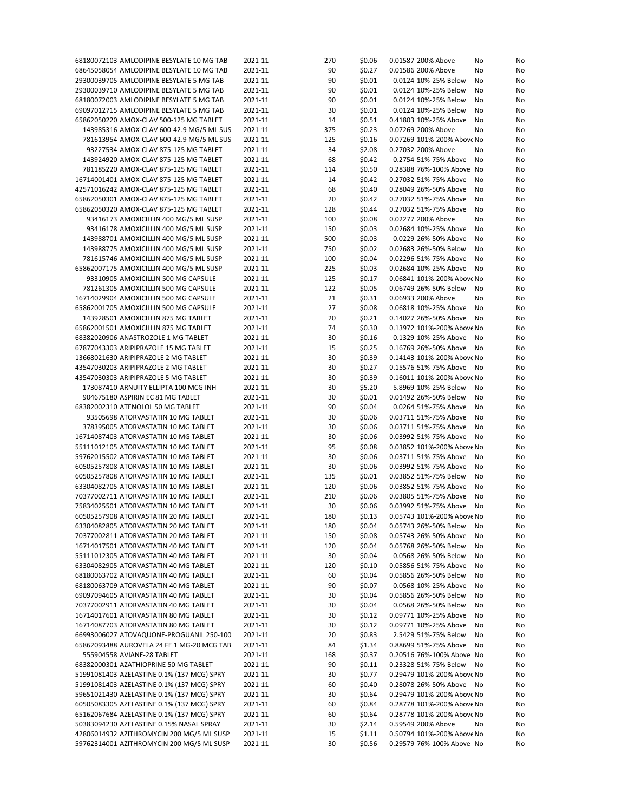| 68180072103 AMLODIPINE BESYLATE 10 MG TAB  | 2021-11 | 270 | \$0.06 | 0.01587 200% Above         | No | No |
|--------------------------------------------|---------|-----|--------|----------------------------|----|----|
| 68645058054 AMLODIPINE BESYLATE 10 MG TAB  | 2021-11 | 90  | \$0.27 | 0.01586 200% Above         | No | No |
| 29300039705 AMLODIPINE BESYLATE 5 MG TAB   | 2021-11 | 90  | \$0.01 | 0.0124 10%-25% Below       | No | No |
| 29300039710 AMLODIPINE BESYLATE 5 MG TAB   | 2021-11 | 90  | \$0.01 | 0.0124 10%-25% Below       | No | No |
| 68180072003 AMLODIPINE BESYLATE 5 MG TAB   | 2021-11 | 90  | \$0.01 | 0.0124 10%-25% Below       | No | No |
|                                            |         |     |        |                            |    |    |
| 69097012715 AMLODIPINE BESYLATE 5 MG TAB   | 2021-11 | 30  | \$0.01 | 0.0124 10%-25% Below       | No | No |
| 65862050220 AMOX-CLAV 500-125 MG TABLET    | 2021-11 | 14  | \$0.51 | 0.41803 10%-25% Above      | No | No |
| 143985316 AMOX-CLAV 600-42.9 MG/5 ML SUS   | 2021-11 | 375 | \$0.23 | 0.07269 200% Above         | No | No |
| 781613954 AMOX-CLAV 600-42.9 MG/5 ML SUS   | 2021-11 | 125 | \$0.16 | 0.07269 101%-200% Above No |    | No |
| 93227534 AMOX-CLAV 875-125 MG TABLET       | 2021-11 | 34  | \$2.08 | 0.27032 200% Above         | No | No |
| 143924920 AMOX-CLAV 875-125 MG TABLET      | 2021-11 | 68  | \$0.42 | 0.2754 51%-75% Above       | No | No |
| 781185220 AMOX-CLAV 875-125 MG TABLET      | 2021-11 | 114 | \$0.50 | 0.28388 76%-100% Above No  |    | No |
| 16714001401 AMOX-CLAV 875-125 MG TABLET    | 2021-11 | 14  | \$0.42 | 0.27032 51%-75% Above      | No | No |
| 42571016242 AMOX-CLAV 875-125 MG TABLET    | 2021-11 | 68  | \$0.40 | 0.28049 26%-50% Above      |    | No |
|                                            |         |     |        |                            | No |    |
| 65862050301 AMOX-CLAV 875-125 MG TABLET    | 2021-11 | 20  | \$0.42 | 0.27032 51%-75% Above      | No | No |
| 65862050320 AMOX-CLAV 875-125 MG TABLET    | 2021-11 | 128 | \$0.44 | 0.27032 51%-75% Above      | No | No |
| 93416173 AMOXICILLIN 400 MG/5 ML SUSP      | 2021-11 | 100 | \$0.08 | 0.02277 200% Above         | No | No |
| 93416178 AMOXICILLIN 400 MG/5 ML SUSP      | 2021-11 | 150 | \$0.03 | 0.02684 10%-25% Above      | No | No |
| 143988701 AMOXICILLIN 400 MG/5 ML SUSP     | 2021-11 | 500 | \$0.03 | 0.0229 26%-50% Above       | No | No |
| 143988775 AMOXICILLIN 400 MG/5 ML SUSP     | 2021-11 | 750 | \$0.02 | 0.02683 26%-50% Below      | No | No |
| 781615746 AMOXICILLIN 400 MG/5 ML SUSP     | 2021-11 | 100 | \$0.04 | 0.02296 51%-75% Above      | No | No |
| 65862007175 AMOXICILLIN 400 MG/5 ML SUSP   | 2021-11 | 225 | \$0.03 | 0.02684 10%-25% Above      | No | No |
|                                            |         |     |        |                            |    |    |
| 93310905 AMOXICILLIN 500 MG CAPSULE        | 2021-11 | 125 | \$0.17 | 0.06841 101%-200% Above No |    | No |
| 781261305 AMOXICILLIN 500 MG CAPSULE       | 2021-11 | 122 | \$0.05 | 0.06749 26%-50% Below      | No | No |
| 16714029904 AMOXICILLIN 500 MG CAPSULE     | 2021-11 | 21  | \$0.31 | 0.06933 200% Above         | No | No |
| 65862001705 AMOXICILLIN 500 MG CAPSULE     | 2021-11 | 27  | \$0.08 | 0.06818 10%-25% Above      | No | No |
| 143928501 AMOXICILLIN 875 MG TABLET        | 2021-11 | 20  | \$0.21 | 0.14027 26%-50% Above      | No | No |
| 65862001501 AMOXICILLIN 875 MG TABLET      | 2021-11 | 74  | \$0.30 | 0.13972 101%-200% Above No |    | No |
| 68382020906 ANASTROZOLE 1 MG TABLET        | 2021-11 | 30  | \$0.16 | 0.1329 10%-25% Above       | No | No |
| 67877043303 ARIPIPRAZOLE 15 MG TABLET      | 2021-11 | 15  | \$0.25 | 0.16769 26%-50% Above      | No | No |
| 13668021630 ARIPIPRAZOLE 2 MG TABLET       | 2021-11 | 30  |        | 0.14143 101%-200% Above No |    |    |
|                                            |         |     | \$0.39 |                            |    | No |
| 43547030203 ARIPIPRAZOLE 2 MG TABLET       | 2021-11 | 30  | \$0.27 | 0.15576 51%-75% Above      | No | No |
| 43547030303 ARIPIPRAZOLE 5 MG TABLET       | 2021-11 | 30  | \$0.39 | 0.16011 101%-200% Above No |    | No |
| 173087410 ARNUITY ELLIPTA 100 MCG INH      | 2021-11 | 30  | \$5.20 | 5.8969 10%-25% Below       | No | No |
| 904675180 ASPIRIN EC 81 MG TABLET          | 2021-11 | 30  | \$0.01 | 0.01492 26%-50% Below      | No | No |
| 68382002310 ATENOLOL 50 MG TABLET          | 2021-11 | 90  | \$0.04 | 0.0264 51%-75% Above       | No | No |
| 93505698 ATORVASTATIN 10 MG TABLET         | 2021-11 | 30  | \$0.06 | 0.03711 51%-75% Above      | No | No |
| 378395005 ATORVASTATIN 10 MG TABLET        | 2021-11 | 30  | \$0.06 | 0.03711 51%-75% Above      | No | No |
| 16714087403 ATORVASTATIN 10 MG TABLET      | 2021-11 | 30  | \$0.06 | 0.03992 51%-75% Above      | No | No |
|                                            |         |     |        |                            |    |    |
| 55111012105 ATORVASTATIN 10 MG TABLET      | 2021-11 | 95  | \$0.08 | 0.03852 101%-200% Above No |    | No |
| 59762015502 ATORVASTATIN 10 MG TABLET      | 2021-11 | 30  | \$0.06 | 0.03711 51%-75% Above      | No | No |
| 60505257808 ATORVASTATIN 10 MG TABLET      | 2021-11 | 30  | \$0.06 | 0.03992 51%-75% Above      | No | No |
| 60505257808 ATORVASTATIN 10 MG TABLET      | 2021-11 | 135 | \$0.01 | 0.03852 51%-75% Below      | No | No |
| 63304082705 ATORVASTATIN 10 MG TABLET      | 2021-11 | 120 | \$0.06 | 0.03852 51%-75% Above      | No | No |
| 70377002711 ATORVASTATIN 10 MG TABLET      | 2021-11 | 210 | \$0.06 | 0.03805 51%-75% Above      | No | No |
| 75834025501 ATORVASTATIN 10 MG TABLET      | 2021-11 | 30  | \$0.06 | 0.03992 51%-75% Above      | No | No |
| 60505257908 ATORVASTATIN 20 MG TABLET      | 2021-11 | 180 | \$0.13 | 0.05743 101%-200% Above No |    | No |
|                                            |         |     |        |                            |    |    |
| 63304082805 ATORVASTATIN 20 MG TABLET      | 2021-11 | 180 | \$0.04 | 0.05743 26%-50% Below      | No | No |
| 70377002811 ATORVASTATIN 20 MG TABLET      | 2021-11 | 150 | \$0.08 | 0.05743 26%-50% Above      | No | No |
| 16714017501 ATORVASTATIN 40 MG TABLET      | 2021-11 | 120 | \$0.04 | 0.05768 26%-50% Below      | No | No |
| 55111012305 ATORVASTATIN 40 MG TABLET      | 2021-11 | 30  | \$0.04 | 0.0568 26%-50% Below       | No | No |
| 63304082905 ATORVASTATIN 40 MG TABLET      | 2021-11 | 120 | \$0.10 | 0.05856 51%-75% Above      | No | No |
| 68180063702 ATORVASTATIN 40 MG TABLET      | 2021-11 | 60  | \$0.04 | 0.05856 26%-50% Below      | No | No |
| 68180063709 ATORVASTATIN 40 MG TABLET      | 2021-11 | 90  | \$0.07 | 0.0568 10%-25% Above       | No | No |
| 69097094605 ATORVASTATIN 40 MG TABLET      | 2021-11 | 30  | \$0.04 | 0.05856 26%-50% Below      | No | No |
|                                            |         |     |        |                            |    |    |
| 70377002911 ATORVASTATIN 40 MG TABLET      | 2021-11 | 30  | \$0.04 | 0.0568 26%-50% Below       | No | No |
| 16714017601 ATORVASTATIN 80 MG TABLET      | 2021-11 | 30  | \$0.12 | 0.09771 10%-25% Above      | No | No |
| 16714087703 ATORVASTATIN 80 MG TABLET      | 2021-11 | 30  | \$0.12 | 0.09771 10%-25% Above      | No | No |
| 66993006027 ATOVAQUONE-PROGUANIL 250-100   | 2021-11 | 20  | \$0.83 | 2.5429 51%-75% Below       | No | No |
| 65862093488 AUROVELA 24 FE 1 MG-20 MCG TAB | 2021-11 | 84  | \$1.34 | 0.88699 51%-75% Above      | No | No |
| 555904558 AVIANE-28 TABLET                 | 2021-11 | 168 | \$0.37 | 0.20516 76%-100% Above No  |    | No |
| 68382000301 AZATHIOPRINE 50 MG TABLET      | 2021-11 | 90  | \$0.11 | 0.23328 51%-75% Below      | No | No |
| 51991081403 AZELASTINE 0.1% (137 MCG) SPRY | 2021-11 | 30  | \$0.77 | 0.29479 101%-200% Above No |    | No |
|                                            |         |     |        |                            |    |    |
| 51991081403 AZELASTINE 0.1% (137 MCG) SPRY | 2021-11 | 60  | \$0.40 | 0.28078 26%-50% Above      | No | No |
| 59651021430 AZELASTINE 0.1% (137 MCG) SPRY | 2021-11 | 30  | \$0.64 | 0.29479 101%-200% Above No |    | No |
| 60505083305 AZELASTINE 0.1% (137 MCG) SPRY | 2021-11 | 60  | \$0.84 | 0.28778 101%-200% Above No |    | No |
| 65162067684 AZELASTINE 0.1% (137 MCG) SPRY | 2021-11 | 60  | \$0.64 | 0.28778 101%-200% Above No |    | No |
| 50383094230 AZELASTINE 0.15% NASAL SPRAY   | 2021-11 | 30  | \$2.14 | 0.59549 200% Above         | No | No |
| 42806014932 AZITHROMYCIN 200 MG/5 ML SUSP  | 2021-11 | 15  | \$1.11 | 0.50794 101%-200% Above No |    | No |
| 59762314001 AZITHROMYCIN 200 MG/5 ML SUSP  | 2021-11 | 30  | \$0.56 | 0.29579 76%-100% Above No  |    | No |
|                                            |         |     |        |                            |    |    |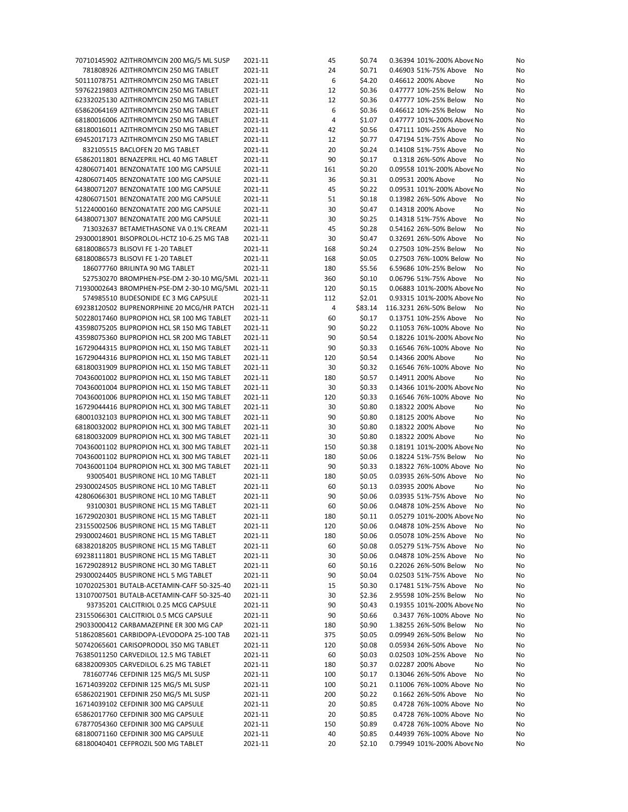| 70710145902 AZITHROMYCIN 200 MG/5 ML SUSP                                     | 2021-11 | 45  | \$0.74  | 0.36394 101%-200% Above No  | No       |
|-------------------------------------------------------------------------------|---------|-----|---------|-----------------------------|----------|
| 781808926 AZITHROMYCIN 250 MG TABLET                                          | 2021-11 | 24  | \$0.71  | 0.46903 51%-75% Above<br>No | No       |
| 50111078751 AZITHROMYCIN 250 MG TABLET                                        | 2021-11 | 6   | \$4.20  | 0.46612 200% Above          | No<br>No |
| 59762219803 AZITHROMYCIN 250 MG TABLET                                        | 2021-11 | 12  | \$0.36  | 0.47777 10%-25% Below       | No<br>No |
| 62332025130 AZITHROMYCIN 250 MG TABLET                                        | 2021-11 | 12  | \$0.36  | 0.47777 10%-25% Below<br>No | No       |
| 65862064169 AZITHROMYCIN 250 MG TABLET                                        | 2021-11 | 6   | \$0.36  | 0.46612 10%-25% Below       | No<br>No |
| 68180016006 AZITHROMYCIN 250 MG TABLET                                        | 2021-11 | 4   | \$1.07  | 0.47777 101%-200% Above No  | No       |
|                                                                               |         |     |         | 0.47111 10%-25% Above       |          |
| 68180016011 AZITHROMYCIN 250 MG TABLET                                        | 2021-11 | 42  | \$0.56  |                             | No<br>No |
| 69452017173 AZITHROMYCIN 250 MG TABLET                                        | 2021-11 | 12  | \$0.77  | 0.47194 51%-75% Above       | No<br>No |
| 832105515 BACLOFEN 20 MG TABLET                                               | 2021-11 | 20  | \$0.24  | 0.14108 51%-75% Above       | No<br>No |
| 65862011801 BENAZEPRIL HCL 40 MG TABLET                                       | 2021-11 | 90  | \$0.17  | 0.1318 26%-50% Above        | No<br>No |
| 42806071401 BENZONATATE 100 MG CAPSULE                                        | 2021-11 | 161 | \$0.20  | 0.09558 101%-200% Above No  | No       |
| 42806071405 BENZONATATE 100 MG CAPSULE                                        | 2021-11 | 36  | \$0.31  | 0.09531 200% Above          | No<br>No |
| 64380071207 BENZONATATE 100 MG CAPSULE                                        | 2021-11 | 45  | \$0.22  | 0.09531 101%-200% Above No  | No       |
| 42806071501 BENZONATATE 200 MG CAPSULE                                        | 2021-11 | 51  | \$0.18  | 0.13982 26%-50% Above       | No<br>No |
| 51224000160 BENZONATATE 200 MG CAPSULE                                        | 2021-11 | 30  | \$0.47  | 0.14318 200% Above          | No<br>No |
| 64380071307 BENZONATATE 200 MG CAPSULE                                        | 2021-11 | 30  | \$0.25  | 0.14318 51%-75% Above<br>No | No       |
| 713032637 BETAMETHASONE VA 0.1% CREAM                                         | 2021-11 | 45  | \$0.28  | 0.54162 26%-50% Below       | No<br>No |
| 29300018901 BISOPROLOL-HCTZ 10-6.25 MG TAB                                    | 2021-11 | 30  | \$0.47  | 0.32691 26%-50% Above       | No<br>No |
|                                                                               |         |     |         |                             |          |
| 68180086573 BLISOVI FE 1-20 TABLET                                            | 2021-11 | 168 | \$0.24  | 0.27503 10%-25% Below       | No<br>No |
| 68180086573 BLISOVI FE 1-20 TABLET                                            | 2021-11 | 168 | \$0.05  | 0.27503 76%-100% Below No   | No       |
| 186077760 BRILINTA 90 MG TABLET                                               | 2021-11 | 180 | \$5.56  | 6.59686 10%-25% Below       | No<br>No |
| 527530270 BROMPHEN-PSE-DM 2-30-10 MG/5ML 2021-11                              |         | 360 | \$0.10  | 0.06796 51%-75% Above<br>No | No       |
| 71930002643 BROMPHEN-PSE-DM 2-30-10 MG/5ML 2021-11                            |         | 120 | \$0.15  | 0.06883 101%-200% Above No  | No       |
| 574985510 BUDESONIDE EC 3 MG CAPSULE                                          | 2021-11 | 112 | \$2.01  | 0.93315 101%-200% Above No  | No       |
| 69238120502 BUPRENORPHINE 20 MCG/HR PATCH                                     | 2021-11 | 4   | \$83.14 | 116.3231 26%-50% Below      | No<br>No |
| 50228017460 BUPROPION HCL SR 100 MG TABLET                                    | 2021-11 | 60  | \$0.17  | 0.13751 10%-25% Above       | No<br>No |
| 43598075205 BUPROPION HCL SR 150 MG TABLET                                    | 2021-11 | 90  | \$0.22  | 0.11053 76%-100% Above No   | No       |
| 43598075360 BUPROPION HCL SR 200 MG TABLET                                    | 2021-11 | 90  | \$0.54  | 0.18226 101%-200% Above No  | No       |
| 16729044315 BUPROPION HCL XL 150 MG TABLET                                    | 2021-11 | 90  | \$0.33  | 0.16546 76%-100% Above No   | No       |
| 16729044316 BUPROPION HCL XL 150 MG TABLET                                    | 2021-11 | 120 | \$0.54  | 0.14366 200% Above          | No<br>No |
| 68180031909 BUPROPION HCL XL 150 MG TABLET                                    |         |     |         | 0.16546 76%-100% Above No   |          |
|                                                                               | 2021-11 | 30  | \$0.32  |                             | No       |
| 70436001002 BUPROPION HCL XL 150 MG TABLET                                    | 2021-11 | 180 | \$0.57  | 0.14911 200% Above          | No<br>No |
| 70436001004 BUPROPION HCL XL 150 MG TABLET                                    | 2021-11 | 30  | \$0.33  | 0.14366 101%-200% Above No  | No       |
| 70436001006 BUPROPION HCL XL 150 MG TABLET                                    | 2021-11 | 120 | \$0.33  | 0.16546 76%-100% Above No   | No       |
| 16729044416 BUPROPION HCL XL 300 MG TABLET                                    | 2021-11 | 30  | \$0.80  | 0.18322 200% Above          | No<br>No |
| 68001032103 BUPROPION HCL XL 300 MG TABLET                                    | 2021-11 | 90  | \$0.80  | 0.18125 200% Above          | No<br>No |
| 68180032002 BUPROPION HCL XL 300 MG TABLET                                    | 2021-11 | 30  | \$0.80  | 0.18322 200% Above          | No<br>No |
| 68180032009 BUPROPION HCL XL 300 MG TABLET                                    | 2021-11 | 30  | \$0.80  | 0.18322 200% Above<br>No    | No       |
| 70436001102 BUPROPION HCL XL 300 MG TABLET                                    | 2021-11 | 150 | \$0.38  | 0.18191 101%-200% Above No  | No       |
| 70436001102 BUPROPION HCL XL 300 MG TABLET                                    | 2021-11 | 180 | \$0.06  | 0.18224 51%-75% Below<br>No | No       |
| 70436001104 BUPROPION HCL XL 300 MG TABLET                                    | 2021-11 | 90  | \$0.33  | 0.18322 76%-100% Above No   | No       |
| 93005401 BUSPIRONE HCL 10 MG TABLET                                           | 2021-11 | 180 | \$0.05  | 0.03935 26%-50% Above       | No<br>No |
| 29300024505 BUSPIRONE HCL 10 MG TABLET                                        | 2021-11 | 60  | \$0.13  | 0.03935 200% Above          | No<br>No |
|                                                                               | 2021-11 | 90  |         | 0.03935 51%-75% Above       |          |
| 42806066301 BUSPIRONE HCL 10 MG TABLET<br>93100301 BUSPIRONE HCL 15 MG TABLET | 2021-11 |     | \$0.06  | No<br>0.04878 10%-25% Above | No       |
|                                                                               |         | 60  | \$0.06  | No                          | No       |
| 16729020301 BUSPIRONE HCL 15 MG TABLET                                        | 2021-11 | 180 | \$0.11  | 0.05279 101%-200% Above No  | No       |
| 23155002506 BUSPIRONE HCL 15 MG TABLET                                        | 2021-11 | 120 | \$0.06  | 0.04878 10%-25% Above No    | No       |
| 29300024601 BUSPIRONE HCL 15 MG TABLET                                        | 2021-11 | 180 | \$0.06  | 0.05078 10%-25% Above       | No<br>No |
| 68382018205 BUSPIRONE HCL 15 MG TABLET                                        | 2021-11 | 60  | \$0.08  | 0.05279 51%-75% Above       | No<br>No |
| 69238111801 BUSPIRONE HCL 15 MG TABLET                                        | 2021-11 | 30  | \$0.06  | 0.04878 10%-25% Above       | No<br>No |
| 16729028912 BUSPIRONE HCL 30 MG TABLET                                        | 2021-11 | 60  | \$0.16  | 0.22026 26%-50% Below       | No<br>No |
| 29300024405 BUSPIRONE HCL 5 MG TABLET                                         | 2021-11 | 90  | \$0.04  | 0.02503 51%-75% Above       | No<br>No |
| 10702025301 BUTALB-ACETAMIN-CAFF 50-325-40                                    | 2021-11 | 15  | \$0.30  | 0.17481 51%-75% Above       | No<br>No |
| 13107007501 BUTALB-ACETAMIN-CAFF 50-325-40                                    | 2021-11 | 30  | \$2.36  | 2.95598 10%-25% Below       | No<br>No |
| 93735201 CALCITRIOL 0.25 MCG CAPSULE                                          | 2021-11 | 90  | \$0.43  | 0.19355 101%-200% Above No  | No       |
| 23155066301 CALCITRIOL 0.5 MCG CAPSULE                                        | 2021-11 | 90  | \$0.66  | 0.3437 76%-100% Above No    | No       |
| 29033000412 CARBAMAZEPINE ER 300 MG CAP                                       | 2021-11 | 180 | \$0.90  | 1.38255 26%-50% Below       | No       |
|                                                                               |         |     |         |                             | No       |
| 51862085601 CARBIDOPA-LEVODOPA 25-100 TAB                                     | 2021-11 | 375 | \$0.05  | 0.09949 26%-50% Below       | No<br>No |
| 50742065601 CARISOPRODOL 350 MG TABLET                                        | 2021-11 | 120 | \$0.08  | 0.05934 26%-50% Above       | No<br>No |
| 76385011250 CARVEDILOL 12.5 MG TABLET                                         | 2021-11 | 60  | \$0.03  | 0.02503 10%-25% Above       | No<br>No |
| 68382009305 CARVEDILOL 6.25 MG TABLET                                         | 2021-11 | 180 | \$0.37  | 0.02287 200% Above          | No<br>No |
| 781607746 CEFDINIR 125 MG/5 ML SUSP                                           | 2021-11 | 100 | \$0.17  | 0.13046 26%-50% Above<br>No | No       |
| 16714039202 CEFDINIR 125 MG/5 ML SUSP                                         | 2021-11 | 100 | \$0.21  | 0.11006 76%-100% Above No   | No       |
| 65862021901 CEFDINIR 250 MG/5 ML SUSP                                         | 2021-11 | 200 | \$0.22  | 0.1662 26%-50% Above        | No<br>No |
| 16714039102 CEFDINIR 300 MG CAPSULE                                           | 2021-11 | 20  | \$0.85  | 0.4728 76%-100% Above No    | No       |
| 65862017760 CEFDINIR 300 MG CAPSULE                                           | 2021-11 | 20  | \$0.85  | 0.4728 76%-100% Above No    | No       |
| 67877054360 CEFDINIR 300 MG CAPSULE                                           | 2021-11 | 150 | \$0.89  | 0.4728 76%-100% Above No    | No       |
| 68180071160 CEFDINIR 300 MG CAPSULE                                           | 2021-11 | 40  | \$0.85  | 0.44939 76%-100% Above No   | No       |
| 68180040401 CEFPROZIL 500 MG TABLET                                           | 2021-11 | 20  | \$2.10  | 0.79949 101%-200% Above No  | No       |
|                                                                               |         |     |         |                             |          |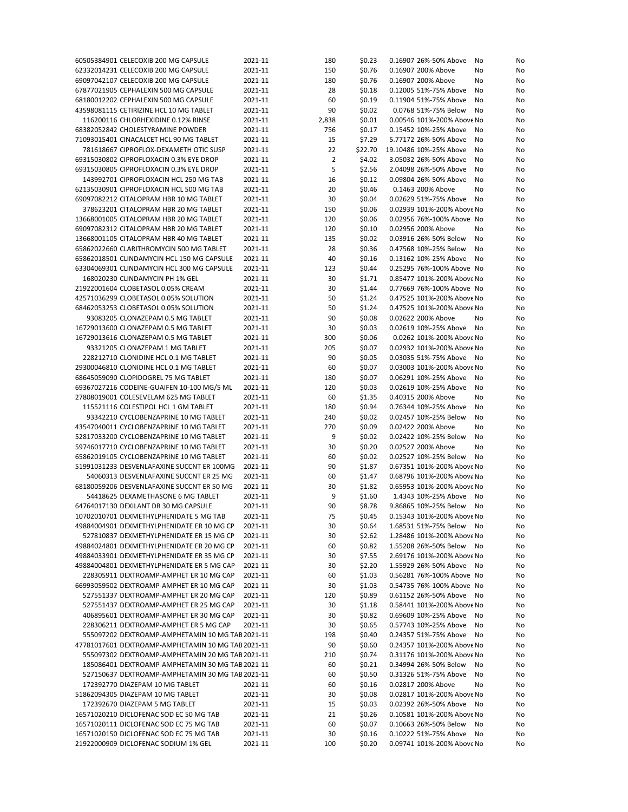| 60505384901 CELECOXIB 200 MG CAPSULE               | 2021-11 | 180            | \$0.23  | 0.16907 26%-50% Above      | No<br>No |  |
|----------------------------------------------------|---------|----------------|---------|----------------------------|----------|--|
| 62332014231 CELECOXIB 200 MG CAPSULE               | 2021-11 | 150            | \$0.76  | 0.16907 200% Above         | No<br>No |  |
| 69097042107 CELECOXIB 200 MG CAPSULE               | 2021-11 | 180            | \$0.76  | 0.16907 200% Above         | No<br>No |  |
| 67877021905 CEPHALEXIN 500 MG CAPSULE              | 2021-11 | 28             | \$0.18  | 0.12005 51%-75% Above      | No<br>No |  |
| 68180012202 CEPHALEXIN 500 MG CAPSULE              | 2021-11 | 60             | \$0.19  | 0.11904 51%-75% Above      | No<br>No |  |
|                                                    | 2021-11 | 90             |         | 0.0768 51%-75% Below       |          |  |
| 43598081115 CETIRIZINE HCL 10 MG TABLET            |         |                | \$0.02  |                            | No<br>No |  |
| 116200116 CHLORHEXIDINE 0.12% RINSE                | 2021-11 | 2,838          | \$0.01  | 0.00546 101%-200% Above No | No       |  |
| 68382052842 CHOLESTYRAMINE POWDER                  | 2021-11 | 756            | \$0.17  | 0.15452 10%-25% Above      | No<br>No |  |
| 71093015401 CINACALCET HCL 90 MG TABLET            | 2021-11 | 15             | \$7.29  | 5.77172 26%-50% Above      | No<br>No |  |
| 781618667 CIPROFLOX-DEXAMETH OTIC SUSP             | 2021-11 | 22             | \$22.70 | 19.10486 10%-25% Above     | No<br>No |  |
| 69315030802 CIPROFLOXACIN 0.3% EYE DROP            | 2021-11 | $\overline{2}$ | \$4.02  | 3.05032 26%-50% Above      | No<br>No |  |
| 69315030805 CIPROFLOXACIN 0.3% EYE DROP            | 2021-11 | 5              | \$2.56  | 2.04098 26%-50% Above      | No<br>No |  |
| 143992701 CIPROFLOXACIN HCL 250 MG TAB             | 2021-11 | 16             | \$0.12  | 0.09804 26%-50% Above      | No<br>No |  |
| 62135030901 CIPROFLOXACIN HCL 500 MG TAB           | 2021-11 | 20             | \$0.46  | 0.1463 200% Above          | No<br>No |  |
| 69097082212 CITALOPRAM HBR 10 MG TABLET            | 2021-11 | 30             | \$0.04  | 0.02629 51%-75% Above      | No<br>No |  |
| 378623201 CITALOPRAM HBR 20 MG TABLET              | 2021-11 | 150            | \$0.06  | 0.02939 101%-200% Above No | No       |  |
|                                                    |         |                |         |                            |          |  |
| 13668001005 CITALOPRAM HBR 20 MG TABLET            | 2021-11 | 120            | \$0.06  | 0.02956 76%-100% Above No  | No       |  |
| 69097082312 CITALOPRAM HBR 20 MG TABLET            | 2021-11 | 120            | \$0.10  | 0.02956 200% Above         | No<br>No |  |
| 13668001105 CITALOPRAM HBR 40 MG TABLET            | 2021-11 | 135            | \$0.02  | 0.03916 26%-50% Below      | No<br>No |  |
| 65862022660 CLARITHROMYCIN 500 MG TABLET           | 2021-11 | 28             | \$0.36  | 0.47568 10%-25% Below      | No<br>No |  |
| 65862018501 CLINDAMYCIN HCL 150 MG CAPSULE         | 2021-11 | 40             | \$0.16  | 0.13162 10%-25% Above      | No<br>No |  |
| 63304069301 CLINDAMYCIN HCL 300 MG CAPSULE         | 2021-11 | 123            | \$0.44  | 0.25295 76%-100% Above No  | No       |  |
| 168020230 CLINDAMYCIN PH 1% GEL                    | 2021-11 | 30             | \$1.71  | 0.85477 101%-200% Above No | No       |  |
| 21922001604 CLOBETASOL 0.05% CREAM                 | 2021-11 | 30             | \$1.44  | 0.77669 76%-100% Above No  | No       |  |
| 42571036299 CLOBETASOL 0.05% SOLUTION              | 2021-11 | 50             | \$1.24  | 0.47525 101%-200% Above No | No       |  |
| 68462053253 CLOBETASOL 0.05% SOLUTION              | 2021-11 | 50             | \$1.24  | 0.47525 101%-200% Above No | No       |  |
|                                                    |         |                |         |                            |          |  |
| 93083205 CLONAZEPAM 0.5 MG TABLET                  | 2021-11 | 90             | \$0.08  | 0.02622 200% Above         | No<br>No |  |
| 16729013600 CLONAZEPAM 0.5 MG TABLET               | 2021-11 | 30             | \$0.03  | 0.02619 10%-25% Above      | No<br>No |  |
| 16729013616 CLONAZEPAM 0.5 MG TABLET               | 2021-11 | 300            | \$0.06  | 0.0262 101%-200% Above No  | No       |  |
| 93321205 CLONAZEPAM 1 MG TABLET                    | 2021-11 | 205            | \$0.07  | 0.02932 101%-200% Above No | No       |  |
| 228212710 CLONIDINE HCL 0.1 MG TABLET              | 2021-11 | 90             | \$0.05  | 0.03035 51%-75% Above No   | No       |  |
| 29300046810 CLONIDINE HCL 0.1 MG TABLET            | 2021-11 | 60             | \$0.07  | 0.03003 101%-200% Above No | No       |  |
| 68645059090 CLOPIDOGREL 75 MG TABLET               | 2021-11 | 180            | \$0.07  | 0.06291 10%-25% Above      | No<br>No |  |
| 69367027216 CODEINE-GUAIFEN 10-100 MG/5 ML         | 2021-11 | 120            | \$0.03  | 0.02619 10%-25% Above      | No<br>No |  |
| 27808019001 COLESEVELAM 625 MG TABLET              | 2021-11 | 60             | \$1.35  | 0.40315 200% Above         | No<br>No |  |
| 115521116 COLESTIPOL HCL 1 GM TABLET               | 2021-11 |                | \$0.94  | 0.76344 10%-25% Above      | No       |  |
|                                                    |         | 180            |         |                            | No       |  |
| 93342210 CYCLOBENZAPRINE 10 MG TABLET              | 2021-11 | 240            | \$0.02  | 0.02457 10%-25% Below      | No<br>No |  |
| 43547040011 CYCLOBENZAPRINE 10 MG TABLET           | 2021-11 | 270            | \$0.09  | 0.02422 200% Above         | No<br>No |  |
| 52817033200 CYCLOBENZAPRINE 10 MG TABLET           | 2021-11 | 9              | \$0.02  | 0.02422 10%-25% Below      | No<br>No |  |
| 59746017710 CYCLOBENZAPRINE 10 MG TABLET           | 2021-11 | 30             | \$0.20  | 0.02527 200% Above         | No<br>No |  |
| 65862019105 CYCLOBENZAPRINE 10 MG TABLET           | 2021-11 | 60             | \$0.02  | 0.02527 10%-25% Below      | No<br>No |  |
| 51991031233 DESVENLAFAXINE SUCCNT ER 100MG         | 2021-11 | 90             | \$1.87  | 0.67351 101%-200% Above No | No       |  |
| 54060313 DESVENLAFAXINE SUCCNT ER 25 MG            | 2021-11 | 60             | \$1.47  | 0.68796 101%-200% Above No | No       |  |
| 68180059206 DESVENLAFAXINE SUCCNT ER 50 MG         | 2021-11 | 30             | \$1.82  | 0.65953 101%-200% Above No | No       |  |
| 54418625 DEXAMETHASONE 6 MG TABLET                 | 2021-11 | 9              | \$1.60  | 1.4343 10%-25% Above       | No<br>No |  |
| 64764017130 DEXILANT DR 30 MG CAPSULE              | 2021-11 | 90             | \$8.78  | 9.86865 10%-25% Below      | No<br>No |  |
|                                                    |         | 75             |         |                            |          |  |
| 10702010701 DEXMETHYLPHENIDATE 5 MG TAB            | 2021-11 |                | \$0.45  | 0.15343 101%-200% Above No | No       |  |
| 49884004901 DEXMETHYLPHENIDATE ER 10 MG CP         | 2021-11 | 30             | \$0.64  | 1.68531 51%-75% Below No   | No       |  |
| 527810837 DEXMETHYLPHENIDATE ER 15 MG CP           | 2021-11 | 30             | \$2.62  | 1.28486 101%-200% Above No | No       |  |
| 49884024801 DEXMETHYLPHENIDATE ER 20 MG CP         | 2021-11 | 60             | \$0.82  | 1.55208 26%-50% Below      | No<br>No |  |
| 49884033901 DEXMETHYLPHENIDATE ER 35 MG CP         | 2021-11 | 30             | \$7.55  | 2.69176 101%-200% Above No | No       |  |
| 49884004801 DEXMETHYLPHENIDATE ER 5 MG CAP         | 2021-11 | 30             | \$2.20  | 1.55929 26%-50% Above No   | No       |  |
| 228305911 DEXTROAMP-AMPHET ER 10 MG CAP            | 2021-11 | 60             | \$1.03  | 0.56281 76%-100% Above No  | No       |  |
| 66993059502 DEXTROAMP-AMPHET ER 10 MG CAP          | 2021-11 | 30             | \$1.03  | 0.54735 76%-100% Above No  | No       |  |
| 527551337 DEXTROAMP-AMPHET ER 20 MG CAP            | 2021-11 | 120            | \$0.89  | 0.61152 26%-50% Above      | No<br>No |  |
| 527551437 DEXTROAMP-AMPHET ER 25 MG CAP            | 2021-11 | 30             | \$1.18  | 0.58441 101%-200% Above No | No       |  |
|                                                    |         |                |         |                            |          |  |
| 406895601 DEXTROAMP-AMPHET ER 30 MG CAP            | 2021-11 | 30             | \$0.82  | 0.69609 10%-25% Above      | No<br>No |  |
| 228306211 DEXTROAMP-AMPHET ER 5 MG CAP             | 2021-11 | 30             | \$0.65  | 0.57743 10%-25% Above      | No<br>No |  |
| 555097202 DEXTROAMP-AMPHETAMIN 10 MG TAB 2021-11   |         | 198            | \$0.40  | 0.24357 51%-75% Above      | No<br>No |  |
| 47781017601 DEXTROAMP-AMPHETAMIN 10 MG TAB 2021-11 |         | 90             | \$0.60  | 0.24357 101%-200% Above No | No       |  |
| 555097302 DEXTROAMP-AMPHETAMIN 20 MG TAB 2021-11   |         | 210            | \$0.74  | 0.31176 101%-200% Above No | No       |  |
| 185086401 DEXTROAMP-AMPHETAMIN 30 MG TAB 2021-11   |         | 60             | \$0.21  | 0.34994 26%-50% Below      | No<br>No |  |
| 527150637 DEXTROAMP-AMPHETAMIN 30 MG TAB 2021-11   |         | 60             | \$0.50  | 0.31326 51%-75% Above      | No<br>No |  |
| 172392770 DIAZEPAM 10 MG TABLET                    | 2021-11 | 60             | \$0.16  | 0.02817 200% Above         | No<br>No |  |
| 51862094305 DIAZEPAM 10 MG TABLET                  | 2021-11 | 30             | \$0.08  | 0.02817 101%-200% Above No | No       |  |
| 172392670 DIAZEPAM 5 MG TABLET                     | 2021-11 | 15             | \$0.03  | 0.02392 26%-50% Above      | No<br>No |  |
|                                                    |         |                |         |                            |          |  |
| 16571020210 DICLOFENAC SOD EC 50 MG TAB            | 2021-11 | 21             | \$0.26  | 0.10581 101%-200% Above No | No       |  |
| 16571020111 DICLOFENAC SOD EC 75 MG TAB            | 2021-11 | 60             | \$0.07  | 0.10663 26%-50% Below      | No<br>No |  |
| 16571020150 DICLOFENAC SOD EC 75 MG TAB            | 2021-11 | 30             | \$0.16  | 0.10222 51%-75% Above      | No<br>No |  |
| 21922000909 DICLOFENAC SODIUM 1% GEL               | 2021-11 | 100            | \$0.20  | 0.09741 101%-200% Above No | No       |  |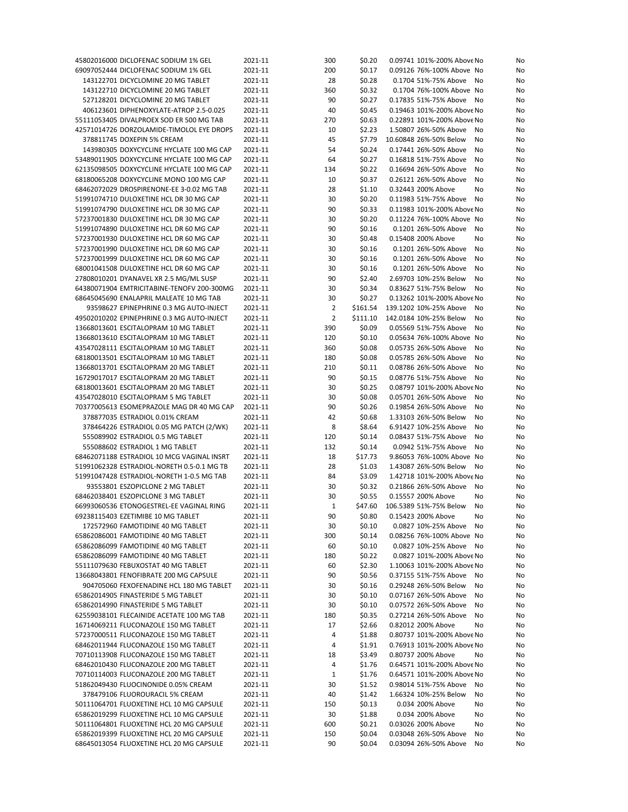| 45802016000 DICLOFENAC SODIUM 1% GEL       | 2021-11 | 300            | \$0.20   | 0.09741 101%-200% Above No | No       |
|--------------------------------------------|---------|----------------|----------|----------------------------|----------|
| 69097052444 DICLOFENAC SODIUM 1% GEL       | 2021-11 | 200            | \$0.17   | 0.09126 76%-100% Above No  | No       |
| 143122701 DICYCLOMINE 20 MG TABLET         | 2021-11 | 28             | \$0.28   | 0.1704 51%-75% Above       | No<br>No |
| 143122710 DICYCLOMINE 20 MG TABLET         | 2021-11 | 360            | \$0.32   | 0.1704 76%-100% Above No   | No       |
| 527128201 DICYCLOMINE 20 MG TABLET         | 2021-11 | 90             | \$0.27   | 0.17835 51%-75% Above      | No<br>No |
| 406123601 DIPHENOXYLATE-ATROP 2.5-0.025    | 2021-11 | 40             | \$0.45   | 0.19463 101%-200% Above No | No       |
| 55111053405 DIVALPROEX SOD ER 500 MG TAB   | 2021-11 | 270            | \$0.63   | 0.22891 101%-200% Above No | No       |
|                                            | 2021-11 | 10             | \$2.23   | 1.50807 26%-50% Above      | No       |
| 42571014726 DORZOLAMIDE-TIMOLOL EYE DROPS  |         |                |          |                            | No       |
| 378811745 DOXEPIN 5% CREAM                 | 2021-11 | 45             | \$7.79   | 10.60848 26%-50% Below     | No<br>No |
| 143980305 DOXYCYCLINE HYCLATE 100 MG CAP   | 2021-11 | 54             | \$0.24   | 0.17441 26%-50% Above      | No<br>No |
| 53489011905 DOXYCYCLINE HYCLATE 100 MG CAP | 2021-11 | 64             | \$0.27   | 0.16818 51%-75% Above      | No<br>No |
| 62135098505 DOXYCYCLINE HYCLATE 100 MG CAP | 2021-11 | 134            | \$0.22   | 0.16694 26%-50% Above      | No<br>No |
| 68180065208 DOXYCYCLINE MONO 100 MG CAP    | 2021-11 | 10             | \$0.37   | 0.26121 26%-50% Above      | No<br>No |
| 68462072029 DROSPIRENONE-EE 3-0.02 MG TAB  | 2021-11 | 28             | \$1.10   | 0.32443 200% Above         | No<br>No |
| 51991074710 DULOXETINE HCL DR 30 MG CAP    | 2021-11 | 30             | \$0.20   | 0.11983 51%-75% Above      | No<br>No |
| 51991074790 DULOXETINE HCL DR 30 MG CAP    | 2021-11 | 90             | \$0.33   | 0.11983 101%-200% Above No | No       |
| 57237001830 DULOXETINE HCL DR 30 MG CAP    | 2021-11 | 30             | \$0.20   | 0.11224 76%-100% Above No  | No       |
| 51991074890 DULOXETINE HCL DR 60 MG CAP    | 2021-11 | 90             | \$0.16   | 0.1201 26%-50% Above       | No<br>No |
| 57237001930 DULOXETINE HCL DR 60 MG CAP    | 2021-11 | 30             | \$0.48   | 0.15408 200% Above         | No<br>No |
|                                            | 2021-11 | 30             |          |                            |          |
| 57237001990 DULOXETINE HCL DR 60 MG CAP    |         |                | \$0.16   | 0.1201 26%-50% Above       | No<br>No |
| 57237001999 DULOXETINE HCL DR 60 MG CAP    | 2021-11 | 30             | \$0.16   | 0.1201 26%-50% Above       | No<br>No |
| 68001041508 DULOXETINE HCL DR 60 MG CAP    | 2021-11 | 30             | \$0.16   | 0.1201 26%-50% Above       | No<br>No |
| 27808010201 DYANAVEL XR 2.5 MG/ML SUSP     | 2021-11 | 90             | \$2.40   | 2.69703 10%-25% Below      | No<br>No |
| 64380071904 EMTRICITABINE-TENOFV 200-300MG | 2021-11 | 30             | \$0.34   | 0.83627 51%-75% Below      | No<br>No |
| 68645045690 ENALAPRIL MALEATE 10 MG TAB    | 2021-11 | 30             | \$0.27   | 0.13262 101%-200% Above No | No       |
| 93598627 EPINEPHRINE 0.3 MG AUTO-INJECT    | 2021-11 | 2              | \$161.54 | 139.1202 10%-25% Above     | No<br>No |
| 49502010202 EPINEPHRINE 0.3 MG AUTO-INJECT | 2021-11 | $\overline{2}$ | \$111.10 | 142.0184 10%-25% Below     | No<br>No |
| 13668013601 ESCITALOPRAM 10 MG TABLET      | 2021-11 | 390            | \$0.09   | 0.05569 51%-75% Above      | No<br>No |
| 13668013610 ESCITALOPRAM 10 MG TABLET      | 2021-11 | 120            | \$0.10   | 0.05634 76%-100% Above No  | No       |
| 43547028111 ESCITALOPRAM 10 MG TABLET      | 2021-11 | 360            | \$0.08   | 0.05735 26%-50% Above      | No<br>No |
| 68180013501 ESCITALOPRAM 10 MG TABLET      | 2021-11 | 180            | \$0.08   | 0.05785 26%-50% Above      | No<br>No |
| 13668013701 ESCITALOPRAM 20 MG TABLET      | 2021-11 | 210            | \$0.11   | 0.08786 26%-50% Above      |          |
|                                            |         |                |          |                            | No<br>No |
| 16729017017 ESCITALOPRAM 20 MG TABLET      | 2021-11 | 90             | \$0.15   | 0.08776 51%-75% Above      | No<br>No |
| 68180013601 ESCITALOPRAM 20 MG TABLET      | 2021-11 | 30             | \$0.25   | 0.08797 101%-200% Above No | No       |
| 43547028010 ESCITALOPRAM 5 MG TABLET       | 2021-11 | 30             | \$0.08   | 0.05701 26%-50% Above      | No<br>No |
| 70377005613 ESOMEPRAZOLE MAG DR 40 MG CAP  | 2021-11 | 90             | \$0.26   | 0.19854 26%-50% Above      | No<br>No |
| 378877035 ESTRADIOL 0.01% CREAM            | 2021-11 | 42             | \$0.68   | 1.33103 26%-50% Below      | No<br>No |
| 378464226 ESTRADIOL 0.05 MG PATCH (2/WK)   | 2021-11 | 8              | \$8.64   | 6.91427 10%-25% Above      | No<br>No |
| 555089902 ESTRADIOL 0.5 MG TABLET          | 2021-11 | 120            | \$0.14   | 0.08437 51%-75% Above      | No<br>No |
| 555088602 ESTRADIOL 1 MG TABLET            | 2021-11 | 132            | \$0.14   | 0.0942 51%-75% Above       | No<br>No |
| 68462071188 ESTRADIOL 10 MCG VAGINAL INSRT | 2021-11 | 18             | \$17.73  | 9.86053 76%-100% Above No  | No       |
| 51991062328 ESTRADIOL-NORETH 0.5-0.1 MG TB | 2021-11 | 28             | \$1.03   | 1.43087 26%-50% Below      | No<br>No |
| 51991047428 ESTRADIOL-NORETH 1-0.5 MG TAB  | 2021-11 | 84             | \$3.09   | 1.42718 101%-200% Above No | No       |
| 93553801 ESZOPICLONE 2 MG TABLET           | 2021-11 | 30             | \$0.32   | 0.21866 26%-50% Above      | No<br>No |
| 68462038401 ESZOPICLONE 3 MG TABLET        | 2021-11 | 30             | \$0.55   | 0.15557 200% Above         | No<br>No |
|                                            | 2021-11 | 1              | \$47.60  | 106.5389 51%-75% Below     |          |
| 66993060536 ETONOGESTREL-EE VAGINAL RING   |         |                |          |                            | No<br>No |
| 69238115403 EZETIMIBE 10 MG TABLET         | 2021-11 | 90             | \$0.80   | 0.15423 200% Above         | No<br>No |
| 172572960 FAMOTIDINE 40 MG TABLET          | 2021-11 | 30             | \$0.10   | 0.0827 10%-25% Above       | No<br>No |
| 65862086001 FAMOTIDINE 40 MG TABLET        | 2021-11 | 300            | \$0.14   | 0.08256 76%-100% Above No  | No       |
| 65862086099 FAMOTIDINE 40 MG TABLET        | 2021-11 | 60             | \$0.10   | 0.0827 10%-25% Above No    | No       |
| 65862086099 FAMOTIDINE 40 MG TABLET        | 2021-11 | 180            | \$0.22   | 0.0827 101%-200% Above No  | No       |
| 55111079630 FEBUXOSTAT 40 MG TABLET        | 2021-11 | 60             | \$2.30   | 1.10063 101%-200% Above No | No       |
| 13668043801 FENOFIBRATE 200 MG CAPSULE     | 2021-11 | 90             | \$0.56   | 0.37155 51%-75% Above      | No<br>No |
| 904705060 FEXOFENADINE HCL 180 MG TABLET   | 2021-11 | 30             | \$0.16   | 0.29248 26%-50% Below      | No<br>No |
| 65862014905 FINASTERIDE 5 MG TABLET        | 2021-11 | 30             | \$0.10   | 0.07167 26%-50% Above      | No<br>No |
| 65862014990 FINASTERIDE 5 MG TABLET        | 2021-11 | 30             | \$0.10   | 0.07572 26%-50% Above      | No<br>No |
| 62559038101 FLECAINIDE ACETATE 100 MG TAB  | 2021-11 | 180            | \$0.35   | 0.27214 26%-50% Above      | No<br>No |
| 16714069211 FLUCONAZOLE 150 MG TABLET      | 2021-11 | 17             | \$2.66   | 0.82012 200% Above         | No<br>No |
|                                            | 2021-11 |                |          |                            |          |
| 57237000511 FLUCONAZOLE 150 MG TABLET      |         | 4              | \$1.88   | 0.80737 101%-200% Above No | No       |
| 68462011944 FLUCONAZOLE 150 MG TABLET      | 2021-11 | 4              | \$1.91   | 0.76913 101%-200% Above No | No       |
| 70710113908 FLUCONAZOLE 150 MG TABLET      | 2021-11 | 18             | \$3.49   | 0.80737 200% Above         | No<br>No |
| 68462010430 FLUCONAZOLE 200 MG TABLET      | 2021-11 | 4              | \$1.76   | 0.64571 101%-200% Above No | No       |
| 70710114003 FLUCONAZOLE 200 MG TABLET      | 2021-11 | 1              | \$1.76   | 0.64571 101%-200% Above No | No       |
| 51862049430 FLUOCINONIDE 0.05% CREAM       | 2021-11 | 30             | \$1.52   | 0.98014 51%-75% Above      | No<br>No |
| 378479106 FLUOROURACIL 5% CREAM            | 2021-11 | 40             | \$1.42   | 1.66324 10%-25% Below      | No<br>No |
| 50111064701 FLUOXETINE HCL 10 MG CAPSULE   | 2021-11 | 150            | \$0.13   | 0.034 200% Above           | No<br>No |
| 65862019299 FLUOXETINE HCL 10 MG CAPSULE   | 2021-11 | 30             | \$1.88   | 0.034 200% Above           | No<br>No |
| 50111064801 FLUOXETINE HCL 20 MG CAPSULE   | 2021-11 | 600            | \$0.21   | 0.03026 200% Above         | No<br>No |
| 65862019399 FLUOXETINE HCL 20 MG CAPSULE   | 2021-11 | 150            | \$0.04   | 0.03048 26%-50% Above      | No<br>No |
| 68645013054 FLUOXETINE HCL 20 MG CAPSULE   | 2021-11 | 90             | \$0.04   | 0.03094 26%-50% Above      | No<br>No |
|                                            |         |                |          |                            |          |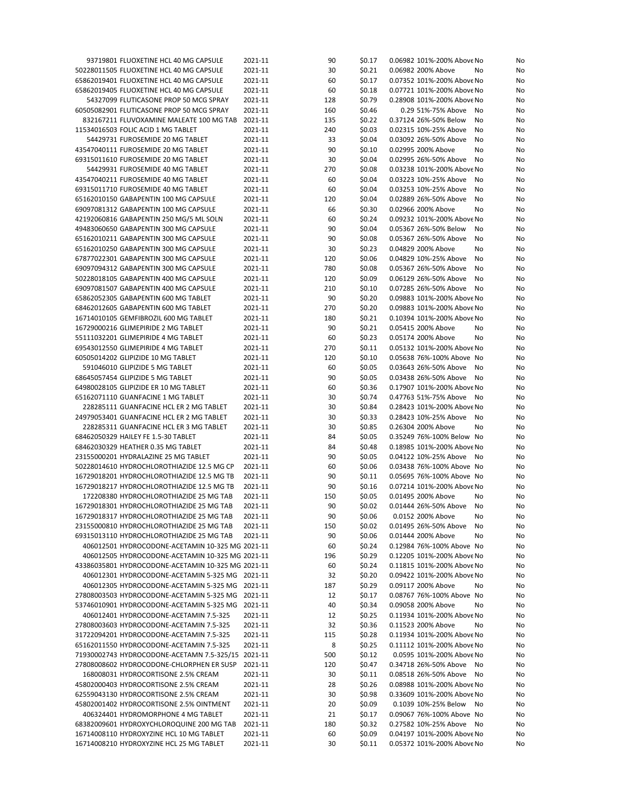| 93719801 FLUOXETINE HCL 40 MG CAPSULE                                            | 2021-11            | 90       | \$0.17           | 0.06982 101%-200% Above No                             | No       |
|----------------------------------------------------------------------------------|--------------------|----------|------------------|--------------------------------------------------------|----------|
| 50228011505 FLUOXETINE HCL 40 MG CAPSULE                                         | 2021-11            | 30       | \$0.21           | 0.06982 200% Above<br>No                               | No       |
| 65862019401 FLUOXETINE HCL 40 MG CAPSULE                                         | 2021-11            | 60       | \$0.17           | 0.07352 101%-200% Above No                             | No       |
| 65862019405 FLUOXETINE HCL 40 MG CAPSULE                                         | 2021-11            | 60       | \$0.18           | 0.07721 101%-200% Above No                             | No       |
| 54327099 FLUTICASONE PROP 50 MCG SPRAY                                           | 2021-11            | 128      | \$0.79           | 0.28908 101%-200% Above No                             | No       |
| 60505082901 FLUTICASONE PROP 50 MCG SPRAY                                        | 2021-11            | 160      | \$0.46           | 0.29 51%-75% Above<br>No                               | No       |
| 832167211 FLUVOXAMINE MALEATE 100 MG TAB                                         | 2021-11            | 135      | \$0.22           | 0.37124 26%-50% Below<br>No                            | No       |
| 11534016503 FOLIC ACID 1 MG TABLET                                               | 2021-11            | 240      | \$0.03           | 0.02315 10%-25% Above<br>No                            | No       |
| 54429731 FUROSEMIDE 20 MG TABLET                                                 | 2021-11            | 33       | \$0.04           | 0.03092 26%-50% Above<br>No                            | No       |
| 43547040111 FUROSEMIDE 20 MG TABLET                                              | 2021-11            | 90       | \$0.10           | 0.02995 200% Above<br>No                               | No       |
| 69315011610 FUROSEMIDE 20 MG TABLET                                              | 2021-11            | 30       | \$0.04           | 0.02995 26%-50% Above<br>No                            | No       |
| 54429931 FUROSEMIDE 40 MG TABLET                                                 | 2021-11            | 270      | \$0.08           | 0.03238 101%-200% Above No                             | No       |
| 43547040211 FUROSEMIDE 40 MG TABLET                                              | 2021-11            | 60       | \$0.04           | 0.03223 10%-25% Above<br>No                            | No       |
| 69315011710 FUROSEMIDE 40 MG TABLET                                              | 2021-11            | 60       | \$0.04           | 0.03253 10%-25% Above<br>No                            | No       |
| 65162010150 GABAPENTIN 100 MG CAPSULE                                            | 2021-11            | 120      | \$0.04           | 0.02889 26%-50% Above<br>No                            | No       |
| 69097081312 GABAPENTIN 100 MG CAPSULE<br>42192060816 GABAPENTIN 250 MG/5 ML SOLN | 2021-11<br>2021-11 | 66<br>60 | \$0.30<br>\$0.24 | 0.02966 200% Above<br>No<br>0.09232 101%-200% Above No | No<br>No |
| 49483060650 GABAPENTIN 300 MG CAPSULE                                            | 2021-11            | 90       | \$0.04           | 0.05367 26%-50% Below<br>No                            | No       |
| 65162010211 GABAPENTIN 300 MG CAPSULE                                            | 2021-11            | 90       | \$0.08           | 0.05367 26%-50% Above<br>No                            | No       |
| 65162010250 GABAPENTIN 300 MG CAPSULE                                            | 2021-11            | 30       | \$0.23           | 0.04829 200% Above<br>No                               | No       |
| 67877022301 GABAPENTIN 300 MG CAPSULE                                            | 2021-11            | 120      | \$0.06           | 0.04829 10%-25% Above<br>No                            | No       |
| 69097094312 GABAPENTIN 300 MG CAPSULE                                            | 2021-11            | 780      | \$0.08           | 0.05367 26%-50% Above<br>No                            | No       |
| 50228018105 GABAPENTIN 400 MG CAPSULE                                            | 2021-11            | 120      | \$0.09           | 0.06129 26%-50% Above<br>No                            | No       |
| 69097081507 GABAPENTIN 400 MG CAPSULE                                            | 2021-11            | 210      | \$0.10           | 0.07285 26%-50% Above<br>No                            | No       |
| 65862052305 GABAPENTIN 600 MG TABLET                                             | 2021-11            | 90       | \$0.20           | 0.09883 101%-200% Above No                             | No       |
| 68462012605 GABAPENTIN 600 MG TABLET                                             | 2021-11            | 270      | \$0.20           | 0.09883 101%-200% Above No                             | No       |
| 16714010105 GEMFIBROZIL 600 MG TABLET                                            | 2021-11            | 180      | \$0.21           | 0.10394 101%-200% Above No                             | No       |
| 16729000216 GLIMEPIRIDE 2 MG TABLET                                              | 2021-11            | 90       | \$0.21           | 0.05415 200% Above<br>No                               | No       |
| 55111032201 GLIMEPIRIDE 4 MG TABLET                                              | 2021-11            | 60       | \$0.23           | 0.05174 200% Above<br>No                               | No       |
| 69543012550 GLIMEPIRIDE 4 MG TABLET                                              | 2021-11            | 270      | \$0.11           | 0.05132 101%-200% Above No                             | No       |
| 60505014202 GLIPIZIDE 10 MG TABLET                                               | 2021-11            | 120      | \$0.10           | 0.05638 76%-100% Above No                              | No       |
| 591046010 GLIPIZIDE 5 MG TABLET                                                  | 2021-11            | 60       | \$0.05           | 0.03643 26%-50% Above<br>No                            | No       |
| 68645057454 GLIPIZIDE 5 MG TABLET                                                | 2021-11            | 90       | \$0.05           | 0.03438 26%-50% Above<br>No                            | No       |
| 64980028105 GLIPIZIDE ER 10 MG TABLET                                            | 2021-11            | 60       | \$0.36           | 0.17907 101%-200% Above No                             | No       |
| 65162071110 GUANFACINE 1 MG TABLET                                               | 2021-11            | 30       | \$0.74           | 0.47763 51%-75% Above<br>No                            | No       |
| 228285111 GUANFACINE HCL ER 2 MG TABLET                                          | 2021-11            | 30       | \$0.84           | 0.28423 101%-200% Above No                             | No       |
| 24979053401 GUANFACINE HCL ER 2 MG TABLET                                        | 2021-11            | 30       | \$0.33           | 0.28423 10%-25% Above<br>No                            | No       |
| 228285311 GUANFACINE HCL ER 3 MG TABLET                                          | 2021-11            | 30       | \$0.85           | 0.26304 200% Above<br>No                               | No       |
| 68462050329 HAILEY FE 1.5-30 TABLET                                              | 2021-11            | 84       | \$0.05           | 0.35249 76%-100% Below No                              | No       |
| 68462030329 HEATHER 0.35 MG TABLET                                               | 2021-11            | 84       | \$0.48           | 0.18985 101%-200% Above No                             | No       |
| 23155000201 HYDRALAZINE 25 MG TABLET                                             | 2021-11            | 90       | \$0.05           | 0.04122 10%-25% Above<br>No                            | No       |
| 50228014610 HYDROCHLOROTHIAZIDE 12.5 MG CP                                       | 2021-11            | 60       | \$0.06           | 0.03438 76%-100% Above No                              | No       |
| 16729018201 HYDROCHLOROTHIAZIDE 12.5 MG TB                                       | 2021-11            | 90       | \$0.11           | 0.05695 76%-100% Above No                              | No       |
| 16729018217 HYDROCHLOROTHIAZIDE 12.5 MG TB                                       | 2021-11            | 90       | \$0.16           | 0.07214 101%-200% Above No                             | No       |
| 172208380 HYDROCHLOROTHIAZIDE 25 MG TAB                                          | 2021-11            | 150      | \$0.05           | 0.01495 200% Above<br>No                               | No       |
| 16729018301 HYDROCHLOROTHIAZIDE 25 MG TAB                                        | 2021-11            | 90       | \$0.02           | 0.01444 26%-50% Above<br>No                            | No       |
| 16729018317 HYDROCHLOROTHIAZIDE 25 MG TAB                                        | 2021-11            | 90       | \$0.06           | 0.0152 200% Above<br>No                                | No       |
| 23155000810 HYDROCHLOROTHIAZIDE 25 MG TAB                                        | 2021-11            | 150      | \$0.02           | 0.01495 26%-50% Above<br>No                            | No       |
| 69315013110 HYDROCHLOROTHIAZIDE 25 MG TAB                                        | 2021-11            | 90       | \$0.06           | 0.01444 200% Above<br>No                               | No       |
| 406012501 HYDROCODONE-ACETAMIN 10-325 MG 2021-11                                 |                    | 60       | \$0.24           | 0.12984 76%-100% Above No                              | No       |
| 406012505 HYDROCODONE-ACETAMIN 10-325 MG 2021-11                                 |                    | 196      | \$0.29           | 0.12205 101%-200% Above No                             | No       |
| 43386035801 HYDROCODONE-ACETAMIN 10-325 MG 2021-11                               |                    | 60       | \$0.24           | 0.11815 101%-200% Above No                             | No       |
| 406012301 HYDROCODONE-ACETAMIN 5-325 MG 2021-11                                  |                    | 32       | \$0.20           | 0.09422 101%-200% Above No                             | No       |
| 406012305 HYDROCODONE-ACETAMIN 5-325 MG 2021-11                                  |                    | 187      | \$0.29           | 0.09117 200% Above<br>No                               | No       |
| 27808003503 HYDROCODONE-ACETAMIN 5-325 MG 2021-11                                |                    | 12       | \$0.17           | 0.08767 76%-100% Above No                              | No       |
| 53746010901 HYDROCODONE-ACETAMIN 5-325 MG 2021-11                                |                    | 40       | \$0.34           | 0.09058 200% Above<br>No                               | No       |
| 406012401 HYDROCODONE-ACETAMIN 7.5-325                                           | 2021-11            | 12       | \$0.25           | 0.11934 101%-200% Above No                             | No       |
| 27808003603 HYDROCODONE-ACETAMIN 7.5-325                                         | 2021-11            | 32       | \$0.36           | 0.11523 200% Above<br>No                               | No       |
| 31722094201 HYDROCODONE-ACETAMIN 7.5-325                                         | 2021-11            | 115      | \$0.28           | 0.11934 101%-200% Above No                             | No       |
| 65162011550 HYDROCODONE-ACETAMIN 7.5-325                                         | 2021-11            | 8        | \$0.25           | 0.11112 101%-200% Above No                             | No       |
| 71930002743 HYDROCODONE-ACETAMN 7.5-325/15 2021-11                               |                    | 500      | \$0.12           | 0.0595 101%-200% Above No                              | No       |
| 27808008602 HYDROCODONE-CHLORPHEN ER SUSP                                        | 2021-11            | 120      | \$0.47           | 0.34718 26%-50% Above<br>No                            | No       |
| 168008031 HYDROCORTISONE 2.5% CREAM                                              | 2021-11            | 30       | \$0.11           | 0.08518 26%-50% Above<br>No                            | No       |
| 45802000403 HYDROCORTISONE 2.5% CREAM                                            | 2021-11            | 28       | \$0.26           | 0.08988 101%-200% Above No                             | No       |
| 62559043130 HYDROCORTISONE 2.5% CREAM                                            | 2021-11            | 30       | \$0.98           | 0.33609 101%-200% Above No                             | No       |
| 45802001402 HYDROCORTISONE 2.5% OINTMENT                                         | 2021-11            | 20       | \$0.09           | 0.1039 10%-25% Below<br>No                             | No       |
| 406324401 HYDROMORPHONE 4 MG TABLET                                              | 2021-11            | 21       | \$0.17           | 0.09067 76%-100% Above No                              | No       |
| 68382009601 HYDROXYCHLOROQUINE 200 MG TAB                                        | 2021-11            | 180      | \$0.32           | 0.27582 10%-25% Above<br>No                            | No       |
| 16714008110 HYDROXYZINE HCL 10 MG TABLET                                         | 2021-11            | 60       | \$0.09           | 0.04197 101%-200% Above No                             | No       |
| 16714008210 HYDROXYZINE HCL 25 MG TABLET                                         | 2021-11            | 30       | \$0.11           | 0.05372 101%-200% Above No                             | No       |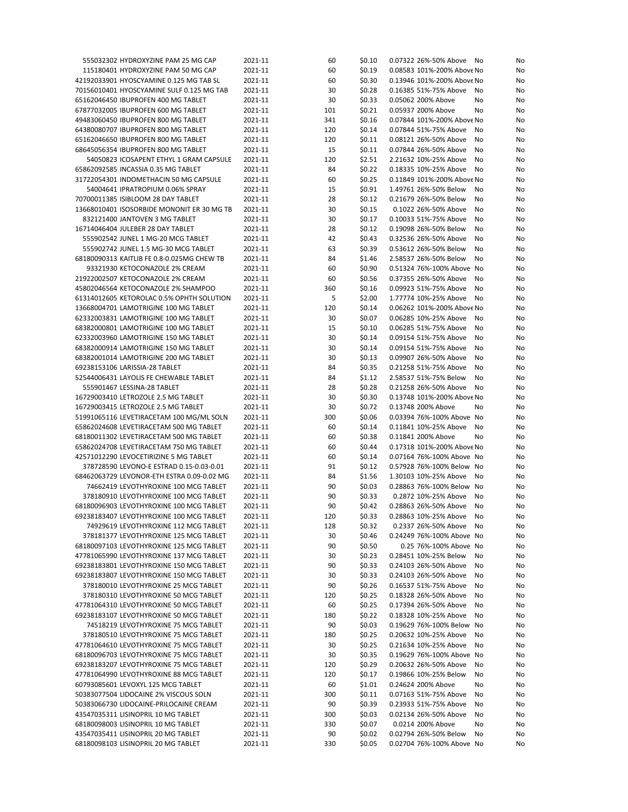| 555032302 HYDROXYZINE PAM 25 MG CAP                                        | 2021-11            | 60        | \$0.10           | 0.07322 26%-50% Above<br>No                              | No       |
|----------------------------------------------------------------------------|--------------------|-----------|------------------|----------------------------------------------------------|----------|
| 115180401 HYDROXYZINE PAM 50 MG CAP                                        | 2021-11            | 60        | \$0.19           | 0.08583 101%-200% Above No                               | No       |
| 42192033901 HYOSCYAMINE 0.125 MG TAB SL                                    | 2021-11            | 60        | \$0.30           | 0.13946 101%-200% Above No                               | No       |
| 70156010401 HYOSCYAMINE SULF 0.125 MG TAB                                  | 2021-11            | 30        | \$0.28           | 0.16385 51%-75% Above<br>No                              | No       |
| 65162046450 IBUPROFEN 400 MG TABLET                                        | 2021-11            | 30        | \$0.33           | 0.05062 200% Above<br>No                                 | No       |
| 67877032005 IBUPROFEN 600 MG TABLET                                        | 2021-11            | 101       | \$0.21           | 0.05937 200% Above<br>No                                 | No       |
| 49483060450 IBUPROFEN 800 MG TABLET                                        | 2021-11            | 341       | \$0.16           | 0.07844 101%-200% Above No                               | No       |
| 64380080707 IBUPROFEN 800 MG TABLET                                        | 2021-11            | 120       | \$0.14           | 0.07844 51%-75% Above<br>No                              | No       |
| 65162046650 IBUPROFEN 800 MG TABLET                                        | 2021-11            | 120       | \$0.11           | 0.08121 26%-50% Above<br>No                              | No       |
| 68645056354 IBUPROFEN 800 MG TABLET                                        | 2021-11            | 15        | \$0.11           | 0.07844 26%-50% Above<br>No                              | No       |
| 54050823 ICOSAPENT ETHYL 1 GRAM CAPSULE                                    | 2021-11            | 120       | \$2.51           | 2.21632 10%-25% Above<br>No                              | No       |
| 65862092585 INCASSIA 0.35 MG TABLET                                        | 2021-11            | 84        | \$0.22           | 0.18335 10%-25% Above                                    |          |
| 31722054301 INDOMETHACIN 50 MG CAPSULE                                     |                    |           |                  | No<br>0.11849 101%-200% Above No                         | No       |
|                                                                            | 2021-11            | 60        | \$0.25           |                                                          | No       |
| 54004641 IPRATROPIUM 0.06% SPRAY                                           | 2021-11            | 15        | \$0.91           | 1.49761 26%-50% Below<br>No                              | No       |
| 70700011385 ISIBLOOM 28 DAY TABLET                                         | 2021-11            | 28        | \$0.12           | 0.21679 26%-50% Below<br>No                              | No       |
| 13668010401 ISOSORBIDE MONONIT ER 30 MG TB                                 | 2021-11            | 30        | \$0.15           | 0.1022 26%-50% Above<br>No                               | No       |
| 832121400 JANTOVEN 3 MG TABLET                                             | 2021-11            | 30        | \$0.17           | 0.10033 51%-75% Above<br>No                              | No       |
| 16714046404 JULEBER 28 DAY TABLET                                          | 2021-11            | 28        | \$0.12           | 0.19098 26%-50% Below<br>No                              | No       |
| 555902542 JUNEL 1 MG-20 MCG TABLET                                         | 2021-11            | 42        | \$0.43           | 0.32536 26%-50% Above<br>No                              | No       |
| 555902742 JUNEL 1.5 MG-30 MCG TABLET                                       | 2021-11            | 63        | \$0.39           | 0.53612 26%-50% Below<br>No                              | No       |
| 68180090313 KAITLIB FE 0.8-0.025MG CHEW TB                                 | 2021-11            | 84        | \$1.46           | 2.58537 26%-50% Below<br>No                              | No       |
| 93321930 KETOCONAZOLE 2% CREAM                                             | 2021-11            | 60        | \$0.90           | 0.51324 76%-100% Above No                                | No       |
| 21922002507 KETOCONAZOLE 2% CREAM                                          | 2021-11            | 60        | \$0.56           | 0.37355 26%-50% Above<br>No                              | No       |
| 45802046564 KETOCONAZOLE 2% SHAMPOO                                        | 2021-11            | 360       | \$0.16           | 0.09923 51%-75% Above<br>No                              | No       |
| 61314012605 KETOROLAC 0.5% OPHTH SOLUTION                                  | 2021-11            | 5         | \$2.00           | 1.77774 10%-25% Above<br>No                              | No       |
| 13668004701 LAMOTRIGINE 100 MG TABLET                                      | 2021-11            | 120       | \$0.14           | 0.06262 101%-200% Above No                               | No       |
| 62332003831 LAMOTRIGINE 100 MG TABLET                                      | 2021-11            | 30        | \$0.07           | 0.06285 10%-25% Above<br>No                              | No       |
| 68382000801 LAMOTRIGINE 100 MG TABLET                                      | 2021-11            | 15        | \$0.10           | 0.06285 51%-75% Above<br>No                              | No       |
| 62332003960 LAMOTRIGINE 150 MG TABLET                                      | 2021-11            | 30        | \$0.14           | 0.09154 51%-75% Above<br>No                              | No       |
| 68382000914 LAMOTRIGINE 150 MG TABLET                                      | 2021-11            | 30        | \$0.14           | 0.09154 51%-75% Above<br>No                              | No       |
| 68382001014 LAMOTRIGINE 200 MG TABLET                                      | 2021-11            | 30        | \$0.13           | 0.09907 26%-50% Above<br>No                              | No       |
| 69238153106 LARISSIA-28 TABLET                                             | 2021-11            | 84        | \$0.35           | 0.21258 51%-75% Above<br>No                              | No       |
| 52544006431 LAYOLIS FE CHEWABLE TABLET                                     | 2021-11            | 84        | \$1.12           | 2.58537 51%-75% Below<br>No                              | No       |
| 555901467 LESSINA-28 TABLET                                                | 2021-11            | 28        | \$0.28           | 0.21258 26%-50% Above<br>No                              | No       |
| 16729003410 LETROZOLE 2.5 MG TABLET                                        | 2021-11            | 30        | \$0.30           | 0.13748 101%-200% Above No                               | No       |
| 16729003415 LETROZOLE 2.5 MG TABLET                                        | 2021-11            | 30        | \$0.72           | 0.13748 200% Above<br>No                                 | No       |
| 51991065116 LEVETIRACETAM 100 MG/ML SOLN                                   | 2021-11            | 300       | \$0.06           | 0.03394 76%-100% Above No                                | No       |
| 65862024608 LEVETIRACETAM 500 MG TABLET                                    | 2021-11            | 60        | \$0.14           | 0.11841 10%-25% Above<br>No                              | No       |
| 68180011302 LEVETIRACETAM 500 MG TABLET                                    | 2021-11            | 60        | \$0.38           | 0.11841 200% Above<br>No                                 |          |
|                                                                            |                    |           |                  |                                                          | No       |
| 65862024708 LEVETIRACETAM 750 MG TABLET                                    | 2021-11            | 60        | \$0.44           | 0.17318 101%-200% Above No                               | No       |
| 42571012290 LEVOCETIRIZINE 5 MG TABLET                                     | 2021-11            | 60        | \$0.14           | 0.07164 76%-100% Above No                                | No       |
| 378728590 LEVONO-E ESTRAD 0.15-0.03-0.01                                   | 2021-11            | 91        | \$0.12           | 0.57928 76%-100% Below No                                | No       |
| 68462063729 LEVONOR-ETH ESTRA 0.09-0.02 MG                                 | 2021-11            | 84        | \$1.56           | 1.30103 10%-25% Above<br>No                              | No       |
| 74662419 LEVOTHYROXINE 100 MCG TABLET                                      | 2021-11            | 90        | \$0.03           | 0.28863 76%-100% Below No                                | No       |
| 378180910 LEVOTHYROXINE 100 MCG TABLET                                     | 2021-11            | 90        | \$0.33           | 0.2872 10%-25% Above<br>No                               | No       |
| 68180096903 LEVOTHYROXINE 100 MCG TABLET                                   | 2021-11            | 90        | \$0.42           | 0.28863 26%-50% Above<br>No                              | No       |
| 69238183407 LEVOTHYROXINE 100 MCG TABLET                                   | 2021-11            | 120       | \$0.33           | 0.28863 10%-25% Above No                                 | No       |
| 74929619 LEVOTHYROXINE 112 MCG TABLET                                      | 2021-11            | 128       | \$0.32           | 0.2337 26%-50% Above<br>No                               | No       |
| 378181377 LEVOTHYROXINE 125 MCG TABLET                                     | 2021-11            | 30        | \$0.46           | 0.24249 76%-100% Above No                                | No       |
| 68180097103 LEVOTHYROXINE 125 MCG TABLET                                   | 2021-11            | 90        | \$0.50           | 0.25 76%-100% Above No                                   | No       |
| 47781065990 LEVOTHYROXINE 137 MCG TABLET                                   | 2021-11            | 30        | \$0.23           | 0.28451 10%-25% Below<br>No                              | No       |
| 69238183801 LEVOTHYROXINE 150 MCG TABLET                                   | 2021-11            | 90        | \$0.33           | 0.24103 26%-50% Above<br>No                              | No       |
| 69238183807 LEVOTHYROXINE 150 MCG TABLET                                   | 2021-11            | 30        | \$0.33           | 0.24103 26%-50% Above<br>No                              | No       |
| 378180010 LEVOTHYROXINE 25 MCG TABLET                                      | 2021-11            | 90        | \$0.26           | 0.16537 51%-75% Above<br>No                              | No       |
| 378180310 LEVOTHYROXINE 50 MCG TABLET                                      | 2021-11            | 120       | \$0.25           | 0.18328 26%-50% Above<br>No                              | No       |
| 47781064310 LEVOTHYROXINE 50 MCG TABLET                                    | 2021-11            | 60        | \$0.25           | 0.17394 26%-50% Above<br>No                              | No       |
| 69238183107 LEVOTHYROXINE 50 MCG TABLET                                    | 2021-11            | 180       | \$0.22           | 0.18328 10%-25% Above<br>No                              | No       |
| 74518219 LEVOTHYROXINE 75 MCG TABLET                                       | 2021-11            | 90        | \$0.03           | 0.19629 76%-100% Below No                                | No       |
| 378180510 LEVOTHYROXINE 75 MCG TABLET                                      | 2021-11            | 180       | \$0.25           | 0.20632 10%-25% Above<br>No                              | No       |
| 47781064610 LEVOTHYROXINE 75 MCG TABLET                                    | 2021-11            | 30        | \$0.25           | 0.21634 10%-25% Above<br>No                              | No       |
| 68180096703 LEVOTHYROXINE 75 MCG TABLET                                    | 2021-11            | 30        | \$0.35           | 0.19629 76%-100% Above No                                | No       |
| 69238183207 LEVOTHYROXINE 75 MCG TABLET                                    | 2021-11            | 120       | \$0.29           | 0.20632 26%-50% Above<br>No                              | No       |
| 47781064990 LEVOTHYROXINE 88 MCG TABLET                                    | 2021-11            | 120       | \$0.17           | 0.19866 10%-25% Below<br>No                              | No       |
| 60793085601 LEVOXYL 125 MCG TABLET                                         | 2021-11            | 60        | \$1.01           | 0.24624 200% Above<br>No                                 | No       |
|                                                                            |                    |           |                  |                                                          |          |
| 50383077504 LIDOCAINE 2% VISCOUS SOLN                                      | 2021-11            | 300<br>90 | \$0.11<br>\$0.39 | 0.07163 51%-75% Above<br>No                              | No<br>No |
| 50383066730 LIDOCAINE-PRILOCAINE CREAM                                     |                    |           |                  |                                                          |          |
|                                                                            | 2021-11            |           |                  | 0.23933 51%-75% Above<br>No                              |          |
| 43547035311 LISINOPRIL 10 MG TABLET                                        | 2021-11            | 300       | \$0.03           | 0.02134 26%-50% Above<br>No                              | No       |
| 68180098003 LISINOPRIL 10 MG TABLET                                        | 2021-11            | 330       | \$0.07           | 0.0214 200% Above<br>No                                  | No       |
| 43547035411 LISINOPRIL 20 MG TABLET<br>68180098103 LISINOPRIL 20 MG TABLET | 2021-11<br>2021-11 | 90<br>330 | \$0.02<br>\$0.05 | 0.02794 26%-50% Below<br>No<br>0.02704 76%-100% Above No | No<br>No |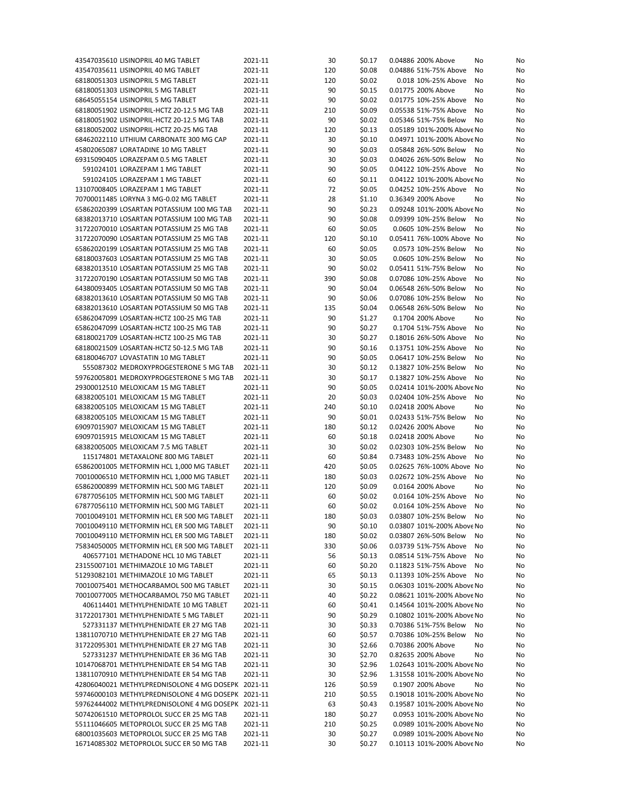| 43547035610 LISINOPRIL 40 MG TABLET                | 2021-11 | 30  | \$0.17 | 0.04886 200% Above          | No<br>No |
|----------------------------------------------------|---------|-----|--------|-----------------------------|----------|
| 43547035611 LISINOPRIL 40 MG TABLET                | 2021-11 | 120 | \$0.08 | 0.04886 51%-75% Above<br>No | No       |
| 68180051303 LISINOPRIL 5 MG TABLET                 | 2021-11 | 120 | \$0.02 | 0.018 10%-25% Above<br>No   | No       |
| 68180051303 LISINOPRIL 5 MG TABLET                 | 2021-11 | 90  | \$0.15 | 0.01775 200% Above          | No<br>No |
| 68645055154 LISINOPRIL 5 MG TABLET                 | 2021-11 | 90  | \$0.02 | 0.01775 10%-25% Above       | No<br>No |
| 68180051902 LISINOPRIL-HCTZ 20-12.5 MG TAB         | 2021-11 | 210 | \$0.09 | 0.05538 51%-75% Above<br>No | No       |
| 68180051902 LISINOPRIL-HCTZ 20-12.5 MG TAB         | 2021-11 | 90  | \$0.02 | 0.05346 51%-75% Below       | No<br>No |
| 68180052002 LISINOPRIL-HCTZ 20-25 MG TAB           | 2021-11 | 120 | \$0.13 | 0.05189 101%-200% Above No  | No       |
|                                                    |         |     |        |                             |          |
| 68462022110 LITHIUM CARBONATE 300 MG CAP           | 2021-11 | 30  | \$0.10 | 0.04971 101%-200% Above No  | No       |
| 45802065087 LORATADINE 10 MG TABLET                | 2021-11 | 90  | \$0.03 | 0.05848 26%-50% Below       | No<br>No |
| 69315090405 LORAZEPAM 0.5 MG TABLET                | 2021-11 | 30  | \$0.03 | 0.04026 26%-50% Below       | No<br>No |
| 591024101 LORAZEPAM 1 MG TABLET                    | 2021-11 | 90  | \$0.05 | 0.04122 10%-25% Above       | No<br>No |
| 591024105 LORAZEPAM 1 MG TABLET                    | 2021-11 | 60  | \$0.11 | 0.04122 101%-200% Above No  | No       |
| 13107008405 LORAZEPAM 1 MG TABLET                  | 2021-11 | 72  | \$0.05 | 0.04252 10%-25% Above       | No<br>No |
| 70700011485 LORYNA 3 MG-0.02 MG TABLET             | 2021-11 | 28  | \$1.10 | 0.36349 200% Above          | No<br>No |
| 65862020399 LOSARTAN POTASSIUM 100 MG TAB          | 2021-11 | 90  | \$0.23 | 0.09248 101%-200% Above No  | No       |
| 68382013710 LOSARTAN POTASSIUM 100 MG TAB          | 2021-11 | 90  | \$0.08 | 0.09399 10%-25% Below       | No<br>No |
| 31722070010 LOSARTAN POTASSIUM 25 MG TAB           | 2021-11 | 60  | \$0.05 | 0.0605 10%-25% Below        | No<br>No |
| 31722070090 LOSARTAN POTASSIUM 25 MG TAB           | 2021-11 | 120 | \$0.10 | 0.05411 76%-100% Above No   | No       |
| 65862020199 LOSARTAN POTASSIUM 25 MG TAB           | 2021-11 | 60  | \$0.05 | 0.0573 10%-25% Below        | No<br>No |
|                                                    |         | 30  |        |                             |          |
| 68180037603 LOSARTAN POTASSIUM 25 MG TAB           | 2021-11 |     | \$0.05 | 0.0605 10%-25% Below        | No<br>No |
| 68382013510 LOSARTAN POTASSIUM 25 MG TAB           | 2021-11 | 90  | \$0.02 | 0.05411 51%-75% Below       | No<br>No |
| 31722070190 LOSARTAN POTASSIUM 50 MG TAB           | 2021-11 | 390 | \$0.08 | 0.07086 10%-25% Above       | No<br>No |
| 64380093405 LOSARTAN POTASSIUM 50 MG TAB           | 2021-11 | 90  | \$0.04 | 0.06548 26%-50% Below       | No<br>No |
| 68382013610 LOSARTAN POTASSIUM 50 MG TAB           | 2021-11 | 90  | \$0.06 | 0.07086 10%-25% Below       | No<br>No |
| 68382013610 LOSARTAN POTASSIUM 50 MG TAB           | 2021-11 | 135 | \$0.04 | 0.06548 26%-50% Below<br>No | No       |
| 65862047099 LOSARTAN-HCTZ 100-25 MG TAB            | 2021-11 | 90  | \$1.27 | 0.1704 200% Above           | No<br>No |
| 65862047099 LOSARTAN-HCTZ 100-25 MG TAB            | 2021-11 | 90  | \$0.27 | 0.1704 51%-75% Above        | No<br>No |
| 68180021709 LOSARTAN-HCTZ 100-25 MG TAB            | 2021-11 | 30  | \$0.27 | 0.18016 26%-50% Above       | No<br>No |
| 68180021509 LOSARTAN-HCTZ 50-12.5 MG TAB           | 2021-11 | 90  | \$0.16 | 0.13751 10%-25% Above       | No<br>No |
| 68180046707 LOVASTATIN 10 MG TABLET                | 2021-11 | 90  | \$0.05 | 0.06417 10%-25% Below       | No<br>No |
| 555087302 MEDROXYPROGESTERONE 5 MG TAB             | 2021-11 | 30  | \$0.12 | 0.13827 10%-25% Below       | No<br>No |
| 59762005801 MEDROXYPROGESTERONE 5 MG TAB           | 2021-11 | 30  | \$0.17 | 0.13827 10%-25% Above       | No       |
|                                                    |         |     |        | No                          |          |
| 29300012510 MELOXICAM 15 MG TABLET                 | 2021-11 | 90  | \$0.05 | 0.02414 101%-200% Above No  | No       |
| 68382005101 MELOXICAM 15 MG TABLET                 | 2021-11 | 20  | \$0.03 | 0.02404 10%-25% Above       | No<br>No |
| 68382005105 MELOXICAM 15 MG TABLET                 | 2021-11 | 240 | \$0.10 | 0.02418 200% Above          | No<br>No |
| 68382005105 MELOXICAM 15 MG TABLET                 | 2021-11 | 90  | \$0.01 | 0.02433 51%-75% Below       | No<br>No |
| 69097015907 MELOXICAM 15 MG TABLET                 | 2021-11 | 180 | \$0.12 | 0.02426 200% Above          | No<br>No |
| 69097015915 MELOXICAM 15 MG TABLET                 | 2021-11 | 60  | \$0.18 | 0.02418 200% Above          | No<br>No |
| 68382005005 MELOXICAM 7.5 MG TABLET                | 2021-11 | 30  | \$0.02 | 0.02303 10%-25% Below       | No<br>No |
| 115174801 METAXALONE 800 MG TABLET                 | 2021-11 | 60  | \$0.84 | 0.73483 10%-25% Above       | No<br>No |
| 65862001005 METFORMIN HCL 1,000 MG TABLET          | 2021-11 | 420 | \$0.05 | 0.02625 76%-100% Above No   | No       |
| 70010006510 METFORMIN HCL 1,000 MG TABLET          | 2021-11 | 180 | \$0.03 | 0.02672 10%-25% Above       | No<br>No |
| 65862000899 METFORMIN HCL 500 MG TABLET            | 2021-11 | 120 | \$0.09 | 0.0164 200% Above           | No<br>No |
| 67877056105 METFORMIN HCL 500 MG TABLET            | 2021-11 | 60  | \$0.02 | 0.0164 10%-25% Above        | No<br>No |
| 67877056110 METFORMIN HCL 500 MG TABLET            | 2021-11 | 60  | \$0.02 | 0.0164 10%-25% Above<br>No  | No       |
| 70010049101 METFORMIN HCL ER 500 MG TABLET         | 2021-11 | 180 | \$0.03 | 0.03807 10%-25% Below No    |          |
|                                                    |         |     |        |                             | No       |
| 70010049110 METFORMIN HCL ER 500 MG TABLET         | 2021-11 | 90  | \$0.10 | 0.03807 101%-200% Above No  | No       |
| 70010049110 METFORMIN HCL ER 500 MG TABLET         | 2021-11 | 180 | \$0.02 | 0.03807 26%-50% Below       | No<br>No |
| 75834050005 METFORMIN HCL ER 500 MG TABLET         | 2021-11 | 330 | \$0.06 | 0.03739 51%-75% Above       | No<br>No |
| 406577101 METHADONE HCL 10 MG TABLET               | 2021-11 | 56  | \$0.13 | 0.08514 51%-75% Above<br>No | No       |
| 23155007101 METHIMAZOLE 10 MG TABLET               | 2021-11 | 60  | \$0.20 | 0.11823 51%-75% Above       | No<br>No |
| 51293082101 METHIMAZOLE 10 MG TABLET               | 2021-11 | 65  | \$0.13 | 0.11393 10%-25% Above<br>No | No       |
| 70010075401 METHOCARBAMOL 500 MG TABLET            | 2021-11 | 30  | \$0.15 | 0.06303 101%-200% Above No  | No       |
| 70010077005 METHOCARBAMOL 750 MG TABLET            | 2021-11 | 40  | \$0.22 | 0.08621 101%-200% Above No  | No       |
| 406114401 METHYLPHENIDATE 10 MG TABLET             | 2021-11 | 60  | \$0.41 | 0.14564 101%-200% Above No  | No       |
| 31722017301 METHYLPHENIDATE 5 MG TABLET            | 2021-11 | 90  | \$0.29 | 0.10802 101%-200% Above No  | No       |
| 527331137 METHYLPHENIDATE ER 27 MG TAB             | 2021-11 | 30  | \$0.33 | 0.70386 51%-75% Below       | No<br>No |
| 13811070710 METHYLPHENIDATE ER 27 MG TAB           | 2021-11 | 60  | \$0.57 | 0.70386 10%-25% Below       | No<br>No |
| 31722095301 METHYLPHENIDATE ER 27 MG TAB           | 2021-11 | 30  | \$2.66 | 0.70386 200% Above          | No<br>No |
|                                                    |         |     |        |                             |          |
| 527331237 METHYLPHENIDATE ER 36 MG TAB             | 2021-11 | 30  | \$2.70 | 0.82635 200% Above          | No<br>No |
| 10147068701 METHYLPHENIDATE ER 54 MG TAB           | 2021-11 | 30  | \$2.96 | 1.02643 101%-200% Above No  | No       |
| 13811070910 METHYLPHENIDATE ER 54 MG TAB           | 2021-11 | 30  | \$2.96 | 1.31558 101%-200% Above No  | No       |
| 42806040021 METHYLPREDNISOLONE 4 MG DOSEPK 2021-11 |         | 126 | \$0.59 | 0.1907 200% Above           | No<br>No |
| 59746000103 METHYLPREDNISOLONE 4 MG DOSEPK 2021-11 |         | 210 | \$0.55 | 0.19018 101%-200% Above No  | No       |
| 59762444002 METHYLPREDNISOLONE 4 MG DOSEPK 2021-11 |         | 63  | \$0.43 | 0.19587 101%-200% Above No  | No       |
| 50742061510 METOPROLOL SUCC ER 25 MG TAB           | 2021-11 | 180 | \$0.27 | 0.0953 101%-200% Above No   | No       |
| 55111046605 METOPROLOL SUCC ER 25 MG TAB           | 2021-11 | 210 | \$0.25 | 0.0989 101%-200% Above No   | No       |
| 68001035603 METOPROLOL SUCC ER 25 MG TAB           | 2021-11 | 30  | \$0.27 | 0.0989 101%-200% Above No   | No       |
| 16714085302 METOPROLOL SUCC ER 50 MG TAB           | 2021-11 | 30  | \$0.27 | 0.10113 101%-200% Above No  | No       |
|                                                    |         |     |        |                             |          |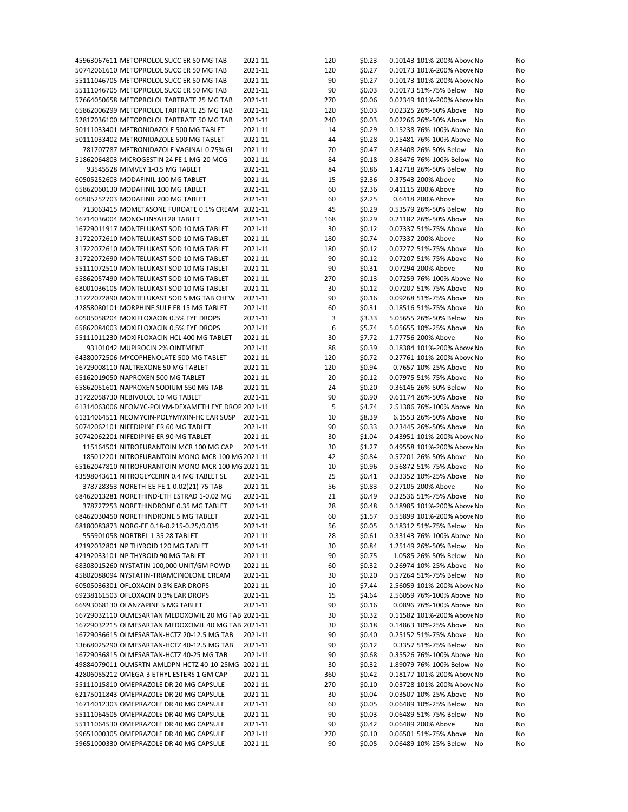| 45963067611 METOPROLOL SUCC ER 50 MG TAB           | 2021-11 | 120 | \$0.23 | 0.10143 101%-200% Above No   | No |
|----------------------------------------------------|---------|-----|--------|------------------------------|----|
| 50742061610 METOPROLOL SUCC ER 50 MG TAB           | 2021-11 | 120 | \$0.27 | 0.10173 101%-200% Above No   | No |
| 55111046705 METOPROLOL SUCC ER 50 MG TAB           | 2021-11 | 90  | \$0.27 | 0.10173 101%-200% Above No   | No |
| 55111046705 METOPROLOL SUCC ER 50 MG TAB           | 2021-11 | 90  | \$0.03 | 0.10173 51%-75% Below<br>No  | No |
| 57664050658 METOPROLOL TARTRATE 25 MG TAB          | 2021-11 | 270 | \$0.06 | 0.02349 101%-200% Above No   | No |
| 65862006299 METOPROLOL TARTRATE 25 MG TAB          | 2021-11 | 120 | \$0.03 | 0.02325 26%-50% Above<br>No  | No |
| 52817036100 METOPROLOL TARTRATE 50 MG TAB          | 2021-11 | 240 | \$0.03 | 0.02266 26%-50% Above<br>No  | No |
| 50111033401 METRONIDAZOLE 500 MG TABLET            | 2021-11 | 14  | \$0.29 | 0.15238 76%-100% Above No    | No |
| 50111033402 METRONIDAZOLE 500 MG TABLET            | 2021-11 | 44  | \$0.28 | 0.15481 76%-100% Above No    | No |
| 781707787 METRONIDAZOLE VAGINAL 0.75% GL           | 2021-11 | 70  | \$0.47 | 0.83408 26%-50% Below<br>No  | No |
| 51862064803 MICROGESTIN 24 FE 1 MG-20 MCG          | 2021-11 | 84  | \$0.18 | 0.88476 76%-100% Below<br>No | No |
| 93545528 MIMVEY 1-0.5 MG TABLET                    | 2021-11 | 84  | \$0.86 | 1.42718 26%-50% Below<br>No  | No |
| 60505252603 MODAFINIL 100 MG TABLET                | 2021-11 | 15  | \$2.36 | 0.37543 200% Above<br>No     | No |
| 65862060130 MODAFINIL 100 MG TABLET                | 2021-11 | 60  | \$2.36 | 0.41115 200% Above<br>No     | No |
| 60505252703 MODAFINIL 200 MG TABLET                | 2021-11 | 60  | \$2.25 | 0.6418 200% Above<br>No      | No |
| 713063415 MOMETASONE FUROATE 0.1% CREAM 2021-11    |         | 45  | \$0.29 | 0.53579 26%-50% Below<br>No  | No |
| 16714036004 MONO-LINYAH 28 TABLET                  | 2021-11 | 168 | \$0.29 | 0.21182 26%-50% Above<br>No  | No |
| 16729011917 MONTELUKAST SOD 10 MG TABLET           | 2021-11 | 30  | \$0.12 | 0.07337 51%-75% Above<br>No  | No |
| 31722072610 MONTELUKAST SOD 10 MG TABLET           | 2021-11 | 180 | \$0.74 | 0.07337 200% Above<br>No     | No |
| 31722072610 MONTELUKAST SOD 10 MG TABLET           | 2021-11 | 180 | \$0.12 | 0.07272 51%-75% Above<br>No  | No |
| 31722072690 MONTELUKAST SOD 10 MG TABLET           | 2021-11 | 90  | \$0.12 | 0.07207 51%-75% Above<br>No  | No |
| 55111072510 MONTELUKAST SOD 10 MG TABLET           | 2021-11 | 90  | \$0.31 | 0.07294 200% Above<br>No     | No |
| 65862057490 MONTELUKAST SOD 10 MG TABLET           | 2021-11 | 270 | \$0.13 | 0.07259 76%-100% Above No    | No |
|                                                    |         |     |        |                              |    |
| 68001036105 MONTELUKAST SOD 10 MG TABLET           | 2021-11 | 30  | \$0.12 | 0.07207 51%-75% Above<br>No  | No |
| 31722072890 MONTELUKAST SOD 5 MG TAB CHEW          | 2021-11 | 90  | \$0.16 | 0.09268 51%-75% Above<br>No  | No |
| 42858080101 MORPHINE SULF ER 15 MG TABLET          | 2021-11 | 60  | \$0.31 | 0.18516 51%-75% Above<br>No  | No |
| 60505058204 MOXIFLOXACIN 0.5% EYE DROPS            | 2021-11 | 3   | \$3.33 | 5.05655 26%-50% Below<br>No  | No |
| 65862084003 MOXIFLOXACIN 0.5% EYE DROPS            | 2021-11 | 6   | \$5.74 | 5.05655 10%-25% Above<br>No  | No |
| 55111011230 MOXIFLOXACIN HCL 400 MG TABLET         | 2021-11 | 30  | \$7.72 | 1.77756 200% Above<br>No     | No |
| 93101042 MUPIROCIN 2% OINTMENT                     | 2021-11 | 88  | \$0.39 | 0.18384 101%-200% Above No   | No |
| 64380072506 MYCOPHENOLATE 500 MG TABLET            | 2021-11 | 120 | \$0.72 | 0.27761 101%-200% Above No   | No |
| 16729008110 NALTREXONE 50 MG TABLET                | 2021-11 | 120 | \$0.94 | 0.7657 10%-25% Above<br>No   | No |
| 65162019050 NAPROXEN 500 MG TABLET                 | 2021-11 | 20  | \$0.12 | 0.07975 51%-75% Above<br>No  | No |
| 65862051601 NAPROXEN SODIUM 550 MG TAB             | 2021-11 | 24  | \$0.20 | 0.36146 26%-50% Below<br>No  | No |
| 31722058730 NEBIVOLOL 10 MG TABLET                 | 2021-11 | 90  | \$0.90 | 0.61174 26%-50% Above<br>No  | No |
| 61314063006 NEOMYC-POLYM-DEXAMETH EYE DROP 2021-11 |         | 5   | \$4.74 | 2.51386 76%-100% Above No    | No |
| 61314064511 NEOMYCIN-POLYMYXIN-HC EAR SUSP         | 2021-11 | 10  | \$8.39 | 6.1553 26%-50% Above<br>No   | No |
| 50742062101 NIFEDIPINE ER 60 MG TABLET             | 2021-11 | 90  | \$0.33 | 0.23445 26%-50% Above<br>No  | No |
| 50742062201 NIFEDIPINE ER 90 MG TABLET             | 2021-11 | 30  | \$1.04 | 0.43951 101%-200% Above No   | No |
| 115164501 NITROFURANTOIN MCR 100 MG CAP            | 2021-11 | 30  | \$1.27 | 0.49558 101%-200% Above No   | No |
| 185012201 NITROFURANTOIN MONO-MCR 100 MG 2021-11   |         | 42  | \$0.84 | 0.57201 26%-50% Above<br>No  | No |
| 65162047810 NITROFURANTOIN MONO-MCR 100 MG 2021-11 |         | 10  | \$0.96 | 0.56872 51%-75% Above<br>No  | No |
| 43598043611 NITROGLYCERIN 0.4 MG TABLET SL         | 2021-11 | 25  | \$0.41 | 0.33352 10%-25% Above<br>No  | No |
| 378728353 NORETH-EE-FE 1-0.02(21)-75 TAB           | 2021-11 | 56  | \$0.83 | 0.27105 200% Above<br>No     | No |
| 68462013281 NORETHIND-ETH ESTRAD 1-0.02 MG         | 2021-11 | 21  | \$0.49 | 0.32536 51%-75% Above<br>No  | No |
| 378727253 NORETHINDRONE 0.35 MG TABLET             | 2021-11 | 28  | \$0.48 | 0.18985 101%-200% Above No   | No |
| 68462030450 NORETHINDRONE 5 MG TABLET              | 2021-11 | 60  | \$1.57 | 0.55899 101%-200% Above No   | No |
| 68180083873 NORG-EE 0.18-0.215-0.25/0.035          | 2021-11 | 56  | \$0.05 | 0.18312 51%-75% Below<br>No  | No |
| 555901058 NORTREL 1-35 28 TABLET                   | 2021-11 | 28  | \$0.61 | 0.33143 76%-100% Above No    | No |
| 42192032801 NP THYROID 120 MG TABLET               | 2021-11 | 30  | \$0.84 | 1.25149 26%-50% Below<br>No  | No |
| 42192033101 NP THYROID 90 MG TABLET                | 2021-11 | 90  | \$0.75 | 1.0585 26%-50% Below<br>No   | No |
| 68308015260 NYSTATIN 100,000 UNIT/GM POWD          | 2021-11 | 60  | \$0.32 | 0.26974 10%-25% Above<br>No  | No |
| 45802088094 NYSTATIN-TRIAMCINOLONE CREAM           | 2021-11 | 30  | \$0.20 | 0.57264 51%-75% Below<br>No  | No |
| 60505036301 OFLOXACIN 0.3% EAR DROPS               | 2021-11 | 10  | \$7.44 | 2.56059 101%-200% Above No   | No |
| 69238161503 OFLOXACIN 0.3% EAR DROPS               | 2021-11 | 15  | \$4.64 | 2.56059 76%-100% Above No    | No |
| 66993068130 OLANZAPINE 5 MG TABLET                 |         | 90  |        | 0.0896 76%-100% Above No     |    |
| 16729032110 OLMESARTAN MEDOXOMIL 20 MG TAB 2021-11 | 2021-11 |     | \$0.16 |                              | No |
|                                                    |         | 30  | \$0.32 | 0.11582 101%-200% Above No   | No |
| 16729032215 OLMESARTAN MEDOXOMIL 40 MG TAB 2021-11 |         | 30  | \$0.18 | 0.14863 10%-25% Above<br>No  | No |
| 16729036615 OLMESARTAN-HCTZ 20-12.5 MG TAB         | 2021-11 | 90  | \$0.40 | 0.25152 51%-75% Above<br>No  | No |
| 13668025290 OLMESARTAN-HCTZ 40-12.5 MG TAB         | 2021-11 | 90  | \$0.12 | 0.3357 51%-75% Below<br>No   | No |
| 16729036815 OLMESARTAN-HCTZ 40-25 MG TAB           | 2021-11 | 90  | \$0.68 | 0.35526 76%-100% Above No    | No |
| 49884079011 OLMSRTN-AMLDPN-HCTZ 40-10-25MG 2021-11 |         | 30  | \$0.32 | 1.89079 76%-100% Below No    | No |
| 42806055212 OMEGA-3 ETHYL ESTERS 1 GM CAP          | 2021-11 | 360 | \$0.42 | 0.18177 101%-200% Above No   | No |
| 55111015810 OMEPRAZOLE DR 20 MG CAPSULE            | 2021-11 | 270 | \$0.10 | 0.03728 101%-200% Above No   | No |
| 62175011843 OMEPRAZOLE DR 20 MG CAPSULE            | 2021-11 | 30  | \$0.04 | 0.03507 10%-25% Above<br>No  | No |
| 16714012303 OMEPRAZOLE DR 40 MG CAPSULE            | 2021-11 | 60  | \$0.05 | 0.06489 10%-25% Below<br>No  | No |
| 55111064505 OMEPRAZOLE DR 40 MG CAPSULE            | 2021-11 | 90  | \$0.03 | 0.06489 51%-75% Below<br>No  | No |
| 55111064530 OMEPRAZOLE DR 40 MG CAPSULE            | 2021-11 | 90  | \$0.42 | 0.06489 200% Above<br>No     | No |
| 59651000305 OMEPRAZOLE DR 40 MG CAPSULE            | 2021-11 | 270 | \$0.10 | 0.06501 51%-75% Above<br>No  | No |
| 59651000330 OMEPRAZOLE DR 40 MG CAPSULE            | 2021-11 | 90  | \$0.05 | 0.06489 10%-25% Below<br>No  | No |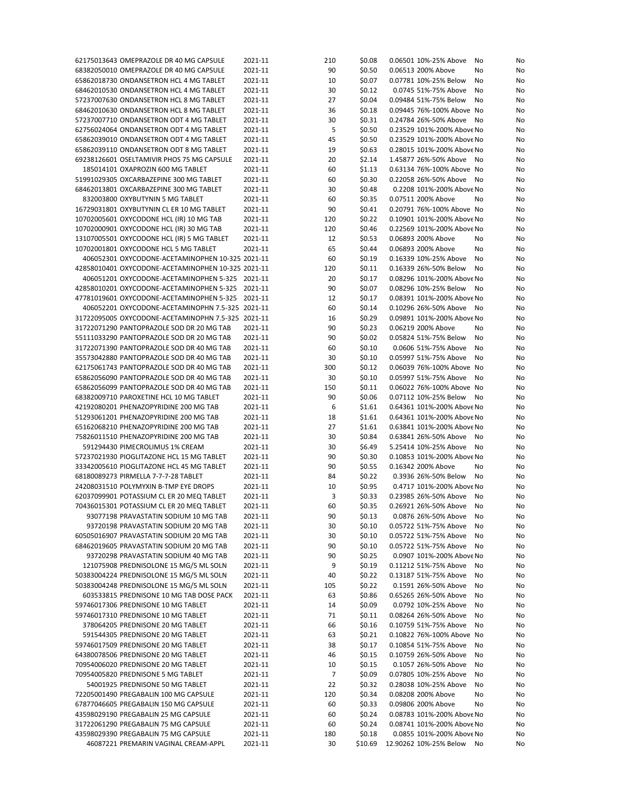| 62175013643 OMEPRAZOLE DR 40 MG CAPSULE                                  | 2021-11 | 210 | \$0.08  | 0.06501 10%-25% Above<br>No                          | No |
|--------------------------------------------------------------------------|---------|-----|---------|------------------------------------------------------|----|
| 68382050010 OMEPRAZOLE DR 40 MG CAPSULE                                  | 2021-11 | 90  | \$0.50  | 0.06513 200% Above<br>No                             | No |
| 65862018730 ONDANSETRON HCL 4 MG TABLET                                  | 2021-11 | 10  | \$0.07  | 0.07781 10%-25% Below<br>No                          | No |
| 68462010530 ONDANSETRON HCL 4 MG TABLET                                  | 2021-11 | 30  | \$0.12  | 0.0745 51%-75% Above<br>No                           | No |
| 57237007630 ONDANSETRON HCL 8 MG TABLET                                  | 2021-11 | 27  | \$0.04  | 0.09484 51%-75% Below<br>No                          | No |
| 68462010630 ONDANSETRON HCL 8 MG TABLET                                  | 2021-11 | 36  | \$0.18  | 0.09445 76%-100% Above No                            | No |
| 57237007710 ONDANSETRON ODT 4 MG TABLET                                  | 2021-11 | 30  | \$0.31  | 0.24784 26%-50% Above<br>No                          | No |
| 62756024064 ONDANSETRON ODT 4 MG TABLET                                  | 2021-11 | 5   | \$0.50  | 0.23529 101%-200% Above No                           | No |
| 65862039010 ONDANSETRON ODT 4 MG TABLET                                  | 2021-11 | 45  | \$0.50  | 0.23529 101%-200% Above No                           | No |
| 65862039110 ONDANSETRON ODT 8 MG TABLET                                  | 2021-11 | 19  | \$0.63  | 0.28015 101%-200% Above No                           | No |
|                                                                          |         |     |         | 1.45877 26%-50% Above                                |    |
| 69238126601 OSELTAMIVIR PHOS 75 MG CAPSULE                               | 2021-11 | 20  | \$2.14  | No                                                   | No |
| 185014101 OXAPROZIN 600 MG TABLET                                        | 2021-11 | 60  | \$1.13  | 0.63134 76%-100% Above No                            | No |
| 51991029305 OXCARBAZEPINE 300 MG TABLET                                  | 2021-11 | 60  | \$0.30  | 0.22058 26%-50% Above<br>No                          | No |
| 68462013801 OXCARBAZEPINE 300 MG TABLET                                  | 2021-11 | 30  | \$0.48  | 0.2208 101%-200% Above No                            | No |
| 832003800 OXYBUTYNIN 5 MG TABLET                                         | 2021-11 | 60  | \$0.35  | 0.07511 200% Above<br>No                             | No |
| 16729031801 OXYBUTYNIN CL ER 10 MG TABLET                                | 2021-11 | 90  | \$0.41  | 0.20791 76%-100% Above No                            | No |
| 10702005601 OXYCODONE HCL (IR) 10 MG TAB                                 | 2021-11 | 120 | \$0.22  | 0.10901 101%-200% Above No                           | No |
| 10702000901 OXYCODONE HCL (IR) 30 MG TAB                                 | 2021-11 | 120 | \$0.46  | 0.22569 101%-200% Above No                           | No |
| 13107005501 OXYCODONE HCL (IR) 5 MG TABLET                               | 2021-11 | 12  | \$0.53  | 0.06893 200% Above<br>No                             | No |
| 10702001801 OXYCODONE HCL 5 MG TABLET                                    | 2021-11 | 65  | \$0.44  | 0.06893 200% Above<br>No                             | No |
| 406052301 OXYCODONE-ACETAMINOPHEN 10-325 2021-11                         |         | 60  | \$0.19  | 0.16339 10%-25% Above<br>No                          | No |
| 42858010401 OXYCODONE-ACETAMINOPHEN 10-325 2021-11                       |         | 120 | \$0.11  | 0.16339 26%-50% Below<br>No                          | No |
| 406051201 OXYCODONE-ACETAMINOPHEN 5-325 2021-11                          |         | 20  | \$0.17  | 0.08296 101%-200% Above No                           | No |
| 42858010201 OXYCODONE-ACETAMINOPHEN 5-325 2021-11                        |         | 90  | \$0.07  | 0.08296 10%-25% Below<br>No                          | No |
| 47781019601 OXYCODONE-ACETAMINOPHEN 5-325 2021-11                        |         | 12  | \$0.17  | 0.08391 101%-200% Above No                           | No |
|                                                                          |         |     |         |                                                      |    |
| 406052201 OXYCODONE-ACETAMINOPHN 7.5-325 2021-11                         |         | 60  | \$0.14  | 0.10296 26%-50% Above<br>No                          | No |
| 31722095005 OXYCODONE-ACETAMINOPHN 7.5-325 2021-11                       |         | 16  | \$0.29  | 0.09891 101%-200% Above No                           | No |
| 31722071290 PANTOPRAZOLE SOD DR 20 MG TAB                                | 2021-11 | 90  | \$0.23  | 0.06219 200% Above<br>No                             | No |
| 55111033290 PANTOPRAZOLE SOD DR 20 MG TAB                                | 2021-11 | 90  | \$0.02  | 0.05824 51%-75% Below<br>No                          | No |
| 31722071390 PANTOPRAZOLE SOD DR 40 MG TAB                                | 2021-11 | 60  | \$0.10  | 0.0606 51%-75% Above<br>No                           | No |
| 35573042880 PANTOPRAZOLE SOD DR 40 MG TAB                                | 2021-11 | 30  | \$0.10  | 0.05997 51%-75% Above<br>No                          | No |
| 62175061743 PANTOPRAZOLE SOD DR 40 MG TAB                                | 2021-11 | 300 | \$0.12  | 0.06039 76%-100% Above No                            | No |
| 65862056090 PANTOPRAZOLE SOD DR 40 MG TAB                                | 2021-11 | 30  | \$0.10  | 0.05997 51%-75% Above<br>No                          | No |
| 65862056099 PANTOPRAZOLE SOD DR 40 MG TAB                                | 2021-11 | 150 | \$0.11  | 0.06022 76%-100% Above No                            | No |
| 68382009710 PAROXETINE HCL 10 MG TABLET                                  | 2021-11 | 90  | \$0.06  | 0.07112 10%-25% Below<br>No                          | No |
| 42192080201 PHENAZOPYRIDINE 200 MG TAB                                   | 2021-11 | 6   | \$1.61  | 0.64361 101%-200% Above No                           | No |
| 51293061201 PHENAZOPYRIDINE 200 MG TAB                                   | 2021-11 | 18  | \$1.61  | 0.64361 101%-200% Above No                           | No |
| 65162068210 PHENAZOPYRIDINE 200 MG TAB                                   | 2021-11 | 27  | \$1.61  | 0.63841 101%-200% Above No                           | No |
| 75826011510 PHENAZOPYRIDINE 200 MG TAB                                   | 2021-11 | 30  | \$0.84  | 0.63841 26%-50% Above<br>No                          | No |
| 591294430 PIMECROLIMUS 1% CREAM                                          | 2021-11 | 30  | \$6.49  | 5.25414 10%-25% Above<br>No                          | No |
|                                                                          |         |     |         |                                                      |    |
| 57237021930 PIOGLITAZONE HCL 15 MG TABLET                                | 2021-11 | 90  | \$0.30  | 0.10853 101%-200% Above No                           | No |
| 33342005610 PIOGLITAZONE HCL 45 MG TABLET                                | 2021-11 | 90  | \$0.55  | 0.16342 200% Above<br>No                             | No |
| 68180089273 PIRMELLA 7-7-7-28 TABLET                                     | 2021-11 | 84  | \$0.22  | 0.3936 26%-50% Below<br>No                           | No |
| 24208031510 POLYMYXIN B-TMP EYE DROPS                                    | 2021-11 | 10  | \$0.95  | 0.4717 101%-200% Above No                            | No |
| 62037099901 POTASSIUM CL ER 20 MEQ TABLET                                | 2021-11 | 3   | \$0.33  | 0.23985 26%-50% Above<br>No                          | No |
| 70436015301 POTASSIUM CL ER 20 MEQ TABLET                                | 2021-11 | 60  | \$0.35  | 0.26921 26%-50% Above<br>No                          | No |
| 93077198 PRAVASTATIN SODIUM 10 MG TAB                                    | 2021-11 | 90  | \$0.13  | 0.0876 26%-50% Above No                              | No |
| 93720198 PRAVASTATIN SODIUM 20 MG TAB                                    | 2021-11 | 30  | \$0.10  | 0.05722 51%-75% Above<br>No                          | No |
| 60505016907 PRAVASTATIN SODIUM 20 MG TAB                                 | 2021-11 | 30  | \$0.10  | 0.05722 51%-75% Above<br>No                          | No |
| 68462019605 PRAVASTATIN SODIUM 20 MG TAB                                 | 2021-11 | 90  | \$0.10  | 0.05722 51%-75% Above<br>No                          | No |
| 93720298 PRAVASTATIN SODIUM 40 MG TAB                                    | 2021-11 | 90  | \$0.25  | 0.0907 101%-200% Above No                            | No |
| 121075908 PREDNISOLONE 15 MG/5 ML SOLN                                   | 2021-11 | 9   | \$0.19  | 0.11212 51%-75% Above<br>No                          | No |
| 50383004224 PREDNISOLONE 15 MG/5 ML SOLN                                 | 2021-11 | 40  | \$0.22  | 0.13187 51%-75% Above<br>No                          | No |
| 50383004248 PREDNISOLONE 15 MG/5 ML SOLN                                 | 2021-11 | 105 | \$0.22  | 0.1591 26%-50% Above<br>No                           | No |
| 603533815 PREDNISONE 10 MG TAB DOSE PACK                                 | 2021-11 | 63  | \$0.86  | 0.65265 26%-50% Above<br>No                          | No |
| 59746017306 PREDNISONE 10 MG TABLET                                      | 2021-11 | 14  | \$0.09  | 0.0792 10%-25% Above<br>No                           | No |
|                                                                          |         |     |         |                                                      |    |
| 59746017310 PREDNISONE 10 MG TABLET<br>378064205 PREDNISONE 20 MG TABLET | 2021-11 | 71  | \$0.11  | 0.08264 26%-50% Above<br>No<br>0.10759 51%-75% Above | No |
|                                                                          | 2021-11 | 66  | \$0.16  | No                                                   | No |
| 591544305 PREDNISONE 20 MG TABLET                                        | 2021-11 | 63  | \$0.21  | 0.10822 76%-100% Above No                            | No |
| 59746017509 PREDNISONE 20 MG TABLET                                      | 2021-11 | 38  | \$0.17  | 0.10854 51%-75% Above<br>No                          | No |
| 64380078506 PREDNISONE 20 MG TABLET                                      | 2021-11 | 46  | \$0.15  | 0.10759 26%-50% Above<br>No                          | No |
| 70954006020 PREDNISONE 20 MG TABLET                                      | 2021-11 | 10  | \$0.15  | 0.1057 26%-50% Above<br>No                           | No |
| 70954005820 PREDNISONE 5 MG TABLET                                       | 2021-11 | 7   | \$0.09  | 0.07805 10%-25% Above<br>No                          | No |
| 54001925 PREDNISONE 50 MG TABLET                                         | 2021-11 | 22  | \$0.32  | 0.28038 10%-25% Above<br>No                          | No |
| 72205001490 PREGABALIN 100 MG CAPSULE                                    | 2021-11 | 120 | \$0.34  | 0.08208 200% Above<br>No                             | No |
| 67877046605 PREGABALIN 150 MG CAPSULE                                    | 2021-11 | 60  | \$0.33  | 0.09806 200% Above<br>No                             | No |
| 43598029190 PREGABALIN 25 MG CAPSULE                                     | 2021-11 | 60  | \$0.24  | 0.08783 101%-200% Above No                           | No |
| 31722061290 PREGABALIN 75 MG CAPSULE                                     | 2021-11 | 60  | \$0.24  | 0.08741 101%-200% Above No                           | No |
| 43598029390 PREGABALIN 75 MG CAPSULE                                     | 2021-11 | 180 | \$0.18  | 0.0855 101%-200% Above No                            | No |
| 46087221 PREMARIN VAGINAL CREAM-APPL                                     | 2021-11 | 30  | \$10.69 | 12.90262 10%-25% Below<br>No                         | No |
|                                                                          |         |     |         |                                                      |    |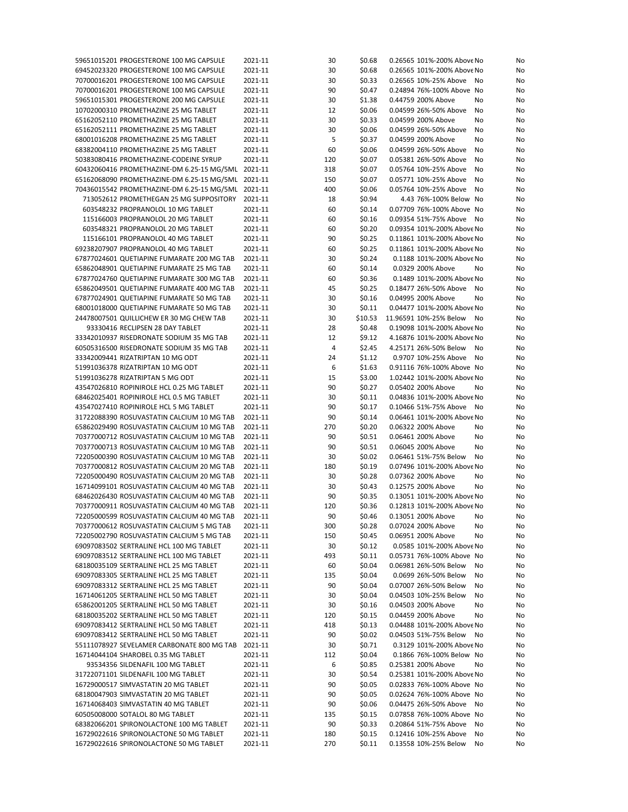| 59651015201 PROGESTERONE 100 MG CAPSULE            | 2021-11 | 30  | \$0.68  | 0.26565 101%-200% Above No   | No |
|----------------------------------------------------|---------|-----|---------|------------------------------|----|
| 69452023320 PROGESTERONE 100 MG CAPSULE            | 2021-11 | 30  | \$0.68  | 0.26565 101%-200% Above No   | No |
| 70700016201 PROGESTERONE 100 MG CAPSULE            | 2021-11 | 30  | \$0.33  | 0.26565 10%-25% Above<br>No  | No |
| 70700016201 PROGESTERONE 100 MG CAPSULE            | 2021-11 | 90  | \$0.47  | 0.24894 76%-100% Above No    | No |
| 59651015301 PROGESTERONE 200 MG CAPSULE            | 2021-11 | 30  | \$1.38  | 0.44759 200% Above<br>No     | No |
|                                                    |         |     |         |                              |    |
| 10702000310 PROMETHAZINE 25 MG TABLET              | 2021-11 | 12  | \$0.06  | 0.04599 26%-50% Above<br>No  | No |
| 65162052110 PROMETHAZINE 25 MG TABLET              | 2021-11 | 30  | \$0.33  | 0.04599 200% Above<br>No     | No |
| 65162052111 PROMETHAZINE 25 MG TABLET              | 2021-11 | 30  | \$0.06  | 0.04599 26%-50% Above<br>No  | No |
| 68001016208 PROMETHAZINE 25 MG TABLET              | 2021-11 | 5   | \$0.37  | 0.04599 200% Above<br>No     | No |
| 68382004110 PROMETHAZINE 25 MG TABLET              | 2021-11 | 60  | \$0.06  | 0.04599 26%-50% Above<br>No  | No |
| 50383080416 PROMETHAZINE-CODEINE SYRUP             | 2021-11 | 120 | \$0.07  | 0.05381 26%-50% Above<br>No  | No |
| 60432060416 PROMETHAZINE-DM 6.25-15 MG/5ML 2021-11 |         | 318 | \$0.07  | 0.05764 10%-25% Above<br>No  | No |
| 65162068090 PROMETHAZINE-DM 6.25-15 MG/5ML 2021-11 |         | 150 | \$0.07  | 0.05771 10%-25% Above<br>No  | No |
| 70436015542 PROMETHAZINE-DM 6.25-15 MG/5ML 2021-11 |         | 400 | \$0.06  | 0.05764 10%-25% Above<br>No  | No |
| 713052612 PROMETHEGAN 25 MG SUPPOSITORY            | 2021-11 | 18  | \$0.94  | 4.43 76%-100% Below No       | No |
| 603548232 PROPRANOLOL 10 MG TABLET                 | 2021-11 | 60  |         | 0.07709 76%-100% Above No    |    |
|                                                    |         |     | \$0.14  |                              | No |
| 115166003 PROPRANOLOL 20 MG TABLET                 | 2021-11 | 60  | \$0.16  | 0.09354 51%-75% Above<br>No  | No |
| 603548321 PROPRANOLOL 20 MG TABLET                 | 2021-11 | 60  | \$0.20  | 0.09354 101%-200% Above No   | No |
| 115166101 PROPRANOLOL 40 MG TABLET                 | 2021-11 | 90  | \$0.25  | 0.11861 101%-200% Above No   | No |
| 69238207907 PROPRANOLOL 40 MG TABLET               | 2021-11 | 60  | \$0.25  | 0.11861 101%-200% Above No   | No |
| 67877024601 QUETIAPINE FUMARATE 200 MG TAB         | 2021-11 | 30  | \$0.24  | 0.1188 101%-200% Above No    | No |
| 65862048901 QUETIAPINE FUMARATE 25 MG TAB          | 2021-11 | 60  | \$0.14  | 0.0329 200% Above<br>No      | No |
| 67877024760 QUETIAPINE FUMARATE 300 MG TAB         | 2021-11 | 60  | \$0.36  | 0.1489 101%-200% Above No    | No |
| 65862049501 QUETIAPINE FUMARATE 400 MG TAB         | 2021-11 | 45  | \$0.25  | 0.18477 26%-50% Above<br>No  | No |
| 67877024901 QUETIAPINE FUMARATE 50 MG TAB          | 2021-11 | 30  | \$0.16  | 0.04995 200% Above<br>No     | No |
| 68001018000 QUETIAPINE FUMARATE 50 MG TAB          | 2021-11 | 30  | \$0.11  | 0.04477 101%-200% Above No   | No |
| 24478007501 QUILLICHEW ER 30 MG CHEW TAB           | 2021-11 | 30  | \$10.53 | 11.96591 10%-25% Below<br>No |    |
|                                                    |         |     |         |                              | No |
| 93330416 RECLIPSEN 28 DAY TABLET                   | 2021-11 | 28  | \$0.48  | 0.19098 101%-200% Above No   | No |
| 33342010937 RISEDRONATE SODIUM 35 MG TAB           | 2021-11 | 12  | \$9.12  | 4.16876 101%-200% Above No   | No |
| 60505316500 RISEDRONATE SODIUM 35 MG TAB           | 2021-11 | 4   | \$2.45  | 4.25171 26%-50% Below<br>No  | No |
| 33342009441 RIZATRIPTAN 10 MG ODT                  | 2021-11 | 24  | \$1.12  | 0.9707 10%-25% Above<br>No   | No |
| 51991036378 RIZATRIPTAN 10 MG ODT                  | 2021-11 | 6   | \$1.63  | 0.91116 76%-100% Above No    | No |
| 51991036278 RIZATRIPTAN 5 MG ODT                   | 2021-11 | 15  | \$3.00  | 1.02442 101%-200% Above No   | No |
| 43547026810 ROPINIROLE HCL 0.25 MG TABLET          | 2021-11 | 90  | \$0.27  | 0.05402 200% Above<br>No     | No |
| 68462025401 ROPINIROLE HCL 0.5 MG TABLET           | 2021-11 | 30  | \$0.11  | 0.04836 101%-200% Above No   | No |
| 43547027410 ROPINIROLE HCL 5 MG TABLET             | 2021-11 | 90  | \$0.17  | 0.10466 51%-75% Above<br>No  | No |
| 31722088390 ROSUVASTATIN CALCIUM 10 MG TAB         | 2021-11 | 90  | \$0.14  | 0.06461 101%-200% Above No   | No |
|                                                    |         |     |         |                              |    |
| 65862029490 ROSUVASTATIN CALCIUM 10 MG TAB         | 2021-11 | 270 | \$0.20  | 0.06322 200% Above<br>No     | No |
| 70377000712 ROSUVASTATIN CALCIUM 10 MG TAB         | 2021-11 | 90  | \$0.51  | 0.06461 200% Above<br>No     | No |
| 70377000713 ROSUVASTATIN CALCIUM 10 MG TAB         | 2021-11 | 90  | \$0.51  | 0.06045 200% Above<br>No     | No |
| 72205000390 ROSUVASTATIN CALCIUM 10 MG TAB         | 2021-11 | 30  | \$0.02  | 0.06461 51%-75% Below<br>No  | No |
| 70377000812 ROSUVASTATIN CALCIUM 20 MG TAB         | 2021-11 | 180 | \$0.19  | 0.07496 101%-200% Above No   | No |
| 72205000490 ROSUVASTATIN CALCIUM 20 MG TAB         | 2021-11 | 30  | \$0.28  | 0.07362 200% Above<br>No     | No |
| 16714099101 ROSUVASTATIN CALCIUM 40 MG TAB         | 2021-11 | 30  | \$0.43  | 0.12575 200% Above<br>No     | No |
| 68462026430 ROSUVASTATIN CALCIUM 40 MG TAB         | 2021-11 | 90  | \$0.35  | 0.13051 101%-200% Above No   | No |
| 70377000911 ROSUVASTATIN CALCIUM 40 MG TAB         | 2021-11 | 120 | \$0.36  | 0.12813 101%-200% Above No   | No |
| 72205000599 ROSUVASTATIN CALCIUM 40 MG TAB 2021-11 |         | 90  | \$0.46  | 0.13051 200% Above<br>No     | No |
| 70377000612 ROSUVASTATIN CALCIUM 5 MG TAB          | 2021-11 | 300 | \$0.28  | 0.07024 200% Above<br>No     | No |
| 72205002790 ROSUVASTATIN CALCIUM 5 MG TAB          | 2021-11 | 150 | \$0.45  | 0.06951 200% Above<br>No     | No |
|                                                    |         |     |         |                              |    |
| 69097083502 SERTRALINE HCL 100 MG TABLET           | 2021-11 | 30  | \$0.12  | 0.0585 101%-200% Above No    | No |
| 69097083512 SERTRALINE HCL 100 MG TABLET           | 2021-11 | 493 | \$0.11  | 0.05731 76%-100% Above No    | No |
| 68180035109 SERTRALINE HCL 25 MG TABLET            | 2021-11 | 60  | \$0.04  | 0.06981 26%-50% Below<br>No  | No |
| 69097083305 SERTRALINE HCL 25 MG TABLET            | 2021-11 | 135 | \$0.04  | 0.0699 26%-50% Below<br>No   | No |
| 69097083312 SERTRALINE HCL 25 MG TABLET            | 2021-11 | 90  | \$0.04  | 0.07007 26%-50% Below<br>No  | No |
| 16714061205 SERTRALINE HCL 50 MG TABLET            | 2021-11 | 30  | \$0.04  | 0.04503 10%-25% Below<br>No  | No |
| 65862001205 SERTRALINE HCL 50 MG TABLET            | 2021-11 | 30  | \$0.16  | 0.04503 200% Above<br>No     | No |
| 68180035202 SERTRALINE HCL 50 MG TABLET            | 2021-11 | 120 | \$0.15  | 0.04459 200% Above<br>No     | No |
| 69097083412 SERTRALINE HCL 50 MG TABLET            | 2021-11 | 418 | \$0.13  | 0.04488 101%-200% Above No   | No |
| 69097083412 SERTRALINE HCL 50 MG TABLET            | 2021-11 | 90  | \$0.02  | 0.04503 51%-75% Below<br>No  | No |
| 55111078927 SEVELAMER CARBONATE 800 MG TAB         | 2021-11 | 30  | \$0.71  | 0.3129 101%-200% Above No    |    |
|                                                    |         |     |         |                              | No |
| 16714044104 SHAROBEL 0.35 MG TABLET                | 2021-11 | 112 | \$0.04  | 0.1866 76%-100% Below No     | No |
| 93534356 SILDENAFIL 100 MG TABLET                  | 2021-11 | 6   | \$0.85  | 0.25381 200% Above<br>No     | No |
| 31722071101 SILDENAFIL 100 MG TABLET               | 2021-11 | 30  | \$0.54  | 0.25381 101%-200% Above No   | No |
| 16729000517 SIMVASTATIN 20 MG TABLET               | 2021-11 | 90  | \$0.05  | 0.02833 76%-100% Above No    | No |
| 68180047903 SIMVASTATIN 20 MG TABLET               | 2021-11 | 90  | \$0.05  | 0.02624 76%-100% Above No    | No |
| 16714068403 SIMVASTATIN 40 MG TABLET               | 2021-11 | 90  | \$0.06  | 0.04475 26%-50% Above<br>No  | No |
| 60505008000 SOTALOL 80 MG TABLET                   | 2021-11 | 135 | \$0.15  | 0.07858 76%-100% Above No    | No |
| 68382066201 SPIRONOLACTONE 100 MG TABLET           | 2021-11 | 90  | \$0.33  | 0.20864 51%-75% Above<br>No  | No |
| 16729022616 SPIRONOLACTONE 50 MG TABLET            | 2021-11 | 180 | \$0.15  | 0.12416 10%-25% Above<br>No  | No |
| 16729022616 SPIRONOLACTONE 50 MG TABLET            | 2021-11 | 270 | \$0.11  | 0.13558 10%-25% Below<br>No  | No |
|                                                    |         |     |         |                              |    |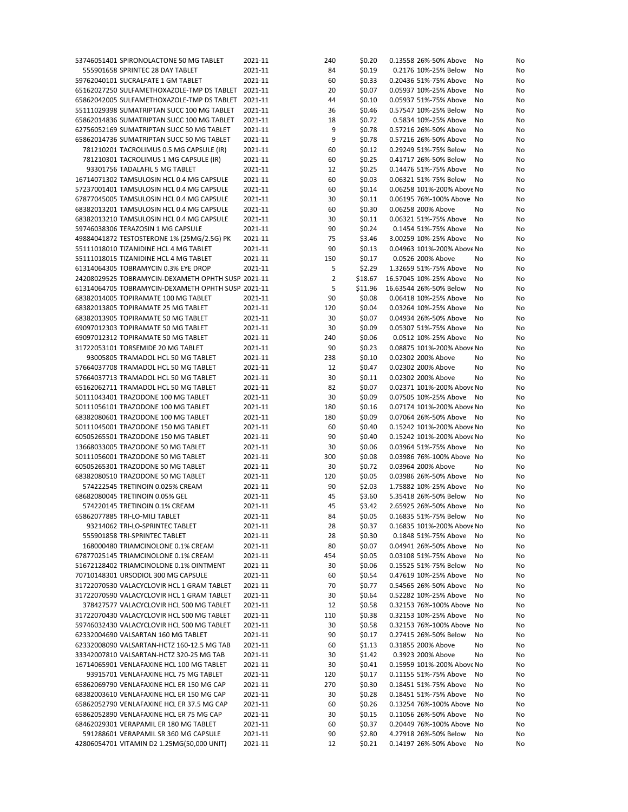| 53746051401 SPIRONOLACTONE 50 MG TABLET            | 2021-11 | 240 | \$0.20  | 0.13558 26%-50% Above      | No<br>No |
|----------------------------------------------------|---------|-----|---------|----------------------------|----------|
| 555901658 SPRINTEC 28 DAY TABLET                   | 2021-11 | 84  | \$0.19  | 0.2176 10%-25% Below       | No<br>No |
| 59762040101 SUCRALFATE 1 GM TABLET                 | 2021-11 | 60  | \$0.33  | 0.20436 51%-75% Above      | No<br>No |
| 65162027250 SULFAMETHOXAZOLE-TMP DS TABLET 2021-11 |         | 20  | \$0.07  | 0.05937 10%-25% Above      | No<br>No |
| 65862042005 SULFAMETHOXAZOLE-TMP DS TABLET 2021-11 |         | 44  | \$0.10  | 0.05937 51%-75% Above      | No<br>No |
| 55111029398 SUMATRIPTAN SUCC 100 MG TABLET         | 2021-11 | 36  | \$0.46  | 0.57547 10%-25% Below      | No<br>No |
| 65862014836 SUMATRIPTAN SUCC 100 MG TABLET         | 2021-11 | 18  | \$0.72  | 0.5834 10%-25% Above       | No<br>No |
| 62756052169 SUMATRIPTAN SUCC 50 MG TABLET          | 2021-11 | 9   | \$0.78  | 0.57216 26%-50% Above      | No<br>No |
| 65862014736 SUMATRIPTAN SUCC 50 MG TABLET          | 2021-11 | 9   | \$0.78  | 0.57216 26%-50% Above      | No<br>No |
| 781210201 TACROLIMUS 0.5 MG CAPSULE (IR)           | 2021-11 | 60  | \$0.12  | 0.29249 51%-75% Below      | No<br>No |
| 781210301 TACROLIMUS 1 MG CAPSULE (IR)             | 2021-11 | 60  | \$0.25  | 0.41717 26%-50% Below      | No<br>No |
| 93301756 TADALAFIL 5 MG TABLET                     | 2021-11 | 12  | \$0.25  | 0.14476 51%-75% Above      | No<br>No |
| 16714071302 TAMSULOSIN HCL 0.4 MG CAPSULE          | 2021-11 | 60  | \$0.03  | 0.06321 51%-75% Below      | No<br>No |
| 57237001401 TAMSULOSIN HCL 0.4 MG CAPSULE          | 2021-11 | 60  | \$0.14  | 0.06258 101%-200% Above No | No       |
| 67877045005 TAMSULOSIN HCL 0.4 MG CAPSULE          |         |     |         | 0.06195 76%-100% Above No  |          |
|                                                    | 2021-11 | 30  | \$0.11  |                            | No       |
| 68382013201 TAMSULOSIN HCL 0.4 MG CAPSULE          | 2021-11 | 60  | \$0.30  | 0.06258 200% Above         | No<br>No |
| 68382013210 TAMSULOSIN HCL 0.4 MG CAPSULE          | 2021-11 | 30  | \$0.11  | 0.06321 51%-75% Above      | No<br>No |
| 59746038306 TERAZOSIN 1 MG CAPSULE                 | 2021-11 | 90  | \$0.24  | 0.1454 51%-75% Above       | No<br>No |
| 49884041872 TESTOSTERONE 1% (25MG/2.5G) PK         | 2021-11 | 75  | \$3.46  | 3.00259 10%-25% Above      | No<br>No |
| 55111018010 TIZANIDINE HCL 4 MG TABLET             | 2021-11 | 90  | \$0.13  | 0.04963 101%-200% Above No | No       |
| 55111018015 TIZANIDINE HCL 4 MG TABLET             | 2021-11 | 150 | \$0.17  | 0.0526 200% Above          | No<br>No |
| 61314064305 TOBRAMYCIN 0.3% EYE DROP               | 2021-11 | 5   | \$2.29  | 1.32659 51%-75% Above      | No<br>No |
| 24208029525 TOBRAMYCIN-DEXAMETH OPHTH SUSP 2021-11 |         | 2   | \$18.67 | 16.57045 10%-25% Above     | No<br>No |
| 61314064705 TOBRAMYCIN-DEXAMETH OPHTH SUSP 2021-11 |         | 5   | \$11.96 | 16.63544 26%-50% Below     | No<br>No |
| 68382014005 TOPIRAMATE 100 MG TABLET               | 2021-11 | 90  | \$0.08  | 0.06418 10%-25% Above      | No<br>No |
| 68382013805 TOPIRAMATE 25 MG TABLET                | 2021-11 | 120 | \$0.04  | 0.03264 10%-25% Above      | No<br>No |
| 68382013905 TOPIRAMATE 50 MG TABLET                | 2021-11 | 30  | \$0.07  | 0.04934 26%-50% Above      | No<br>No |
| 69097012303 TOPIRAMATE 50 MG TABLET                | 2021-11 | 30  | \$0.09  | 0.05307 51%-75% Above      | No<br>No |
| 69097012312 TOPIRAMATE 50 MG TABLET                | 2021-11 | 240 | \$0.06  | 0.0512 10%-25% Above       | No<br>No |
|                                                    |         |     |         |                            |          |
| 31722053101 TORSEMIDE 20 MG TABLET                 | 2021-11 | 90  | \$0.23  | 0.08875 101%-200% Above No | No       |
| 93005805 TRAMADOL HCL 50 MG TABLET                 | 2021-11 | 238 | \$0.10  | 0.02302 200% Above         | No<br>No |
| 57664037708 TRAMADOL HCL 50 MG TABLET              | 2021-11 | 12  | \$0.47  | 0.02302 200% Above         | No<br>No |
| 57664037713 TRAMADOL HCL 50 MG TABLET              | 2021-11 | 30  | \$0.11  | 0.02302 200% Above         | No<br>No |
| 65162062711 TRAMADOL HCL 50 MG TABLET              | 2021-11 | 82  | \$0.07  | 0.02371 101%-200% Above No | No       |
| 50111043401 TRAZODONE 100 MG TABLET                | 2021-11 | 30  | \$0.09  | 0.07505 10%-25% Above      | No<br>No |
| 50111056101 TRAZODONE 100 MG TABLET                | 2021-11 | 180 | \$0.16  | 0.07174 101%-200% Above No | No       |
| 68382080601 TRAZODONE 100 MG TABLET                | 2021-11 | 180 | \$0.09  | 0.07064 26%-50% Above      | No<br>No |
| 50111045001 TRAZODONE 150 MG TABLET                | 2021-11 | 60  | \$0.40  | 0.15242 101%-200% Above No | No       |
| 60505265501 TRAZODONE 150 MG TABLET                | 2021-11 | 90  | \$0.40  | 0.15242 101%-200% Above No | No       |
| 13668033005 TRAZODONE 50 MG TABLET                 | 2021-11 | 30  | \$0.06  | 0.03964 51%-75% Above      | No<br>No |
| 50111056001 TRAZODONE 50 MG TABLET                 | 2021-11 | 300 | \$0.08  | 0.03986 76%-100% Above No  | No       |
| 60505265301 TRAZODONE 50 MG TABLET                 | 2021-11 | 30  | \$0.72  | 0.03964 200% Above         | No<br>No |
|                                                    |         | 120 |         |                            |          |
|                                                    |         |     |         |                            |          |
| 68382080510 TRAZODONE 50 MG TABLET                 | 2021-11 |     | \$0.05  | 0.03986 26%-50% Above      | No<br>No |
| 574222545 TRETINOIN 0.025% CREAM                   | 2021-11 | 90  | \$2.03  | 1.75882 10%-25% Above      | No<br>No |
| 68682080045 TRETINOIN 0.05% GEL                    | 2021-11 | 45  | \$3.60  | 5.35418 26%-50% Below      | No<br>No |
| 574220145 TRETINOIN 0.1% CREAM                     | 2021-11 | 45  | \$3.42  | 2.65925 26%-50% Above      | No<br>No |
| 65862077885 TRI-LO-MILI TABLET                     | 2021-11 | 84  | \$0.05  | 0.16835 51%-75% Below No   | No       |
| 93214062 TRI-LO-SPRINTEC TABLET                    | 2021-11 | 28  | \$0.37  | 0.16835 101%-200% Above No | No       |
| 555901858 TRI-SPRINTEC TABLET                      | 2021-11 | 28  | \$0.30  | 0.1848 51%-75% Above       | No<br>No |
| 168000480 TRIAMCINOLONE 0.1% CREAM                 | 2021-11 | 80  | \$0.07  | 0.04941 26%-50% Above      | No<br>No |
| 67877025145 TRIAMCINOLONE 0.1% CREAM               | 2021-11 | 454 | \$0.05  | 0.03108 51%-75% Above      | No<br>No |
| 51672128402 TRIAMCINOLONE 0.1% OINTMENT            | 2021-11 | 30  | \$0.06  | 0.15525 51%-75% Below      | No<br>No |
| 70710148301 URSODIOL 300 MG CAPSULE                | 2021-11 | 60  | \$0.54  | 0.47619 10%-25% Above      | No<br>No |
| 31722070530 VALACYCLOVIR HCL 1 GRAM TABLET         | 2021-11 | 70  | \$0.77  | 0.54565 26%-50% Above      | No<br>No |
| 31722070590 VALACYCLOVIR HCL 1 GRAM TABLET         | 2021-11 | 30  | \$0.64  | 0.52282 10%-25% Above      | No<br>No |
| 378427577 VALACYCLOVIR HCL 500 MG TABLET           | 2021-11 | 12  | \$0.58  | 0.32153 76%-100% Above No  | No       |
|                                                    |         |     |         | 0.32153 10%-25% Above      | No       |
| 31722070430 VALACYCLOVIR HCL 500 MG TABLET         | 2021-11 | 110 | \$0.38  |                            | No       |
| 59746032430 VALACYCLOVIR HCL 500 MG TABLET         | 2021-11 | 30  | \$0.58  | 0.32153 76%-100% Above No  | No       |
| 62332004690 VALSARTAN 160 MG TABLET                | 2021-11 | 90  | \$0.17  | 0.27415 26%-50% Below      | No<br>No |
| 62332008090 VALSARTAN-HCTZ 160-12.5 MG TAB         | 2021-11 | 60  | \$1.13  | 0.31855 200% Above         | No<br>No |
| 33342007810 VALSARTAN-HCTZ 320-25 MG TAB           | 2021-11 | 30  | \$1.42  | 0.3923 200% Above          | No<br>No |
| 16714065901 VENLAFAXINE HCL 100 MG TABLET          | 2021-11 | 30  | \$0.41  | 0.15959 101%-200% Above No | No       |
| 93915701 VENLAFAXINE HCL 75 MG TABLET              | 2021-11 | 120 | \$0.17  | 0.11155 51%-75% Above      | No<br>No |
| 65862069790 VENLAFAXINE HCL ER 150 MG CAP          | 2021-11 | 270 | \$0.30  | 0.18451 51%-75% Above      | No<br>No |
| 68382003610 VENLAFAXINE HCL ER 150 MG CAP          | 2021-11 | 30  | \$0.28  | 0.18451 51%-75% Above      | No<br>No |
| 65862052790 VENLAFAXINE HCL ER 37.5 MG CAP         | 2021-11 | 60  | \$0.26  | 0.13254 76%-100% Above No  | No       |
| 65862052890 VENLAFAXINE HCL ER 75 MG CAP           | 2021-11 | 30  | \$0.15  | 0.11056 26%-50% Above      | No<br>No |
| 68462029301 VERAPAMIL ER 180 MG TABLET             | 2021-11 | 60  | \$0.37  | 0.20449 76%-100% Above No  | No       |
| 591288601 VERAPAMIL SR 360 MG CAPSULE              | 2021-11 | 90  | \$2.80  | 4.27918 26%-50% Below      | No<br>No |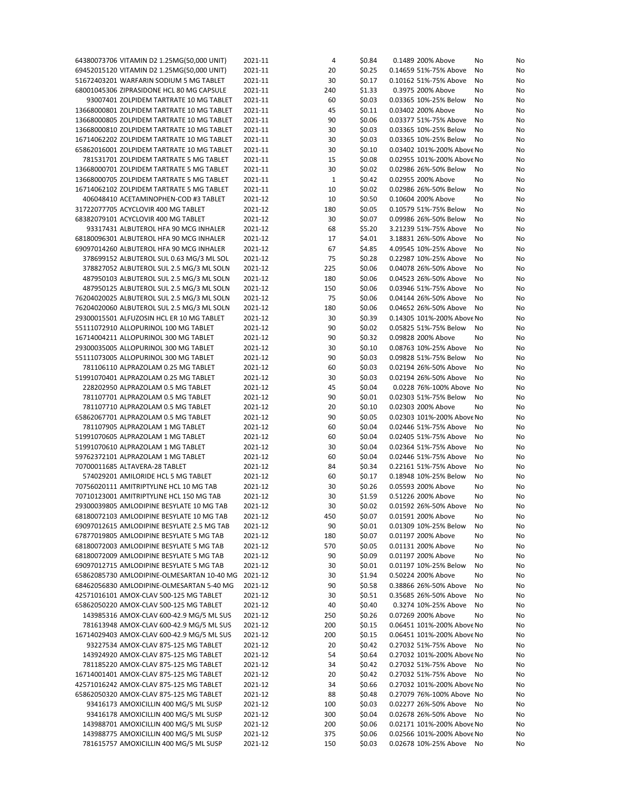| 64380073706 VITAMIN D2 1.25MG(50,000 UNIT) | 2021-11 | 4   | \$0.84 | 0.1489 200% Above<br>No       | No |
|--------------------------------------------|---------|-----|--------|-------------------------------|----|
| 69452015120 VITAMIN D2 1.25MG(50,000 UNIT) | 2021-11 | 20  | \$0.25 | 0.14659 51%-75% Above<br>No   | No |
| 51672403201 WARFARIN SODIUM 5 MG TABLET    | 2021-11 | 30  | \$0.17 | 0.10162 51%-75% Above<br>No   | No |
| 68001045306 ZIPRASIDONE HCL 80 MG CAPSULE  | 2021-11 | 240 | \$1.33 | 0.3975 200% Above<br>No       | No |
| 93007401 ZOLPIDEM TARTRATE 10 MG TABLET    | 2021-11 | 60  | \$0.03 | 0.03365 10%-25% Below<br>No   | No |
| 13668000801 ZOLPIDEM TARTRATE 10 MG TABLET | 2021-11 | 45  | \$0.11 | 0.03402 200% Above<br>No      | No |
| 13668000805 ZOLPIDEM TARTRATE 10 MG TABLET | 2021-11 | 90  | \$0.06 | 0.03377 51%-75% Above<br>No   | No |
| 13668000810 ZOLPIDEM TARTRATE 10 MG TABLET | 2021-11 | 30  | \$0.03 | 0.03365 10%-25% Below<br>No   | No |
| 16714062202 ZOLPIDEM TARTRATE 10 MG TABLET | 2021-11 | 30  | \$0.03 | 0.03365 10%-25% Below<br>No   | No |
| 65862016001 ZOLPIDEM TARTRATE 10 MG TABLET | 2021-11 | 30  | \$0.10 | 0.03402 101%-200% Above No    | No |
| 781531701 ZOLPIDEM TARTRATE 5 MG TABLET    | 2021-11 | 15  | \$0.08 | 0.02955 101%-200% Above No    | No |
| 13668000701 ZOLPIDEM TARTRATE 5 MG TABLET  | 2021-11 | 30  | \$0.02 | 0.02986 26%-50% Below<br>No   | No |
| 13668000705 ZOLPIDEM TARTRATE 5 MG TABLET  | 2021-11 | 1   | \$0.42 | 0.02955 200% Above<br>No      | No |
| 16714062102 ZOLPIDEM TARTRATE 5 MG TABLET  | 2021-11 | 10  | \$0.02 | 0.02986 26%-50% Below<br>No   | No |
| 406048410 ACETAMINOPHEN-COD #3 TABLET      | 2021-12 | 10  | \$0.50 | 0.10604 200% Above<br>No      | No |
| 31722077705 ACYCLOVIR 400 MG TABLET        | 2021-12 | 180 | \$0.05 | 0.10579 51%-75% Below<br>No   | No |
| 68382079101 ACYCLOVIR 400 MG TABLET        | 2021-12 | 30  | \$0.07 | 0.09986 26%-50% Below<br>No   | No |
| 93317431 ALBUTEROL HFA 90 MCG INHALER      | 2021-12 | 68  | \$5.20 | 3.21239 51%-75% Above<br>No   | No |
| 68180096301 ALBUTEROL HFA 90 MCG INHALER   | 2021-12 | 17  | \$4.01 | 3.18831 26%-50% Above<br>No   | No |
| 69097014260 ALBUTEROL HFA 90 MCG INHALER   | 2021-12 | 67  | \$4.85 | 4.09545 10%-25% Above<br>No   | No |
| 378699152 ALBUTEROL SUL 0.63 MG/3 ML SOL   | 2021-12 | 75  | \$0.28 | 0.22987 10%-25% Above<br>No   | No |
| 378827052 ALBUTEROL SUL 2.5 MG/3 ML SOLN   | 2021-12 | 225 | \$0.06 | 0.04078 26%-50% Above<br>No   | No |
| 487950103 ALBUTEROL SUL 2.5 MG/3 ML SOLN   | 2021-12 | 180 | \$0.06 | 0.04523 26%-50% Above<br>No   | No |
| 487950125 ALBUTEROL SUL 2.5 MG/3 ML SOLN   | 2021-12 | 150 | \$0.06 | 0.03946 51%-75% Above<br>No   | No |
| 76204020025 ALBUTEROL SUL 2.5 MG/3 ML SOLN | 2021-12 | 75  | \$0.06 | 0.04144 26%-50% Above<br>No   | No |
| 76204020060 ALBUTEROL SUL 2.5 MG/3 ML SOLN | 2021-12 | 180 | \$0.06 | 0.04652 26%-50% Above<br>No   | No |
| 29300015501 ALFUZOSIN HCL ER 10 MG TABLET  | 2021-12 | 30  | \$0.39 | 0.14305 101%-200% Above No    | No |
| 55111072910 ALLOPURINOL 100 MG TABLET      | 2021-12 | 90  | \$0.02 | 0.05825 51%-75% Below<br>No   | No |
| 16714004211 ALLOPURINOL 300 MG TABLET      | 2021-12 | 90  | \$0.32 | 0.09828 200% Above<br>No      | No |
| 29300035005 ALLOPURINOL 300 MG TABLET      | 2021-12 | 30  | \$0.10 | 0.08763 10%-25% Above<br>No   | No |
| 55111073005 ALLOPURINOL 300 MG TABLET      | 2021-12 | 90  | \$0.03 | 0.09828 51%-75% Below<br>No   | No |
| 781106110 ALPRAZOLAM 0.25 MG TABLET        | 2021-12 | 60  | \$0.03 | 0.02194 26%-50% Above<br>No   | No |
| 51991070401 ALPRAZOLAM 0.25 MG TABLET      | 2021-12 | 30  | \$0.03 | 0.02194 26%-50% Above<br>No   | No |
| 228202950 ALPRAZOLAM 0.5 MG TABLET         | 2021-12 | 45  | \$0.04 | 0.0228 76%-100% Above No      | No |
| 781107701 ALPRAZOLAM 0.5 MG TABLET         | 2021-12 | 90  | \$0.01 | 0.02303 51%-75% Below<br>No   | No |
| 781107710 ALPRAZOLAM 0.5 MG TABLET         | 2021-12 | 20  | \$0.10 | 0.02303 200% Above<br>No      | No |
| 65862067701 ALPRAZOLAM 0.5 MG TABLET       | 2021-12 | 90  | \$0.05 | 0.02303 101%-200% Above No    | No |
| 781107905 ALPRAZOLAM 1 MG TABLET           | 2021-12 | 60  | \$0.04 | 0.02446 51%-75% Above<br>No   | No |
| 51991070605 ALPRAZOLAM 1 MG TABLET         | 2021-12 | 60  | \$0.04 | 0.02405 51%-75% Above<br>No   | No |
| 51991070610 ALPRAZOLAM 1 MG TABLET         | 2021-12 | 30  | \$0.04 | 0.02364 51%-75% Above<br>No   | No |
| 59762372101 ALPRAZOLAM 1 MG TABLET         | 2021-12 | 60  | \$0.04 | 0.02446 51%-75% Above<br>No   | No |
| 70700011685 ALTAVERA-28 TABLET             | 2021-12 | 84  | \$0.34 | 0.22161 51%-75% Above<br>No   | No |
| 574029201 AMILORIDE HCL 5 MG TABLET        | 2021-12 | 60  | \$0.17 | 0.18948 10%-25% Below<br>No   | No |
| 70756020111 AMITRIPTYLINE HCL 10 MG TAB    | 2021-12 | 30  | \$0.26 | 0.05593 200% Above<br>No      | No |
| 70710123001 AMITRIPTYLINE HCL 150 MG TAB   | 2021-12 | 30  | \$1.59 | 0.51226 200% Above<br>No      | No |
| 29300039805 AMLODIPINE BESYLATE 10 MG TAB  | 2021-12 | 30  | \$0.02 | 0.01592 26%-50% Above<br>No   | No |
| 68180072103 AMLODIPINE BESYLATE 10 MG TAB  | 2021-12 | 450 | \$0.07 | 0.01591 200% Above<br>No      | No |
| 69097012615 AMLODIPINE BESYLATE 2.5 MG TAB | 2021-12 | 90  | \$0.01 | 0.01309 10%-25% Below<br>No   | No |
| 67877019805 AMLODIPINE BESYLATE 5 MG TAB   | 2021-12 | 180 | \$0.07 | 0.01197 200% Above<br>No      | No |
| 68180072003 AMLODIPINE BESYLATE 5 MG TAB   | 2021-12 | 570 | \$0.05 | 0.01131 200% Above<br>No      | No |
| 68180072009 AMLODIPINE BESYLATE 5 MG TAB   | 2021-12 | 90  | \$0.09 | 0.01197 200% Above<br>No      | No |
| 69097012715 AMLODIPINE BESYLATE 5 MG TAB   | 2021-12 | 30  | \$0.01 | 0.01197 10%-25% Below<br>No   | No |
| 65862085730 AMLODIPINE-OLMESARTAN 10-40 MG | 2021-12 | 30  | \$1.94 | 0.50224 200% Above<br>No      | No |
| 68462056830 AMLODIPINE-OLMESARTAN 5-40 MG  | 2021-12 | 90  | \$0.58 | 0.38866 26%-50% Above<br>No   | No |
| 42571016101 AMOX-CLAV 500-125 MG TABLET    | 2021-12 | 30  | \$0.51 | 0.35685 26%-50% Above<br>No   | No |
| 65862050220 AMOX-CLAV 500-125 MG TABLET    | 2021-12 | 40  | \$0.40 | 0.3274 10%-25% Above<br>No    | No |
| 143985316 AMOX-CLAV 600-42.9 MG/5 ML SUS   | 2021-12 | 250 | \$0.26 | 0.07269 200% Above<br>No      | No |
| 781613948 AMOX-CLAV 600-42.9 MG/5 ML SUS   | 2021-12 | 200 | \$0.15 | 0.06451 101%-200% Above No    | No |
| 16714029403 AMOX-CLAV 600-42.9 MG/5 ML SUS | 2021-12 | 200 | \$0.15 | 0.06451 101%-200% Above No    | No |
| 93227534 AMOX-CLAV 875-125 MG TABLET       | 2021-12 | 20  | \$0.42 | 0.27032 51%-75% Above<br>- No | No |
| 143924920 AMOX-CLAV 875-125 MG TABLET      | 2021-12 | 54  | \$0.64 | 0.27032 101%-200% Above No    | No |
| 781185220 AMOX-CLAV 875-125 MG TABLET      | 2021-12 | 34  | \$0.42 | 0.27032 51%-75% Above<br>No   | No |
| 16714001401 AMOX-CLAV 875-125 MG TABLET    | 2021-12 | 20  | \$0.42 | 0.27032 51%-75% Above<br>No   | No |
| 42571016242 AMOX-CLAV 875-125 MG TABLET    | 2021-12 | 34  | \$0.66 | 0.27032 101%-200% Above No    | No |
| 65862050320 AMOX-CLAV 875-125 MG TABLET    | 2021-12 | 88  | \$0.48 | 0.27079 76%-100% Above No     | No |
| 93416173 AMOXICILLIN 400 MG/5 ML SUSP      | 2021-12 | 100 | \$0.03 | 0.02277 26%-50% Above<br>No   | No |
| 93416178 AMOXICILLIN 400 MG/5 ML SUSP      | 2021-12 | 300 | \$0.04 | 0.02678 26%-50% Above<br>No   | No |
| 143988701 AMOXICILLIN 400 MG/5 ML SUSP     | 2021-12 | 200 | \$0.06 | 0.02171 101%-200% Above No    | No |
| 143988775 AMOXICILLIN 400 MG/5 ML SUSP     | 2021-12 | 375 | \$0.06 | 0.02566 101%-200% Above No    | No |
| 781615757 AMOXICILLIN 400 MG/5 ML SUSP     | 2021-12 | 150 | \$0.03 | 0.02678 10%-25% Above No      | No |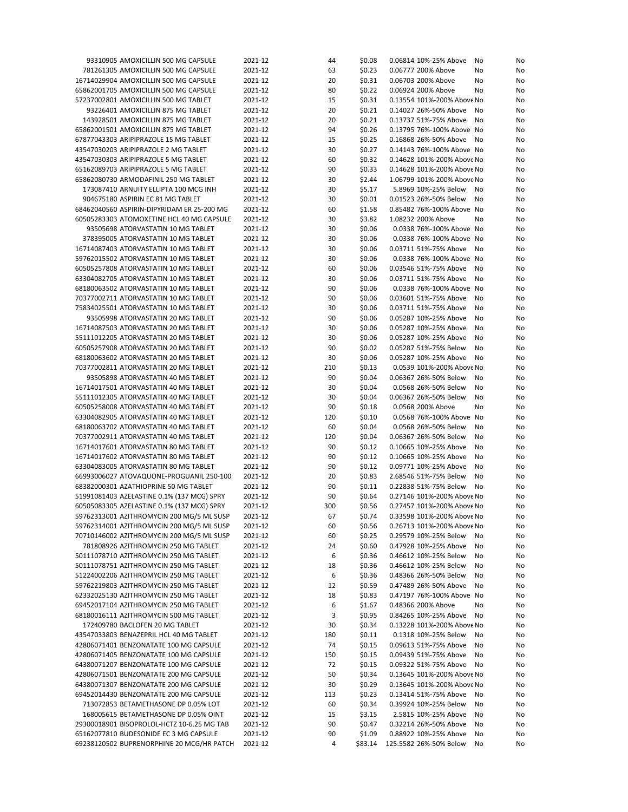| 93310905 AMOXICILLIN 500 MG CAPSULE        | 2021-12 | 44  | \$0.08  | 0.06814 10%-25% Above       | No<br>No |
|--------------------------------------------|---------|-----|---------|-----------------------------|----------|
| 781261305 AMOXICILLIN 500 MG CAPSULE       | 2021-12 | 63  | \$0.23  | 0.06777 200% Above          | No<br>No |
| 16714029904 AMOXICILLIN 500 MG CAPSULE     | 2021-12 | 20  | \$0.31  | 0.06703 200% Above          | No<br>No |
| 65862001705 AMOXICILLIN 500 MG CAPSULE     | 2021-12 | 80  | \$0.22  | 0.06924 200% Above          | No<br>No |
| 57237002801 AMOXICILLIN 500 MG TABLET      | 2021-12 | 15  | \$0.31  | 0.13554 101%-200% Above No  | No       |
|                                            | 2021-12 |     |         |                             |          |
| 93226401 AMOXICILLIN 875 MG TABLET         |         | 20  | \$0.21  | 0.14027 26%-50% Above       | No<br>No |
| 143928501 AMOXICILLIN 875 MG TABLET        | 2021-12 | 20  | \$0.21  | 0.13737 51%-75% Above       | No<br>No |
| 65862001501 AMOXICILLIN 875 MG TABLET      | 2021-12 | 94  | \$0.26  | 0.13795 76%-100% Above No   | No       |
| 67877043303 ARIPIPRAZOLE 15 MG TABLET      | 2021-12 | 15  | \$0.25  | 0.16868 26%-50% Above<br>No | No       |
| 43547030203 ARIPIPRAZOLE 2 MG TABLET       | 2021-12 | 30  | \$0.27  | 0.14143 76%-100% Above No   | No       |
| 43547030303 ARIPIPRAZOLE 5 MG TABLET       | 2021-12 | 60  | \$0.32  | 0.14628 101%-200% Above No  | No       |
| 65162089703 ARIPIPRAZOLE 5 MG TABLET       | 2021-12 | 90  | \$0.33  | 0.14628 101%-200% Above No  | No       |
| 65862080730 ARMODAFINIL 250 MG TABLET      | 2021-12 | 30  | \$2.44  | 1.06799 101%-200% Above No  | No       |
|                                            | 2021-12 |     |         |                             |          |
| 173087410 ARNUITY ELLIPTA 100 MCG INH      |         | 30  | \$5.17  | 5.8969 10%-25% Below        | No<br>No |
| 904675180 ASPIRIN EC 81 MG TABLET          | 2021-12 | 30  | \$0.01  | 0.01523 26%-50% Below       | No<br>No |
| 68462040560 ASPIRIN-DIPYRIDAM ER 25-200 MG | 2021-12 | 60  | \$1.58  | 0.85482 76%-100% Above No   | No       |
| 60505283303 ATOMOXETINE HCL 40 MG CAPSULE  | 2021-12 | 30  | \$3.82  | 1.08232 200% Above          | No<br>No |
| 93505698 ATORVASTATIN 10 MG TABLET         | 2021-12 | 30  | \$0.06  | 0.0338 76%-100% Above No    | No       |
| 378395005 ATORVASTATIN 10 MG TABLET        | 2021-12 | 30  | \$0.06  | 0.0338 76%-100% Above No    | No       |
| 16714087403 ATORVASTATIN 10 MG TABLET      | 2021-12 | 30  | \$0.06  | 0.03711 51%-75% Above       | No<br>No |
| 59762015502 ATORVASTATIN 10 MG TABLET      | 2021-12 | 30  | \$0.06  | 0.0338 76%-100% Above No    | No       |
|                                            |         |     |         |                             |          |
| 60505257808 ATORVASTATIN 10 MG TABLET      | 2021-12 | 60  | \$0.06  | 0.03546 51%-75% Above       | No<br>No |
| 63304082705 ATORVASTATIN 10 MG TABLET      | 2021-12 | 30  | \$0.06  | 0.03711 51%-75% Above       | No<br>No |
| 68180063502 ATORVASTATIN 10 MG TABLET      | 2021-12 | 90  | \$0.06  | 0.0338 76%-100% Above No    | No       |
| 70377002711 ATORVASTATIN 10 MG TABLET      | 2021-12 | 90  | \$0.06  | 0.03601 51%-75% Above       | No<br>No |
| 75834025501 ATORVASTATIN 10 MG TABLET      | 2021-12 | 30  | \$0.06  | 0.03711 51%-75% Above       | No<br>No |
| 93505998 ATORVASTATIN 20 MG TABLET         | 2021-12 | 90  | \$0.06  | 0.05287 10%-25% Above       | No<br>No |
| 16714087503 ATORVASTATIN 20 MG TABLET      | 2021-12 | 30  | \$0.06  | 0.05287 10%-25% Above       | No<br>No |
| 55111012205 ATORVASTATIN 20 MG TABLET      | 2021-12 | 30  | \$0.06  | 0.05287 10%-25% Above       | No<br>No |
|                                            |         |     |         |                             |          |
| 60505257908 ATORVASTATIN 20 MG TABLET      | 2021-12 | 90  | \$0.02  | 0.05287 51%-75% Below       | No<br>No |
| 68180063602 ATORVASTATIN 20 MG TABLET      | 2021-12 | 30  | \$0.06  | 0.05287 10%-25% Above       | No<br>No |
| 70377002811 ATORVASTATIN 20 MG TABLET      | 2021-12 | 210 | \$0.13  | 0.0539 101%-200% Above No   | No       |
| 93505898 ATORVASTATIN 40 MG TABLET         | 2021-12 | 90  | \$0.04  | 0.06367 26%-50% Below       | No<br>No |
| 16714017501 ATORVASTATIN 40 MG TABLET      | 2021-12 | 30  | \$0.04  | 0.0568 26%-50% Below        | No<br>No |
| 55111012305 ATORVASTATIN 40 MG TABLET      | 2021-12 | 30  | \$0.04  | 0.06367 26%-50% Below       | No<br>No |
| 60505258008 ATORVASTATIN 40 MG TABLET      | 2021-12 | 90  | \$0.18  | 0.0568 200% Above           | No<br>No |
| 63304082905 ATORVASTATIN 40 MG TABLET      | 2021-12 | 120 | \$0.10  | 0.0568 76%-100% Above No    | No       |
|                                            |         |     |         |                             |          |
| 68180063702 ATORVASTATIN 40 MG TABLET      | 2021-12 | 60  | \$0.04  | 0.0568 26%-50% Below        | No<br>No |
| 70377002911 ATORVASTATIN 40 MG TABLET      | 2021-12 | 120 | \$0.04  | 0.06367 26%-50% Below       | No<br>No |
| 16714017601 ATORVASTATIN 80 MG TABLET      | 2021-12 | 90  | \$0.12  | 0.10665 10%-25% Above       | No<br>No |
| 16714017602 ATORVASTATIN 80 MG TABLET      | 2021-12 | 90  | \$0.12  | 0.10665 10%-25% Above       | No<br>No |
| 63304083005 ATORVASTATIN 80 MG TABLET      | 2021-12 | 90  | \$0.12  | 0.09771 10%-25% Above       | No<br>No |
| 66993006027 ATOVAQUONE-PROGUANIL 250-100   | 2021-12 | 20  | \$0.83  | 2.68546 51%-75% Below       | No<br>No |
| 68382000301 AZATHIOPRINE 50 MG TABLET      | 2021-12 | 90  | \$0.11  | 0.22838 51%-75% Below       | No<br>No |
| 51991081403 AZELASTINE 0.1% (137 MCG) SPRY | 2021-12 | 90  | \$0.64  | 0.27146 101%-200% Above No  | No       |
| 60505083305 AZELASTINE 0.1% (137 MCG) SPRY | 2021-12 | 300 | \$0.56  | 0.27457 101%-200% Above No  | No       |
|                                            |         |     |         |                             |          |
| 59762313001 AZITHROMYCIN 200 MG/5 ML SUSP  | 2021-12 | 67  | \$0.74  | 0.33598 101%-200% Above No  | No       |
| 59762314001 AZITHROMYCIN 200 MG/5 ML SUSP  | 2021-12 | 60  | \$0.56  | 0.26713 101%-200% Above No  | No       |
| 70710146002 AZITHROMYCIN 200 MG/5 ML SUSP  | 2021-12 | 60  | \$0.25  | 0.29579 10%-25% Below       | No<br>No |
| 781808926 AZITHROMYCIN 250 MG TABLET       | 2021-12 | 24  | \$0.60  | 0.47928 10%-25% Above       | No<br>No |
| 50111078710 AZITHROMYCIN 250 MG TABLET     | 2021-12 | 6   | \$0.36  | 0.46612 10%-25% Below       | No<br>No |
| 50111078751 AZITHROMYCIN 250 MG TABLET     | 2021-12 | 18  | \$0.36  | 0.46612 10%-25% Below       | No<br>No |
| 51224002206 AZITHROMYCIN 250 MG TABLET     | 2021-12 | 6   | \$0.36  | 0.48366 26%-50% Below       | No<br>No |
| 59762219803 AZITHROMYCIN 250 MG TABLET     | 2021-12 | 12  | \$0.59  | 0.47489 26%-50% Above       | No<br>No |
|                                            |         |     |         |                             |          |
| 62332025130 AZITHROMYCIN 250 MG TABLET     | 2021-12 | 18  | \$0.83  | 0.47197 76%-100% Above No   | No       |
| 69452017104 AZITHROMYCIN 250 MG TABLET     | 2021-12 | 6   | \$1.67  | 0.48366 200% Above          | No<br>No |
| 68180016111 AZITHROMYCIN 500 MG TABLET     | 2021-12 | 3   | \$0.95  | 0.84265 10%-25% Above       | No<br>No |
| 172409780 BACLOFEN 20 MG TABLET            | 2021-12 | 30  | \$0.34  | 0.13228 101%-200% Above No  | No       |
| 43547033803 BENAZEPRIL HCL 40 MG TABLET    | 2021-12 | 180 | \$0.11  | 0.1318 10%-25% Below        | No<br>No |
| 42806071401 BENZONATATE 100 MG CAPSULE     | 2021-12 | 74  | \$0.15  | 0.09613 51%-75% Above       | No<br>No |
| 42806071405 BENZONATATE 100 MG CAPSULE     | 2021-12 | 150 | \$0.15  | 0.09439 51%-75% Above       | No<br>No |
|                                            |         |     |         |                             |          |
| 64380071207 BENZONATATE 100 MG CAPSULE     | 2021-12 | 72  | \$0.15  | 0.09322 51%-75% Above       | No<br>No |
| 42806071501 BENZONATATE 200 MG CAPSULE     | 2021-12 | 50  | \$0.34  | 0.13645 101%-200% Above No  | No       |
| 64380071307 BENZONATATE 200 MG CAPSULE     | 2021-12 | 30  | \$0.29  | 0.13645 101%-200% Above No  | No       |
| 69452014430 BENZONATATE 200 MG CAPSULE     | 2021-12 | 113 | \$0.23  | 0.13414 51%-75% Above       | No<br>No |
| 713072853 BETAMETHASONE DP 0.05% LOT       | 2021-12 | 60  | \$0.34  | 0.39924 10%-25% Below       | No<br>No |
| 168005615 BETAMETHASONE DP 0.05% OINT      | 2021-12 | 15  | \$3.15  | 2.5815 10%-25% Above        | No<br>No |
| 29300018901 BISOPROLOL-HCTZ 10-6.25 MG TAB | 2021-12 | 90  | \$0.47  | 0.32214 26%-50% Above       | No<br>No |
| 65162077810 BUDESONIDE EC 3 MG CAPSULE     | 2021-12 | 90  | \$1.09  | 0.88922 10%-25% Above       | No<br>No |
| 69238120502 BUPRENORPHINE 20 MCG/HR PATCH  | 2021-12 | 4   | \$83.14 | 125.5582 26%-50% Below      | No<br>No |
|                                            |         |     |         |                             |          |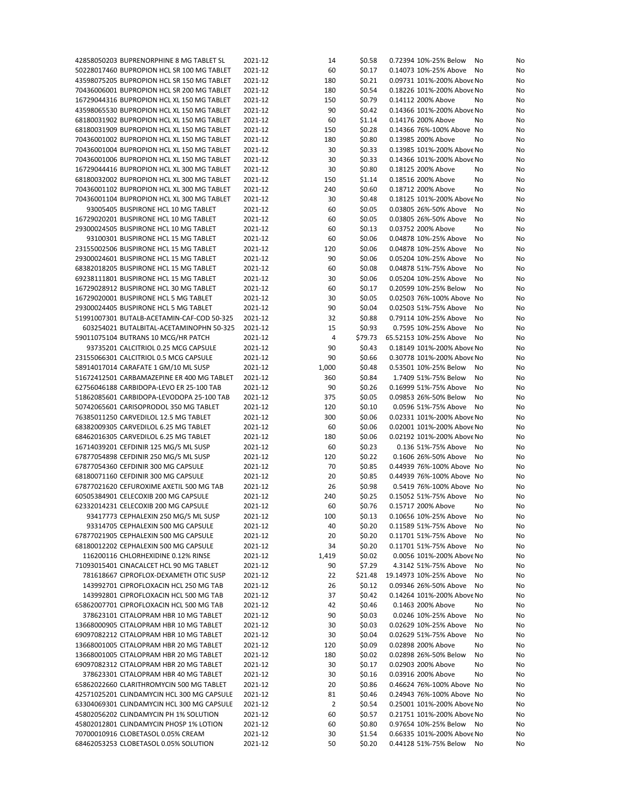| 42858050203 BUPRENORPHINE 8 MG TABLET SL   | 2021-12 | 14    | \$0.58  | 0.72394 10%-25% Below<br>No  | No |
|--------------------------------------------|---------|-------|---------|------------------------------|----|
| 50228017460 BUPROPION HCL SR 100 MG TABLET | 2021-12 | 60    | \$0.17  | 0.14073 10%-25% Above<br>No  | No |
| 43598075205 BUPROPION HCL SR 150 MG TABLET | 2021-12 | 180   | \$0.21  | 0.09731 101%-200% Above No   | No |
| 70436006001 BUPROPION HCL SR 200 MG TABLET | 2021-12 | 180   | \$0.54  | 0.18226 101%-200% Above No   | No |
|                                            | 2021-12 |       |         | 0.14112 200% Above           |    |
| 16729044316 BUPROPION HCL XL 150 MG TABLET |         | 150   | \$0.79  | No                           | No |
| 43598065530 BUPROPION HCL XL 150 MG TABLET | 2021-12 | 90    | \$0.42  | 0.14366 101%-200% Above No   | No |
| 68180031902 BUPROPION HCL XL 150 MG TABLET | 2021-12 | 60    | \$1.14  | 0.14176 200% Above<br>No     | No |
| 68180031909 BUPROPION HCL XL 150 MG TABLET | 2021-12 | 150   | \$0.28  | 0.14366 76%-100% Above No    | No |
| 70436001002 BUPROPION HCL XL 150 MG TABLET | 2021-12 | 180   | \$0.80  | 0.13985 200% Above<br>No     | No |
| 70436001004 BUPROPION HCL XL 150 MG TABLET | 2021-12 | 30    | \$0.33  | 0.13985 101%-200% Above No   | No |
| 70436001006 BUPROPION HCL XL 150 MG TABLET | 2021-12 | 30    | \$0.33  | 0.14366 101%-200% Above No   | No |
|                                            |         |       |         |                              |    |
| 16729044416 BUPROPION HCL XL 300 MG TABLET | 2021-12 | 30    | \$0.80  | 0.18125 200% Above<br>No     | No |
| 68180032002 BUPROPION HCL XL 300 MG TABLET | 2021-12 | 150   | \$1.14  | 0.18516 200% Above<br>No     | No |
| 70436001102 BUPROPION HCL XL 300 MG TABLET | 2021-12 | 240   | \$0.60  | 0.18712 200% Above<br>No     | No |
| 70436001104 BUPROPION HCL XL 300 MG TABLET | 2021-12 | 30    | \$0.48  | 0.18125 101%-200% Above No   | No |
| 93005405 BUSPIRONE HCL 10 MG TABLET        | 2021-12 | 60    | \$0.05  | 0.03805 26%-50% Above<br>No  | No |
| 16729020201 BUSPIRONE HCL 10 MG TABLET     | 2021-12 | 60    | \$0.05  | 0.03805 26%-50% Above<br>No  | No |
| 29300024505 BUSPIRONE HCL 10 MG TABLET     | 2021-12 | 60    | \$0.13  | 0.03752 200% Above<br>No     | No |
|                                            |         |       |         |                              |    |
| 93100301 BUSPIRONE HCL 15 MG TABLET        | 2021-12 | 60    | \$0.06  | 0.04878 10%-25% Above<br>No  | No |
| 23155002506 BUSPIRONE HCL 15 MG TABLET     | 2021-12 | 120   | \$0.06  | 0.04878 10%-25% Above<br>No  | No |
| 29300024601 BUSPIRONE HCL 15 MG TABLET     | 2021-12 | 90    | \$0.06  | 0.05204 10%-25% Above<br>No  | No |
| 68382018205 BUSPIRONE HCL 15 MG TABLET     | 2021-12 | 60    | \$0.08  | 0.04878 51%-75% Above<br>No  | No |
| 69238111801 BUSPIRONE HCL 15 MG TABLET     | 2021-12 | 30    | \$0.06  | 0.05204 10%-25% Above<br>No  | No |
| 16729028912 BUSPIRONE HCL 30 MG TABLET     | 2021-12 | 60    | \$0.17  | 0.20599 10%-25% Below<br>No  | No |
| 16729020001 BUSPIRONE HCL 5 MG TABLET      | 2021-12 | 30    | \$0.05  | 0.02503 76%-100% Above No    | No |
|                                            |         |       |         |                              |    |
| 29300024405 BUSPIRONE HCL 5 MG TABLET      | 2021-12 | 90    | \$0.04  | 0.02503 51%-75% Above<br>No  | No |
| 51991007301 BUTALB-ACETAMIN-CAF-COD 50-325 | 2021-12 | 32    | \$0.88  | 0.79114 10%-25% Above<br>No  | No |
| 603254021 BUTALBITAL-ACETAMINOPHN 50-325   | 2021-12 | 15    | \$0.93  | 0.7595 10%-25% Above<br>No   | No |
| 59011075104 BUTRANS 10 MCG/HR PATCH        | 2021-12 | 4     | \$79.73 | 65.52153 10%-25% Above<br>No | No |
| 93735201 CALCITRIOL 0.25 MCG CAPSULE       | 2021-12 | 90    | \$0.43  | 0.18149 101%-200% Above No   | No |
| 23155066301 CALCITRIOL 0.5 MCG CAPSULE     | 2021-12 | 90    | \$0.66  | 0.30778 101%-200% Above No   | No |
|                                            | 2021-12 |       | \$0.48  | 0.53501 10%-25% Below        |    |
| 58914017014 CARAFATE 1 GM/10 ML SUSP       |         | 1,000 |         | No                           | No |
| 51672412501 CARBAMAZEPINE ER 400 MG TABLET | 2021-12 | 360   | \$0.84  | 1.7409 51%-75% Below<br>No   | No |
| 62756046188 CARBIDOPA-LEVO ER 25-100 TAB   | 2021-12 | 90    | \$0.26  | 0.16999 51%-75% Above<br>No  | No |
| 51862085601 CARBIDOPA-LEVODOPA 25-100 TAB  | 2021-12 | 375   | \$0.05  | 0.09853 26%-50% Below<br>No  | No |
| 50742065601 CARISOPRODOL 350 MG TABLET     | 2021-12 | 120   | \$0.10  | 0.0596 51%-75% Above<br>No   | No |
| 76385011250 CARVEDILOL 12.5 MG TABLET      | 2021-12 | 300   | \$0.06  | 0.02331 101%-200% Above No   | No |
| 68382009305 CARVEDILOL 6.25 MG TABLET      | 2021-12 | 60    | \$0.06  | 0.02001 101%-200% Above No   | No |
| 68462016305 CARVEDILOL 6.25 MG TABLET      | 2021-12 | 180   | \$0.06  | 0.02192 101%-200% Above No   | No |
|                                            |         |       |         |                              |    |
| 16714039201 CEFDINIR 125 MG/5 ML SUSP      | 2021-12 | 60    | \$0.23  | 0.136 51%-75% Above<br>No    | No |
| 67877054898 CEFDINIR 250 MG/5 ML SUSP      | 2021-12 | 120   | \$0.22  | 0.1606 26%-50% Above<br>No   | No |
| 67877054360 CEFDINIR 300 MG CAPSULE        | 2021-12 | 70    | \$0.85  | 0.44939 76%-100% Above No    | No |
| 68180071160 CEFDINIR 300 MG CAPSULE        | 2021-12 | 20    | \$0.85  | 0.44939 76%-100% Above No    | No |
| 67877021620 CEFUROXIME AXETIL 500 MG TAB   | 2021-12 | 26    | \$0.98  | 0.5419 76%-100% Above No     | No |
| 60505384901 CELECOXIB 200 MG CAPSULE       | 2021-12 | 240   | \$0.25  | 0.15052 51%-75% Above<br>No  | No |
| 62332014231 CELECOXIB 200 MG CAPSULE       | 2021-12 | 60    | \$0.76  | 0.15717 200% Above<br>No     | No |
|                                            |         |       |         | 0.10656 10%-25% Above        |    |
| 93417773 CEPHALEXIN 250 MG/5 ML SUSP       | 2021-12 | 100   | \$0.13  | No                           | No |
| 93314705 CEPHALEXIN 500 MG CAPSULE         | 2021-12 | 40    | \$0.20  | 0.11589 51%-75% Above<br>No  | No |
| 67877021905 CEPHALEXIN 500 MG CAPSULE      | 2021-12 | 20    | \$0.20  | 0.11701 51%-75% Above<br>No  | No |
| 68180012202 CEPHALEXIN 500 MG CAPSULE      | 2021-12 | 34    | \$0.20  | 0.11701 51%-75% Above<br>No  | No |
| 116200116 CHLORHEXIDINE 0.12% RINSE        | 2021-12 | 1,419 | \$0.02  | 0.0056 101%-200% Above No    | No |
| 71093015401 CINACALCET HCL 90 MG TABLET    | 2021-12 | 90    | \$7.29  | 4.3142 51%-75% Above<br>No   | No |
| 781618667 CIPROFLOX-DEXAMETH OTIC SUSP     | 2021-12 | 22    | \$21.48 | 19.14973 10%-25% Above<br>No | No |
|                                            |         |       |         |                              |    |
| 143992701 CIPROFLOXACIN HCL 250 MG TAB     | 2021-12 | 26    | \$0.12  | 0.09346 26%-50% Above<br>No  | No |
| 143992801 CIPROFLOXACIN HCL 500 MG TAB     | 2021-12 | 37    | \$0.42  | 0.14264 101%-200% Above No   | No |
| 65862007701 CIPROFLOXACIN HCL 500 MG TAB   | 2021-12 | 42    | \$0.46  | 0.1463 200% Above<br>No      | No |
| 378623101 CITALOPRAM HBR 10 MG TABLET      | 2021-12 | 90    | \$0.03  | 0.0246 10%-25% Above<br>No   | No |
| 13668000905 CITALOPRAM HBR 10 MG TABLET    | 2021-12 | 30    | \$0.03  | 0.02629 10%-25% Above<br>No  | No |
| 69097082212 CITALOPRAM HBR 10 MG TABLET    | 2021-12 | 30    | \$0.04  | 0.02629 51%-75% Above<br>No  | No |
| 13668001005 CITALOPRAM HBR 20 MG TABLET    | 2021-12 | 120   | \$0.09  | 0.02898 200% Above<br>No     |    |
|                                            |         |       |         |                              | No |
| 13668001005 CITALOPRAM HBR 20 MG TABLET    | 2021-12 | 180   | \$0.02  | 0.02898 26%-50% Below<br>No  | No |
| 69097082312 CITALOPRAM HBR 20 MG TABLET    | 2021-12 | 30    | \$0.17  | 0.02903 200% Above<br>No     | No |
| 378623301 CITALOPRAM HBR 40 MG TABLET      | 2021-12 | 30    | \$0.16  | 0.03916 200% Above<br>No     | No |
| 65862022660 CLARITHROMYCIN 500 MG TABLET   | 2021-12 | 20    | \$0.86  | 0.46624 76%-100% Above No    | No |
| 42571025201 CLINDAMYCIN HCL 300 MG CAPSULE | 2021-12 | 81    | \$0.46  | 0.24943 76%-100% Above No    | No |
| 63304069301 CLINDAMYCIN HCL 300 MG CAPSULE | 2021-12 | 2     | \$0.54  | 0.25001 101%-200% Above No   | No |
| 45802056202 CLINDAMYCIN PH 1% SOLUTION     | 2021-12 | 60    | \$0.57  | 0.21751 101%-200% Above No   |    |
|                                            |         |       |         |                              | No |
| 45802012801 CLINDAMYCIN PHOSP 1% LOTION    | 2021-12 | 60    | \$0.80  | 0.97654 10%-25% Below<br>No  | No |
| 70700010916 CLOBETASOL 0.05% CREAM         | 2021-12 | 30    | \$1.54  | 0.66335 101%-200% Above No   | No |
| 68462053253 CLOBETASOL 0.05% SOLUTION      | 2021-12 | 50    | \$0.20  | 0.44128 51%-75% Below<br>No  | No |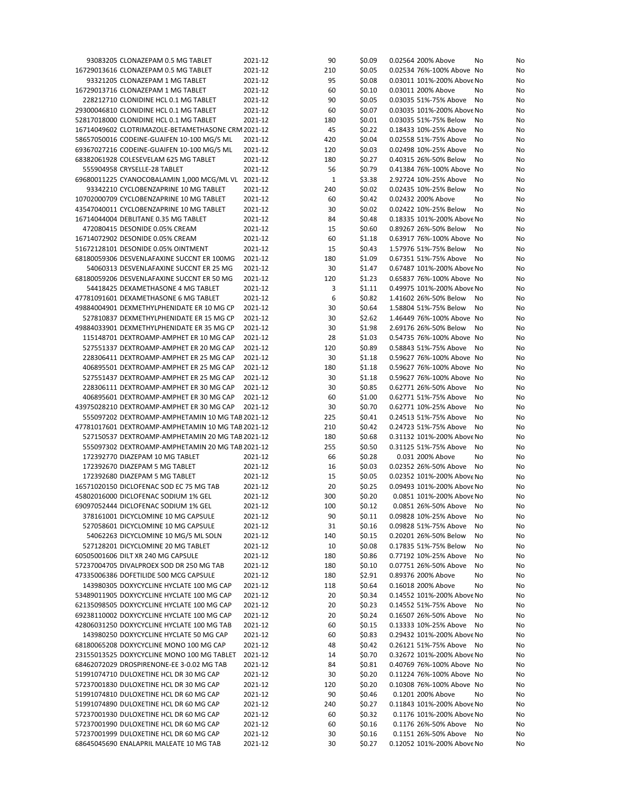| 93083205 CLONAZEPAM 0.5 MG TABLET                                                  | 2021-12            | 90        | \$0.09           | 0.02564 200% Above                                 | No<br>No             |
|------------------------------------------------------------------------------------|--------------------|-----------|------------------|----------------------------------------------------|----------------------|
| 16729013616 CLONAZEPAM 0.5 MG TABLET                                               | 2021-12            | 210       | \$0.05           | 0.02534 76%-100% Above No                          | No                   |
| 93321205 CLONAZEPAM 1 MG TABLET                                                    | 2021-12            | 95        | \$0.08           | 0.03011 101%-200% Above No                         | No                   |
| 16729013716 CLONAZEPAM 1 MG TABLET                                                 | 2021-12            | 60        | \$0.10           | 0.03011 200% Above                                 | No<br>No             |
| 228212710 CLONIDINE HCL 0.1 MG TABLET                                              | 2021-12            | 90        | \$0.05           | 0.03035 51%-75% Above                              | No<br>No             |
| 29300046810 CLONIDINE HCL 0.1 MG TABLET                                            | 2021-12            | 60        | \$0.07           | 0.03035 101%-200% Above No                         | No                   |
| 52817018000 CLONIDINE HCL 0.1 MG TABLET                                            | 2021-12            | 180       | \$0.01           | 0.03035 51%-75% Below                              | No<br>No             |
| 16714049602 CLOTRIMAZOLE-BETAMETHASONE CRM 2021-12                                 |                    | 45        | \$0.22           | 0.18433 10%-25% Above                              | No<br>No             |
| 58657050016 CODEINE-GUAIFEN 10-100 MG/5 ML                                         | 2021-12            | 420       | \$0.04           | 0.02558 51%-75% Above                              | No<br>No             |
| 69367027216 CODEINE-GUAIFEN 10-100 MG/5 ML                                         | 2021-12            | 120       | \$0.03           | 0.02498 10%-25% Above                              | No<br>No             |
| 68382061928 COLESEVELAM 625 MG TABLET                                              | 2021-12            | 180       | \$0.27           | 0.40315 26%-50% Below                              | No<br>No             |
| 555904958 CRYSELLE-28 TABLET                                                       | 2021-12            | 56        | \$0.79           | 0.41384 76%-100% Above No                          | No                   |
| 69680011225 CYANOCOBALAMIN 1,000 MCG/ML VL 2021-12                                 |                    | 1         | \$3.38           | 2.92724 10%-25% Above                              | No<br>No             |
| 93342210 CYCLOBENZAPRINE 10 MG TABLET                                              | 2021-12            | 240       | \$0.02           | 0.02435 10%-25% Below                              | No<br>No             |
| 10702000709 CYCLOBENZAPRINE 10 MG TABLET                                           | 2021-12            | 60        | \$0.42           | 0.02432 200% Above                                 | No<br>No             |
| 43547040011 CYCLOBENZAPRINE 10 MG TABLET                                           | 2021-12            | 30        | \$0.02           | 0.02422 10%-25% Below                              | No<br>No             |
| 16714044004 DEBLITANE 0.35 MG TABLET                                               | 2021-12            | 84        | \$0.48           | 0.18335 101%-200% Above No                         | No                   |
| 472080415 DESONIDE 0.05% CREAM                                                     | 2021-12            | 15        | \$0.60           | 0.89267 26%-50% Below                              | No<br>No             |
| 16714072902 DESONIDE 0.05% CREAM                                                   | 2021-12            | 60        | \$1.18           | 0.63917 76%-100% Above No                          | No                   |
| 51672128101 DESONIDE 0.05% OINTMENT                                                | 2021-12            | 15        | \$0.43           | 1.57976 51%-75% Below                              | No<br>No             |
| 68180059306 DESVENLAFAXINE SUCCNT ER 100MG                                         | 2021-12            | 180       | \$1.09           | 0.67351 51%-75% Above                              | No<br>No             |
| 54060313 DESVENLAFAXINE SUCCNT ER 25 MG                                            | 2021-12            | 30        | \$1.47           | 0.67487 101%-200% Above No                         | No                   |
| 68180059206 DESVENLAFAXINE SUCCNT ER 50 MG                                         | 2021-12            | 120       | \$1.23           | 0.65837 76%-100% Above No                          | No                   |
| 54418425 DEXAMETHASONE 4 MG TABLET                                                 | 2021-12            | 3         | \$1.11           | 0.49975 101%-200% Above No                         | No                   |
| 47781091601 DEXAMETHASONE 6 MG TABLET                                              | 2021-12            | 6         | \$0.82           | 1.41602 26%-50% Below                              | No<br>No             |
| 49884004901 DEXMETHYLPHENIDATE ER 10 MG CP                                         | 2021-12            | 30        | \$0.64           | 1.58804 51%-75% Below                              | No<br>No             |
| 527810837 DEXMETHYLPHENIDATE ER 15 MG CP                                           | 2021-12            | 30        | \$2.62           | 1.46449 76%-100% Above No                          | No                   |
| 49884033901 DEXMETHYLPHENIDATE ER 35 MG CP                                         | 2021-12            | 30        | \$1.98           | 2.69176 26%-50% Below                              | No<br>No             |
| 115148701 DEXTROAMP-AMPHET ER 10 MG CAP                                            | 2021-12            | 28        | \$1.03           | 0.54735 76%-100% Above No                          | No                   |
| 527551337 DEXTROAMP-AMPHET ER 20 MG CAP                                            | 2021-12            | 120       | \$0.89           | 0.58843 51%-75% Above                              | No<br>No             |
| 228306411 DEXTROAMP-AMPHET ER 25 MG CAP                                            | 2021-12            | 30        | \$1.18           | 0.59627 76%-100% Above No                          | No                   |
| 406895501 DEXTROAMP-AMPHET ER 25 MG CAP                                            | 2021-12            | 180       | \$1.18           | 0.59627 76%-100% Above No                          | No                   |
| 527551437 DEXTROAMP-AMPHET ER 25 MG CAP                                            | 2021-12            | 30        | \$1.18           | 0.59627 76%-100% Above No                          | No                   |
| 228306111 DEXTROAMP-AMPHET ER 30 MG CAP                                            | 2021-12<br>2021-12 | 30<br>60  | \$0.85<br>\$1.00 | 0.62771 26%-50% Above<br>0.62771 51%-75% Above     | No<br>No<br>No       |
| 406895601 DEXTROAMP-AMPHET ER 30 MG CAP                                            |                    |           |                  |                                                    | No                   |
|                                                                                    |                    |           |                  |                                                    |                      |
| 43975028210 DEXTROAMP-AMPHET ER 30 MG CAP                                          | 2021-12            | 30        | \$0.70           | 0.62771 10%-25% Above                              | No<br>No             |
| 555097202 DEXTROAMP-AMPHETAMIN 10 MG TAB 2021-12                                   |                    | 225       | \$0.41           | 0.24513 51%-75% Above                              | No<br>No             |
| 47781017601 DEXTROAMP-AMPHETAMIN 10 MG TAB 2021-12                                 |                    | 210       | \$0.42           | 0.24723 51%-75% Above                              | No<br>No             |
| 527150537 DEXTROAMP-AMPHETAMIN 20 MG TAB 2021-12                                   |                    | 180       | \$0.68           | 0.31132 101%-200% Above No                         | No                   |
| 555097302 DEXTROAMP-AMPHETAMIN 20 MG TAB 2021-12                                   |                    | 255       | \$0.50           | 0.31125 51%-75% Above                              | No<br>No             |
| 172392770 DIAZEPAM 10 MG TABLET                                                    | 2021-12            | 66        | \$0.28           | 0.031 200% Above                                   | No<br>No             |
| 172392670 DIAZEPAM 5 MG TABLET                                                     | 2021-12            | 16        | \$0.03           | 0.02352 26%-50% Above                              | No<br>No             |
| 172392680 DIAZEPAM 5 MG TABLET                                                     | 2021-12            | 15        | \$0.05           | 0.02352 101%-200% Above No                         | No                   |
| 16571020150 DICLOFENAC SOD EC 75 MG TAB                                            | 2021-12            | 20        | \$0.25           | 0.09493 101%-200% Above No                         | No                   |
| 45802016000 DICLOFENAC SODIUM 1% GEL                                               | 2021-12            | 300       | \$0.20           | 0.0851 101%-200% Above No                          | No                   |
| 69097052444 DICLOFENAC SODIUM 1% GEL                                               | 2021-12            | 100       | \$0.12           | 0.0851 26%-50% Above No                            | No                   |
| 378161001 DICYCLOMINE 10 MG CAPSULE<br>527058601 DICYCLOMINE 10 MG CAPSULE         | 2021-12            | 90        | \$0.11           | 0.09828 10%-25% Above No<br>0.09828 51%-75% Above  | No                   |
|                                                                                    | 2021-12            | 31        | \$0.16           |                                                    | No<br>No             |
| 54062263 DICYCLOMINE 10 MG/5 ML SOLN<br>527128201 DICYCLOMINE 20 MG TABLET         | 2021-12<br>2021-12 | 140<br>10 | \$0.15<br>\$0.08 | 0.20201 26%-50% Below<br>0.17835 51%-75% Below     | No<br>No<br>No<br>No |
| 60505001606 DILT XR 240 MG CAPSULE                                                 | 2021-12            | 180       | \$0.86           | 0.77192 10%-25% Above                              | No<br>No             |
| 57237004705 DIVALPROEX SOD DR 250 MG TAB                                           | 2021-12            | 180       | \$0.10           | 0.07751 26%-50% Above                              | No<br>No             |
| 47335006386 DOFETILIDE 500 MCG CAPSULE                                             | 2021-12            | 180       | \$2.91           | 0.89376 200% Above                                 | No<br>No             |
| 143980305 DOXYCYCLINE HYCLATE 100 MG CAP                                           | 2021-12            | 118       | \$0.64           | 0.16018 200% Above                                 | No<br>No             |
| 53489011905 DOXYCYCLINE HYCLATE 100 MG CAP                                         | 2021-12            | 20        | \$0.34           | 0.14552 101%-200% Above No                         | No                   |
| 62135098505 DOXYCYCLINE HYCLATE 100 MG CAP                                         | 2021-12            | 20        | \$0.23           | 0.14552 51%-75% Above                              | No<br>No             |
| 69238110002 DOXYCYCLINE HYCLATE 100 MG CAP                                         | 2021-12            | 20        | \$0.24           | 0.16507 26%-50% Above                              | No<br>No             |
| 42806031250 DOXYCYCLINE HYCLATE 100 MG TAB                                         | 2021-12            | 60        | \$0.15           | 0.13333 10%-25% Above                              | No<br>No             |
| 143980250 DOXYCYCLINE HYCLATE 50 MG CAP                                            | 2021-12            | 60        | \$0.83           | 0.29432 101%-200% Above No                         | No                   |
| 68180065208 DOXYCYCLINE MONO 100 MG CAP                                            | 2021-12            | 48        | \$0.42           | 0.26121 51%-75% Above                              | No<br>No             |
| 23155013525 DOXYCYCLINE MONO 100 MG TABLET                                         | 2021-12            | 14        | \$0.70           | 0.32672 101%-200% Above No                         | No                   |
| 68462072029 DROSPIRENONE-EE 3-0.02 MG TAB                                          | 2021-12            | 84        | \$0.81           | 0.40769 76%-100% Above No                          | No                   |
| 51991074710 DULOXETINE HCL DR 30 MG CAP                                            | 2021-12            | 30        | \$0.20           | 0.11224 76%-100% Above No                          | No                   |
| 57237001830 DULOXETINE HCL DR 30 MG CAP                                            | 2021-12            | 120       | \$0.20           | 0.10308 76%-100% Above No                          | No                   |
| 51991074810 DULOXETINE HCL DR 60 MG CAP                                            | 2021-12            | 90        | \$0.46           | 0.1201 200% Above                                  | No<br>No             |
| 51991074890 DULOXETINE HCL DR 60 MG CAP                                            | 2021-12            | 240       | \$0.27           | 0.11843 101%-200% Above No                         | No                   |
| 57237001930 DULOXETINE HCL DR 60 MG CAP                                            | 2021-12            | 60        | \$0.32           | 0.1176 101%-200% Above No                          | No                   |
| 57237001990 DULOXETINE HCL DR 60 MG CAP                                            | 2021-12            | 60        | \$0.16           | 0.1176 26%-50% Above                               | No<br>No             |
| 57237001999 DULOXETINE HCL DR 60 MG CAP<br>68645045690 ENALAPRIL MALEATE 10 MG TAB | 2021-12<br>2021-12 | 30<br>30  | \$0.16<br>\$0.27 | 0.1151 26%-50% Above<br>0.12052 101%-200% Above No | No<br>No<br>No       |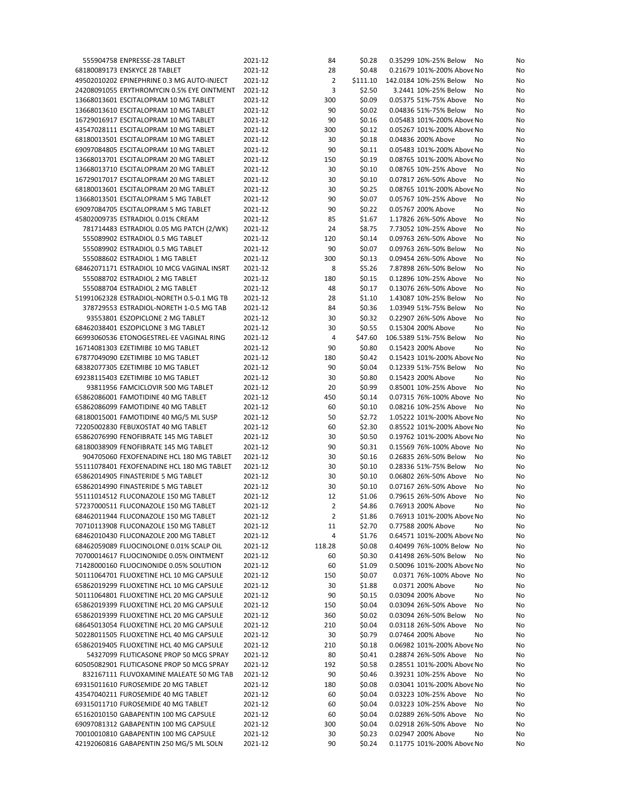| 555904758 ENPRESSE-28 TABLET               | 2021-12 | 84             | \$0.28   | 0.35299 10%-25% Below<br>No  | No |
|--------------------------------------------|---------|----------------|----------|------------------------------|----|
| 68180089173 ENSKYCE 28 TABLET              | 2021-12 | 28             | \$0.48   | 0.21679 101%-200% Above No   | No |
| 49502010202 EPINEPHRINE 0.3 MG AUTO-INJECT | 2021-12 | 2              | \$111.10 | 142.0184 10%-25% Below<br>No | No |
| 24208091055 ERYTHROMYCIN 0.5% EYE OINTMENT | 2021-12 | 3              | \$2.50   | 3.2441 10%-25% Below<br>No   | No |
| 13668013601 ESCITALOPRAM 10 MG TABLET      | 2021-12 | 300            | \$0.09   | 0.05375 51%-75% Above<br>No  | No |
| 13668013610 ESCITALOPRAM 10 MG TABLET      | 2021-12 | 90             | \$0.02   | 0.04836 51%-75% Below<br>No  | No |
| 16729016917 ESCITALOPRAM 10 MG TABLET      | 2021-12 | 90             | \$0.16   | 0.05483 101%-200% Above No   | No |
| 43547028111 ESCITALOPRAM 10 MG TABLET      | 2021-12 | 300            | \$0.12   | 0.05267 101%-200% Above No   | No |
| 68180013501 ESCITALOPRAM 10 MG TABLET      | 2021-12 | 30             | \$0.18   | 0.04836 200% Above<br>No     | No |
| 69097084805 ESCITALOPRAM 10 MG TABLET      | 2021-12 | 90             | \$0.11   | 0.05483 101%-200% Above No   | No |
| 13668013701 ESCITALOPRAM 20 MG TABLET      | 2021-12 | 150            | \$0.19   | 0.08765 101%-200% Above No   | No |
| 13668013710 ESCITALOPRAM 20 MG TABLET      | 2021-12 | 30             | \$0.10   | 0.08765 10%-25% Above<br>No  | No |
| 16729017017 ESCITALOPRAM 20 MG TABLET      | 2021-12 | 30             | \$0.10   | 0.07817 26%-50% Above<br>No  | No |
| 68180013601 ESCITALOPRAM 20 MG TABLET      | 2021-12 | 30             | \$0.25   | 0.08765 101%-200% Above No   | No |
| 13668013501 ESCITALOPRAM 5 MG TABLET       | 2021-12 | 90             | \$0.07   | 0.05767 10%-25% Above<br>No  | No |
| 69097084705 ESCITALOPRAM 5 MG TABLET       | 2021-12 | 90             | \$0.22   | 0.05767 200% Above<br>No     | No |
| 45802009735 ESTRADIOL 0.01% CREAM          | 2021-12 | 85             | \$1.67   | 1.17826 26%-50% Above<br>No  | No |
| 781714483 ESTRADIOL 0.05 MG PATCH (2/WK)   | 2021-12 | 24             | \$8.75   | 7.73052 10%-25% Above<br>No  | No |
| 555089902 ESTRADIOL 0.5 MG TABLET          | 2021-12 | 120            | \$0.14   | 0.09763 26%-50% Above<br>No  | No |
| 555089902 ESTRADIOL 0.5 MG TABLET          | 2021-12 | 90             | \$0.07   | 0.09763 26%-50% Below<br>No  | No |
| 555088602 ESTRADIOL 1 MG TABLET            | 2021-12 | 300            | \$0.13   | 0.09454 26%-50% Above<br>No  | No |
| 68462071171 ESTRADIOL 10 MCG VAGINAL INSRT | 2021-12 | 8              | \$5.26   | 7.87898 26%-50% Below<br>No  | No |
| 555088702 ESTRADIOL 2 MG TABLET            | 2021-12 | 180            | \$0.15   | 0.12896 10%-25% Above<br>No  | No |
| 555088704 ESTRADIOL 2 MG TABLET            | 2021-12 | 48             | \$0.17   | 0.13076 26%-50% Above<br>No  | No |
| 51991062328 ESTRADIOL-NORETH 0.5-0.1 MG TB | 2021-12 | 28             | \$1.10   | 1.43087 10%-25% Below<br>No  | No |
| 378729553 ESTRADIOL-NORETH 1-0.5 MG TAB    | 2021-12 | 84             | \$0.36   | 1.03949 51%-75% Below<br>No  | No |
| 93553801 ESZOPICLONE 2 MG TABLET           | 2021-12 | 30             | \$0.32   | 0.22907 26%-50% Above<br>No  | No |
| 68462038401 ESZOPICLONE 3 MG TABLET        | 2021-12 | 30             | \$0.55   | 0.15304 200% Above<br>No     | No |
| 66993060536 ETONOGESTREL-EE VAGINAL RING   | 2021-12 | $\overline{4}$ | \$47.60  | 106.5389 51%-75% Below<br>No | No |
| 16714081303 EZETIMIBE 10 MG TABLET         | 2021-12 | 90             | \$0.80   | 0.15423 200% Above<br>No     | No |
| 67877049090 EZETIMIBE 10 MG TABLET         | 2021-12 | 180            | \$0.42   | 0.15423 101%-200% Above No   | No |
| 68382077305 EZETIMIBE 10 MG TABLET         | 2021-12 | 90             | \$0.04   | 0.12339 51%-75% Below<br>No  | No |
| 69238115403 EZETIMIBE 10 MG TABLET         | 2021-12 | 30             | \$0.80   | 0.15423 200% Above<br>No     | No |
| 93811956 FAMCICLOVIR 500 MG TABLET         | 2021-12 | 20             | \$0.99   | 0.85001 10%-25% Above<br>No  | No |
| 65862086001 FAMOTIDINE 40 MG TABLET        | 2021-12 | 450            | \$0.14   | 0.07315 76%-100% Above No    | No |
| 65862086099 FAMOTIDINE 40 MG TABLET        | 2021-12 | 60             | \$0.10   | 0.08216 10%-25% Above<br>No  | No |
| 68180015001 FAMOTIDINE 40 MG/5 ML SUSP     | 2021-12 | 50             | \$2.72   | 1.05222 101%-200% Above No   | No |
| 72205002830 FEBUXOSTAT 40 MG TABLET        | 2021-12 | 60             | \$2.30   | 0.85522 101%-200% Above No   | No |
| 65862076990 FENOFIBRATE 145 MG TABLET      | 2021-12 | 30             | \$0.50   | 0.19762 101%-200% Above No   | No |
| 68180038909 FENOFIBRATE 145 MG TABLET      | 2021-12 | 90             | \$0.31   | 0.15569 76%-100% Above No    | No |
| 904705060 FEXOFENADINE HCL 180 MG TABLET   | 2021-12 | 30             | \$0.16   | 0.26835 26%-50% Below<br>No  | No |
| 55111078401 FEXOFENADINE HCL 180 MG TABLET | 2021-12 | 30             | \$0.10   | 0.28336 51%-75% Below<br>No  | No |
| 65862014905 FINASTERIDE 5 MG TABLET        | 2021-12 | 30             | \$0.10   | 0.06802 26%-50% Above<br>No  | No |
| 65862014990 FINASTERIDE 5 MG TABLET        | 2021-12 | 30             | \$0.10   | 0.07167 26%-50% Above<br>No  | No |
| 55111014512 FLUCONAZOLE 150 MG TABLET      | 2021-12 | 12             | \$1.06   | 0.79615 26%-50% Above<br>No  | No |
| 57237000511 FLUCONAZOLE 150 MG TABLET      | 2021-12 | $\overline{2}$ | \$4.86   | 0.76913 200% Above<br>No     | No |
| 68462011944 FLUCONAZOLE 150 MG TABLET      | 2021-12 | $\overline{2}$ | \$1.86   | 0.76913 101%-200% Above No   | No |
| 70710113908 FLUCONAZOLE 150 MG TABLET      | 2021-12 | 11             | \$2.70   | 0.77588 200% Above<br>No     | No |
| 68462010430 FLUCONAZOLE 200 MG TABLET      | 2021-12 | 4              | \$1.76   | 0.64571 101%-200% Above No   | No |
| 68462059089 FLUOCINOLONE 0.01% SCALP OIL   | 2021-12 | 118.28         | \$0.08   | 0.40499 76%-100% Below No    | No |
| 70700014617 FLUOCINONIDE 0.05% OINTMENT    | 2021-12 | 60             | \$0.30   | 0.41498 26%-50% Below<br>No  | No |
| 71428000160 FLUOCINONIDE 0.05% SOLUTION    | 2021-12 | 60             | \$1.09   | 0.50096 101%-200% Above No   | No |
| 50111064701 FLUOXETINE HCL 10 MG CAPSULE   | 2021-12 | 150            | \$0.07   | 0.0371 76%-100% Above No     | No |
| 65862019299 FLUOXETINE HCL 10 MG CAPSULE   | 2021-12 | 30             | \$1.88   | 0.0371 200% Above<br>No      | No |
| 50111064801 FLUOXETINE HCL 20 MG CAPSULE   | 2021-12 | 90             | \$0.15   | 0.03094 200% Above<br>No     | No |
| 65862019399 FLUOXETINE HCL 20 MG CAPSULE   | 2021-12 | 150            | \$0.04   | 0.03094 26%-50% Above<br>No  | No |
| 65862019399 FLUOXETINE HCL 20 MG CAPSULE   | 2021-12 | 360            | \$0.02   | 0.03094 26%-50% Below<br>No  | No |
| 68645013054 FLUOXETINE HCL 20 MG CAPSULE   | 2021-12 | 210            | \$0.04   | 0.03118 26%-50% Above<br>No  | No |
| 50228011505 FLUOXETINE HCL 40 MG CAPSULE   | 2021-12 | 30             | \$0.79   | 0.07464 200% Above<br>No     | No |
| 65862019405 FLUOXETINE HCL 40 MG CAPSULE   | 2021-12 | 210            | \$0.18   | 0.06982 101%-200% Above No   | No |
| 54327099 FLUTICASONE PROP 50 MCG SPRAY     | 2021-12 | 80             | \$0.41   | 0.28874 26%-50% Above<br>No  | No |
| 60505082901 FLUTICASONE PROP 50 MCG SPRAY  | 2021-12 | 192            | \$0.58   | 0.28551 101%-200% Above No   | No |
| 832167111 FLUVOXAMINE MALEATE 50 MG TAB    | 2021-12 | 90             | \$0.46   | 0.39231 10%-25% Above<br>No  | No |
| 69315011610 FUROSEMIDE 20 MG TABLET        | 2021-12 | 180            | \$0.08   | 0.03041 101%-200% Above No   | No |
| 43547040211 FUROSEMIDE 40 MG TABLET        | 2021-12 | 60             | \$0.04   | 0.03223 10%-25% Above<br>No  | No |
| 69315011710 FUROSEMIDE 40 MG TABLET        | 2021-12 | 60             | \$0.04   | 0.03223 10%-25% Above<br>No  | No |
| 65162010150 GABAPENTIN 100 MG CAPSULE      | 2021-12 | 60             | \$0.04   | 0.02889 26%-50% Above<br>No  | No |
| 69097081312 GABAPENTIN 100 MG CAPSULE      | 2021-12 | 300            | \$0.04   | 0.02918 26%-50% Above<br>No  | No |
| 70010010810 GABAPENTIN 100 MG CAPSULE      | 2021-12 | 30             | \$0.23   | 0.02947 200% Above<br>No     | No |
| 42192060816 GABAPENTIN 250 MG/5 ML SOLN    | 2021-12 | 90             | \$0.24   | 0.11775 101%-200% Above No   | No |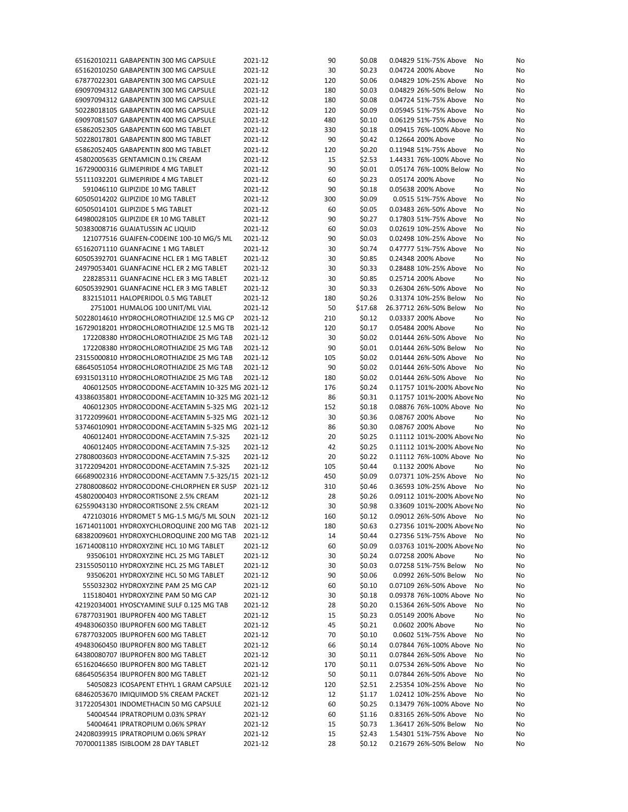| 65162010211 GABAPENTIN 300 MG CAPSULE                                     | 2021-12            | 90       | \$0.08           | 0.04829 51%-75% Above<br>No                          | No       |
|---------------------------------------------------------------------------|--------------------|----------|------------------|------------------------------------------------------|----------|
| 65162010250 GABAPENTIN 300 MG CAPSULE                                     | 2021-12            | 30       | \$0.23           | 0.04724 200% Above                                   | No<br>No |
| 67877022301 GABAPENTIN 300 MG CAPSULE                                     | 2021-12            | 120      | \$0.06           | 0.04829 10%-25% Above<br>No                          | No       |
| 69097094312 GABAPENTIN 300 MG CAPSULE                                     | 2021-12            | 180      | \$0.03           | 0.04829 26%-50% Below<br>No                          | No       |
| 69097094312 GABAPENTIN 300 MG CAPSULE                                     | 2021-12            | 180      | \$0.08           | 0.04724 51%-75% Above<br>No                          | No       |
|                                                                           | 2021-12            |          | \$0.09           | 0.05945 51%-75% Above                                |          |
| 50228018105 GABAPENTIN 400 MG CAPSULE                                     |                    | 120      |                  | No                                                   | No       |
| 69097081507 GABAPENTIN 400 MG CAPSULE                                     | 2021-12            | 480      | \$0.10           | 0.06129 51%-75% Above<br>No                          | No       |
| 65862052305 GABAPENTIN 600 MG TABLET                                      | 2021-12            | 330      | \$0.18           | 0.09415 76%-100% Above No                            | No       |
| 50228017801 GABAPENTIN 800 MG TABLET                                      | 2021-12            | 90       | \$0.42           | 0.12664 200% Above<br>No                             | No       |
| 65862052405 GABAPENTIN 800 MG TABLET                                      | 2021-12            | 120      | \$0.20           | 0.11948 51%-75% Above<br>No                          | No       |
| 45802005635 GENTAMICIN 0.1% CREAM                                         | 2021-12            | 15       | \$2.53           | 1.44331 76%-100% Above No                            | No       |
|                                                                           |                    |          |                  |                                                      |          |
| 16729000316 GLIMEPIRIDE 4 MG TABLET                                       | 2021-12            | 90       | \$0.01           | 0.05174 76%-100% Below No                            | No       |
| 55111032201 GLIMEPIRIDE 4 MG TABLET                                       | 2021-12            | 60       | \$0.23           | 0.05174 200% Above<br>No                             | No       |
| 591046110 GLIPIZIDE 10 MG TABLET                                          | 2021-12            | 90       | \$0.18           | 0.05638 200% Above                                   | No<br>No |
| 60505014202 GLIPIZIDE 10 MG TABLET                                        | 2021-12            | 300      | \$0.09           | 0.0515 51%-75% Above<br>No                           | No       |
| 60505014101 GLIPIZIDE 5 MG TABLET                                         | 2021-12            | 60       | \$0.05           | 0.03483 26%-50% Above<br>No                          | No       |
| 64980028105 GLIPIZIDE ER 10 MG TABLET                                     | 2021-12            | 90       |                  |                                                      |          |
|                                                                           |                    |          | \$0.27           | 0.17803 51%-75% Above<br>No                          | No       |
| 50383008716 GUAIATUSSIN AC LIQUID                                         | 2021-12            | 60       | \$0.03           | 0.02619 10%-25% Above<br>No                          | No       |
| 121077516 GUAIFEN-CODEINE 100-10 MG/5 ML                                  | 2021-12            | 90       | \$0.03           | 0.02498 10%-25% Above<br>No                          | No       |
| 65162071110 GUANFACINE 1 MG TABLET                                        | 2021-12            | 30       | \$0.74           | 0.47777 51%-75% Above<br>No                          | No       |
| 60505392701 GUANFACINE HCL ER 1 MG TABLET                                 | 2021-12            | 30       | \$0.85           | 0.24348 200% Above                                   | No<br>No |
| 24979053401 GUANFACINE HCL ER 2 MG TABLET                                 | 2021-12            | 30       | \$0.33           | 0.28488 10%-25% Above<br>No                          | No       |
|                                                                           |                    |          |                  |                                                      |          |
| 228285311 GUANFACINE HCL ER 3 MG TABLET                                   | 2021-12            | 30       | \$0.85           | 0.25714 200% Above<br>No                             | No       |
| 60505392901 GUANFACINE HCL ER 3 MG TABLET                                 | 2021-12            | 30       | \$0.33           | 0.26304 26%-50% Above<br>No                          | No       |
| 832151011 HALOPERIDOL 0.5 MG TABLET                                       | 2021-12            | 180      | \$0.26           | 0.31374 10%-25% Below<br>No                          | No       |
| 2751001 HUMALOG 100 UNIT/ML VIAL                                          | 2021-12            | 50       | \$17.68          | 26.37712 26%-50% Below<br>No                         | No       |
| 50228014610 HYDROCHLOROTHIAZIDE 12.5 MG CP                                | 2021-12            | 210      | \$0.12           | 0.03337 200% Above<br>No                             | No       |
|                                                                           |                    |          |                  |                                                      |          |
| 16729018201 HYDROCHLOROTHIAZIDE 12.5 MG TB                                | 2021-12            | 120      | \$0.17           | 0.05484 200% Above<br>No                             | No       |
| 172208380 HYDROCHLOROTHIAZIDE 25 MG TAB                                   | 2021-12            | 30       | \$0.02           | 0.01444 26%-50% Above<br>No                          | No       |
| 172208380 HYDROCHLOROTHIAZIDE 25 MG TAB                                   | 2021-12            | 90       | \$0.01           | 0.01444 26%-50% Below<br>No                          | No       |
| 23155000810 HYDROCHLOROTHIAZIDE 25 MG TAB                                 | 2021-12            | 105      | \$0.02           | 0.01444 26%-50% Above<br>No                          | No       |
| 68645051054 HYDROCHLOROTHIAZIDE 25 MG TAB                                 | 2021-12            | 90       | \$0.02           | 0.01444 26%-50% Above<br>No                          | No       |
|                                                                           |                    |          |                  |                                                      |          |
| 69315013110 HYDROCHLOROTHIAZIDE 25 MG TAB                                 | 2021-12            | 180      | \$0.02           | 0.01444 26%-50% Above<br>No                          | No       |
| 406012505 HYDROCODONE-ACETAMIN 10-325 MG 2021-12                          |                    | 176      | \$0.24           | 0.11757 101%-200% Above No                           | No       |
| 43386035801 HYDROCODONE-ACETAMIN 10-325 MG 2021-12                        |                    | 86       | \$0.31           | 0.11757 101%-200% Above No                           | No       |
| 406012305 HYDROCODONE-ACETAMIN 5-325 MG 2021-12                           |                    | 152      | \$0.18           | 0.08876 76%-100% Above No                            | No       |
| 31722099601 HYDROCODONE-ACETAMIN 5-325 MG 2021-12                         |                    | 30       | \$0.36           | 0.08767 200% Above<br>No                             | No       |
| 53746010901 HYDROCODONE-ACETAMIN 5-325 MG 2021-12                         |                    | 86       | \$0.30           | 0.08767 200% Above<br>No                             | No       |
|                                                                           |                    |          |                  |                                                      |          |
| 406012401 HYDROCODONE-ACETAMIN 7.5-325                                    | 2021-12            | 20       | \$0.25           | 0.11112 101%-200% Above No                           | No       |
| 406012405 HYDROCODONE-ACETAMIN 7.5-325                                    | 2021-12            | 42       | \$0.25           | 0.11112 101%-200% Above No                           | No       |
| 27808003603 HYDROCODONE-ACETAMIN 7.5-325                                  | 2021-12            | 20       | \$0.22           | 0.11112 76%-100% Above No                            | No       |
| 31722094201 HYDROCODONE-ACETAMIN 7.5-325                                  | 2021-12            | 105      | \$0.44           | 0.1132 200% Above                                    | No<br>No |
| 66689002316 HYDROCODONE-ACETAMN 7.5-325/15 2021-12                        |                    | 450      | \$0.09           | 0.07371 10%-25% Above<br>No                          | No       |
| 27808008602 HYDROCODONE-CHLORPHEN ER SUSP 2021-12                         |                    | 310      | \$0.46           | 0.36593 10%-25% Above<br>No                          | No       |
|                                                                           |                    |          |                  |                                                      |          |
| 45802000403 HYDROCORTISONE 2.5% CREAM                                     | 2021-12            | 28       | \$0.26           | 0.09112 101%-200% Above No                           | No       |
| 62559043130 HYDROCORTISONE 2.5% CREAM                                     | 2021-12            | 30       | \$0.98           | 0.33609 101%-200% Above No                           | No       |
| 472103016 HYDROMET 5 MG-1.5 MG/5 ML SOLN 2021-12                          |                    | 160      | \$0.12           | 0.09012 26%-50% Above No                             | No       |
| 16714011001 HYDROXYCHLOROQUINE 200 MG TAB                                 | 2021-12            | 180      | \$0.63           | 0.27356 101%-200% Above No                           | No       |
| 68382009601 HYDROXYCHLOROQUINE 200 MG TAB                                 | 2021-12            | 14       | \$0.44           | 0.27356 51%-75% Above<br>No                          | No       |
| 16714008110 HYDROXYZINE HCL 10 MG TABLET                                  | 2021-12            | 60       | \$0.09           | 0.03763 101%-200% Above No                           | No       |
|                                                                           |                    |          |                  |                                                      |          |
| 93506101 HYDROXYZINE HCL 25 MG TABLET                                     | 2021-12            | 30       | \$0.24           | 0.07258 200% Above                                   | No<br>No |
| 23155050110 HYDROXYZINE HCL 25 MG TABLET                                  | 2021-12            | 30       | \$0.03           | 0.07258 51%-75% Below                                | No<br>No |
| 93506201 HYDROXYZINE HCL 50 MG TABLET                                     | 2021-12            | 90       | \$0.06           | 0.0992 26%-50% Below<br>No                           | No       |
| 555032302 HYDROXYZINE PAM 25 MG CAP                                       | 2021-12            | 60       | \$0.10           | 0.07109 26%-50% Above<br>No                          | No       |
| 115180401 HYDROXYZINE PAM 50 MG CAP                                       | 2021-12            | 30       | \$0.18           | 0.09378 76%-100% Above No                            | No       |
|                                                                           |                    |          |                  |                                                      |          |
| 42192034001 HYOSCYAMINE SULF 0.125 MG TAB                                 | 2021-12            | 28       | \$0.20           | 0.15364 26%-50% Above                                | No<br>No |
| 67877031901 IBUPROFEN 400 MG TABLET                                       | 2021-12            | 15       | \$0.23           | 0.05149 200% Above                                   | No<br>No |
| 49483060350 IBUPROFEN 600 MG TABLET                                       |                    | 45       | \$0.21           | 0.0602 200% Above<br>No                              | No       |
| 67877032005 IBUPROFEN 600 MG TABLET                                       | 2021-12            |          |                  |                                                      |          |
|                                                                           | 2021-12            | 70       | \$0.10           | 0.0602 51%-75% Above<br>No                           | No       |
|                                                                           |                    |          |                  | 0.07844 76%-100% Above No                            |          |
| 49483060450 IBUPROFEN 800 MG TABLET                                       | 2021-12            | 66       | \$0.14           |                                                      | No       |
| 64380080707 IBUPROFEN 800 MG TABLET                                       | 2021-12            | 30       | \$0.11           | 0.07844 26%-50% Above<br>No                          | No       |
| 65162046650 IBUPROFEN 800 MG TABLET                                       | 2021-12            | 170      | \$0.11           | 0.07534 26%-50% Above<br>No                          | No       |
| 68645056354 IBUPROFEN 800 MG TABLET                                       | 2021-12            | 50       | \$0.11           | 0.07844 26%-50% Above<br>No                          | No       |
| 54050823 ICOSAPENT ETHYL 1 GRAM CAPSULE                                   | 2021-12            | 120      | \$2.51           | 2.25354 10%-25% Above<br>No                          | No       |
| 68462053670 IMIQUIMOD 5% CREAM PACKET                                     | 2021-12            | 12       | \$1.17           | 1.02412 10%-25% Above<br>No                          | No       |
|                                                                           |                    |          |                  |                                                      |          |
| 31722054301 INDOMETHACIN 50 MG CAPSULE                                    | 2021-12            | 60       | \$0.25           | 0.13479 76%-100% Above No                            | No       |
| 54004544 IPRATROPIUM 0.03% SPRAY                                          | 2021-12            | 60       | \$1.16           | 0.83165 26%-50% Above<br>No                          | No       |
| 54004641 IPRATROPIUM 0.06% SPRAY                                          | 2021-12            | 15       | \$0.73           | 1.36417 26%-50% Below                                | No<br>No |
| 24208039915 IPRATROPIUM 0.06% SPRAY<br>70700011385 ISIBLOOM 28 DAY TABLET | 2021-12<br>2021-12 | 15<br>28 | \$2.43<br>\$0.12 | 1.54301 51%-75% Above<br>No<br>0.21679 26%-50% Below | No       |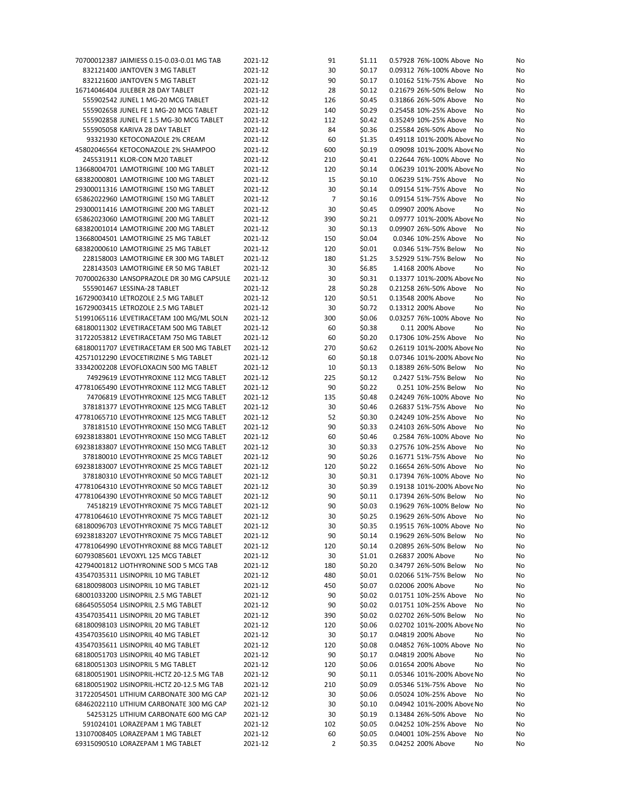| 70700012387 JAIMIESS 0.15-0.03-0.01 MG TAB | 2021-12 | 91             | \$1.11 | 0.57928 76%-100% Above No   | No |
|--------------------------------------------|---------|----------------|--------|-----------------------------|----|
| 832121400 JANTOVEN 3 MG TABLET             | 2021-12 | 30             | \$0.17 | 0.09312 76%-100% Above No   | No |
| 832121600 JANTOVEN 5 MG TABLET             | 2021-12 | 90             | \$0.17 | 0.10162 51%-75% Above<br>No | No |
| 16714046404 JULEBER 28 DAY TABLET          | 2021-12 | 28             | \$0.12 | 0.21679 26%-50% Below<br>No | No |
| 555902542 JUNEL 1 MG-20 MCG TABLET         | 2021-12 | 126            | \$0.45 | 0.31866 26%-50% Above<br>No | No |
| 555902658 JUNEL FE 1 MG-20 MCG TABLET      | 2021-12 |                |        | 0.25458 10%-25% Above       |    |
|                                            |         | 140            | \$0.29 | No                          | No |
| 555902858 JUNEL FE 1.5 MG-30 MCG TABLET    | 2021-12 | 112            | \$0.42 | 0.35249 10%-25% Above<br>No | No |
| 555905058 KARIVA 28 DAY TABLET             | 2021-12 | 84             | \$0.36 | 0.25584 26%-50% Above<br>No | No |
| 93321930 KETOCONAZOLE 2% CREAM             | 2021-12 | 60             | \$1.35 | 0.49118 101%-200% Above No  | No |
| 45802046564 KETOCONAZOLE 2% SHAMPOO        | 2021-12 | 600            | \$0.19 | 0.09098 101%-200% Above No  | No |
| 245531911 KLOR-CON M20 TABLET              | 2021-12 | 210            | \$0.41 | 0.22644 76%-100% Above No   | No |
| 13668004701 LAMOTRIGINE 100 MG TABLET      | 2021-12 | 120            | \$0.14 | 0.06239 101%-200% Above No  | No |
| 68382000801 LAMOTRIGINE 100 MG TABLET      | 2021-12 | 15             | \$0.10 | 0.06239 51%-75% Above<br>No | No |
| 29300011316 LAMOTRIGINE 150 MG TABLET      | 2021-12 | 30             | \$0.14 | 0.09154 51%-75% Above<br>No | No |
|                                            |         |                |        |                             |    |
| 65862022960 LAMOTRIGINE 150 MG TABLET      | 2021-12 | $\overline{7}$ | \$0.16 | 0.09154 51%-75% Above<br>No | No |
| 29300011416 LAMOTRIGINE 200 MG TABLET      | 2021-12 | 30             | \$0.45 | 0.09907 200% Above<br>No    | No |
| 65862023060 LAMOTRIGINE 200 MG TABLET      | 2021-12 | 390            | \$0.21 | 0.09777 101%-200% Above No  | No |
| 68382001014 LAMOTRIGINE 200 MG TABLET      | 2021-12 | 30             | \$0.13 | 0.09907 26%-50% Above<br>No | No |
| 13668004501 LAMOTRIGINE 25 MG TABLET       | 2021-12 | 150            | \$0.04 | 0.0346 10%-25% Above<br>No  | No |
| 68382000610 LAMOTRIGINE 25 MG TABLET       | 2021-12 | 120            | \$0.01 | 0.0346 51%-75% Below<br>No  | No |
| 228158003 LAMOTRIGINE ER 300 MG TABLET     | 2021-12 | 180            | \$1.25 | 3.52929 51%-75% Below<br>No | No |
| 228143503 LAMOTRIGINE ER 50 MG TABLET      | 2021-12 | 30             | \$6.85 | 1.4168 200% Above<br>No     | No |
| 70700026330 LANSOPRAZOLE DR 30 MG CAPSULE  | 2021-12 | 30             | \$0.31 | 0.13377 101%-200% Above No  | No |
|                                            |         |                |        |                             |    |
| 555901467 LESSINA-28 TABLET                | 2021-12 | 28             | \$0.28 | 0.21258 26%-50% Above<br>No | No |
| 16729003410 LETROZOLE 2.5 MG TABLET        | 2021-12 | 120            | \$0.51 | 0.13548 200% Above<br>No    | No |
| 16729003415 LETROZOLE 2.5 MG TABLET        | 2021-12 | 30             | \$0.72 | 0.13312 200% Above<br>No    | No |
| 51991065116 LEVETIRACETAM 100 MG/ML SOLN   | 2021-12 | 300            | \$0.06 | 0.03257 76%-100% Above No   | No |
| 68180011302 LEVETIRACETAM 500 MG TABLET    | 2021-12 | 60             | \$0.38 | 0.11 200% Above<br>No       | No |
| 31722053812 LEVETIRACETAM 750 MG TABLET    | 2021-12 | 60             | \$0.20 | 0.17306 10%-25% Above<br>No | No |
| 68180011707 LEVETIRACETAM ER 500 MG TABLET | 2021-12 | 270            | \$0.62 | 0.26119 101%-200% Above No  | No |
| 42571012290 LEVOCETIRIZINE 5 MG TABLET     | 2021-12 | 60             | \$0.18 | 0.07346 101%-200% Above No  | No |
|                                            |         |                |        |                             |    |
| 33342002208 LEVOFLOXACIN 500 MG TABLET     | 2021-12 | 10             | \$0.13 | 0.18389 26%-50% Below<br>No | No |
| 74929619 LEVOTHYROXINE 112 MCG TABLET      | 2021-12 | 225            | \$0.12 | 0.2427 51%-75% Below<br>No  | No |
| 47781065490 LEVOTHYROXINE 112 MCG TABLET   | 2021-12 | 90             | \$0.22 | 0.251 10%-25% Below<br>No   | No |
| 74706819 LEVOTHYROXINE 125 MCG TABLET      | 2021-12 | 135            | \$0.48 | 0.24249 76%-100% Above No   | No |
| 378181377 LEVOTHYROXINE 125 MCG TABLET     | 2021-12 | 30             | \$0.46 | 0.26837 51%-75% Above<br>No | No |
| 47781065710 LEVOTHYROXINE 125 MCG TABLET   | 2021-12 | 52             | \$0.30 | 0.24249 10%-25% Above<br>No | No |
| 378181510 LEVOTHYROXINE 150 MCG TABLET     | 2021-12 | 90             | \$0.33 | 0.24103 26%-50% Above<br>No | No |
| 69238183801 LEVOTHYROXINE 150 MCG TABLET   | 2021-12 | 60             | \$0.46 | 0.2584 76%-100% Above No    | No |
| 69238183807 LEVOTHYROXINE 150 MCG TABLET   | 2021-12 | 30             | \$0.33 | 0.27576 10%-25% Above<br>No | No |
|                                            |         |                |        |                             |    |
| 378180010 LEVOTHYROXINE 25 MCG TABLET      | 2021-12 | 90             | \$0.26 | 0.16771 51%-75% Above<br>No | No |
| 69238183007 LEVOTHYROXINE 25 MCG TABLET    | 2021-12 | 120            | \$0.22 | 0.16654 26%-50% Above<br>No | No |
| 378180310 LEVOTHYROXINE 50 MCG TABLET      | 2021-12 | 30             | \$0.31 | 0.17394 76%-100% Above No   | No |
| 47781064310 LEVOTHYROXINE 50 MCG TABLET    | 2021-12 | 30             | \$0.39 | 0.19138 101%-200% Above No  | No |
| 47781064390 LEVOTHYROXINE 50 MCG TABLET    | 2021-12 | 90             | \$0.11 | 0.17394 26%-50% Below<br>No | No |
| 74518219 LEVOTHYROXINE 75 MCG TABLET       | 2021-12 | 90             | \$0.03 | 0.19629 76%-100% Below No   | No |
| 47781064610 LEVOTHYROXINE 75 MCG TABLET    | 2021-12 | 30             | \$0.25 | 0.19629 26%-50% Above No    | No |
| 68180096703 LEVOTHYROXINE 75 MCG TABLET    |         |                | \$0.35 | 0.19515 76%-100% Above No   |    |
|                                            | 2021-12 | 30             |        |                             | No |
| 69238183207 LEVOTHYROXINE 75 MCG TABLET    | 2021-12 | 90             | \$0.14 | 0.19629 26%-50% Below<br>No | No |
| 47781064990 LEVOTHYROXINE 88 MCG TABLET    | 2021-12 | 120            | \$0.14 | 0.20895 26%-50% Below<br>No | No |
| 60793085601 LEVOXYL 125 MCG TABLET         | 2021-12 | 30             | \$1.01 | 0.26837 200% Above<br>No    | No |
| 42794001812 LIOTHYRONINE SOD 5 MCG TAB     | 2021-12 | 180            | \$0.20 | 0.34797 26%-50% Below<br>No | No |
| 43547035311 LISINOPRIL 10 MG TABLET        | 2021-12 | 480            | \$0.01 | 0.02066 51%-75% Below<br>No | No |
| 68180098003 LISINOPRIL 10 MG TABLET        | 2021-12 | 450            | \$0.07 | 0.02006 200% Above<br>No    | No |
| 68001033200 LISINOPRIL 2.5 MG TABLET       | 2021-12 | 90             | \$0.02 | 0.01751 10%-25% Above<br>No | No |
| 68645055054 LISINOPRIL 2.5 MG TABLET       | 2021-12 | 90             | \$0.02 | 0.01751 10%-25% Above<br>No | No |
|                                            |         |                |        |                             |    |
| 43547035411 LISINOPRIL 20 MG TABLET        | 2021-12 | 390            | \$0.02 | 0.02702 26%-50% Below<br>No | No |
| 68180098103 LISINOPRIL 20 MG TABLET        | 2021-12 | 120            | \$0.06 | 0.02702 101%-200% Above No  | No |
| 43547035610 LISINOPRIL 40 MG TABLET        | 2021-12 | 30             | \$0.17 | 0.04819 200% Above<br>No    | No |
| 43547035611 LISINOPRIL 40 MG TABLET        | 2021-12 | 120            | \$0.08 | 0.04852 76%-100% Above No   | No |
| 68180051703 LISINOPRIL 40 MG TABLET        | 2021-12 | 90             | \$0.17 | 0.04819 200% Above<br>No    | No |
| 68180051303 LISINOPRIL 5 MG TABLET         | 2021-12 | 120            | \$0.06 | 0.01654 200% Above<br>No    | No |
| 68180051901 LISINOPRIL-HCTZ 20-12.5 MG TAB | 2021-12 | 90             | \$0.11 | 0.05346 101%-200% Above No  | No |
|                                            |         |                |        |                             |    |
| 68180051902 LISINOPRIL-HCTZ 20-12.5 MG TAB | 2021-12 | 210            | \$0.09 | 0.05346 51%-75% Above<br>No | No |
| 31722054501 LITHIUM CARBONATE 300 MG CAP   | 2021-12 | 30             | \$0.06 | 0.05024 10%-25% Above<br>No | No |
| 68462022110 LITHIUM CARBONATE 300 MG CAP   | 2021-12 | 30             | \$0.10 | 0.04942 101%-200% Above No  | No |
| 54253125 LITHIUM CARBONATE 600 MG CAP      | 2021-12 | 30             | \$0.19 | 0.13484 26%-50% Above<br>No | No |
| 591024101 LORAZEPAM 1 MG TABLET            | 2021-12 | 102            | \$0.05 | 0.04252 10%-25% Above<br>No | No |
| 13107008405 LORAZEPAM 1 MG TABLET          | 2021-12 | 60             | \$0.05 | 0.04001 10%-25% Above<br>No | No |
| 69315090510 LORAZEPAM 1 MG TABLET          | 2021-12 | 2              | \$0.35 | 0.04252 200% Above<br>No    | No |
|                                            |         |                |        |                             |    |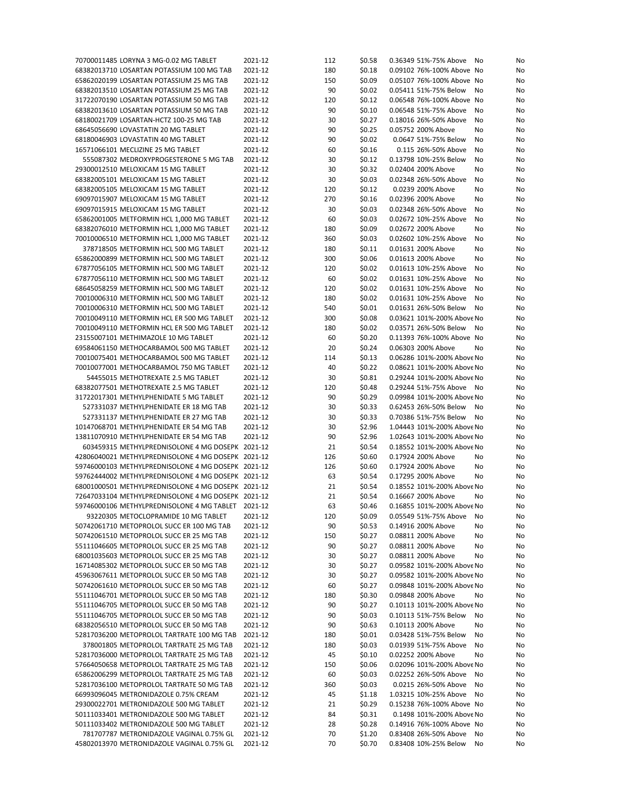| 68382013710 LOSARTAN POTASSIUM 100 MG TAB<br>2021-12<br>180<br>\$0.18<br>0.09102 76%-100% Above No<br>\$0.09<br>65862020199 LOSARTAN POTASSIUM 25 MG TAB<br>2021-12<br>150<br>0.05107 76%-100% Above No<br>90<br>68382013510 LOSARTAN POTASSIUM 25 MG TAB<br>2021-12<br>\$0.02<br>0.05411 51%-75% Below<br>No<br>31722070190 LOSARTAN POTASSIUM 50 MG TAB<br>2021-12<br>120<br>\$0.12<br>0.06548 76%-100% Above No<br>2021-12<br>90<br>\$0.10<br>68382013610 LOSARTAN POTASSIUM 50 MG TAB<br>0.06548 51%-75% Above<br>No<br>68180021709 LOSARTAN-HCTZ 100-25 MG TAB<br>2021-12<br>30<br>\$0.27<br>0.18016 26%-50% Above<br>No<br>90<br>68645056690 LOVASTATIN 20 MG TABLET<br>2021-12<br>\$0.25<br>0.05752 200% Above<br>No<br>\$0.02<br>68180046903 LOVASTATIN 40 MG TABLET<br>2021-12<br>90<br>0.0647 51%-75% Below<br>No<br>16571066101 MECLIZINE 25 MG TABLET<br>60<br>\$0.16<br>2021-12<br>0.115 26%-50% Above<br>No<br>\$0.12<br>0.13798 10%-25% Below<br>555087302 MEDROXYPROGESTERONE 5 MG TAB<br>2021-12<br>30<br>No<br>30<br>0.02404 200% Above<br>29300012510 MELOXICAM 15 MG TABLET<br>2021-12<br>\$0.32<br>No<br>30<br>68382005101 MELOXICAM 15 MG TABLET<br>2021-12<br>\$0.03<br>0.02348 26%-50% Above<br>No<br>\$0.12<br>68382005105 MELOXICAM 15 MG TABLET<br>2021-12<br>120<br>0.0239 200% Above<br>No<br>69097015907 MELOXICAM 15 MG TABLET<br>270<br>\$0.16<br>0.02396 200% Above<br>2021-12<br>No<br>69097015915 MELOXICAM 15 MG TABLET<br>2021-12<br>30<br>\$0.03<br>0.02348 26%-50% Above<br>No<br>65862001005 METFORMIN HCL 1,000 MG TABLET<br>2021-12<br>60<br>\$0.03<br>0.02672 10%-25% Above<br>No<br>\$0.09<br>68382076010 METFORMIN HCL 1,000 MG TABLET<br>2021-12<br>180<br>0.02672 200% Above<br>No<br>\$0.03<br>0.02602 10%-25% Above<br>70010006510 METFORMIN HCL 1,000 MG TABLET<br>2021-12<br>360<br>No<br>0.01631 200% Above<br>378718505 METFORMIN HCL 500 MG TABLET<br>2021-12<br>180<br>\$0.11<br>No<br>65862000899 METFORMIN HCL 500 MG TABLET<br>2021-12<br>300<br>\$0.06<br>0.01613 200% Above<br>No<br>67877056105 METFORMIN HCL 500 MG TABLET<br>2021-12<br>120<br>\$0.02<br>0.01613 10%-25% Above<br>No<br>67877056110 METFORMIN HCL 500 MG TABLET<br>2021-12<br>60<br>\$0.02<br>0.01631 10%-25% Above<br>No<br>2021-12<br>\$0.02<br>0.01631 10%-25% Above<br>68645058259 METFORMIN HCL 500 MG TABLET<br>120<br>No<br>70010006310 METFORMIN HCL 500 MG TABLET<br>2021-12<br>180<br>\$0.02<br>0.01631 10%-25% Above<br>No<br>70010006310 METFORMIN HCL 500 MG TABLET<br>2021-12<br>540<br>\$0.01<br>0.01631 26%-50% Below<br>No<br>2021-12<br>\$0.08<br>0.03621 101%-200% Above No<br>70010049110 METFORMIN HCL ER 500 MG TABLET<br>300<br>\$0.02<br>0.03571 26%-50% Below<br>70010049110 METFORMIN HCL ER 500 MG TABLET<br>2021-12<br>180<br>No<br>\$0.20<br>23155007101 METHIMAZOLE 10 MG TABLET<br>2021-12<br>60<br>0.11393 76%-100% Above No<br>69584061150 METHOCARBAMOL 500 MG TABLET<br>2021-12<br>20<br>\$0.24<br>0.06303 200% Above<br>No<br>0.06286 101%-200% Above No<br>70010075401 METHOCARBAMOL 500 MG TABLET<br>2021-12<br>114<br>\$0.13<br>2021-12<br>\$0.22<br>70010077001 METHOCARBAMOL 750 MG TABLET<br>40<br>0.08621 101%-200% Above No<br>54455015 METHOTREXATE 2.5 MG TABLET<br>2021-12<br>30<br>\$0.81<br>0.29244 101%-200% Above No<br>\$0.48<br>68382077501 METHOTREXATE 2.5 MG TABLET<br>2021-12<br>120<br>0.29244 51%-75% Above<br>No<br>31722017301 METHYLPHENIDATE 5 MG TABLET<br>2021-12<br>90<br>\$0.29<br>0.09984 101%-200% Above No<br>\$0.33<br>0.62453 26%-50% Below<br>527331037 METHYLPHENIDATE ER 18 MG TAB<br>2021-12<br>30<br>No<br>2021-12<br>\$0.33<br>0.70386 51%-75% Below<br>527331137 METHYLPHENIDATE ER 27 MG TAB<br>30<br>No<br>\$2.96<br>10147068701 METHYLPHENIDATE ER 54 MG TAB<br>2021-12<br>30<br>1.04443 101%-200% Above No<br>13811070910 METHYLPHENIDATE ER 54 MG TAB<br>2021-12<br>90<br>\$2.96<br>1.02643 101%-200% Above No<br>\$0.54<br>0.18552 101%-200% Above No<br>603459315 METHYLPREDNISOLONE 4 MG DOSEPK 2021-12<br>21<br>0.17924 200% Above<br>42806040021 METHYLPREDNISOLONE 4 MG DOSEPK 2021-12<br>126<br>\$0.60<br>No<br>59746000103 METHYLPREDNISOLONE 4 MG DOSEPK 2021-12<br>126<br>\$0.60<br>0.17924 200% Above<br>No<br>59762444002 METHYLPREDNISOLONE 4 MG DOSEPK 2021-12<br>63<br>\$0.54<br>0.17295 200% Above<br>No<br>\$0.54<br>0.18552 101%-200% Above No<br>68001000501 METHYLPREDNISOLONE 4 MG DOSEPK 2021-12<br>21<br>72647033104 METHYLPREDNISOLONE 4 MG DOSEPK 2021-12<br>\$0.54<br>0.16667 200% Above<br>21<br>No<br>63<br>0.16855 101%-200% Above No<br>59746000106 METHYLPREDNISOLONE 4 MG TABLET 2021-12<br>\$0.46<br>120<br>\$0.09<br>93220305 METOCLOPRAMIDE 10 MG TABLET<br>2021-12<br>0.05549 51%-75% Above No<br>50742061710 METOPROLOL SUCC ER 100 MG TAB<br>2021-12<br>90<br>\$0.53<br>0.14916 200% Above<br>No<br>50742061510 METOPROLOL SUCC ER 25 MG TAB<br>2021-12<br>150<br>\$0.27<br>0.08811 200% Above<br>No<br>55111046605 METOPROLOL SUCC ER 25 MG TAB<br>2021-12<br>90<br>\$0.27<br>0.08811 200% Above<br>No<br>68001035603 METOPROLOL SUCC ER 25 MG TAB<br>2021-12<br>30<br>\$0.27<br>0.08811 200% Above<br>No<br>16714085302 METOPROLOL SUCC ER 50 MG TAB<br>2021-12<br>30<br>\$0.27<br>0.09582 101%-200% Above No<br>45963067611 METOPROLOL SUCC ER 50 MG TAB<br>2021-12<br>30<br>\$0.27<br>0.09582 101%-200% Above No<br>50742061610 METOPROLOL SUCC ER 50 MG TAB<br>2021-12<br>60<br>\$0.27<br>0.09848 101%-200% Above No<br>55111046701 METOPROLOL SUCC ER 50 MG TAB<br>2021-12<br>\$0.30<br>0.09848 200% Above<br>180<br>No<br>55111046705 METOPROLOL SUCC ER 50 MG TAB<br>0.10113 101%-200% Above No<br>2021-12<br>90<br>\$0.27<br>55111046705 METOPROLOL SUCC ER 50 MG TAB<br>2021-12<br>90<br>\$0.03<br>0.10113 51%-75% Below<br>No<br>68382056510 METOPROLOL SUCC ER 50 MG TAB<br>2021-12<br>90<br>\$0.63<br>0.10113 200% Above<br>No<br>52817036200 METOPROLOL TARTRATE 100 MG TAB<br>2021-12<br>180<br>\$0.01<br>0.03428 51%-75% Below<br>No<br>378001805 METOPROLOL TARTRATE 25 MG TAB<br>2021-12<br>180<br>\$0.03<br>0.01939 51%-75% Above<br>No<br>52817036000 METOPROLOL TARTRATE 25 MG TAB<br>2021-12<br>45<br>\$0.10<br>0.02252 200% Above<br>No<br>57664050658 METOPROLOL TARTRATE 25 MG TAB<br>2021-12<br>150<br>\$0.06<br>0.02096 101%-200% Above No<br>65862006299 METOPROLOL TARTRATE 25 MG TAB<br>2021-12<br>\$0.03<br>0.02252 26%-50% Above<br>60<br>No<br>52817036100 METOPROLOL TARTRATE 50 MG TAB<br>2021-12<br>360<br>\$0.03<br>0.0215 26%-50% Above<br>No<br>66993096045 METRONIDAZOLE 0.75% CREAM<br>2021-12<br>45<br>\$1.18<br>1.03215 10%-25% Above<br>No<br>29300022701 METRONIDAZOLE 500 MG TABLET<br>2021-12<br>21<br>\$0.29<br>0.15238 76%-100% Above No<br>50111033401 METRONIDAZOLE 500 MG TABLET<br>2021-12<br>84<br>\$0.31<br>0.1498 101%-200% Above No<br>50111033402 METRONIDAZOLE 500 MG TABLET<br>2021-12<br>\$0.28<br>0.14916 76%-100% Above No<br>28<br>781707787 METRONIDAZOLE VAGINAL 0.75% GL<br>2021-12<br>70<br>\$1.20<br>0.83408 26%-50% Above<br>No<br>45802013970 METRONIDAZOLE VAGINAL 0.75% GL<br>\$0.70<br>0.83408 10%-25% Below<br>2021-12<br>70<br>No | 70700011485 LORYNA 3 MG-0.02 MG TABLET | 2021-12 | 112 | \$0.58 | 0.36349 51%-75% Above | No<br>No |
|------------------------------------------------------------------------------------------------------------------------------------------------------------------------------------------------------------------------------------------------------------------------------------------------------------------------------------------------------------------------------------------------------------------------------------------------------------------------------------------------------------------------------------------------------------------------------------------------------------------------------------------------------------------------------------------------------------------------------------------------------------------------------------------------------------------------------------------------------------------------------------------------------------------------------------------------------------------------------------------------------------------------------------------------------------------------------------------------------------------------------------------------------------------------------------------------------------------------------------------------------------------------------------------------------------------------------------------------------------------------------------------------------------------------------------------------------------------------------------------------------------------------------------------------------------------------------------------------------------------------------------------------------------------------------------------------------------------------------------------------------------------------------------------------------------------------------------------------------------------------------------------------------------------------------------------------------------------------------------------------------------------------------------------------------------------------------------------------------------------------------------------------------------------------------------------------------------------------------------------------------------------------------------------------------------------------------------------------------------------------------------------------------------------------------------------------------------------------------------------------------------------------------------------------------------------------------------------------------------------------------------------------------------------------------------------------------------------------------------------------------------------------------------------------------------------------------------------------------------------------------------------------------------------------------------------------------------------------------------------------------------------------------------------------------------------------------------------------------------------------------------------------------------------------------------------------------------------------------------------------------------------------------------------------------------------------------------------------------------------------------------------------------------------------------------------------------------------------------------------------------------------------------------------------------------------------------------------------------------------------------------------------------------------------------------------------------------------------------------------------------------------------------------------------------------------------------------------------------------------------------------------------------------------------------------------------------------------------------------------------------------------------------------------------------------------------------------------------------------------------------------------------------------------------------------------------------------------------------------------------------------------------------------------------------------------------------------------------------------------------------------------------------------------------------------------------------------------------------------------------------------------------------------------------------------------------------------------------------------------------------------------------------------------------------------------------------------------------------------------------------------------------------------------------------------------------------------------------------------------------------------------------------------------------------------------------------------------------------------------------------------------------------------------------------------------------------------------------------------------------------------------------------------------------------------------------------------------------------------------------------------------------------------------------------------------------------------------------------------------------------------------------------------------------------------------------------------------------------------------------------------------------------------------------------------------------------------------------------------------------------------------------------------------------------------------------------------------------------------------------------------------------------------------------------------------------------------------------------------------------------------------------------------------------------------------------------------------------------------------------------------------------------------------------------------------------------------------------------------------------------------------------------------------------------------------------------------------------------------------------------------------------------------------------------------------------------------------------------------------------------------------------------------------------------------------------------------------------------------------------------------------------------------------------------------------------------------------------------------------------------------------------------------------------------------------------------------------------------------------------------------------------------------------------------------------------------------------------------------------------------------------------------------------------------------------------------------------------------------------------------------------------------------------------------------------------------------------------------------------------------------------------------------------------|----------------------------------------|---------|-----|--------|-----------------------|----------|
|                                                                                                                                                                                                                                                                                                                                                                                                                                                                                                                                                                                                                                                                                                                                                                                                                                                                                                                                                                                                                                                                                                                                                                                                                                                                                                                                                                                                                                                                                                                                                                                                                                                                                                                                                                                                                                                                                                                                                                                                                                                                                                                                                                                                                                                                                                                                                                                                                                                                                                                                                                                                                                                                                                                                                                                                                                                                                                                                                                                                                                                                                                                                                                                                                                                                                                                                                                                                                                                                                                                                                                                                                                                                                                                                                                                                                                                                                                                                                                                                                                                                                                                                                                                                                                                                                                                                                                                                                                                                                                                                                                                                                                                                                                                                                                                                                                                                                                                                                                                                                                                                                                                                                                                                                                                                                                                                                                                                                                                                                                                                                                                                                                                                                                                                                                                                                                                                                                                                                                                                                                                                                                                                                                                                                                                                                                                                                                                                                                                                                                                                                                                                                                                                                                                                                                                                                                                                                                                                                                                                                                                                                                                                                                        |                                        |         |     |        |                       | No       |
|                                                                                                                                                                                                                                                                                                                                                                                                                                                                                                                                                                                                                                                                                                                                                                                                                                                                                                                                                                                                                                                                                                                                                                                                                                                                                                                                                                                                                                                                                                                                                                                                                                                                                                                                                                                                                                                                                                                                                                                                                                                                                                                                                                                                                                                                                                                                                                                                                                                                                                                                                                                                                                                                                                                                                                                                                                                                                                                                                                                                                                                                                                                                                                                                                                                                                                                                                                                                                                                                                                                                                                                                                                                                                                                                                                                                                                                                                                                                                                                                                                                                                                                                                                                                                                                                                                                                                                                                                                                                                                                                                                                                                                                                                                                                                                                                                                                                                                                                                                                                                                                                                                                                                                                                                                                                                                                                                                                                                                                                                                                                                                                                                                                                                                                                                                                                                                                                                                                                                                                                                                                                                                                                                                                                                                                                                                                                                                                                                                                                                                                                                                                                                                                                                                                                                                                                                                                                                                                                                                                                                                                                                                                                                                        |                                        |         |     |        |                       | No       |
|                                                                                                                                                                                                                                                                                                                                                                                                                                                                                                                                                                                                                                                                                                                                                                                                                                                                                                                                                                                                                                                                                                                                                                                                                                                                                                                                                                                                                                                                                                                                                                                                                                                                                                                                                                                                                                                                                                                                                                                                                                                                                                                                                                                                                                                                                                                                                                                                                                                                                                                                                                                                                                                                                                                                                                                                                                                                                                                                                                                                                                                                                                                                                                                                                                                                                                                                                                                                                                                                                                                                                                                                                                                                                                                                                                                                                                                                                                                                                                                                                                                                                                                                                                                                                                                                                                                                                                                                                                                                                                                                                                                                                                                                                                                                                                                                                                                                                                                                                                                                                                                                                                                                                                                                                                                                                                                                                                                                                                                                                                                                                                                                                                                                                                                                                                                                                                                                                                                                                                                                                                                                                                                                                                                                                                                                                                                                                                                                                                                                                                                                                                                                                                                                                                                                                                                                                                                                                                                                                                                                                                                                                                                                                                        |                                        |         |     |        |                       | No       |
|                                                                                                                                                                                                                                                                                                                                                                                                                                                                                                                                                                                                                                                                                                                                                                                                                                                                                                                                                                                                                                                                                                                                                                                                                                                                                                                                                                                                                                                                                                                                                                                                                                                                                                                                                                                                                                                                                                                                                                                                                                                                                                                                                                                                                                                                                                                                                                                                                                                                                                                                                                                                                                                                                                                                                                                                                                                                                                                                                                                                                                                                                                                                                                                                                                                                                                                                                                                                                                                                                                                                                                                                                                                                                                                                                                                                                                                                                                                                                                                                                                                                                                                                                                                                                                                                                                                                                                                                                                                                                                                                                                                                                                                                                                                                                                                                                                                                                                                                                                                                                                                                                                                                                                                                                                                                                                                                                                                                                                                                                                                                                                                                                                                                                                                                                                                                                                                                                                                                                                                                                                                                                                                                                                                                                                                                                                                                                                                                                                                                                                                                                                                                                                                                                                                                                                                                                                                                                                                                                                                                                                                                                                                                                                        |                                        |         |     |        |                       | No       |
|                                                                                                                                                                                                                                                                                                                                                                                                                                                                                                                                                                                                                                                                                                                                                                                                                                                                                                                                                                                                                                                                                                                                                                                                                                                                                                                                                                                                                                                                                                                                                                                                                                                                                                                                                                                                                                                                                                                                                                                                                                                                                                                                                                                                                                                                                                                                                                                                                                                                                                                                                                                                                                                                                                                                                                                                                                                                                                                                                                                                                                                                                                                                                                                                                                                                                                                                                                                                                                                                                                                                                                                                                                                                                                                                                                                                                                                                                                                                                                                                                                                                                                                                                                                                                                                                                                                                                                                                                                                                                                                                                                                                                                                                                                                                                                                                                                                                                                                                                                                                                                                                                                                                                                                                                                                                                                                                                                                                                                                                                                                                                                                                                                                                                                                                                                                                                                                                                                                                                                                                                                                                                                                                                                                                                                                                                                                                                                                                                                                                                                                                                                                                                                                                                                                                                                                                                                                                                                                                                                                                                                                                                                                                                                        |                                        |         |     |        |                       |          |
|                                                                                                                                                                                                                                                                                                                                                                                                                                                                                                                                                                                                                                                                                                                                                                                                                                                                                                                                                                                                                                                                                                                                                                                                                                                                                                                                                                                                                                                                                                                                                                                                                                                                                                                                                                                                                                                                                                                                                                                                                                                                                                                                                                                                                                                                                                                                                                                                                                                                                                                                                                                                                                                                                                                                                                                                                                                                                                                                                                                                                                                                                                                                                                                                                                                                                                                                                                                                                                                                                                                                                                                                                                                                                                                                                                                                                                                                                                                                                                                                                                                                                                                                                                                                                                                                                                                                                                                                                                                                                                                                                                                                                                                                                                                                                                                                                                                                                                                                                                                                                                                                                                                                                                                                                                                                                                                                                                                                                                                                                                                                                                                                                                                                                                                                                                                                                                                                                                                                                                                                                                                                                                                                                                                                                                                                                                                                                                                                                                                                                                                                                                                                                                                                                                                                                                                                                                                                                                                                                                                                                                                                                                                                                                        |                                        |         |     |        |                       | No       |
|                                                                                                                                                                                                                                                                                                                                                                                                                                                                                                                                                                                                                                                                                                                                                                                                                                                                                                                                                                                                                                                                                                                                                                                                                                                                                                                                                                                                                                                                                                                                                                                                                                                                                                                                                                                                                                                                                                                                                                                                                                                                                                                                                                                                                                                                                                                                                                                                                                                                                                                                                                                                                                                                                                                                                                                                                                                                                                                                                                                                                                                                                                                                                                                                                                                                                                                                                                                                                                                                                                                                                                                                                                                                                                                                                                                                                                                                                                                                                                                                                                                                                                                                                                                                                                                                                                                                                                                                                                                                                                                                                                                                                                                                                                                                                                                                                                                                                                                                                                                                                                                                                                                                                                                                                                                                                                                                                                                                                                                                                                                                                                                                                                                                                                                                                                                                                                                                                                                                                                                                                                                                                                                                                                                                                                                                                                                                                                                                                                                                                                                                                                                                                                                                                                                                                                                                                                                                                                                                                                                                                                                                                                                                                                        |                                        |         |     |        |                       | No       |
|                                                                                                                                                                                                                                                                                                                                                                                                                                                                                                                                                                                                                                                                                                                                                                                                                                                                                                                                                                                                                                                                                                                                                                                                                                                                                                                                                                                                                                                                                                                                                                                                                                                                                                                                                                                                                                                                                                                                                                                                                                                                                                                                                                                                                                                                                                                                                                                                                                                                                                                                                                                                                                                                                                                                                                                                                                                                                                                                                                                                                                                                                                                                                                                                                                                                                                                                                                                                                                                                                                                                                                                                                                                                                                                                                                                                                                                                                                                                                                                                                                                                                                                                                                                                                                                                                                                                                                                                                                                                                                                                                                                                                                                                                                                                                                                                                                                                                                                                                                                                                                                                                                                                                                                                                                                                                                                                                                                                                                                                                                                                                                                                                                                                                                                                                                                                                                                                                                                                                                                                                                                                                                                                                                                                                                                                                                                                                                                                                                                                                                                                                                                                                                                                                                                                                                                                                                                                                                                                                                                                                                                                                                                                                                        |                                        |         |     |        |                       | No       |
|                                                                                                                                                                                                                                                                                                                                                                                                                                                                                                                                                                                                                                                                                                                                                                                                                                                                                                                                                                                                                                                                                                                                                                                                                                                                                                                                                                                                                                                                                                                                                                                                                                                                                                                                                                                                                                                                                                                                                                                                                                                                                                                                                                                                                                                                                                                                                                                                                                                                                                                                                                                                                                                                                                                                                                                                                                                                                                                                                                                                                                                                                                                                                                                                                                                                                                                                                                                                                                                                                                                                                                                                                                                                                                                                                                                                                                                                                                                                                                                                                                                                                                                                                                                                                                                                                                                                                                                                                                                                                                                                                                                                                                                                                                                                                                                                                                                                                                                                                                                                                                                                                                                                                                                                                                                                                                                                                                                                                                                                                                                                                                                                                                                                                                                                                                                                                                                                                                                                                                                                                                                                                                                                                                                                                                                                                                                                                                                                                                                                                                                                                                                                                                                                                                                                                                                                                                                                                                                                                                                                                                                                                                                                                                        |                                        |         |     |        |                       | No       |
|                                                                                                                                                                                                                                                                                                                                                                                                                                                                                                                                                                                                                                                                                                                                                                                                                                                                                                                                                                                                                                                                                                                                                                                                                                                                                                                                                                                                                                                                                                                                                                                                                                                                                                                                                                                                                                                                                                                                                                                                                                                                                                                                                                                                                                                                                                                                                                                                                                                                                                                                                                                                                                                                                                                                                                                                                                                                                                                                                                                                                                                                                                                                                                                                                                                                                                                                                                                                                                                                                                                                                                                                                                                                                                                                                                                                                                                                                                                                                                                                                                                                                                                                                                                                                                                                                                                                                                                                                                                                                                                                                                                                                                                                                                                                                                                                                                                                                                                                                                                                                                                                                                                                                                                                                                                                                                                                                                                                                                                                                                                                                                                                                                                                                                                                                                                                                                                                                                                                                                                                                                                                                                                                                                                                                                                                                                                                                                                                                                                                                                                                                                                                                                                                                                                                                                                                                                                                                                                                                                                                                                                                                                                                                                        |                                        |         |     |        |                       | No       |
|                                                                                                                                                                                                                                                                                                                                                                                                                                                                                                                                                                                                                                                                                                                                                                                                                                                                                                                                                                                                                                                                                                                                                                                                                                                                                                                                                                                                                                                                                                                                                                                                                                                                                                                                                                                                                                                                                                                                                                                                                                                                                                                                                                                                                                                                                                                                                                                                                                                                                                                                                                                                                                                                                                                                                                                                                                                                                                                                                                                                                                                                                                                                                                                                                                                                                                                                                                                                                                                                                                                                                                                                                                                                                                                                                                                                                                                                                                                                                                                                                                                                                                                                                                                                                                                                                                                                                                                                                                                                                                                                                                                                                                                                                                                                                                                                                                                                                                                                                                                                                                                                                                                                                                                                                                                                                                                                                                                                                                                                                                                                                                                                                                                                                                                                                                                                                                                                                                                                                                                                                                                                                                                                                                                                                                                                                                                                                                                                                                                                                                                                                                                                                                                                                                                                                                                                                                                                                                                                                                                                                                                                                                                                                                        |                                        |         |     |        |                       | No       |
|                                                                                                                                                                                                                                                                                                                                                                                                                                                                                                                                                                                                                                                                                                                                                                                                                                                                                                                                                                                                                                                                                                                                                                                                                                                                                                                                                                                                                                                                                                                                                                                                                                                                                                                                                                                                                                                                                                                                                                                                                                                                                                                                                                                                                                                                                                                                                                                                                                                                                                                                                                                                                                                                                                                                                                                                                                                                                                                                                                                                                                                                                                                                                                                                                                                                                                                                                                                                                                                                                                                                                                                                                                                                                                                                                                                                                                                                                                                                                                                                                                                                                                                                                                                                                                                                                                                                                                                                                                                                                                                                                                                                                                                                                                                                                                                                                                                                                                                                                                                                                                                                                                                                                                                                                                                                                                                                                                                                                                                                                                                                                                                                                                                                                                                                                                                                                                                                                                                                                                                                                                                                                                                                                                                                                                                                                                                                                                                                                                                                                                                                                                                                                                                                                                                                                                                                                                                                                                                                                                                                                                                                                                                                                                        |                                        |         |     |        |                       | No       |
|                                                                                                                                                                                                                                                                                                                                                                                                                                                                                                                                                                                                                                                                                                                                                                                                                                                                                                                                                                                                                                                                                                                                                                                                                                                                                                                                                                                                                                                                                                                                                                                                                                                                                                                                                                                                                                                                                                                                                                                                                                                                                                                                                                                                                                                                                                                                                                                                                                                                                                                                                                                                                                                                                                                                                                                                                                                                                                                                                                                                                                                                                                                                                                                                                                                                                                                                                                                                                                                                                                                                                                                                                                                                                                                                                                                                                                                                                                                                                                                                                                                                                                                                                                                                                                                                                                                                                                                                                                                                                                                                                                                                                                                                                                                                                                                                                                                                                                                                                                                                                                                                                                                                                                                                                                                                                                                                                                                                                                                                                                                                                                                                                                                                                                                                                                                                                                                                                                                                                                                                                                                                                                                                                                                                                                                                                                                                                                                                                                                                                                                                                                                                                                                                                                                                                                                                                                                                                                                                                                                                                                                                                                                                                                        |                                        |         |     |        |                       | No       |
|                                                                                                                                                                                                                                                                                                                                                                                                                                                                                                                                                                                                                                                                                                                                                                                                                                                                                                                                                                                                                                                                                                                                                                                                                                                                                                                                                                                                                                                                                                                                                                                                                                                                                                                                                                                                                                                                                                                                                                                                                                                                                                                                                                                                                                                                                                                                                                                                                                                                                                                                                                                                                                                                                                                                                                                                                                                                                                                                                                                                                                                                                                                                                                                                                                                                                                                                                                                                                                                                                                                                                                                                                                                                                                                                                                                                                                                                                                                                                                                                                                                                                                                                                                                                                                                                                                                                                                                                                                                                                                                                                                                                                                                                                                                                                                                                                                                                                                                                                                                                                                                                                                                                                                                                                                                                                                                                                                                                                                                                                                                                                                                                                                                                                                                                                                                                                                                                                                                                                                                                                                                                                                                                                                                                                                                                                                                                                                                                                                                                                                                                                                                                                                                                                                                                                                                                                                                                                                                                                                                                                                                                                                                                                                        |                                        |         |     |        |                       | No       |
|                                                                                                                                                                                                                                                                                                                                                                                                                                                                                                                                                                                                                                                                                                                                                                                                                                                                                                                                                                                                                                                                                                                                                                                                                                                                                                                                                                                                                                                                                                                                                                                                                                                                                                                                                                                                                                                                                                                                                                                                                                                                                                                                                                                                                                                                                                                                                                                                                                                                                                                                                                                                                                                                                                                                                                                                                                                                                                                                                                                                                                                                                                                                                                                                                                                                                                                                                                                                                                                                                                                                                                                                                                                                                                                                                                                                                                                                                                                                                                                                                                                                                                                                                                                                                                                                                                                                                                                                                                                                                                                                                                                                                                                                                                                                                                                                                                                                                                                                                                                                                                                                                                                                                                                                                                                                                                                                                                                                                                                                                                                                                                                                                                                                                                                                                                                                                                                                                                                                                                                                                                                                                                                                                                                                                                                                                                                                                                                                                                                                                                                                                                                                                                                                                                                                                                                                                                                                                                                                                                                                                                                                                                                                                                        |                                        |         |     |        |                       |          |
|                                                                                                                                                                                                                                                                                                                                                                                                                                                                                                                                                                                                                                                                                                                                                                                                                                                                                                                                                                                                                                                                                                                                                                                                                                                                                                                                                                                                                                                                                                                                                                                                                                                                                                                                                                                                                                                                                                                                                                                                                                                                                                                                                                                                                                                                                                                                                                                                                                                                                                                                                                                                                                                                                                                                                                                                                                                                                                                                                                                                                                                                                                                                                                                                                                                                                                                                                                                                                                                                                                                                                                                                                                                                                                                                                                                                                                                                                                                                                                                                                                                                                                                                                                                                                                                                                                                                                                                                                                                                                                                                                                                                                                                                                                                                                                                                                                                                                                                                                                                                                                                                                                                                                                                                                                                                                                                                                                                                                                                                                                                                                                                                                                                                                                                                                                                                                                                                                                                                                                                                                                                                                                                                                                                                                                                                                                                                                                                                                                                                                                                                                                                                                                                                                                                                                                                                                                                                                                                                                                                                                                                                                                                                                                        |                                        |         |     |        |                       | No       |
|                                                                                                                                                                                                                                                                                                                                                                                                                                                                                                                                                                                                                                                                                                                                                                                                                                                                                                                                                                                                                                                                                                                                                                                                                                                                                                                                                                                                                                                                                                                                                                                                                                                                                                                                                                                                                                                                                                                                                                                                                                                                                                                                                                                                                                                                                                                                                                                                                                                                                                                                                                                                                                                                                                                                                                                                                                                                                                                                                                                                                                                                                                                                                                                                                                                                                                                                                                                                                                                                                                                                                                                                                                                                                                                                                                                                                                                                                                                                                                                                                                                                                                                                                                                                                                                                                                                                                                                                                                                                                                                                                                                                                                                                                                                                                                                                                                                                                                                                                                                                                                                                                                                                                                                                                                                                                                                                                                                                                                                                                                                                                                                                                                                                                                                                                                                                                                                                                                                                                                                                                                                                                                                                                                                                                                                                                                                                                                                                                                                                                                                                                                                                                                                                                                                                                                                                                                                                                                                                                                                                                                                                                                                                                                        |                                        |         |     |        |                       | No       |
|                                                                                                                                                                                                                                                                                                                                                                                                                                                                                                                                                                                                                                                                                                                                                                                                                                                                                                                                                                                                                                                                                                                                                                                                                                                                                                                                                                                                                                                                                                                                                                                                                                                                                                                                                                                                                                                                                                                                                                                                                                                                                                                                                                                                                                                                                                                                                                                                                                                                                                                                                                                                                                                                                                                                                                                                                                                                                                                                                                                                                                                                                                                                                                                                                                                                                                                                                                                                                                                                                                                                                                                                                                                                                                                                                                                                                                                                                                                                                                                                                                                                                                                                                                                                                                                                                                                                                                                                                                                                                                                                                                                                                                                                                                                                                                                                                                                                                                                                                                                                                                                                                                                                                                                                                                                                                                                                                                                                                                                                                                                                                                                                                                                                                                                                                                                                                                                                                                                                                                                                                                                                                                                                                                                                                                                                                                                                                                                                                                                                                                                                                                                                                                                                                                                                                                                                                                                                                                                                                                                                                                                                                                                                                                        |                                        |         |     |        |                       | No       |
|                                                                                                                                                                                                                                                                                                                                                                                                                                                                                                                                                                                                                                                                                                                                                                                                                                                                                                                                                                                                                                                                                                                                                                                                                                                                                                                                                                                                                                                                                                                                                                                                                                                                                                                                                                                                                                                                                                                                                                                                                                                                                                                                                                                                                                                                                                                                                                                                                                                                                                                                                                                                                                                                                                                                                                                                                                                                                                                                                                                                                                                                                                                                                                                                                                                                                                                                                                                                                                                                                                                                                                                                                                                                                                                                                                                                                                                                                                                                                                                                                                                                                                                                                                                                                                                                                                                                                                                                                                                                                                                                                                                                                                                                                                                                                                                                                                                                                                                                                                                                                                                                                                                                                                                                                                                                                                                                                                                                                                                                                                                                                                                                                                                                                                                                                                                                                                                                                                                                                                                                                                                                                                                                                                                                                                                                                                                                                                                                                                                                                                                                                                                                                                                                                                                                                                                                                                                                                                                                                                                                                                                                                                                                                                        |                                        |         |     |        |                       | No       |
|                                                                                                                                                                                                                                                                                                                                                                                                                                                                                                                                                                                                                                                                                                                                                                                                                                                                                                                                                                                                                                                                                                                                                                                                                                                                                                                                                                                                                                                                                                                                                                                                                                                                                                                                                                                                                                                                                                                                                                                                                                                                                                                                                                                                                                                                                                                                                                                                                                                                                                                                                                                                                                                                                                                                                                                                                                                                                                                                                                                                                                                                                                                                                                                                                                                                                                                                                                                                                                                                                                                                                                                                                                                                                                                                                                                                                                                                                                                                                                                                                                                                                                                                                                                                                                                                                                                                                                                                                                                                                                                                                                                                                                                                                                                                                                                                                                                                                                                                                                                                                                                                                                                                                                                                                                                                                                                                                                                                                                                                                                                                                                                                                                                                                                                                                                                                                                                                                                                                                                                                                                                                                                                                                                                                                                                                                                                                                                                                                                                                                                                                                                                                                                                                                                                                                                                                                                                                                                                                                                                                                                                                                                                                                                        |                                        |         |     |        |                       | No       |
|                                                                                                                                                                                                                                                                                                                                                                                                                                                                                                                                                                                                                                                                                                                                                                                                                                                                                                                                                                                                                                                                                                                                                                                                                                                                                                                                                                                                                                                                                                                                                                                                                                                                                                                                                                                                                                                                                                                                                                                                                                                                                                                                                                                                                                                                                                                                                                                                                                                                                                                                                                                                                                                                                                                                                                                                                                                                                                                                                                                                                                                                                                                                                                                                                                                                                                                                                                                                                                                                                                                                                                                                                                                                                                                                                                                                                                                                                                                                                                                                                                                                                                                                                                                                                                                                                                                                                                                                                                                                                                                                                                                                                                                                                                                                                                                                                                                                                                                                                                                                                                                                                                                                                                                                                                                                                                                                                                                                                                                                                                                                                                                                                                                                                                                                                                                                                                                                                                                                                                                                                                                                                                                                                                                                                                                                                                                                                                                                                                                                                                                                                                                                                                                                                                                                                                                                                                                                                                                                                                                                                                                                                                                                                                        |                                        |         |     |        |                       | No       |
|                                                                                                                                                                                                                                                                                                                                                                                                                                                                                                                                                                                                                                                                                                                                                                                                                                                                                                                                                                                                                                                                                                                                                                                                                                                                                                                                                                                                                                                                                                                                                                                                                                                                                                                                                                                                                                                                                                                                                                                                                                                                                                                                                                                                                                                                                                                                                                                                                                                                                                                                                                                                                                                                                                                                                                                                                                                                                                                                                                                                                                                                                                                                                                                                                                                                                                                                                                                                                                                                                                                                                                                                                                                                                                                                                                                                                                                                                                                                                                                                                                                                                                                                                                                                                                                                                                                                                                                                                                                                                                                                                                                                                                                                                                                                                                                                                                                                                                                                                                                                                                                                                                                                                                                                                                                                                                                                                                                                                                                                                                                                                                                                                                                                                                                                                                                                                                                                                                                                                                                                                                                                                                                                                                                                                                                                                                                                                                                                                                                                                                                                                                                                                                                                                                                                                                                                                                                                                                                                                                                                                                                                                                                                                                        |                                        |         |     |        |                       | No       |
|                                                                                                                                                                                                                                                                                                                                                                                                                                                                                                                                                                                                                                                                                                                                                                                                                                                                                                                                                                                                                                                                                                                                                                                                                                                                                                                                                                                                                                                                                                                                                                                                                                                                                                                                                                                                                                                                                                                                                                                                                                                                                                                                                                                                                                                                                                                                                                                                                                                                                                                                                                                                                                                                                                                                                                                                                                                                                                                                                                                                                                                                                                                                                                                                                                                                                                                                                                                                                                                                                                                                                                                                                                                                                                                                                                                                                                                                                                                                                                                                                                                                                                                                                                                                                                                                                                                                                                                                                                                                                                                                                                                                                                                                                                                                                                                                                                                                                                                                                                                                                                                                                                                                                                                                                                                                                                                                                                                                                                                                                                                                                                                                                                                                                                                                                                                                                                                                                                                                                                                                                                                                                                                                                                                                                                                                                                                                                                                                                                                                                                                                                                                                                                                                                                                                                                                                                                                                                                                                                                                                                                                                                                                                                                        |                                        |         |     |        |                       | No       |
|                                                                                                                                                                                                                                                                                                                                                                                                                                                                                                                                                                                                                                                                                                                                                                                                                                                                                                                                                                                                                                                                                                                                                                                                                                                                                                                                                                                                                                                                                                                                                                                                                                                                                                                                                                                                                                                                                                                                                                                                                                                                                                                                                                                                                                                                                                                                                                                                                                                                                                                                                                                                                                                                                                                                                                                                                                                                                                                                                                                                                                                                                                                                                                                                                                                                                                                                                                                                                                                                                                                                                                                                                                                                                                                                                                                                                                                                                                                                                                                                                                                                                                                                                                                                                                                                                                                                                                                                                                                                                                                                                                                                                                                                                                                                                                                                                                                                                                                                                                                                                                                                                                                                                                                                                                                                                                                                                                                                                                                                                                                                                                                                                                                                                                                                                                                                                                                                                                                                                                                                                                                                                                                                                                                                                                                                                                                                                                                                                                                                                                                                                                                                                                                                                                                                                                                                                                                                                                                                                                                                                                                                                                                                                                        |                                        |         |     |        |                       | No       |
|                                                                                                                                                                                                                                                                                                                                                                                                                                                                                                                                                                                                                                                                                                                                                                                                                                                                                                                                                                                                                                                                                                                                                                                                                                                                                                                                                                                                                                                                                                                                                                                                                                                                                                                                                                                                                                                                                                                                                                                                                                                                                                                                                                                                                                                                                                                                                                                                                                                                                                                                                                                                                                                                                                                                                                                                                                                                                                                                                                                                                                                                                                                                                                                                                                                                                                                                                                                                                                                                                                                                                                                                                                                                                                                                                                                                                                                                                                                                                                                                                                                                                                                                                                                                                                                                                                                                                                                                                                                                                                                                                                                                                                                                                                                                                                                                                                                                                                                                                                                                                                                                                                                                                                                                                                                                                                                                                                                                                                                                                                                                                                                                                                                                                                                                                                                                                                                                                                                                                                                                                                                                                                                                                                                                                                                                                                                                                                                                                                                                                                                                                                                                                                                                                                                                                                                                                                                                                                                                                                                                                                                                                                                                                                        |                                        |         |     |        |                       |          |
|                                                                                                                                                                                                                                                                                                                                                                                                                                                                                                                                                                                                                                                                                                                                                                                                                                                                                                                                                                                                                                                                                                                                                                                                                                                                                                                                                                                                                                                                                                                                                                                                                                                                                                                                                                                                                                                                                                                                                                                                                                                                                                                                                                                                                                                                                                                                                                                                                                                                                                                                                                                                                                                                                                                                                                                                                                                                                                                                                                                                                                                                                                                                                                                                                                                                                                                                                                                                                                                                                                                                                                                                                                                                                                                                                                                                                                                                                                                                                                                                                                                                                                                                                                                                                                                                                                                                                                                                                                                                                                                                                                                                                                                                                                                                                                                                                                                                                                                                                                                                                                                                                                                                                                                                                                                                                                                                                                                                                                                                                                                                                                                                                                                                                                                                                                                                                                                                                                                                                                                                                                                                                                                                                                                                                                                                                                                                                                                                                                                                                                                                                                                                                                                                                                                                                                                                                                                                                                                                                                                                                                                                                                                                                                        |                                        |         |     |        |                       | No       |
|                                                                                                                                                                                                                                                                                                                                                                                                                                                                                                                                                                                                                                                                                                                                                                                                                                                                                                                                                                                                                                                                                                                                                                                                                                                                                                                                                                                                                                                                                                                                                                                                                                                                                                                                                                                                                                                                                                                                                                                                                                                                                                                                                                                                                                                                                                                                                                                                                                                                                                                                                                                                                                                                                                                                                                                                                                                                                                                                                                                                                                                                                                                                                                                                                                                                                                                                                                                                                                                                                                                                                                                                                                                                                                                                                                                                                                                                                                                                                                                                                                                                                                                                                                                                                                                                                                                                                                                                                                                                                                                                                                                                                                                                                                                                                                                                                                                                                                                                                                                                                                                                                                                                                                                                                                                                                                                                                                                                                                                                                                                                                                                                                                                                                                                                                                                                                                                                                                                                                                                                                                                                                                                                                                                                                                                                                                                                                                                                                                                                                                                                                                                                                                                                                                                                                                                                                                                                                                                                                                                                                                                                                                                                                                        |                                        |         |     |        |                       | No       |
|                                                                                                                                                                                                                                                                                                                                                                                                                                                                                                                                                                                                                                                                                                                                                                                                                                                                                                                                                                                                                                                                                                                                                                                                                                                                                                                                                                                                                                                                                                                                                                                                                                                                                                                                                                                                                                                                                                                                                                                                                                                                                                                                                                                                                                                                                                                                                                                                                                                                                                                                                                                                                                                                                                                                                                                                                                                                                                                                                                                                                                                                                                                                                                                                                                                                                                                                                                                                                                                                                                                                                                                                                                                                                                                                                                                                                                                                                                                                                                                                                                                                                                                                                                                                                                                                                                                                                                                                                                                                                                                                                                                                                                                                                                                                                                                                                                                                                                                                                                                                                                                                                                                                                                                                                                                                                                                                                                                                                                                                                                                                                                                                                                                                                                                                                                                                                                                                                                                                                                                                                                                                                                                                                                                                                                                                                                                                                                                                                                                                                                                                                                                                                                                                                                                                                                                                                                                                                                                                                                                                                                                                                                                                                                        |                                        |         |     |        |                       | No       |
|                                                                                                                                                                                                                                                                                                                                                                                                                                                                                                                                                                                                                                                                                                                                                                                                                                                                                                                                                                                                                                                                                                                                                                                                                                                                                                                                                                                                                                                                                                                                                                                                                                                                                                                                                                                                                                                                                                                                                                                                                                                                                                                                                                                                                                                                                                                                                                                                                                                                                                                                                                                                                                                                                                                                                                                                                                                                                                                                                                                                                                                                                                                                                                                                                                                                                                                                                                                                                                                                                                                                                                                                                                                                                                                                                                                                                                                                                                                                                                                                                                                                                                                                                                                                                                                                                                                                                                                                                                                                                                                                                                                                                                                                                                                                                                                                                                                                                                                                                                                                                                                                                                                                                                                                                                                                                                                                                                                                                                                                                                                                                                                                                                                                                                                                                                                                                                                                                                                                                                                                                                                                                                                                                                                                                                                                                                                                                                                                                                                                                                                                                                                                                                                                                                                                                                                                                                                                                                                                                                                                                                                                                                                                                                        |                                        |         |     |        |                       | No       |
|                                                                                                                                                                                                                                                                                                                                                                                                                                                                                                                                                                                                                                                                                                                                                                                                                                                                                                                                                                                                                                                                                                                                                                                                                                                                                                                                                                                                                                                                                                                                                                                                                                                                                                                                                                                                                                                                                                                                                                                                                                                                                                                                                                                                                                                                                                                                                                                                                                                                                                                                                                                                                                                                                                                                                                                                                                                                                                                                                                                                                                                                                                                                                                                                                                                                                                                                                                                                                                                                                                                                                                                                                                                                                                                                                                                                                                                                                                                                                                                                                                                                                                                                                                                                                                                                                                                                                                                                                                                                                                                                                                                                                                                                                                                                                                                                                                                                                                                                                                                                                                                                                                                                                                                                                                                                                                                                                                                                                                                                                                                                                                                                                                                                                                                                                                                                                                                                                                                                                                                                                                                                                                                                                                                                                                                                                                                                                                                                                                                                                                                                                                                                                                                                                                                                                                                                                                                                                                                                                                                                                                                                                                                                                                        |                                        |         |     |        |                       | No       |
|                                                                                                                                                                                                                                                                                                                                                                                                                                                                                                                                                                                                                                                                                                                                                                                                                                                                                                                                                                                                                                                                                                                                                                                                                                                                                                                                                                                                                                                                                                                                                                                                                                                                                                                                                                                                                                                                                                                                                                                                                                                                                                                                                                                                                                                                                                                                                                                                                                                                                                                                                                                                                                                                                                                                                                                                                                                                                                                                                                                                                                                                                                                                                                                                                                                                                                                                                                                                                                                                                                                                                                                                                                                                                                                                                                                                                                                                                                                                                                                                                                                                                                                                                                                                                                                                                                                                                                                                                                                                                                                                                                                                                                                                                                                                                                                                                                                                                                                                                                                                                                                                                                                                                                                                                                                                                                                                                                                                                                                                                                                                                                                                                                                                                                                                                                                                                                                                                                                                                                                                                                                                                                                                                                                                                                                                                                                                                                                                                                                                                                                                                                                                                                                                                                                                                                                                                                                                                                                                                                                                                                                                                                                                                                        |                                        |         |     |        |                       | No       |
|                                                                                                                                                                                                                                                                                                                                                                                                                                                                                                                                                                                                                                                                                                                                                                                                                                                                                                                                                                                                                                                                                                                                                                                                                                                                                                                                                                                                                                                                                                                                                                                                                                                                                                                                                                                                                                                                                                                                                                                                                                                                                                                                                                                                                                                                                                                                                                                                                                                                                                                                                                                                                                                                                                                                                                                                                                                                                                                                                                                                                                                                                                                                                                                                                                                                                                                                                                                                                                                                                                                                                                                                                                                                                                                                                                                                                                                                                                                                                                                                                                                                                                                                                                                                                                                                                                                                                                                                                                                                                                                                                                                                                                                                                                                                                                                                                                                                                                                                                                                                                                                                                                                                                                                                                                                                                                                                                                                                                                                                                                                                                                                                                                                                                                                                                                                                                                                                                                                                                                                                                                                                                                                                                                                                                                                                                                                                                                                                                                                                                                                                                                                                                                                                                                                                                                                                                                                                                                                                                                                                                                                                                                                                                                        |                                        |         |     |        |                       | No       |
|                                                                                                                                                                                                                                                                                                                                                                                                                                                                                                                                                                                                                                                                                                                                                                                                                                                                                                                                                                                                                                                                                                                                                                                                                                                                                                                                                                                                                                                                                                                                                                                                                                                                                                                                                                                                                                                                                                                                                                                                                                                                                                                                                                                                                                                                                                                                                                                                                                                                                                                                                                                                                                                                                                                                                                                                                                                                                                                                                                                                                                                                                                                                                                                                                                                                                                                                                                                                                                                                                                                                                                                                                                                                                                                                                                                                                                                                                                                                                                                                                                                                                                                                                                                                                                                                                                                                                                                                                                                                                                                                                                                                                                                                                                                                                                                                                                                                                                                                                                                                                                                                                                                                                                                                                                                                                                                                                                                                                                                                                                                                                                                                                                                                                                                                                                                                                                                                                                                                                                                                                                                                                                                                                                                                                                                                                                                                                                                                                                                                                                                                                                                                                                                                                                                                                                                                                                                                                                                                                                                                                                                                                                                                                                        |                                        |         |     |        |                       | No       |
|                                                                                                                                                                                                                                                                                                                                                                                                                                                                                                                                                                                                                                                                                                                                                                                                                                                                                                                                                                                                                                                                                                                                                                                                                                                                                                                                                                                                                                                                                                                                                                                                                                                                                                                                                                                                                                                                                                                                                                                                                                                                                                                                                                                                                                                                                                                                                                                                                                                                                                                                                                                                                                                                                                                                                                                                                                                                                                                                                                                                                                                                                                                                                                                                                                                                                                                                                                                                                                                                                                                                                                                                                                                                                                                                                                                                                                                                                                                                                                                                                                                                                                                                                                                                                                                                                                                                                                                                                                                                                                                                                                                                                                                                                                                                                                                                                                                                                                                                                                                                                                                                                                                                                                                                                                                                                                                                                                                                                                                                                                                                                                                                                                                                                                                                                                                                                                                                                                                                                                                                                                                                                                                                                                                                                                                                                                                                                                                                                                                                                                                                                                                                                                                                                                                                                                                                                                                                                                                                                                                                                                                                                                                                                                        |                                        |         |     |        |                       |          |
|                                                                                                                                                                                                                                                                                                                                                                                                                                                                                                                                                                                                                                                                                                                                                                                                                                                                                                                                                                                                                                                                                                                                                                                                                                                                                                                                                                                                                                                                                                                                                                                                                                                                                                                                                                                                                                                                                                                                                                                                                                                                                                                                                                                                                                                                                                                                                                                                                                                                                                                                                                                                                                                                                                                                                                                                                                                                                                                                                                                                                                                                                                                                                                                                                                                                                                                                                                                                                                                                                                                                                                                                                                                                                                                                                                                                                                                                                                                                                                                                                                                                                                                                                                                                                                                                                                                                                                                                                                                                                                                                                                                                                                                                                                                                                                                                                                                                                                                                                                                                                                                                                                                                                                                                                                                                                                                                                                                                                                                                                                                                                                                                                                                                                                                                                                                                                                                                                                                                                                                                                                                                                                                                                                                                                                                                                                                                                                                                                                                                                                                                                                                                                                                                                                                                                                                                                                                                                                                                                                                                                                                                                                                                                                        |                                        |         |     |        |                       | No       |
|                                                                                                                                                                                                                                                                                                                                                                                                                                                                                                                                                                                                                                                                                                                                                                                                                                                                                                                                                                                                                                                                                                                                                                                                                                                                                                                                                                                                                                                                                                                                                                                                                                                                                                                                                                                                                                                                                                                                                                                                                                                                                                                                                                                                                                                                                                                                                                                                                                                                                                                                                                                                                                                                                                                                                                                                                                                                                                                                                                                                                                                                                                                                                                                                                                                                                                                                                                                                                                                                                                                                                                                                                                                                                                                                                                                                                                                                                                                                                                                                                                                                                                                                                                                                                                                                                                                                                                                                                                                                                                                                                                                                                                                                                                                                                                                                                                                                                                                                                                                                                                                                                                                                                                                                                                                                                                                                                                                                                                                                                                                                                                                                                                                                                                                                                                                                                                                                                                                                                                                                                                                                                                                                                                                                                                                                                                                                                                                                                                                                                                                                                                                                                                                                                                                                                                                                                                                                                                                                                                                                                                                                                                                                                                        |                                        |         |     |        |                       | No       |
|                                                                                                                                                                                                                                                                                                                                                                                                                                                                                                                                                                                                                                                                                                                                                                                                                                                                                                                                                                                                                                                                                                                                                                                                                                                                                                                                                                                                                                                                                                                                                                                                                                                                                                                                                                                                                                                                                                                                                                                                                                                                                                                                                                                                                                                                                                                                                                                                                                                                                                                                                                                                                                                                                                                                                                                                                                                                                                                                                                                                                                                                                                                                                                                                                                                                                                                                                                                                                                                                                                                                                                                                                                                                                                                                                                                                                                                                                                                                                                                                                                                                                                                                                                                                                                                                                                                                                                                                                                                                                                                                                                                                                                                                                                                                                                                                                                                                                                                                                                                                                                                                                                                                                                                                                                                                                                                                                                                                                                                                                                                                                                                                                                                                                                                                                                                                                                                                                                                                                                                                                                                                                                                                                                                                                                                                                                                                                                                                                                                                                                                                                                                                                                                                                                                                                                                                                                                                                                                                                                                                                                                                                                                                                                        |                                        |         |     |        |                       | No       |
|                                                                                                                                                                                                                                                                                                                                                                                                                                                                                                                                                                                                                                                                                                                                                                                                                                                                                                                                                                                                                                                                                                                                                                                                                                                                                                                                                                                                                                                                                                                                                                                                                                                                                                                                                                                                                                                                                                                                                                                                                                                                                                                                                                                                                                                                                                                                                                                                                                                                                                                                                                                                                                                                                                                                                                                                                                                                                                                                                                                                                                                                                                                                                                                                                                                                                                                                                                                                                                                                                                                                                                                                                                                                                                                                                                                                                                                                                                                                                                                                                                                                                                                                                                                                                                                                                                                                                                                                                                                                                                                                                                                                                                                                                                                                                                                                                                                                                                                                                                                                                                                                                                                                                                                                                                                                                                                                                                                                                                                                                                                                                                                                                                                                                                                                                                                                                                                                                                                                                                                                                                                                                                                                                                                                                                                                                                                                                                                                                                                                                                                                                                                                                                                                                                                                                                                                                                                                                                                                                                                                                                                                                                                                                                        |                                        |         |     |        |                       | No       |
|                                                                                                                                                                                                                                                                                                                                                                                                                                                                                                                                                                                                                                                                                                                                                                                                                                                                                                                                                                                                                                                                                                                                                                                                                                                                                                                                                                                                                                                                                                                                                                                                                                                                                                                                                                                                                                                                                                                                                                                                                                                                                                                                                                                                                                                                                                                                                                                                                                                                                                                                                                                                                                                                                                                                                                                                                                                                                                                                                                                                                                                                                                                                                                                                                                                                                                                                                                                                                                                                                                                                                                                                                                                                                                                                                                                                                                                                                                                                                                                                                                                                                                                                                                                                                                                                                                                                                                                                                                                                                                                                                                                                                                                                                                                                                                                                                                                                                                                                                                                                                                                                                                                                                                                                                                                                                                                                                                                                                                                                                                                                                                                                                                                                                                                                                                                                                                                                                                                                                                                                                                                                                                                                                                                                                                                                                                                                                                                                                                                                                                                                                                                                                                                                                                                                                                                                                                                                                                                                                                                                                                                                                                                                                                        |                                        |         |     |        |                       | No       |
|                                                                                                                                                                                                                                                                                                                                                                                                                                                                                                                                                                                                                                                                                                                                                                                                                                                                                                                                                                                                                                                                                                                                                                                                                                                                                                                                                                                                                                                                                                                                                                                                                                                                                                                                                                                                                                                                                                                                                                                                                                                                                                                                                                                                                                                                                                                                                                                                                                                                                                                                                                                                                                                                                                                                                                                                                                                                                                                                                                                                                                                                                                                                                                                                                                                                                                                                                                                                                                                                                                                                                                                                                                                                                                                                                                                                                                                                                                                                                                                                                                                                                                                                                                                                                                                                                                                                                                                                                                                                                                                                                                                                                                                                                                                                                                                                                                                                                                                                                                                                                                                                                                                                                                                                                                                                                                                                                                                                                                                                                                                                                                                                                                                                                                                                                                                                                                                                                                                                                                                                                                                                                                                                                                                                                                                                                                                                                                                                                                                                                                                                                                                                                                                                                                                                                                                                                                                                                                                                                                                                                                                                                                                                                                        |                                        |         |     |        |                       | No       |
|                                                                                                                                                                                                                                                                                                                                                                                                                                                                                                                                                                                                                                                                                                                                                                                                                                                                                                                                                                                                                                                                                                                                                                                                                                                                                                                                                                                                                                                                                                                                                                                                                                                                                                                                                                                                                                                                                                                                                                                                                                                                                                                                                                                                                                                                                                                                                                                                                                                                                                                                                                                                                                                                                                                                                                                                                                                                                                                                                                                                                                                                                                                                                                                                                                                                                                                                                                                                                                                                                                                                                                                                                                                                                                                                                                                                                                                                                                                                                                                                                                                                                                                                                                                                                                                                                                                                                                                                                                                                                                                                                                                                                                                                                                                                                                                                                                                                                                                                                                                                                                                                                                                                                                                                                                                                                                                                                                                                                                                                                                                                                                                                                                                                                                                                                                                                                                                                                                                                                                                                                                                                                                                                                                                                                                                                                                                                                                                                                                                                                                                                                                                                                                                                                                                                                                                                                                                                                                                                                                                                                                                                                                                                                                        |                                        |         |     |        |                       | No       |
|                                                                                                                                                                                                                                                                                                                                                                                                                                                                                                                                                                                                                                                                                                                                                                                                                                                                                                                                                                                                                                                                                                                                                                                                                                                                                                                                                                                                                                                                                                                                                                                                                                                                                                                                                                                                                                                                                                                                                                                                                                                                                                                                                                                                                                                                                                                                                                                                                                                                                                                                                                                                                                                                                                                                                                                                                                                                                                                                                                                                                                                                                                                                                                                                                                                                                                                                                                                                                                                                                                                                                                                                                                                                                                                                                                                                                                                                                                                                                                                                                                                                                                                                                                                                                                                                                                                                                                                                                                                                                                                                                                                                                                                                                                                                                                                                                                                                                                                                                                                                                                                                                                                                                                                                                                                                                                                                                                                                                                                                                                                                                                                                                                                                                                                                                                                                                                                                                                                                                                                                                                                                                                                                                                                                                                                                                                                                                                                                                                                                                                                                                                                                                                                                                                                                                                                                                                                                                                                                                                                                                                                                                                                                                                        |                                        |         |     |        |                       | No       |
|                                                                                                                                                                                                                                                                                                                                                                                                                                                                                                                                                                                                                                                                                                                                                                                                                                                                                                                                                                                                                                                                                                                                                                                                                                                                                                                                                                                                                                                                                                                                                                                                                                                                                                                                                                                                                                                                                                                                                                                                                                                                                                                                                                                                                                                                                                                                                                                                                                                                                                                                                                                                                                                                                                                                                                                                                                                                                                                                                                                                                                                                                                                                                                                                                                                                                                                                                                                                                                                                                                                                                                                                                                                                                                                                                                                                                                                                                                                                                                                                                                                                                                                                                                                                                                                                                                                                                                                                                                                                                                                                                                                                                                                                                                                                                                                                                                                                                                                                                                                                                                                                                                                                                                                                                                                                                                                                                                                                                                                                                                                                                                                                                                                                                                                                                                                                                                                                                                                                                                                                                                                                                                                                                                                                                                                                                                                                                                                                                                                                                                                                                                                                                                                                                                                                                                                                                                                                                                                                                                                                                                                                                                                                                                        |                                        |         |     |        |                       |          |
|                                                                                                                                                                                                                                                                                                                                                                                                                                                                                                                                                                                                                                                                                                                                                                                                                                                                                                                                                                                                                                                                                                                                                                                                                                                                                                                                                                                                                                                                                                                                                                                                                                                                                                                                                                                                                                                                                                                                                                                                                                                                                                                                                                                                                                                                                                                                                                                                                                                                                                                                                                                                                                                                                                                                                                                                                                                                                                                                                                                                                                                                                                                                                                                                                                                                                                                                                                                                                                                                                                                                                                                                                                                                                                                                                                                                                                                                                                                                                                                                                                                                                                                                                                                                                                                                                                                                                                                                                                                                                                                                                                                                                                                                                                                                                                                                                                                                                                                                                                                                                                                                                                                                                                                                                                                                                                                                                                                                                                                                                                                                                                                                                                                                                                                                                                                                                                                                                                                                                                                                                                                                                                                                                                                                                                                                                                                                                                                                                                                                                                                                                                                                                                                                                                                                                                                                                                                                                                                                                                                                                                                                                                                                                                        |                                        |         |     |        |                       | No       |
|                                                                                                                                                                                                                                                                                                                                                                                                                                                                                                                                                                                                                                                                                                                                                                                                                                                                                                                                                                                                                                                                                                                                                                                                                                                                                                                                                                                                                                                                                                                                                                                                                                                                                                                                                                                                                                                                                                                                                                                                                                                                                                                                                                                                                                                                                                                                                                                                                                                                                                                                                                                                                                                                                                                                                                                                                                                                                                                                                                                                                                                                                                                                                                                                                                                                                                                                                                                                                                                                                                                                                                                                                                                                                                                                                                                                                                                                                                                                                                                                                                                                                                                                                                                                                                                                                                                                                                                                                                                                                                                                                                                                                                                                                                                                                                                                                                                                                                                                                                                                                                                                                                                                                                                                                                                                                                                                                                                                                                                                                                                                                                                                                                                                                                                                                                                                                                                                                                                                                                                                                                                                                                                                                                                                                                                                                                                                                                                                                                                                                                                                                                                                                                                                                                                                                                                                                                                                                                                                                                                                                                                                                                                                                                        |                                        |         |     |        |                       | No       |
|                                                                                                                                                                                                                                                                                                                                                                                                                                                                                                                                                                                                                                                                                                                                                                                                                                                                                                                                                                                                                                                                                                                                                                                                                                                                                                                                                                                                                                                                                                                                                                                                                                                                                                                                                                                                                                                                                                                                                                                                                                                                                                                                                                                                                                                                                                                                                                                                                                                                                                                                                                                                                                                                                                                                                                                                                                                                                                                                                                                                                                                                                                                                                                                                                                                                                                                                                                                                                                                                                                                                                                                                                                                                                                                                                                                                                                                                                                                                                                                                                                                                                                                                                                                                                                                                                                                                                                                                                                                                                                                                                                                                                                                                                                                                                                                                                                                                                                                                                                                                                                                                                                                                                                                                                                                                                                                                                                                                                                                                                                                                                                                                                                                                                                                                                                                                                                                                                                                                                                                                                                                                                                                                                                                                                                                                                                                                                                                                                                                                                                                                                                                                                                                                                                                                                                                                                                                                                                                                                                                                                                                                                                                                                                        |                                        |         |     |        |                       | No       |
|                                                                                                                                                                                                                                                                                                                                                                                                                                                                                                                                                                                                                                                                                                                                                                                                                                                                                                                                                                                                                                                                                                                                                                                                                                                                                                                                                                                                                                                                                                                                                                                                                                                                                                                                                                                                                                                                                                                                                                                                                                                                                                                                                                                                                                                                                                                                                                                                                                                                                                                                                                                                                                                                                                                                                                                                                                                                                                                                                                                                                                                                                                                                                                                                                                                                                                                                                                                                                                                                                                                                                                                                                                                                                                                                                                                                                                                                                                                                                                                                                                                                                                                                                                                                                                                                                                                                                                                                                                                                                                                                                                                                                                                                                                                                                                                                                                                                                                                                                                                                                                                                                                                                                                                                                                                                                                                                                                                                                                                                                                                                                                                                                                                                                                                                                                                                                                                                                                                                                                                                                                                                                                                                                                                                                                                                                                                                                                                                                                                                                                                                                                                                                                                                                                                                                                                                                                                                                                                                                                                                                                                                                                                                                                        |                                        |         |     |        |                       | No       |
|                                                                                                                                                                                                                                                                                                                                                                                                                                                                                                                                                                                                                                                                                                                                                                                                                                                                                                                                                                                                                                                                                                                                                                                                                                                                                                                                                                                                                                                                                                                                                                                                                                                                                                                                                                                                                                                                                                                                                                                                                                                                                                                                                                                                                                                                                                                                                                                                                                                                                                                                                                                                                                                                                                                                                                                                                                                                                                                                                                                                                                                                                                                                                                                                                                                                                                                                                                                                                                                                                                                                                                                                                                                                                                                                                                                                                                                                                                                                                                                                                                                                                                                                                                                                                                                                                                                                                                                                                                                                                                                                                                                                                                                                                                                                                                                                                                                                                                                                                                                                                                                                                                                                                                                                                                                                                                                                                                                                                                                                                                                                                                                                                                                                                                                                                                                                                                                                                                                                                                                                                                                                                                                                                                                                                                                                                                                                                                                                                                                                                                                                                                                                                                                                                                                                                                                                                                                                                                                                                                                                                                                                                                                                                                        |                                        |         |     |        |                       | No       |
|                                                                                                                                                                                                                                                                                                                                                                                                                                                                                                                                                                                                                                                                                                                                                                                                                                                                                                                                                                                                                                                                                                                                                                                                                                                                                                                                                                                                                                                                                                                                                                                                                                                                                                                                                                                                                                                                                                                                                                                                                                                                                                                                                                                                                                                                                                                                                                                                                                                                                                                                                                                                                                                                                                                                                                                                                                                                                                                                                                                                                                                                                                                                                                                                                                                                                                                                                                                                                                                                                                                                                                                                                                                                                                                                                                                                                                                                                                                                                                                                                                                                                                                                                                                                                                                                                                                                                                                                                                                                                                                                                                                                                                                                                                                                                                                                                                                                                                                                                                                                                                                                                                                                                                                                                                                                                                                                                                                                                                                                                                                                                                                                                                                                                                                                                                                                                                                                                                                                                                                                                                                                                                                                                                                                                                                                                                                                                                                                                                                                                                                                                                                                                                                                                                                                                                                                                                                                                                                                                                                                                                                                                                                                                                        |                                        |         |     |        |                       | No       |
|                                                                                                                                                                                                                                                                                                                                                                                                                                                                                                                                                                                                                                                                                                                                                                                                                                                                                                                                                                                                                                                                                                                                                                                                                                                                                                                                                                                                                                                                                                                                                                                                                                                                                                                                                                                                                                                                                                                                                                                                                                                                                                                                                                                                                                                                                                                                                                                                                                                                                                                                                                                                                                                                                                                                                                                                                                                                                                                                                                                                                                                                                                                                                                                                                                                                                                                                                                                                                                                                                                                                                                                                                                                                                                                                                                                                                                                                                                                                                                                                                                                                                                                                                                                                                                                                                                                                                                                                                                                                                                                                                                                                                                                                                                                                                                                                                                                                                                                                                                                                                                                                                                                                                                                                                                                                                                                                                                                                                                                                                                                                                                                                                                                                                                                                                                                                                                                                                                                                                                                                                                                                                                                                                                                                                                                                                                                                                                                                                                                                                                                                                                                                                                                                                                                                                                                                                                                                                                                                                                                                                                                                                                                                                                        |                                        |         |     |        |                       | No       |
|                                                                                                                                                                                                                                                                                                                                                                                                                                                                                                                                                                                                                                                                                                                                                                                                                                                                                                                                                                                                                                                                                                                                                                                                                                                                                                                                                                                                                                                                                                                                                                                                                                                                                                                                                                                                                                                                                                                                                                                                                                                                                                                                                                                                                                                                                                                                                                                                                                                                                                                                                                                                                                                                                                                                                                                                                                                                                                                                                                                                                                                                                                                                                                                                                                                                                                                                                                                                                                                                                                                                                                                                                                                                                                                                                                                                                                                                                                                                                                                                                                                                                                                                                                                                                                                                                                                                                                                                                                                                                                                                                                                                                                                                                                                                                                                                                                                                                                                                                                                                                                                                                                                                                                                                                                                                                                                                                                                                                                                                                                                                                                                                                                                                                                                                                                                                                                                                                                                                                                                                                                                                                                                                                                                                                                                                                                                                                                                                                                                                                                                                                                                                                                                                                                                                                                                                                                                                                                                                                                                                                                                                                                                                                                        |                                        |         |     |        |                       | No       |
|                                                                                                                                                                                                                                                                                                                                                                                                                                                                                                                                                                                                                                                                                                                                                                                                                                                                                                                                                                                                                                                                                                                                                                                                                                                                                                                                                                                                                                                                                                                                                                                                                                                                                                                                                                                                                                                                                                                                                                                                                                                                                                                                                                                                                                                                                                                                                                                                                                                                                                                                                                                                                                                                                                                                                                                                                                                                                                                                                                                                                                                                                                                                                                                                                                                                                                                                                                                                                                                                                                                                                                                                                                                                                                                                                                                                                                                                                                                                                                                                                                                                                                                                                                                                                                                                                                                                                                                                                                                                                                                                                                                                                                                                                                                                                                                                                                                                                                                                                                                                                                                                                                                                                                                                                                                                                                                                                                                                                                                                                                                                                                                                                                                                                                                                                                                                                                                                                                                                                                                                                                                                                                                                                                                                                                                                                                                                                                                                                                                                                                                                                                                                                                                                                                                                                                                                                                                                                                                                                                                                                                                                                                                                                                        |                                        |         |     |        |                       | No       |
|                                                                                                                                                                                                                                                                                                                                                                                                                                                                                                                                                                                                                                                                                                                                                                                                                                                                                                                                                                                                                                                                                                                                                                                                                                                                                                                                                                                                                                                                                                                                                                                                                                                                                                                                                                                                                                                                                                                                                                                                                                                                                                                                                                                                                                                                                                                                                                                                                                                                                                                                                                                                                                                                                                                                                                                                                                                                                                                                                                                                                                                                                                                                                                                                                                                                                                                                                                                                                                                                                                                                                                                                                                                                                                                                                                                                                                                                                                                                                                                                                                                                                                                                                                                                                                                                                                                                                                                                                                                                                                                                                                                                                                                                                                                                                                                                                                                                                                                                                                                                                                                                                                                                                                                                                                                                                                                                                                                                                                                                                                                                                                                                                                                                                                                                                                                                                                                                                                                                                                                                                                                                                                                                                                                                                                                                                                                                                                                                                                                                                                                                                                                                                                                                                                                                                                                                                                                                                                                                                                                                                                                                                                                                                                        |                                        |         |     |        |                       |          |
|                                                                                                                                                                                                                                                                                                                                                                                                                                                                                                                                                                                                                                                                                                                                                                                                                                                                                                                                                                                                                                                                                                                                                                                                                                                                                                                                                                                                                                                                                                                                                                                                                                                                                                                                                                                                                                                                                                                                                                                                                                                                                                                                                                                                                                                                                                                                                                                                                                                                                                                                                                                                                                                                                                                                                                                                                                                                                                                                                                                                                                                                                                                                                                                                                                                                                                                                                                                                                                                                                                                                                                                                                                                                                                                                                                                                                                                                                                                                                                                                                                                                                                                                                                                                                                                                                                                                                                                                                                                                                                                                                                                                                                                                                                                                                                                                                                                                                                                                                                                                                                                                                                                                                                                                                                                                                                                                                                                                                                                                                                                                                                                                                                                                                                                                                                                                                                                                                                                                                                                                                                                                                                                                                                                                                                                                                                                                                                                                                                                                                                                                                                                                                                                                                                                                                                                                                                                                                                                                                                                                                                                                                                                                                                        |                                        |         |     |        |                       | No       |
|                                                                                                                                                                                                                                                                                                                                                                                                                                                                                                                                                                                                                                                                                                                                                                                                                                                                                                                                                                                                                                                                                                                                                                                                                                                                                                                                                                                                                                                                                                                                                                                                                                                                                                                                                                                                                                                                                                                                                                                                                                                                                                                                                                                                                                                                                                                                                                                                                                                                                                                                                                                                                                                                                                                                                                                                                                                                                                                                                                                                                                                                                                                                                                                                                                                                                                                                                                                                                                                                                                                                                                                                                                                                                                                                                                                                                                                                                                                                                                                                                                                                                                                                                                                                                                                                                                                                                                                                                                                                                                                                                                                                                                                                                                                                                                                                                                                                                                                                                                                                                                                                                                                                                                                                                                                                                                                                                                                                                                                                                                                                                                                                                                                                                                                                                                                                                                                                                                                                                                                                                                                                                                                                                                                                                                                                                                                                                                                                                                                                                                                                                                                                                                                                                                                                                                                                                                                                                                                                                                                                                                                                                                                                                                        |                                        |         |     |        |                       | No       |
|                                                                                                                                                                                                                                                                                                                                                                                                                                                                                                                                                                                                                                                                                                                                                                                                                                                                                                                                                                                                                                                                                                                                                                                                                                                                                                                                                                                                                                                                                                                                                                                                                                                                                                                                                                                                                                                                                                                                                                                                                                                                                                                                                                                                                                                                                                                                                                                                                                                                                                                                                                                                                                                                                                                                                                                                                                                                                                                                                                                                                                                                                                                                                                                                                                                                                                                                                                                                                                                                                                                                                                                                                                                                                                                                                                                                                                                                                                                                                                                                                                                                                                                                                                                                                                                                                                                                                                                                                                                                                                                                                                                                                                                                                                                                                                                                                                                                                                                                                                                                                                                                                                                                                                                                                                                                                                                                                                                                                                                                                                                                                                                                                                                                                                                                                                                                                                                                                                                                                                                                                                                                                                                                                                                                                                                                                                                                                                                                                                                                                                                                                                                                                                                                                                                                                                                                                                                                                                                                                                                                                                                                                                                                                                        |                                        |         |     |        |                       | No       |
|                                                                                                                                                                                                                                                                                                                                                                                                                                                                                                                                                                                                                                                                                                                                                                                                                                                                                                                                                                                                                                                                                                                                                                                                                                                                                                                                                                                                                                                                                                                                                                                                                                                                                                                                                                                                                                                                                                                                                                                                                                                                                                                                                                                                                                                                                                                                                                                                                                                                                                                                                                                                                                                                                                                                                                                                                                                                                                                                                                                                                                                                                                                                                                                                                                                                                                                                                                                                                                                                                                                                                                                                                                                                                                                                                                                                                                                                                                                                                                                                                                                                                                                                                                                                                                                                                                                                                                                                                                                                                                                                                                                                                                                                                                                                                                                                                                                                                                                                                                                                                                                                                                                                                                                                                                                                                                                                                                                                                                                                                                                                                                                                                                                                                                                                                                                                                                                                                                                                                                                                                                                                                                                                                                                                                                                                                                                                                                                                                                                                                                                                                                                                                                                                                                                                                                                                                                                                                                                                                                                                                                                                                                                                                                        |                                        |         |     |        |                       | No       |
|                                                                                                                                                                                                                                                                                                                                                                                                                                                                                                                                                                                                                                                                                                                                                                                                                                                                                                                                                                                                                                                                                                                                                                                                                                                                                                                                                                                                                                                                                                                                                                                                                                                                                                                                                                                                                                                                                                                                                                                                                                                                                                                                                                                                                                                                                                                                                                                                                                                                                                                                                                                                                                                                                                                                                                                                                                                                                                                                                                                                                                                                                                                                                                                                                                                                                                                                                                                                                                                                                                                                                                                                                                                                                                                                                                                                                                                                                                                                                                                                                                                                                                                                                                                                                                                                                                                                                                                                                                                                                                                                                                                                                                                                                                                                                                                                                                                                                                                                                                                                                                                                                                                                                                                                                                                                                                                                                                                                                                                                                                                                                                                                                                                                                                                                                                                                                                                                                                                                                                                                                                                                                                                                                                                                                                                                                                                                                                                                                                                                                                                                                                                                                                                                                                                                                                                                                                                                                                                                                                                                                                                                                                                                                                        |                                        |         |     |        |                       | No       |
|                                                                                                                                                                                                                                                                                                                                                                                                                                                                                                                                                                                                                                                                                                                                                                                                                                                                                                                                                                                                                                                                                                                                                                                                                                                                                                                                                                                                                                                                                                                                                                                                                                                                                                                                                                                                                                                                                                                                                                                                                                                                                                                                                                                                                                                                                                                                                                                                                                                                                                                                                                                                                                                                                                                                                                                                                                                                                                                                                                                                                                                                                                                                                                                                                                                                                                                                                                                                                                                                                                                                                                                                                                                                                                                                                                                                                                                                                                                                                                                                                                                                                                                                                                                                                                                                                                                                                                                                                                                                                                                                                                                                                                                                                                                                                                                                                                                                                                                                                                                                                                                                                                                                                                                                                                                                                                                                                                                                                                                                                                                                                                                                                                                                                                                                                                                                                                                                                                                                                                                                                                                                                                                                                                                                                                                                                                                                                                                                                                                                                                                                                                                                                                                                                                                                                                                                                                                                                                                                                                                                                                                                                                                                                                        |                                        |         |     |        |                       | No       |
|                                                                                                                                                                                                                                                                                                                                                                                                                                                                                                                                                                                                                                                                                                                                                                                                                                                                                                                                                                                                                                                                                                                                                                                                                                                                                                                                                                                                                                                                                                                                                                                                                                                                                                                                                                                                                                                                                                                                                                                                                                                                                                                                                                                                                                                                                                                                                                                                                                                                                                                                                                                                                                                                                                                                                                                                                                                                                                                                                                                                                                                                                                                                                                                                                                                                                                                                                                                                                                                                                                                                                                                                                                                                                                                                                                                                                                                                                                                                                                                                                                                                                                                                                                                                                                                                                                                                                                                                                                                                                                                                                                                                                                                                                                                                                                                                                                                                                                                                                                                                                                                                                                                                                                                                                                                                                                                                                                                                                                                                                                                                                                                                                                                                                                                                                                                                                                                                                                                                                                                                                                                                                                                                                                                                                                                                                                                                                                                                                                                                                                                                                                                                                                                                                                                                                                                                                                                                                                                                                                                                                                                                                                                                                                        |                                        |         |     |        |                       | No       |
|                                                                                                                                                                                                                                                                                                                                                                                                                                                                                                                                                                                                                                                                                                                                                                                                                                                                                                                                                                                                                                                                                                                                                                                                                                                                                                                                                                                                                                                                                                                                                                                                                                                                                                                                                                                                                                                                                                                                                                                                                                                                                                                                                                                                                                                                                                                                                                                                                                                                                                                                                                                                                                                                                                                                                                                                                                                                                                                                                                                                                                                                                                                                                                                                                                                                                                                                                                                                                                                                                                                                                                                                                                                                                                                                                                                                                                                                                                                                                                                                                                                                                                                                                                                                                                                                                                                                                                                                                                                                                                                                                                                                                                                                                                                                                                                                                                                                                                                                                                                                                                                                                                                                                                                                                                                                                                                                                                                                                                                                                                                                                                                                                                                                                                                                                                                                                                                                                                                                                                                                                                                                                                                                                                                                                                                                                                                                                                                                                                                                                                                                                                                                                                                                                                                                                                                                                                                                                                                                                                                                                                                                                                                                                                        |                                        |         |     |        |                       | No       |
|                                                                                                                                                                                                                                                                                                                                                                                                                                                                                                                                                                                                                                                                                                                                                                                                                                                                                                                                                                                                                                                                                                                                                                                                                                                                                                                                                                                                                                                                                                                                                                                                                                                                                                                                                                                                                                                                                                                                                                                                                                                                                                                                                                                                                                                                                                                                                                                                                                                                                                                                                                                                                                                                                                                                                                                                                                                                                                                                                                                                                                                                                                                                                                                                                                                                                                                                                                                                                                                                                                                                                                                                                                                                                                                                                                                                                                                                                                                                                                                                                                                                                                                                                                                                                                                                                                                                                                                                                                                                                                                                                                                                                                                                                                                                                                                                                                                                                                                                                                                                                                                                                                                                                                                                                                                                                                                                                                                                                                                                                                                                                                                                                                                                                                                                                                                                                                                                                                                                                                                                                                                                                                                                                                                                                                                                                                                                                                                                                                                                                                                                                                                                                                                                                                                                                                                                                                                                                                                                                                                                                                                                                                                                                                        |                                        |         |     |        |                       |          |
|                                                                                                                                                                                                                                                                                                                                                                                                                                                                                                                                                                                                                                                                                                                                                                                                                                                                                                                                                                                                                                                                                                                                                                                                                                                                                                                                                                                                                                                                                                                                                                                                                                                                                                                                                                                                                                                                                                                                                                                                                                                                                                                                                                                                                                                                                                                                                                                                                                                                                                                                                                                                                                                                                                                                                                                                                                                                                                                                                                                                                                                                                                                                                                                                                                                                                                                                                                                                                                                                                                                                                                                                                                                                                                                                                                                                                                                                                                                                                                                                                                                                                                                                                                                                                                                                                                                                                                                                                                                                                                                                                                                                                                                                                                                                                                                                                                                                                                                                                                                                                                                                                                                                                                                                                                                                                                                                                                                                                                                                                                                                                                                                                                                                                                                                                                                                                                                                                                                                                                                                                                                                                                                                                                                                                                                                                                                                                                                                                                                                                                                                                                                                                                                                                                                                                                                                                                                                                                                                                                                                                                                                                                                                                                        |                                        |         |     |        |                       | No       |
|                                                                                                                                                                                                                                                                                                                                                                                                                                                                                                                                                                                                                                                                                                                                                                                                                                                                                                                                                                                                                                                                                                                                                                                                                                                                                                                                                                                                                                                                                                                                                                                                                                                                                                                                                                                                                                                                                                                                                                                                                                                                                                                                                                                                                                                                                                                                                                                                                                                                                                                                                                                                                                                                                                                                                                                                                                                                                                                                                                                                                                                                                                                                                                                                                                                                                                                                                                                                                                                                                                                                                                                                                                                                                                                                                                                                                                                                                                                                                                                                                                                                                                                                                                                                                                                                                                                                                                                                                                                                                                                                                                                                                                                                                                                                                                                                                                                                                                                                                                                                                                                                                                                                                                                                                                                                                                                                                                                                                                                                                                                                                                                                                                                                                                                                                                                                                                                                                                                                                                                                                                                                                                                                                                                                                                                                                                                                                                                                                                                                                                                                                                                                                                                                                                                                                                                                                                                                                                                                                                                                                                                                                                                                                                        |                                        |         |     |        |                       | No       |
|                                                                                                                                                                                                                                                                                                                                                                                                                                                                                                                                                                                                                                                                                                                                                                                                                                                                                                                                                                                                                                                                                                                                                                                                                                                                                                                                                                                                                                                                                                                                                                                                                                                                                                                                                                                                                                                                                                                                                                                                                                                                                                                                                                                                                                                                                                                                                                                                                                                                                                                                                                                                                                                                                                                                                                                                                                                                                                                                                                                                                                                                                                                                                                                                                                                                                                                                                                                                                                                                                                                                                                                                                                                                                                                                                                                                                                                                                                                                                                                                                                                                                                                                                                                                                                                                                                                                                                                                                                                                                                                                                                                                                                                                                                                                                                                                                                                                                                                                                                                                                                                                                                                                                                                                                                                                                                                                                                                                                                                                                                                                                                                                                                                                                                                                                                                                                                                                                                                                                                                                                                                                                                                                                                                                                                                                                                                                                                                                                                                                                                                                                                                                                                                                                                                                                                                                                                                                                                                                                                                                                                                                                                                                                                        |                                        |         |     |        |                       | No       |
|                                                                                                                                                                                                                                                                                                                                                                                                                                                                                                                                                                                                                                                                                                                                                                                                                                                                                                                                                                                                                                                                                                                                                                                                                                                                                                                                                                                                                                                                                                                                                                                                                                                                                                                                                                                                                                                                                                                                                                                                                                                                                                                                                                                                                                                                                                                                                                                                                                                                                                                                                                                                                                                                                                                                                                                                                                                                                                                                                                                                                                                                                                                                                                                                                                                                                                                                                                                                                                                                                                                                                                                                                                                                                                                                                                                                                                                                                                                                                                                                                                                                                                                                                                                                                                                                                                                                                                                                                                                                                                                                                                                                                                                                                                                                                                                                                                                                                                                                                                                                                                                                                                                                                                                                                                                                                                                                                                                                                                                                                                                                                                                                                                                                                                                                                                                                                                                                                                                                                                                                                                                                                                                                                                                                                                                                                                                                                                                                                                                                                                                                                                                                                                                                                                                                                                                                                                                                                                                                                                                                                                                                                                                                                                        |                                        |         |     |        |                       | No       |
|                                                                                                                                                                                                                                                                                                                                                                                                                                                                                                                                                                                                                                                                                                                                                                                                                                                                                                                                                                                                                                                                                                                                                                                                                                                                                                                                                                                                                                                                                                                                                                                                                                                                                                                                                                                                                                                                                                                                                                                                                                                                                                                                                                                                                                                                                                                                                                                                                                                                                                                                                                                                                                                                                                                                                                                                                                                                                                                                                                                                                                                                                                                                                                                                                                                                                                                                                                                                                                                                                                                                                                                                                                                                                                                                                                                                                                                                                                                                                                                                                                                                                                                                                                                                                                                                                                                                                                                                                                                                                                                                                                                                                                                                                                                                                                                                                                                                                                                                                                                                                                                                                                                                                                                                                                                                                                                                                                                                                                                                                                                                                                                                                                                                                                                                                                                                                                                                                                                                                                                                                                                                                                                                                                                                                                                                                                                                                                                                                                                                                                                                                                                                                                                                                                                                                                                                                                                                                                                                                                                                                                                                                                                                                                        |                                        |         |     |        |                       | No       |
|                                                                                                                                                                                                                                                                                                                                                                                                                                                                                                                                                                                                                                                                                                                                                                                                                                                                                                                                                                                                                                                                                                                                                                                                                                                                                                                                                                                                                                                                                                                                                                                                                                                                                                                                                                                                                                                                                                                                                                                                                                                                                                                                                                                                                                                                                                                                                                                                                                                                                                                                                                                                                                                                                                                                                                                                                                                                                                                                                                                                                                                                                                                                                                                                                                                                                                                                                                                                                                                                                                                                                                                                                                                                                                                                                                                                                                                                                                                                                                                                                                                                                                                                                                                                                                                                                                                                                                                                                                                                                                                                                                                                                                                                                                                                                                                                                                                                                                                                                                                                                                                                                                                                                                                                                                                                                                                                                                                                                                                                                                                                                                                                                                                                                                                                                                                                                                                                                                                                                                                                                                                                                                                                                                                                                                                                                                                                                                                                                                                                                                                                                                                                                                                                                                                                                                                                                                                                                                                                                                                                                                                                                                                                                                        |                                        |         |     |        |                       | No       |
|                                                                                                                                                                                                                                                                                                                                                                                                                                                                                                                                                                                                                                                                                                                                                                                                                                                                                                                                                                                                                                                                                                                                                                                                                                                                                                                                                                                                                                                                                                                                                                                                                                                                                                                                                                                                                                                                                                                                                                                                                                                                                                                                                                                                                                                                                                                                                                                                                                                                                                                                                                                                                                                                                                                                                                                                                                                                                                                                                                                                                                                                                                                                                                                                                                                                                                                                                                                                                                                                                                                                                                                                                                                                                                                                                                                                                                                                                                                                                                                                                                                                                                                                                                                                                                                                                                                                                                                                                                                                                                                                                                                                                                                                                                                                                                                                                                                                                                                                                                                                                                                                                                                                                                                                                                                                                                                                                                                                                                                                                                                                                                                                                                                                                                                                                                                                                                                                                                                                                                                                                                                                                                                                                                                                                                                                                                                                                                                                                                                                                                                                                                                                                                                                                                                                                                                                                                                                                                                                                                                                                                                                                                                                                                        |                                        |         |     |        |                       | No       |
|                                                                                                                                                                                                                                                                                                                                                                                                                                                                                                                                                                                                                                                                                                                                                                                                                                                                                                                                                                                                                                                                                                                                                                                                                                                                                                                                                                                                                                                                                                                                                                                                                                                                                                                                                                                                                                                                                                                                                                                                                                                                                                                                                                                                                                                                                                                                                                                                                                                                                                                                                                                                                                                                                                                                                                                                                                                                                                                                                                                                                                                                                                                                                                                                                                                                                                                                                                                                                                                                                                                                                                                                                                                                                                                                                                                                                                                                                                                                                                                                                                                                                                                                                                                                                                                                                                                                                                                                                                                                                                                                                                                                                                                                                                                                                                                                                                                                                                                                                                                                                                                                                                                                                                                                                                                                                                                                                                                                                                                                                                                                                                                                                                                                                                                                                                                                                                                                                                                                                                                                                                                                                                                                                                                                                                                                                                                                                                                                                                                                                                                                                                                                                                                                                                                                                                                                                                                                                                                                                                                                                                                                                                                                                                        |                                        |         |     |        |                       | No       |
|                                                                                                                                                                                                                                                                                                                                                                                                                                                                                                                                                                                                                                                                                                                                                                                                                                                                                                                                                                                                                                                                                                                                                                                                                                                                                                                                                                                                                                                                                                                                                                                                                                                                                                                                                                                                                                                                                                                                                                                                                                                                                                                                                                                                                                                                                                                                                                                                                                                                                                                                                                                                                                                                                                                                                                                                                                                                                                                                                                                                                                                                                                                                                                                                                                                                                                                                                                                                                                                                                                                                                                                                                                                                                                                                                                                                                                                                                                                                                                                                                                                                                                                                                                                                                                                                                                                                                                                                                                                                                                                                                                                                                                                                                                                                                                                                                                                                                                                                                                                                                                                                                                                                                                                                                                                                                                                                                                                                                                                                                                                                                                                                                                                                                                                                                                                                                                                                                                                                                                                                                                                                                                                                                                                                                                                                                                                                                                                                                                                                                                                                                                                                                                                                                                                                                                                                                                                                                                                                                                                                                                                                                                                                                                        |                                        |         |     |        |                       |          |
|                                                                                                                                                                                                                                                                                                                                                                                                                                                                                                                                                                                                                                                                                                                                                                                                                                                                                                                                                                                                                                                                                                                                                                                                                                                                                                                                                                                                                                                                                                                                                                                                                                                                                                                                                                                                                                                                                                                                                                                                                                                                                                                                                                                                                                                                                                                                                                                                                                                                                                                                                                                                                                                                                                                                                                                                                                                                                                                                                                                                                                                                                                                                                                                                                                                                                                                                                                                                                                                                                                                                                                                                                                                                                                                                                                                                                                                                                                                                                                                                                                                                                                                                                                                                                                                                                                                                                                                                                                                                                                                                                                                                                                                                                                                                                                                                                                                                                                                                                                                                                                                                                                                                                                                                                                                                                                                                                                                                                                                                                                                                                                                                                                                                                                                                                                                                                                                                                                                                                                                                                                                                                                                                                                                                                                                                                                                                                                                                                                                                                                                                                                                                                                                                                                                                                                                                                                                                                                                                                                                                                                                                                                                                                                        |                                        |         |     |        |                       | No       |
|                                                                                                                                                                                                                                                                                                                                                                                                                                                                                                                                                                                                                                                                                                                                                                                                                                                                                                                                                                                                                                                                                                                                                                                                                                                                                                                                                                                                                                                                                                                                                                                                                                                                                                                                                                                                                                                                                                                                                                                                                                                                                                                                                                                                                                                                                                                                                                                                                                                                                                                                                                                                                                                                                                                                                                                                                                                                                                                                                                                                                                                                                                                                                                                                                                                                                                                                                                                                                                                                                                                                                                                                                                                                                                                                                                                                                                                                                                                                                                                                                                                                                                                                                                                                                                                                                                                                                                                                                                                                                                                                                                                                                                                                                                                                                                                                                                                                                                                                                                                                                                                                                                                                                                                                                                                                                                                                                                                                                                                                                                                                                                                                                                                                                                                                                                                                                                                                                                                                                                                                                                                                                                                                                                                                                                                                                                                                                                                                                                                                                                                                                                                                                                                                                                                                                                                                                                                                                                                                                                                                                                                                                                                                                                        |                                        |         |     |        |                       | No       |
|                                                                                                                                                                                                                                                                                                                                                                                                                                                                                                                                                                                                                                                                                                                                                                                                                                                                                                                                                                                                                                                                                                                                                                                                                                                                                                                                                                                                                                                                                                                                                                                                                                                                                                                                                                                                                                                                                                                                                                                                                                                                                                                                                                                                                                                                                                                                                                                                                                                                                                                                                                                                                                                                                                                                                                                                                                                                                                                                                                                                                                                                                                                                                                                                                                                                                                                                                                                                                                                                                                                                                                                                                                                                                                                                                                                                                                                                                                                                                                                                                                                                                                                                                                                                                                                                                                                                                                                                                                                                                                                                                                                                                                                                                                                                                                                                                                                                                                                                                                                                                                                                                                                                                                                                                                                                                                                                                                                                                                                                                                                                                                                                                                                                                                                                                                                                                                                                                                                                                                                                                                                                                                                                                                                                                                                                                                                                                                                                                                                                                                                                                                                                                                                                                                                                                                                                                                                                                                                                                                                                                                                                                                                                                                        |                                        |         |     |        |                       | No       |
|                                                                                                                                                                                                                                                                                                                                                                                                                                                                                                                                                                                                                                                                                                                                                                                                                                                                                                                                                                                                                                                                                                                                                                                                                                                                                                                                                                                                                                                                                                                                                                                                                                                                                                                                                                                                                                                                                                                                                                                                                                                                                                                                                                                                                                                                                                                                                                                                                                                                                                                                                                                                                                                                                                                                                                                                                                                                                                                                                                                                                                                                                                                                                                                                                                                                                                                                                                                                                                                                                                                                                                                                                                                                                                                                                                                                                                                                                                                                                                                                                                                                                                                                                                                                                                                                                                                                                                                                                                                                                                                                                                                                                                                                                                                                                                                                                                                                                                                                                                                                                                                                                                                                                                                                                                                                                                                                                                                                                                                                                                                                                                                                                                                                                                                                                                                                                                                                                                                                                                                                                                                                                                                                                                                                                                                                                                                                                                                                                                                                                                                                                                                                                                                                                                                                                                                                                                                                                                                                                                                                                                                                                                                                                                        |                                        |         |     |        |                       | No       |
|                                                                                                                                                                                                                                                                                                                                                                                                                                                                                                                                                                                                                                                                                                                                                                                                                                                                                                                                                                                                                                                                                                                                                                                                                                                                                                                                                                                                                                                                                                                                                                                                                                                                                                                                                                                                                                                                                                                                                                                                                                                                                                                                                                                                                                                                                                                                                                                                                                                                                                                                                                                                                                                                                                                                                                                                                                                                                                                                                                                                                                                                                                                                                                                                                                                                                                                                                                                                                                                                                                                                                                                                                                                                                                                                                                                                                                                                                                                                                                                                                                                                                                                                                                                                                                                                                                                                                                                                                                                                                                                                                                                                                                                                                                                                                                                                                                                                                                                                                                                                                                                                                                                                                                                                                                                                                                                                                                                                                                                                                                                                                                                                                                                                                                                                                                                                                                                                                                                                                                                                                                                                                                                                                                                                                                                                                                                                                                                                                                                                                                                                                                                                                                                                                                                                                                                                                                                                                                                                                                                                                                                                                                                                                                        |                                        |         |     |        |                       | No       |
|                                                                                                                                                                                                                                                                                                                                                                                                                                                                                                                                                                                                                                                                                                                                                                                                                                                                                                                                                                                                                                                                                                                                                                                                                                                                                                                                                                                                                                                                                                                                                                                                                                                                                                                                                                                                                                                                                                                                                                                                                                                                                                                                                                                                                                                                                                                                                                                                                                                                                                                                                                                                                                                                                                                                                                                                                                                                                                                                                                                                                                                                                                                                                                                                                                                                                                                                                                                                                                                                                                                                                                                                                                                                                                                                                                                                                                                                                                                                                                                                                                                                                                                                                                                                                                                                                                                                                                                                                                                                                                                                                                                                                                                                                                                                                                                                                                                                                                                                                                                                                                                                                                                                                                                                                                                                                                                                                                                                                                                                                                                                                                                                                                                                                                                                                                                                                                                                                                                                                                                                                                                                                                                                                                                                                                                                                                                                                                                                                                                                                                                                                                                                                                                                                                                                                                                                                                                                                                                                                                                                                                                                                                                                                                        |                                        |         |     |        |                       | No       |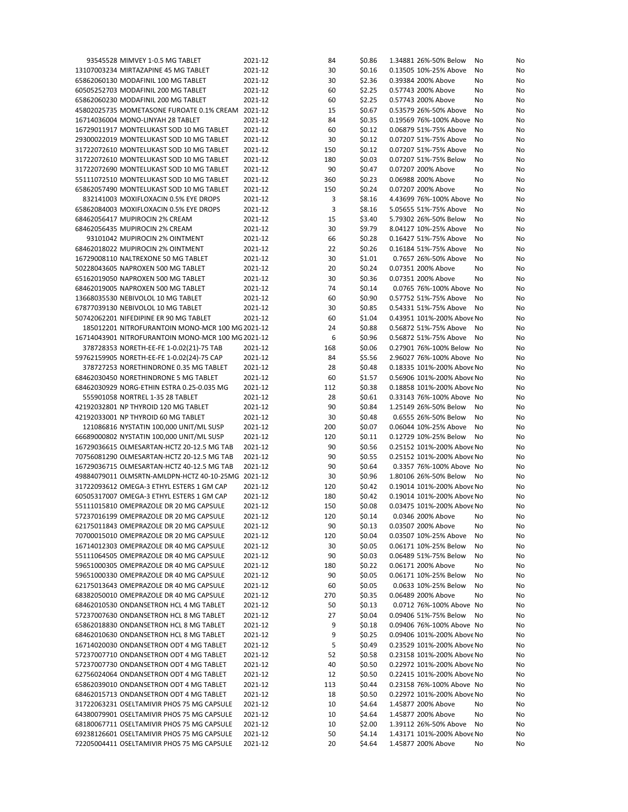| 93545528 MIMVEY 1-0.5 MG TABLET                    | 2021-12 | 84  | \$0.86 | 1.34881 26%-50% Below      | No | No |
|----------------------------------------------------|---------|-----|--------|----------------------------|----|----|
| 13107003234 MIRTAZAPINE 45 MG TABLET               | 2021-12 | 30  | \$0.16 | 0.13505 10%-25% Above      | No | No |
| 65862060130 MODAFINIL 100 MG TABLET                | 2021-12 | 30  | \$2.36 | 0.39384 200% Above         | No | No |
| 60505252703 MODAFINIL 200 MG TABLET                | 2021-12 | 60  | \$2.25 | 0.57743 200% Above         | No | No |
| 65862060230 MODAFINIL 200 MG TABLET                | 2021-12 | 60  | \$2.25 | 0.57743 200% Above         | No | No |
| 45802025735 MOMETASONE FUROATE 0.1% CREAM 2021-12  |         | 15  | \$0.67 | 0.53579 26%-50% Above      | No | No |
| 16714036004 MONO-LINYAH 28 TABLET                  | 2021-12 | 84  | \$0.35 | 0.19569 76%-100% Above No  |    | No |
| 16729011917 MONTELUKAST SOD 10 MG TABLET           | 2021-12 | 60  | \$0.12 | 0.06879 51%-75% Above      | No | No |
| 29300022019 MONTELUKAST SOD 10 MG TABLET           | 2021-12 | 30  | \$0.12 | 0.07207 51%-75% Above      | No | No |
| 31722072610 MONTELUKAST SOD 10 MG TABLET           | 2021-12 | 150 | \$0.12 | 0.07207 51%-75% Above      | No | No |
| 31722072610 MONTELUKAST SOD 10 MG TABLET           | 2021-12 | 180 | \$0.03 | 0.07207 51%-75% Below      | No | No |
| 31722072690 MONTELUKAST SOD 10 MG TABLET           | 2021-12 | 90  | \$0.47 | 0.07207 200% Above         | No | No |
| 55111072510 MONTELUKAST SOD 10 MG TABLET           | 2021-12 | 360 | \$0.23 | 0.06988 200% Above         | No | No |
| 65862057490 MONTELUKAST SOD 10 MG TABLET           | 2021-12 | 150 | \$0.24 | 0.07207 200% Above         | No | No |
| 832141003 MOXIFLOXACIN 0.5% EYE DROPS              | 2021-12 | 3   | \$8.16 | 4.43699 76%-100% Above No  |    | No |
| 65862084003 MOXIFLOXACIN 0.5% EYE DROPS            | 2021-12 | 3   | \$8.16 | 5.05655 51%-75% Above      | No | No |
| 68462056417 MUPIROCIN 2% CREAM                     | 2021-12 | 15  | \$3.40 | 5.79302 26%-50% Below      | No | No |
| 68462056435 MUPIROCIN 2% CREAM                     | 2021-12 | 30  | \$9.79 | 8.04127 10%-25% Above      | No | No |
|                                                    |         |     |        | 0.16427 51%-75% Above      |    |    |
| 93101042 MUPIROCIN 2% OINTMENT                     | 2021-12 | 66  | \$0.28 |                            | No | No |
| 68462018022 MUPIROCIN 2% OINTMENT                  | 2021-12 | 22  | \$0.26 | 0.16184 51%-75% Above      | No | No |
| 16729008110 NALTREXONE 50 MG TABLET                | 2021-12 | 30  | \$1.01 | 0.7657 26%-50% Above       | No | No |
| 50228043605 NAPROXEN 500 MG TABLET                 | 2021-12 | 20  | \$0.24 | 0.07351 200% Above         | No | No |
| 65162019050 NAPROXEN 500 MG TABLET                 | 2021-12 | 30  | \$0.36 | 0.07351 200% Above         | No | No |
| 68462019005 NAPROXEN 500 MG TABLET                 | 2021-12 | 74  | \$0.14 | 0.0765 76%-100% Above No   |    | No |
| 13668035530 NEBIVOLOL 10 MG TABLET                 | 2021-12 | 60  | \$0.90 | 0.57752 51%-75% Above      | No | No |
| 67877039130 NEBIVOLOL 10 MG TABLET                 | 2021-12 | 30  | \$0.85 | 0.54331 51%-75% Above      | No | No |
| 50742062201 NIFEDIPINE ER 90 MG TABLET             | 2021-12 | 60  | \$1.04 | 0.43951 101%-200% Above No |    | No |
| 185012201 NITROFURANTOIN MONO-MCR 100 MG 2021-12   |         | 24  | \$0.88 | 0.56872 51%-75% Above      | No | No |
| 16714043901 NITROFURANTOIN MONO-MCR 100 MG 2021-12 |         | 6   | \$0.96 | 0.56872 51%-75% Above      | No | No |
| 378728353 NORETH-EE-FE 1-0.02(21)-75 TAB           | 2021-12 | 168 | \$0.06 | 0.27901 76%-100% Below No  |    | No |
| 59762159905 NORETH-EE-FE 1-0.02(24)-75 CAP         | 2021-12 | 84  | \$5.56 | 2.96027 76%-100% Above No  |    | No |
| 378727253 NORETHINDRONE 0.35 MG TABLET             | 2021-12 | 28  | \$0.48 | 0.18335 101%-200% Above No |    | No |
| 68462030450 NORETHINDRONE 5 MG TABLET              | 2021-12 | 60  | \$1.57 | 0.56906 101%-200% Above No |    | No |
| 68462030929 NORG-ETHIN ESTRA 0.25-0.035 MG         | 2021-12 | 112 | \$0.38 | 0.18858 101%-200% Above No |    | No |
| 555901058 NORTREL 1-35 28 TABLET                   | 2021-12 | 28  | \$0.61 | 0.33143 76%-100% Above No  |    | No |
| 42192032801 NP THYROID 120 MG TABLET               | 2021-12 | 90  | \$0.84 | 1.25149 26%-50% Below      | No | No |
| 42192033001 NP THYROID 60 MG TABLET                | 2021-12 | 30  | \$0.48 | 0.6555 26%-50% Below       | No | No |
| 121086816 NYSTATIN 100,000 UNIT/ML SUSP            | 2021-12 | 200 | \$0.07 | 0.06044 10%-25% Above      | No | No |
| 66689000802 NYSTATIN 100,000 UNIT/ML SUSP          | 2021-12 | 120 | \$0.11 | 0.12729 10%-25% Below      | No | No |
| 16729036615 OLMESARTAN-HCTZ 20-12.5 MG TAB         | 2021-12 | 90  | \$0.56 | 0.25152 101%-200% Above No |    | No |
| 70756081290 OLMESARTAN-HCTZ 20-12.5 MG TAB         | 2021-12 | 90  | \$0.55 | 0.25152 101%-200% Above No |    | No |
| 16729036715 OLMESARTAN-HCTZ 40-12.5 MG TAB         | 2021-12 | 90  | \$0.64 | 0.3357 76%-100% Above No   |    | No |
| 49884079011 OLMSRTN-AMLDPN-HCTZ 40-10-25MG 2021-12 |         | 30  | \$0.96 | 1.80106 26%-50% Below      | No | No |
| 31722093612 OMEGA-3 ETHYL ESTERS 1 GM CAP          | 2021-12 | 120 | \$0.42 | 0.19014 101%-200% Above No |    | No |
| 60505317007 OMEGA-3 ETHYL ESTERS 1 GM CAP          | 2021-12 | 180 | \$0.42 | 0.19014 101%-200% Above No |    | No |
| 55111015810 OMEPRAZOLE DR 20 MG CAPSULE            | 2021-12 | 150 | \$0.08 | 0.03475 101%-200% Above No |    | No |
| 57237016199 OMEPRAZOLE DR 20 MG CAPSULE            | 2021-12 | 120 | \$0.14 | 0.0346 200% Above No       |    | No |
| 62175011843 OMEPRAZOLE DR 20 MG CAPSULE            | 2021-12 | 90  | \$0.13 | 0.03507 200% Above         | No | No |
| 70700015010 OMEPRAZOLE DR 20 MG CAPSULE            | 2021-12 | 120 | \$0.04 | 0.03507 10%-25% Above      | No | No |
| 16714012303 OMEPRAZOLE DR 40 MG CAPSULE            | 2021-12 | 30  | \$0.05 | 0.06171 10%-25% Below      | No | No |
| 55111064505 OMEPRAZOLE DR 40 MG CAPSULE            |         | 90  |        | 0.06489 51%-75% Below      |    |    |
|                                                    | 2021-12 |     | \$0.03 |                            | No | No |
| 59651000305 OMEPRAZOLE DR 40 MG CAPSULE            | 2021-12 | 180 | \$0.22 | 0.06171 200% Above         | No | No |
| 59651000330 OMEPRAZOLE DR 40 MG CAPSULE            | 2021-12 | 90  | \$0.05 | 0.06171 10%-25% Below      | No | No |
| 62175013643 OMEPRAZOLE DR 40 MG CAPSULE            | 2021-12 | 60  | \$0.05 | 0.0633 10%-25% Below       | No | No |
| 68382050010 OMEPRAZOLE DR 40 MG CAPSULE            | 2021-12 | 270 | \$0.35 | 0.06489 200% Above         | No | No |
| 68462010530 ONDANSETRON HCL 4 MG TABLET            | 2021-12 | 50  | \$0.13 | 0.0712 76%-100% Above No   |    | No |
| 57237007630 ONDANSETRON HCL 8 MG TABLET            | 2021-12 | 27  | \$0.04 | 0.09406 51%-75% Below      | No | No |
| 65862018830 ONDANSETRON HCL 8 MG TABLET            | 2021-12 | 9   | \$0.18 | 0.09406 76%-100% Above No  |    | No |
| 68462010630 ONDANSETRON HCL 8 MG TABLET            | 2021-12 | 9   | \$0.25 | 0.09406 101%-200% Above No |    | No |
| 16714020030 ONDANSETRON ODT 4 MG TABLET            | 2021-12 | 5   | \$0.49 | 0.23529 101%-200% Above No |    | No |
| 57237007710 ONDANSETRON ODT 4 MG TABLET            | 2021-12 | 52  | \$0.58 | 0.23158 101%-200% Above No |    | No |
| 57237007730 ONDANSETRON ODT 4 MG TABLET            | 2021-12 | 40  | \$0.50 | 0.22972 101%-200% Above No |    | No |
| 62756024064 ONDANSETRON ODT 4 MG TABLET            | 2021-12 | 12  | \$0.50 | 0.22415 101%-200% Above No |    | No |
| 65862039010 ONDANSETRON ODT 4 MG TABLET            | 2021-12 | 113 | \$0.44 | 0.23158 76%-100% Above No  |    | No |
| 68462015713 ONDANSETRON ODT 4 MG TABLET            | 2021-12 | 18  | \$0.50 | 0.22972 101%-200% Above No |    | No |
| 31722063231 OSELTAMIVIR PHOS 75 MG CAPSULE         | 2021-12 | 10  | \$4.64 | 1.45877 200% Above         | No | No |
| 64380079901 OSELTAMIVIR PHOS 75 MG CAPSULE         | 2021-12 | 10  | \$4.64 | 1.45877 200% Above         | No | No |
| 68180067711 OSELTAMIVIR PHOS 75 MG CAPSULE         | 2021-12 | 10  | \$2.00 | 1.39112 26%-50% Above      | No | No |
| 69238126601 OSELTAMIVIR PHOS 75 MG CAPSULE         | 2021-12 | 50  | \$4.14 | 1.43171 101%-200% Above No |    | No |
| 72205004411 OSELTAMIVIR PHOS 75 MG CAPSULE         | 2021-12 | 20  | \$4.64 | 1.45877 200% Above         | No | No |
|                                                    |         |     |        |                            |    |    |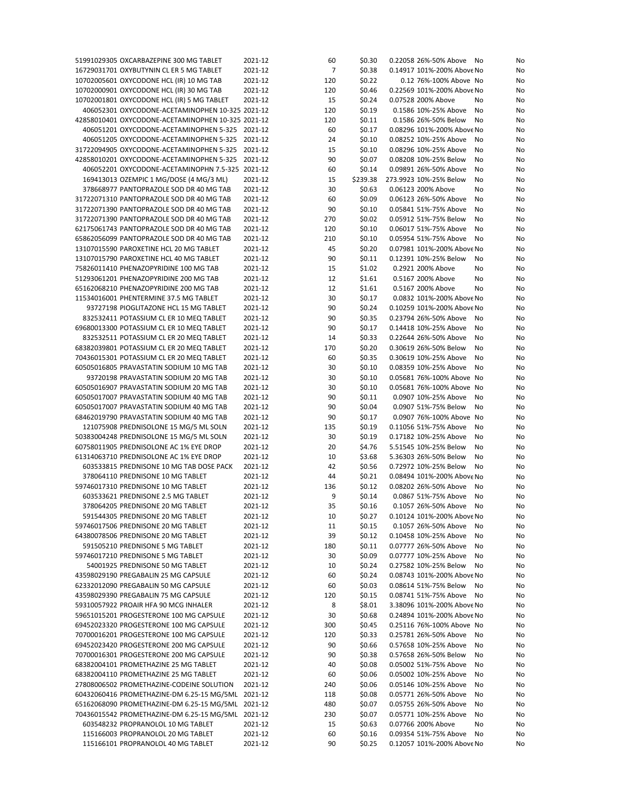| 51991029305 OXCARBAZEPINE 300 MG TABLET            | 2021-12 | 60  | \$0.30   | 0.22058 26%-50% Above<br>No  | No |
|----------------------------------------------------|---------|-----|----------|------------------------------|----|
| 16729031701 OXYBUTYNIN CL ER 5 MG TABLET           | 2021-12 | 7   | \$0.38   | 0.14917 101%-200% Above No   | No |
| 10702005601 OXYCODONE HCL (IR) 10 MG TAB           | 2021-12 | 120 | \$0.22   | 0.12 76%-100% Above No       | No |
| 10702000901 OXYCODONE HCL (IR) 30 MG TAB           | 2021-12 | 120 | \$0.46   | 0.22569 101%-200% Above No   | No |
|                                                    |         |     |          |                              |    |
| 10702001801 OXYCODONE HCL (IR) 5 MG TABLET         | 2021-12 | 15  | \$0.24   | 0.07528 200% Above<br>No     | No |
| 406052301 OXYCODONE-ACETAMINOPHEN 10-325 2021-12   |         | 120 | \$0.19   | 0.1586 10%-25% Above<br>No   | No |
| 42858010401 OXYCODONE-ACETAMINOPHEN 10-325 2021-12 |         | 120 | \$0.11   | 0.1586 26%-50% Below<br>No   | No |
| 406051201 OXYCODONE-ACETAMINOPHEN 5-325 2021-12    |         | 60  | \$0.17   | 0.08296 101%-200% Above No   | No |
| 406051205 OXYCODONE-ACETAMINOPHEN 5-325 2021-12    |         | 24  | \$0.10   | 0.08252 10%-25% Above<br>No  | No |
|                                                    |         |     |          |                              |    |
| 31722094905 OXYCODONE-ACETAMINOPHEN 5-325 2021-12  |         | 15  | \$0.10   | 0.08296 10%-25% Above<br>No  | No |
| 42858010201 OXYCODONE-ACETAMINOPHEN 5-325 2021-12  |         | 90  | \$0.07   | 0.08208 10%-25% Below<br>No  | No |
| 406052201 OXYCODONE-ACETAMINOPHN 7.5-325 2021-12   |         | 60  | \$0.14   | 0.09891 26%-50% Above<br>No  | No |
| 169413013 OZEMPIC 1 MG/DOSE (4 MG/3 ML)            | 2021-12 | 15  | \$239.38 | 273.9923 10%-25% Below<br>No | No |
|                                                    |         |     |          |                              |    |
| 378668977 PANTOPRAZOLE SOD DR 40 MG TAB            | 2021-12 | 30  | \$0.63   | 0.06123 200% Above<br>No     | No |
| 31722071310 PANTOPRAZOLE SOD DR 40 MG TAB          | 2021-12 | 60  | \$0.09   | 0.06123 26%-50% Above<br>No  | No |
| 31722071390 PANTOPRAZOLE SOD DR 40 MG TAB          | 2021-12 | 90  | \$0.10   | 0.05841 51%-75% Above<br>No  | No |
| 31722071390 PANTOPRAZOLE SOD DR 40 MG TAB          | 2021-12 | 270 | \$0.02   | 0.05912 51%-75% Below<br>No  | No |
| 62175061743 PANTOPRAZOLE SOD DR 40 MG TAB          | 2021-12 | 120 | \$0.10   | 0.06017 51%-75% Above<br>No  | No |
|                                                    |         |     |          |                              |    |
| 65862056099 PANTOPRAZOLE SOD DR 40 MG TAB          | 2021-12 | 210 | \$0.10   | 0.05954 51%-75% Above<br>No  | No |
| 13107015590 PAROXETINE HCL 20 MG TABLET            | 2021-12 | 45  | \$0.20   | 0.07981 101%-200% Above No   | No |
| 13107015790 PAROXETINE HCL 40 MG TABLET            | 2021-12 | 90  | \$0.11   | 0.12391 10%-25% Below<br>No  | No |
| 75826011410 PHENAZOPYRIDINE 100 MG TAB             | 2021-12 | 15  | \$1.02   | 0.2921 200% Above<br>No      | No |
| 51293061201 PHENAZOPYRIDINE 200 MG TAB             | 2021-12 | 12  | \$1.61   | 0.5167 200% Above            | No |
|                                                    |         |     |          | No                           |    |
| 65162068210 PHENAZOPYRIDINE 200 MG TAB             | 2021-12 | 12  | \$1.61   | 0.5167 200% Above<br>No      | No |
| 11534016001 PHENTERMINE 37.5 MG TABLET             | 2021-12 | 30  | \$0.17   | 0.0832 101%-200% Above No    | No |
| 93727198 PIOGLITAZONE HCL 15 MG TABLET             | 2021-12 | 90  | \$0.24   | 0.10259 101%-200% Above No   | No |
| 832532411 POTASSIUM CL ER 10 MEQ TABLET            | 2021-12 | 90  | \$0.35   | 0.23794 26%-50% Above<br>No  | No |
|                                                    |         |     |          |                              |    |
| 69680013300 POTASSIUM CL ER 10 MEQ TABLET          | 2021-12 | 90  | \$0.17   | 0.14418 10%-25% Above<br>No  | No |
| 832532511 POTASSIUM CL ER 20 MEQ TABLET            | 2021-12 | 14  | \$0.33   | 0.22644 26%-50% Above<br>No  | No |
| 68382039801 POTASSIUM CL ER 20 MEQ TABLET          | 2021-12 | 170 | \$0.20   | 0.30619 26%-50% Below<br>No  | No |
| 70436015301 POTASSIUM CL ER 20 MEQ TABLET          | 2021-12 | 60  | \$0.35   | 0.30619 10%-25% Above<br>No  | No |
| 60505016805 PRAVASTATIN SODIUM 10 MG TAB           | 2021-12 | 30  | \$0.10   | 0.08359 10%-25% Above<br>No  | No |
|                                                    |         |     |          |                              |    |
| 93720198 PRAVASTATIN SODIUM 20 MG TAB              | 2021-12 | 30  | \$0.10   | 0.05681 76%-100% Above No    | No |
| 60505016907 PRAVASTATIN SODIUM 20 MG TAB           | 2021-12 | 30  | \$0.10   | 0.05681 76%-100% Above No    | No |
| 60505017007 PRAVASTATIN SODIUM 40 MG TAB           | 2021-12 | 90  | \$0.11   | 0.0907 10%-25% Above<br>No   | No |
| 60505017007 PRAVASTATIN SODIUM 40 MG TAB           | 2021-12 | 90  | \$0.04   | 0.0907 51%-75% Below<br>No   | No |
|                                                    |         |     |          |                              |    |
| 68462019790 PRAVASTATIN SODIUM 40 MG TAB           | 2021-12 | 90  | \$0.17   | 0.0907 76%-100% Above No     | No |
| 121075908 PREDNISOLONE 15 MG/5 ML SOLN             | 2021-12 | 135 | \$0.19   | 0.11056 51%-75% Above<br>No  | No |
| 50383004248 PREDNISOLONE 15 MG/5 ML SOLN           | 2021-12 | 30  | \$0.19   | 0.17182 10%-25% Above<br>No  | No |
| 60758011905 PREDNISOLONE AC 1% EYE DROP            | 2021-12 | 20  | \$4.76   | 5.51545 10%-25% Below<br>No  | No |
| 61314063710 PREDNISOLONE AC 1% EYE DROP            | 2021-12 | 10  | \$3.68   | 5.36303 26%-50% Below<br>No  | No |
|                                                    |         |     |          |                              |    |
| 603533815 PREDNISONE 10 MG TAB DOSE PACK           | 2021-12 | 42  | \$0.56   | 0.72972 10%-25% Below<br>No  | No |
| 378064110 PREDNISONE 10 MG TABLET                  | 2021-12 | 44  | \$0.21   | 0.08494 101%-200% Above No   | No |
| 59746017310 PREDNISONE 10 MG TABLET                | 2021-12 | 136 | \$0.12   | 0.08202 26%-50% Above<br>No  | No |
| 603533621 PREDNISONE 2.5 MG TABLET                 | 2021-12 | 9   | \$0.14   | 0.0867 51%-75% Above<br>No   | No |
| 378064205 PREDNISONE 20 MG TABLET                  | 2021-12 | 35  | \$0.16   | 0.1057 26%-50% Above No      | No |
|                                                    |         |     |          |                              |    |
| 591544305 PREDNISONE 20 MG TABLET                  | 2021-12 | 10  | \$0.27   | 0.10124 101%-200% Above No   | No |
| 59746017506 PREDNISONE 20 MG TABLET                | 2021-12 | 11  | \$0.15   | 0.1057 26%-50% Above<br>No   | No |
| 64380078506 PREDNISONE 20 MG TABLET                | 2021-12 | 39  | \$0.12   | 0.10458 10%-25% Above<br>No  | No |
| 591505210 PREDNISONE 5 MG TABLET                   | 2021-12 | 180 | \$0.11   | 0.07777 26%-50% Above<br>No  | No |
|                                                    |         |     |          |                              |    |
| 59746017210 PREDNISONE 5 MG TABLET                 | 2021-12 | 30  | \$0.09   | 0.07777 10%-25% Above<br>No  | No |
| 54001925 PREDNISONE 50 MG TABLET                   | 2021-12 | 10  | \$0.24   | 0.27582 10%-25% Below<br>No  | No |
| 43598029190 PREGABALIN 25 MG CAPSULE               | 2021-12 | 60  | \$0.24   | 0.08743 101%-200% Above No   | No |
| 62332012090 PREGABALIN 50 MG CAPSULE               | 2021-12 | 60  | \$0.03   | 0.08614 51%-75% Below<br>No  | No |
| 43598029390 PREGABALIN 75 MG CAPSULE               | 2021-12 | 120 | \$0.15   | 0.08741 51%-75% Above<br>No  | No |
|                                                    |         |     |          |                              |    |
| 59310057922 PROAIR HFA 90 MCG INHALER              | 2021-12 | 8   | \$8.01   | 3.38096 101%-200% Above No   | No |
| 59651015201 PROGESTERONE 100 MG CAPSULE            | 2021-12 | 30  | \$0.68   | 0.24894 101%-200% Above No   | No |
| 69452023320 PROGESTERONE 100 MG CAPSULE            | 2021-12 | 300 | \$0.45   | 0.25116 76%-100% Above No    | No |
| 70700016201 PROGESTERONE 100 MG CAPSULE            | 2021-12 | 120 | \$0.33   | 0.25781 26%-50% Above<br>No  | No |
|                                                    |         |     |          |                              |    |
| 69452023420 PROGESTERONE 200 MG CAPSULE            | 2021-12 | 90  | \$0.66   | 0.57658 10%-25% Above<br>No  | No |
| 70700016301 PROGESTERONE 200 MG CAPSULE            | 2021-12 | 90  | \$0.38   | 0.57658 26%-50% Below<br>No  | No |
| 68382004101 PROMETHAZINE 25 MG TABLET              | 2021-12 | 40  | \$0.08   | 0.05002 51%-75% Above<br>No  | No |
| 68382004110 PROMETHAZINE 25 MG TABLET              | 2021-12 | 60  | \$0.06   | 0.05002 10%-25% Above<br>No  | No |
| 27808006502 PROMETHAZINE-CODEINE SOLUTION          | 2021-12 | 240 | \$0.06   | 0.05146 10%-25% Above<br>No  | No |
|                                                    |         |     |          |                              |    |
| 60432060416 PROMETHAZINE-DM 6.25-15 MG/5ML 2021-12 |         | 118 | \$0.08   | 0.05771 26%-50% Above<br>No  | No |
| 65162068090 PROMETHAZINE-DM 6.25-15 MG/5ML 2021-12 |         | 480 | \$0.07   | 0.05755 26%-50% Above<br>No  | No |
| 70436015542 PROMETHAZINE-DM 6.25-15 MG/5ML 2021-12 |         | 230 | \$0.07   | 0.05771 10%-25% Above<br>No  | No |
| 603548232 PROPRANOLOL 10 MG TABLET                 | 2021-12 | 15  | \$0.63   | 0.07766 200% Above<br>No     | No |
| 115166003 PROPRANOLOL 20 MG TABLET                 | 2021-12 | 60  | \$0.16   | 0.09354 51%-75% Above<br>No  | No |
|                                                    |         |     |          |                              |    |
| 115166101 PROPRANOLOL 40 MG TABLET                 | 2021-12 | 90  | \$0.25   | 0.12057 101%-200% Above No   | No |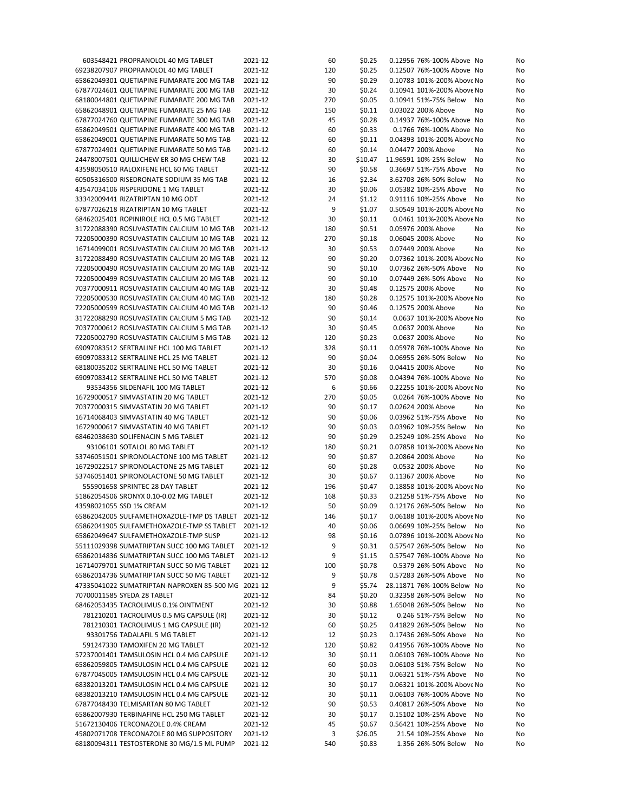| 603548421 PROPRANOLOL 40 MG TABLET                 | 2021-12 | 60  | \$0.25  | 0.12956 76%-100% Above No<br>No     |
|----------------------------------------------------|---------|-----|---------|-------------------------------------|
| 69238207907 PROPRANOLOL 40 MG TABLET               | 2021-12 | 120 | \$0.25  | 0.12507 76%-100% Above No<br>No     |
| 65862049301 QUETIAPINE FUMARATE 200 MG TAB         | 2021-12 | 90  | \$0.29  | 0.10783 101%-200% Above No<br>No    |
| 67877024601 QUETIAPINE FUMARATE 200 MG TAB         | 2021-12 | 30  | \$0.24  | 0.10941 101%-200% Above No<br>No    |
| 68180044801 QUETIAPINE FUMARATE 200 MG TAB         | 2021-12 | 270 | \$0.05  | 0.10941 51%-75% Below<br>No<br>No   |
| 65862048901 QUETIAPINE FUMARATE 25 MG TAB          | 2021-12 | 150 | \$0.11  | 0.03022 200% Above<br>No<br>No      |
| 67877024760 QUETIAPINE FUMARATE 300 MG TAB         | 2021-12 | 45  | \$0.28  | 0.14937 76%-100% Above No<br>No     |
| 65862049501 QUETIAPINE FUMARATE 400 MG TAB         | 2021-12 | 60  | \$0.33  | 0.1766 76%-100% Above No<br>No      |
| 65862049001 QUETIAPINE FUMARATE 50 MG TAB          | 2021-12 | 60  | \$0.11  | 0.04393 101%-200% Above No<br>No    |
| 67877024901 QUETIAPINE FUMARATE 50 MG TAB          | 2021-12 | 60  | \$0.14  | 0.04477 200% Above<br>No<br>No      |
|                                                    |         |     |         |                                     |
| 24478007501 QUILLICHEW ER 30 MG CHEW TAB           | 2021-12 | 30  | \$10.47 | 11.96591 10%-25% Below<br>No<br>No  |
| 43598050510 RALOXIFENE HCL 60 MG TABLET            | 2021-12 | 90  | \$0.58  | 0.36697 51%-75% Above<br>No<br>No   |
| 60505316500 RISEDRONATE SODIUM 35 MG TAB           | 2021-12 | 16  | \$2.34  | 3.62703 26%-50% Below<br>No<br>No   |
| 43547034106 RISPERIDONE 1 MG TABLET                | 2021-12 | 30  | \$0.06  | 0.05382 10%-25% Above<br>No<br>No   |
| 33342009441 RIZATRIPTAN 10 MG ODT                  | 2021-12 | 24  | \$1.12  | 0.91116 10%-25% Above<br>No<br>No   |
| 67877026218 RIZATRIPTAN 10 MG TABLET               | 2021-12 | 9   | \$1.07  | 0.50549 101%-200% Above No<br>No    |
| 68462025401 ROPINIROLE HCL 0.5 MG TABLET           | 2021-12 | 30  | \$0.11  | 0.0461 101%-200% Above No<br>No     |
| 31722088390 ROSUVASTATIN CALCIUM 10 MG TAB         | 2021-12 | 180 | \$0.51  | 0.05976 200% Above<br>No<br>No      |
| 72205000390 ROSUVASTATIN CALCIUM 10 MG TAB         | 2021-12 | 270 | \$0.18  | 0.06045 200% Above<br>No<br>No      |
| 16714099001 ROSUVASTATIN CALCIUM 20 MG TAB         | 2021-12 | 30  | \$0.53  | 0.07449 200% Above<br>No<br>No      |
| 31722088490 ROSUVASTATIN CALCIUM 20 MG TAB         | 2021-12 | 90  | \$0.20  | 0.07362 101%-200% Above No<br>No    |
| 72205000490 ROSUVASTATIN CALCIUM 20 MG TAB         | 2021-12 | 90  | \$0.10  | 0.07362 26%-50% Above<br>No<br>No   |
| 72205000499 ROSUVASTATIN CALCIUM 20 MG TAB         | 2021-12 | 90  | \$0.10  | 0.07449 26%-50% Above<br>No<br>No   |
|                                                    |         |     |         |                                     |
| 70377000911 ROSUVASTATIN CALCIUM 40 MG TAB         | 2021-12 | 30  | \$0.48  | 0.12575 200% Above<br>No<br>No      |
| 72205000530 ROSUVASTATIN CALCIUM 40 MG TAB         | 2021-12 | 180 | \$0.28  | 0.12575 101%-200% Above No<br>No    |
| 72205000599 ROSUVASTATIN CALCIUM 40 MG TAB         | 2021-12 | 90  | \$0.46  | 0.12575 200% Above<br>No<br>No      |
| 31722088290 ROSUVASTATIN CALCIUM 5 MG TAB          | 2021-12 | 90  | \$0.14  | 0.0637 101%-200% Above No<br>No     |
| 70377000612 ROSUVASTATIN CALCIUM 5 MG TAB          | 2021-12 | 30  | \$0.45  | 0.0637 200% Above<br>No<br>No       |
| 72205002790 ROSUVASTATIN CALCIUM 5 MG TAB          | 2021-12 | 120 | \$0.23  | 0.0637 200% Above<br>No<br>No       |
| 69097083512 SERTRALINE HCL 100 MG TABLET           | 2021-12 | 328 | \$0.11  | 0.05978 76%-100% Above No<br>No     |
| 69097083312 SERTRALINE HCL 25 MG TABLET            | 2021-12 | 90  | \$0.04  | 0.06955 26%-50% Below<br>No<br>No   |
| 68180035202 SERTRALINE HCL 50 MG TABLET            | 2021-12 | 30  | \$0.16  | 0.04415 200% Above<br>No<br>No      |
| 69097083412 SERTRALINE HCL 50 MG TABLET            | 2021-12 | 570 | \$0.08  | 0.04394 76%-100% Above No<br>No     |
| 93534356 SILDENAFIL 100 MG TABLET                  | 2021-12 | 6   | \$0.66  | 0.22255 101%-200% Above No<br>No    |
| 16729000517 SIMVASTATIN 20 MG TABLET               | 2021-12 | 270 | \$0.05  | 0.0264 76%-100% Above No<br>No      |
| 70377000315 SIMVASTATIN 20 MG TABLET               | 2021-12 | 90  | \$0.17  | 0.02624 200% Above<br>No<br>No      |
|                                                    |         |     |         |                                     |
| 16714068403 SIMVASTATIN 40 MG TABLET               | 2021-12 | 90  | \$0.06  | 0.03962 51%-75% Above<br>No<br>No   |
| 16729000617 SIMVASTATIN 40 MG TABLET               | 2021-12 | 90  | \$0.03  | 0.03962 10%-25% Below<br>No<br>No   |
| 68462038630 SOLIFENACIN 5 MG TABLET                | 2021-12 | 90  | \$0.29  | 0.25249 10%-25% Above<br>No<br>No   |
| 93106101 SOTALOL 80 MG TABLET                      | 2021-12 | 180 | \$0.21  | 0.07858 101%-200% Above No<br>No    |
| 53746051501 SPIRONOLACTONE 100 MG TABLET           | 2021-12 | 90  | \$0.87  | 0.20864 200% Above<br>No<br>No      |
| 16729022517 SPIRONOLACTONE 25 MG TABLET            | 2021-12 | 60  | \$0.28  | 0.0532 200% Above<br>No<br>No       |
| 53746051401 SPIRONOLACTONE 50 MG TABLET            | 2021-12 | 30  | \$0.67  | 0.11367 200% Above<br>No<br>No      |
| 555901658 SPRINTEC 28 DAY TABLET                   | 2021-12 | 196 | \$0.47  | 0.18858 101%-200% Above No<br>No    |
| 51862054506 SRONYX 0.10-0.02 MG TABLET             | 2021-12 | 168 | \$0.33  | 0.21258 51%-75% Above<br>No<br>No   |
| 43598021055 SSD 1% CREAM                           | 2021-12 | 50  | \$0.09  | 0.12176 26%-50% Below<br>No<br>No   |
| 65862042005 SULFAMETHOXAZOLE-TMP DS TABLET 2021-12 |         | 146 | \$0.17  | 0.06188 101%-200% Above No<br>No    |
| 65862041905 SULFAMETHOXAZOLE-TMP SS TABLET 2021-12 |         | 40  | \$0.06  | 0.06699 10%-25% Below<br>No<br>No   |
| 65862049647 SULFAMETHOXAZOLE-TMP SUSP              | 2021-12 | 98  | \$0.16  | 0.07896 101%-200% Above No<br>No    |
| 55111029398 SUMATRIPTAN SUCC 100 MG TABLET         | 2021-12 | 9   | \$0.31  | 0.57547 26%-50% Below<br>No<br>No   |
| 65862014836 SUMATRIPTAN SUCC 100 MG TABLET         | 2021-12 | 9   | \$1.15  | 0.57547 76%-100% Above No<br>No     |
| 16714079701 SUMATRIPTAN SUCC 50 MG TABLET          | 2021-12 | 100 | \$0.78  | 0.5379 26%-50% Above<br>No<br>No    |
| 65862014736 SUMATRIPTAN SUCC 50 MG TABLET          |         |     |         |                                     |
|                                                    | 2021-12 | 9   | \$0.78  | 0.57283 26%-50% Above<br>No<br>No   |
| 47335041022 SUMATRIPTAN-NAPROXEN 85-500 MG 2021-12 |         | 9   | \$5.74  | 28.11871 76%-100% Below<br>No<br>No |
| 70700011585 SYEDA 28 TABLET                        | 2021-12 | 84  | \$0.20  | 0.32358 26%-50% Below<br>No<br>No   |
| 68462053435 TACROLIMUS 0.1% OINTMENT               | 2021-12 | 30  | \$0.88  | 1.65048 26%-50% Below<br>No<br>No   |
| 781210201 TACROLIMUS 0.5 MG CAPSULE (IR)           | 2021-12 | 30  | \$0.12  | 0.246 51%-75% Below<br>No<br>No     |
| 781210301 TACROLIMUS 1 MG CAPSULE (IR)             | 2021-12 | 60  | \$0.25  | 0.41829 26%-50% Below<br>No<br>No   |
| 93301756 TADALAFIL 5 MG TABLET                     | 2021-12 | 12  | \$0.23  | 0.17436 26%-50% Above<br>No<br>No   |
| 591247330 TAMOXIFEN 20 MG TABLET                   | 2021-12 | 120 | \$0.82  | 0.41956 76%-100% Above No<br>No     |
| 57237001401 TAMSULOSIN HCL 0.4 MG CAPSULE          | 2021-12 | 30  | \$0.11  | 0.06103 76%-100% Above No<br>No     |
| 65862059805 TAMSULOSIN HCL 0.4 MG CAPSULE          | 2021-12 | 60  | \$0.03  | 0.06103 51%-75% Below<br>No<br>No   |
| 67877045005 TAMSULOSIN HCL 0.4 MG CAPSULE          | 2021-12 | 30  | \$0.11  | 0.06321 51%-75% Above<br>No<br>No   |
| 68382013201 TAMSULOSIN HCL 0.4 MG CAPSULE          | 2021-12 | 30  | \$0.17  | 0.06321 101%-200% Above No<br>No    |
| 68382013210 TAMSULOSIN HCL 0.4 MG CAPSULE          | 2021-12 | 30  | \$0.11  | 0.06103 76%-100% Above No<br>No     |
|                                                    |         |     |         |                                     |
| 67877048430 TELMISARTAN 80 MG TABLET               | 2021-12 | 90  | \$0.53  | 0.40817 26%-50% Above<br>No<br>No   |
| 65862007930 TERBINAFINE HCL 250 MG TABLET          | 2021-12 | 30  | \$0.17  | 0.15102 10%-25% Above<br>No<br>No   |
| 51672130406 TERCONAZOLE 0.4% CREAM                 | 2021-12 | 45  | \$0.67  | 0.56421 10%-25% Above<br>No<br>No   |
| 45802071708 TERCONAZOLE 80 MG SUPPOSITORY          | 2021-12 | 3   | \$26.05 | 21.54 10%-25% Above<br>No<br>No     |
| 68180094311 TESTOSTERONE 30 MG/1.5 ML PUMP         | 2021-12 | 540 | \$0.83  | 1.356 26%-50% Below<br>No<br>No     |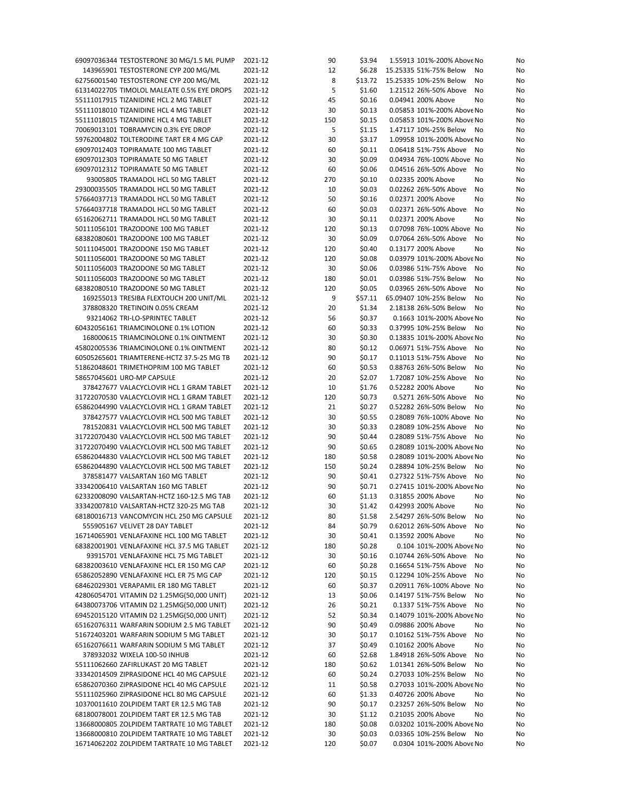| 69097036344 TESTOSTERONE 30 MG/1.5 ML PUMP<br>2021-12<br>90<br>\$3.94<br>143965901 TESTOSTERONE CYP 200 MG/ML<br>2021-12<br>12<br>\$6.28<br>8<br>\$13.72<br>62756001540 TESTOSTERONE CYP 200 MG/ML<br>2021-12<br>5<br>2021-12<br>\$1.60<br>61314022705 TIMOLOL MALEATE 0.5% EYE DROPS<br>45<br>\$0.16<br>55111017915 TIZANIDINE HCL 2 MG TABLET<br>2021-12 | 1.55913 101%-200% Above No   | No |
|------------------------------------------------------------------------------------------------------------------------------------------------------------------------------------------------------------------------------------------------------------------------------------------------------------------------------------------------------------|------------------------------|----|
|                                                                                                                                                                                                                                                                                                                                                            | 15.25335 51%-75% Below<br>No | No |
|                                                                                                                                                                                                                                                                                                                                                            | 15.25335 10%-25% Below<br>No | No |
|                                                                                                                                                                                                                                                                                                                                                            | 1.21512 26%-50% Above<br>No  | No |
|                                                                                                                                                                                                                                                                                                                                                            | 0.04941 200% Above<br>No     | No |
|                                                                                                                                                                                                                                                                                                                                                            |                              |    |
| 2021-12<br>\$0.13<br>55111018010 TIZANIDINE HCL 4 MG TABLET<br>30                                                                                                                                                                                                                                                                                          | 0.05853 101%-200% Above No   | No |
| 2021-12<br>55111018015 TIZANIDINE HCL 4 MG TABLET<br>150<br>\$0.15                                                                                                                                                                                                                                                                                         | 0.05853 101%-200% Above No   | No |
| 5<br>70069013101 TOBRAMYCIN 0.3% EYE DROP<br>2021-12<br>\$1.15                                                                                                                                                                                                                                                                                             | 1.47117 10%-25% Below<br>No  | No |
| 30<br>\$3.17<br>59762004802 TOLTERODINE TART ER 4 MG CAP<br>2021-12                                                                                                                                                                                                                                                                                        | 1.09958 101%-200% Above No   | No |
| 69097012403 TOPIRAMATE 100 MG TABLET<br>\$0.11<br>2021-12<br>60                                                                                                                                                                                                                                                                                            | 0.06418 51%-75% Above<br>No  | No |
| 30<br>\$0.09<br>69097012303 TOPIRAMATE 50 MG TABLET<br>2021-12                                                                                                                                                                                                                                                                                             | 0.04934 76%-100% Above No    | No |
| 69097012312 TOPIRAMATE 50 MG TABLET<br>2021-12<br>\$0.06<br>60                                                                                                                                                                                                                                                                                             | 0.04516 26%-50% Above<br>No  | No |
| 270<br>\$0.10<br>93005805 TRAMADOL HCL 50 MG TABLET<br>2021-12                                                                                                                                                                                                                                                                                             | 0.02335 200% Above<br>No     | No |
| \$0.03<br>29300035505 TRAMADOL HCL 50 MG TABLET<br>2021-12<br>10                                                                                                                                                                                                                                                                                           | 0.02262 26%-50% Above<br>No  | No |
| 50<br>57664037713 TRAMADOL HCL 50 MG TABLET<br>2021-12<br>\$0.16                                                                                                                                                                                                                                                                                           | 0.02371 200% Above<br>No     | No |
|                                                                                                                                                                                                                                                                                                                                                            |                              |    |
| 2021-12<br>60<br>\$0.03<br>57664037718 TRAMADOL HCL 50 MG TABLET                                                                                                                                                                                                                                                                                           | 0.02371 26%-50% Above<br>No  | No |
| 2021-12<br>\$0.11<br>65162062711 TRAMADOL HCL 50 MG TABLET<br>30                                                                                                                                                                                                                                                                                           | 0.02371 200% Above<br>No     | No |
| \$0.13<br>50111056101 TRAZODONE 100 MG TABLET<br>2021-12<br>120                                                                                                                                                                                                                                                                                            | 0.07098 76%-100% Above No    | No |
| 68382080601 TRAZODONE 100 MG TABLET<br>2021-12<br>\$0.09<br>30                                                                                                                                                                                                                                                                                             | 0.07064 26%-50% Above<br>No  | No |
| 50111045001 TRAZODONE 150 MG TABLET<br>2021-12<br>120<br>\$0.40                                                                                                                                                                                                                                                                                            | 0.13177 200% Above<br>No     | No |
| 50111056001 TRAZODONE 50 MG TABLET<br>2021-12<br>120<br>\$0.08                                                                                                                                                                                                                                                                                             | 0.03979 101%-200% Above No   | No |
| 50111056003 TRAZODONE 50 MG TABLET<br>30<br>\$0.06<br>2021-12                                                                                                                                                                                                                                                                                              | 0.03986 51%-75% Above<br>No  | No |
| 50111056003 TRAZODONE 50 MG TABLET<br>\$0.01<br>2021-12<br>180                                                                                                                                                                                                                                                                                             | 0.03986 51%-75% Below<br>No  | No |
| 68382080510 TRAZODONE 50 MG TABLET<br>2021-12<br>\$0.05<br>120                                                                                                                                                                                                                                                                                             | 0.03965 26%-50% Above<br>No  | No |
|                                                                                                                                                                                                                                                                                                                                                            |                              |    |
| 9<br>169255013 TRESIBA FLEXTOUCH 200 UNIT/ML<br>2021-12<br>\$57.11                                                                                                                                                                                                                                                                                         | 65.09407 10%-25% Below<br>No | No |
| 20<br>\$1.34<br>378808320 TRETINOIN 0.05% CREAM<br>2021-12                                                                                                                                                                                                                                                                                                 | 2.18138 26%-50% Below<br>No  | No |
| 93214062 TRI-LO-SPRINTEC TABLET<br>2021-12<br>\$0.37<br>56                                                                                                                                                                                                                                                                                                 | 0.1663 101%-200% Above No    | No |
| 60432056161 TRIAMCINOLONE 0.1% LOTION<br>\$0.33<br>2021-12<br>60                                                                                                                                                                                                                                                                                           | 0.37995 10%-25% Below<br>No  | No |
| 30<br>\$0.30<br>168000615 TRIAMCINOLONE 0.1% OINTMENT<br>2021-12                                                                                                                                                                                                                                                                                           | 0.13835 101%-200% Above No   | No |
| 2021-12<br>80<br>45802005536 TRIAMCINOLONE 0.1% OINTMENT<br>\$0.12                                                                                                                                                                                                                                                                                         | 0.06971 51%-75% Above<br>No  | No |
| 90<br>\$0.17<br>60505265601 TRIAMTERENE-HCTZ 37.5-25 MG TB<br>2021-12                                                                                                                                                                                                                                                                                      | 0.11013 51%-75% Above<br>No  | No |
| 51862048601 TRIMETHOPRIM 100 MG TABLET<br>2021-12<br>\$0.53<br>60                                                                                                                                                                                                                                                                                          | 0.88763 26%-50% Below<br>No  | No |
| 20<br>\$2.07<br>58657045601 URO-MP CAPSULE<br>2021-12                                                                                                                                                                                                                                                                                                      | 1.72087 10%-25% Above<br>No  | No |
|                                                                                                                                                                                                                                                                                                                                                            |                              |    |
| 378427677 VALACYCLOVIR HCL 1 GRAM TABLET<br>2021-12<br>10<br>\$1.76                                                                                                                                                                                                                                                                                        | 0.52282 200% Above<br>No     | No |
| 31722070530 VALACYCLOVIR HCL 1 GRAM TABLET<br>2021-12<br>\$0.73<br>120                                                                                                                                                                                                                                                                                     | 0.5271 26%-50% Above<br>No   | No |
|                                                                                                                                                                                                                                                                                                                                                            |                              | No |
| \$0.27<br>65862044990 VALACYCLOVIR HCL 1 GRAM TABLET<br>2021-12<br>21                                                                                                                                                                                                                                                                                      | 0.52282 26%-50% Below<br>No  |    |
| 378427577 VALACYCLOVIR HCL 500 MG TABLET<br>2021-12<br>30<br>\$0.55                                                                                                                                                                                                                                                                                        | 0.28089 76%-100% Above No    | No |
| 30<br>781520831 VALACYCLOVIR HCL 500 MG TABLET<br>2021-12<br>\$0.33                                                                                                                                                                                                                                                                                        | 0.28089 10%-25% Above<br>No  | No |
| 90<br>\$0.44<br>31722070430 VALACYCLOVIR HCL 500 MG TABLET<br>2021-12                                                                                                                                                                                                                                                                                      | 0.28089 51%-75% Above<br>No  | No |
| 31722070490 VALACYCLOVIR HCL 500 MG TABLET<br>2021-12<br>\$0.65<br>90                                                                                                                                                                                                                                                                                      | 0.28089 101%-200% Above No   | No |
|                                                                                                                                                                                                                                                                                                                                                            |                              |    |
| 65862044830 VALACYCLOVIR HCL 500 MG TABLET<br>2021-12<br>\$0.58<br>180                                                                                                                                                                                                                                                                                     | 0.28089 101%-200% Above No   | No |
| 2021-12<br>\$0.24<br>65862044890 VALACYCLOVIR HCL 500 MG TABLET<br>150                                                                                                                                                                                                                                                                                     | 0.28894 10%-25% Below<br>No  | No |
| 90<br>\$0.41<br>378581477 VALSARTAN 160 MG TABLET<br>2021-12                                                                                                                                                                                                                                                                                               | 0.27322 51%-75% Above<br>No  | No |
| 90<br>\$0.71<br>33342006410 VALSARTAN 160 MG TABLET<br>2021-12                                                                                                                                                                                                                                                                                             | 0.27415 101%-200% Above No   | No |
| \$1.13<br>62332008090 VALSARTAN-HCTZ 160-12.5 MG TAB<br>2021-12<br>60                                                                                                                                                                                                                                                                                      | 0.31855 200% Above<br>No     | No |
| 33342007810 VALSARTAN-HCTZ 320-25 MG TAB<br>30<br>\$1.42<br>2021-12                                                                                                                                                                                                                                                                                        | 0.42993 200% Above<br>No     | No |
| 80<br>\$1.58<br>68180016713 VANCOMYCIN HCL 250 MG CAPSULE<br>2021-12                                                                                                                                                                                                                                                                                       | 2.54297.26%-50% Below<br>No  | No |
| 555905167 VELIVET 28 DAY TABLET<br>2021-12<br>84<br>\$0.79                                                                                                                                                                                                                                                                                                 | 0.62012 26%-50% Above<br>No  | No |
| 16714065901 VENLAFAXINE HCL 100 MG TABLET<br>2021-12<br>30<br>\$0.41                                                                                                                                                                                                                                                                                       | 0.13592 200% Above<br>No     | No |
| 68382001901 VENLAFAXINE HCL 37.5 MG TABLET<br>2021-12<br>180<br>\$0.28                                                                                                                                                                                                                                                                                     | 0.104 101%-200% Above No     | No |
| 93915701 VENLAFAXINE HCL 75 MG TABLET                                                                                                                                                                                                                                                                                                                      |                              |    |
| 2021-12<br>30<br>\$0.16                                                                                                                                                                                                                                                                                                                                    | 0.10744 26%-50% Above<br>No  | No |
| 68382003610 VENLAFAXINE HCL ER 150 MG CAP<br>2021-12<br>60<br>\$0.28                                                                                                                                                                                                                                                                                       | 0.16654 51%-75% Above<br>No  | No |
| 65862052890 VENLAFAXINE HCL ER 75 MG CAP<br>2021-12<br>120<br>\$0.15                                                                                                                                                                                                                                                                                       | 0.12294 10%-25% Above<br>No  | No |
| 68462029301 VERAPAMIL ER 180 MG TABLET<br>2021-12<br>60<br>\$0.37                                                                                                                                                                                                                                                                                          | 0.20911 76%-100% Above No    | No |
| 42806054701 VITAMIN D2 1.25MG(50,000 UNIT)<br>2021-12<br>13<br>\$0.06                                                                                                                                                                                                                                                                                      | 0.14197 51%-75% Below<br>No  | No |
| 64380073706 VITAMIN D2 1.25MG(50,000 UNIT)<br>2021-12<br>26<br>\$0.21                                                                                                                                                                                                                                                                                      | 0.1337 51%-75% Above<br>No   | No |
| 69452015120 VITAMIN D2 1.25MG(50,000 UNIT)<br>2021-12<br>52<br>\$0.34                                                                                                                                                                                                                                                                                      | 0.14079 101%-200% Above No   | No |
| 65162076311 WARFARIN SODIUM 2.5 MG TABLET<br>2021-12<br>90<br>\$0.49                                                                                                                                                                                                                                                                                       | 0.09886 200% Above<br>No     | No |
| 51672403201 WARFARIN SODIUM 5 MG TABLET<br>2021-12<br>30<br>\$0.17                                                                                                                                                                                                                                                                                         | 0.10162 51%-75% Above<br>No  | No |
| 65162076611 WARFARIN SODIUM 5 MG TABLET<br>2021-12<br>37<br>\$0.49                                                                                                                                                                                                                                                                                         | 0.10162 200% Above<br>No     | No |
| 378932032 WIXELA 100-50 INHUB<br>2021-12<br>60<br>\$2.68                                                                                                                                                                                                                                                                                                   | 1.84918 26%-50% Above<br>No  | No |
|                                                                                                                                                                                                                                                                                                                                                            |                              |    |
| 55111062660 ZAFIRLUKAST 20 MG TABLET<br>2021-12<br>180<br>\$0.62                                                                                                                                                                                                                                                                                           | 1.01341 26%-50% Below<br>No  | No |
| 33342014509 ZIPRASIDONE HCL 40 MG CAPSULE<br>2021-12<br>\$0.24<br>60                                                                                                                                                                                                                                                                                       | 0.27033 10%-25% Below<br>No  | No |
| 65862070360 ZIPRASIDONE HCL 40 MG CAPSULE<br>2021-12<br>11<br>\$0.58                                                                                                                                                                                                                                                                                       | 0.27033 101%-200% Above No   | No |
| 55111025960 ZIPRASIDONE HCL 80 MG CAPSULE<br>2021-12<br>60<br>\$1.33                                                                                                                                                                                                                                                                                       | 0.40726 200% Above<br>No     | No |
| 10370011610 ZOLPIDEM TART ER 12.5 MG TAB<br>2021-12<br>90<br>\$0.17                                                                                                                                                                                                                                                                                        | 0.23257 26%-50% Below<br>No  | No |
| 68180078001 ZOLPIDEM TART ER 12.5 MG TAB<br>2021-12<br>30<br>\$1.12                                                                                                                                                                                                                                                                                        | 0.21035 200% Above<br>No     | No |
| 13668000805 ZOLPIDEM TARTRATE 10 MG TABLET<br>2021-12<br>180<br>\$0.08                                                                                                                                                                                                                                                                                     | 0.03202 101%-200% Above No   | No |
| 13668000810 ZOLPIDEM TARTRATE 10 MG TABLET<br>\$0.03<br>2021-12<br>30                                                                                                                                                                                                                                                                                      | 0.03365 10%-25% Below<br>No  | No |